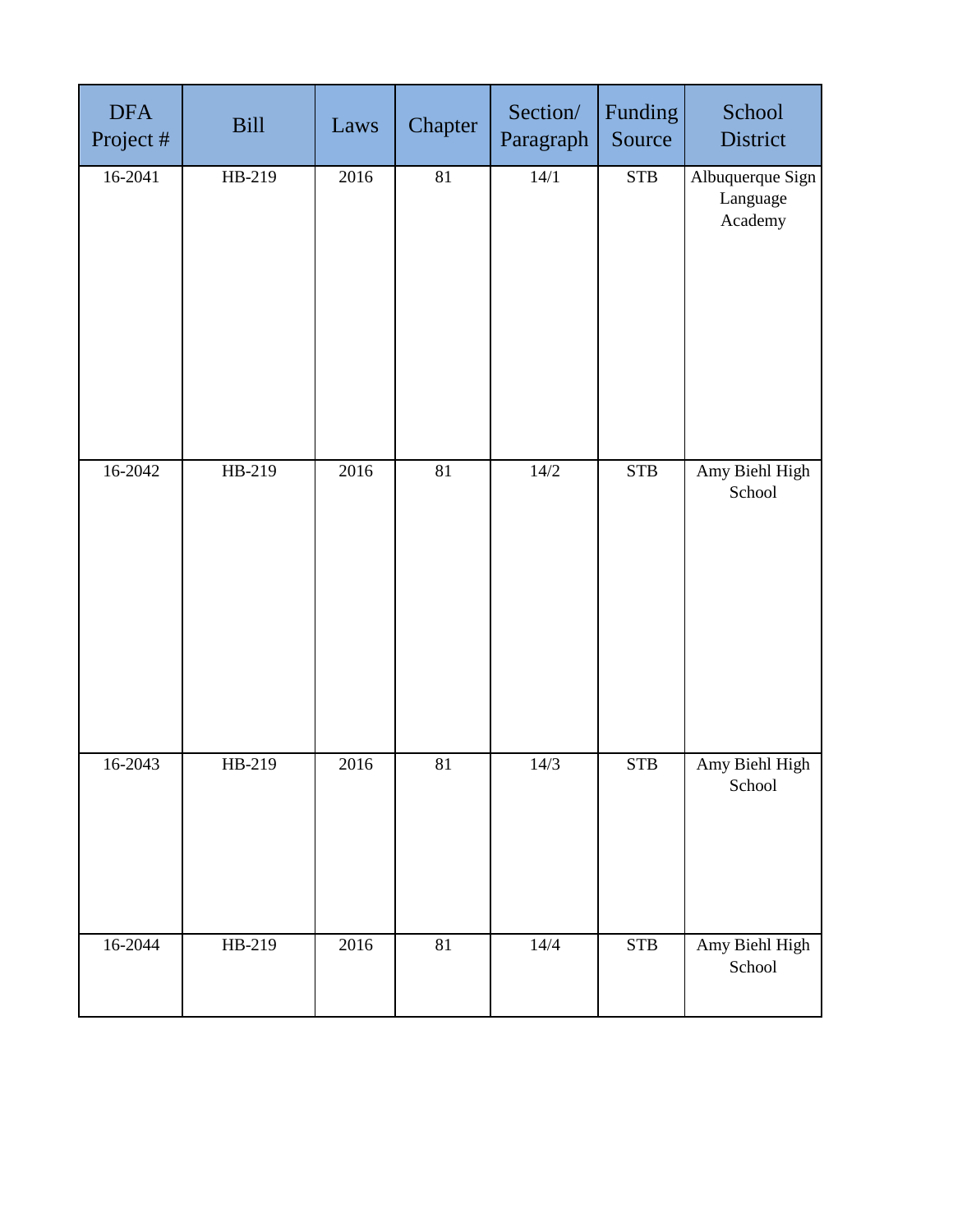| <b>DFA</b><br>Project # | <b>Bill</b> | Laws | Chapter | Section/<br>Paragraph | Funding<br>Source | School<br>District                      |
|-------------------------|-------------|------|---------|-----------------------|-------------------|-----------------------------------------|
| 16-2041                 | HB-219      | 2016 | 81      | 14/1                  | <b>STB</b>        | Albuquerque Sign<br>Language<br>Academy |
| 16-2042                 | HB-219      | 2016 | 81      | 14/2                  | <b>STB</b>        | Amy Biehl High<br>School                |
| 16-2043                 | HB-219      | 2016 | 81      | 14/3                  | <b>STB</b>        | Amy Biehl High<br>School                |
| $16 - 2044$             | HB-219      | 2016 | 81      | $14/4$                | <b>STB</b>        | Amy Biehl High<br>School                |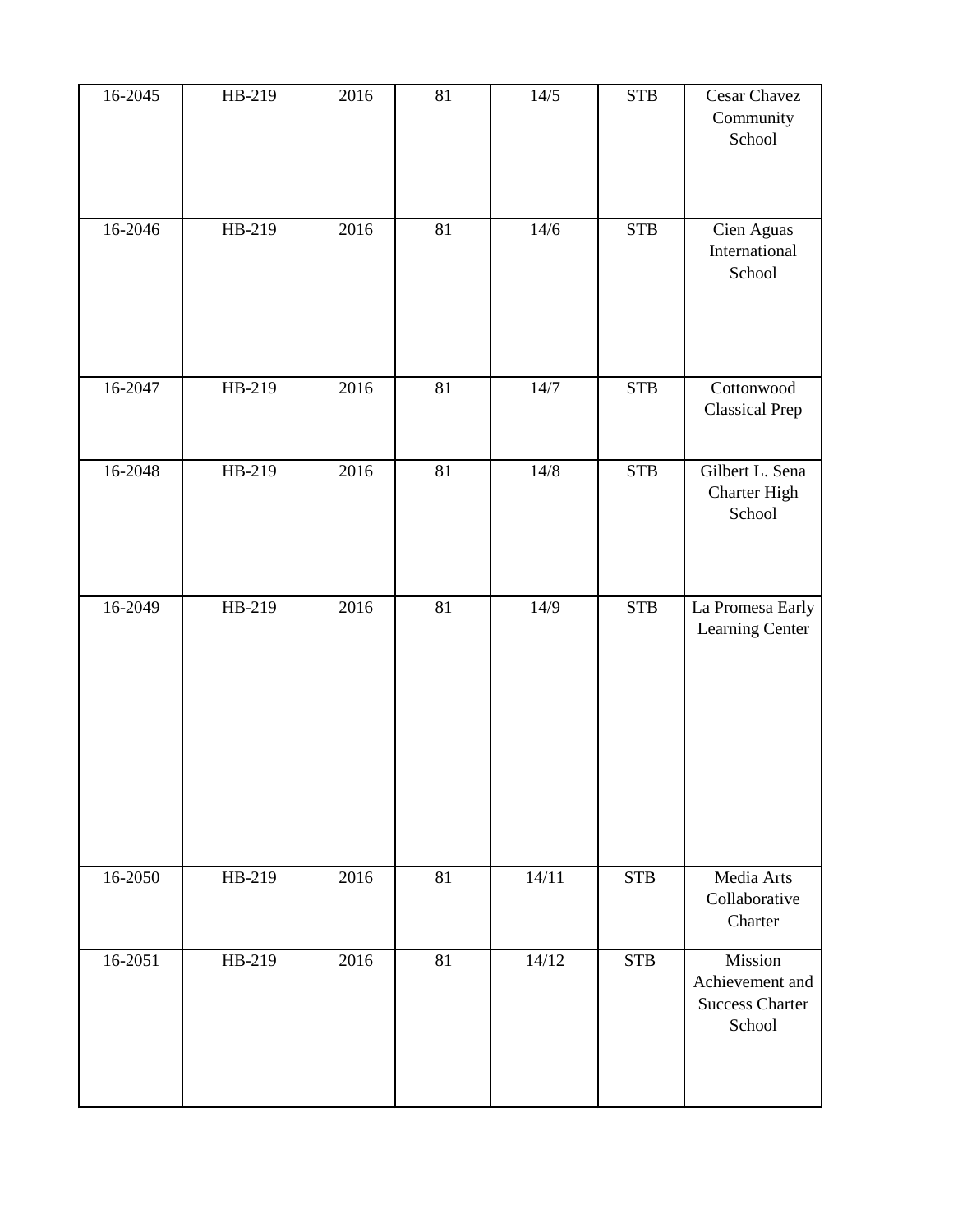| 16-2045 | HB-219 | 2016 | 81 | 14/5   | <b>STB</b> | Cesar Chavez<br>Community<br>School       |
|---------|--------|------|----|--------|------------|-------------------------------------------|
| 16-2046 | HB-219 | 2016 | 81 | 14/6   | <b>STB</b> | Cien Aguas<br>International<br>School     |
| 16-2047 | HB-219 | 2016 | 81 | 14/7   | <b>STB</b> | Cottonwood<br><b>Classical Prep</b>       |
| 16-2048 | HB-219 | 2016 | 81 | $14/8$ | <b>STB</b> | Gilbert L. Sena<br>Charter High<br>School |
| 16-2049 | HB-219 | 2016 | 81 | 14/9   | <b>STB</b> | La Promesa Early<br>Learning Center       |
| 16-2050 | HB-219 | 2016 | 81 | 14/11  | <b>STB</b> | Media Arts<br>Collaborative<br>Charter    |
| 16-2051 | HB-219 | 2016 | 81 | 14/12  | <b>STB</b> | Mission<br>Achievement and                |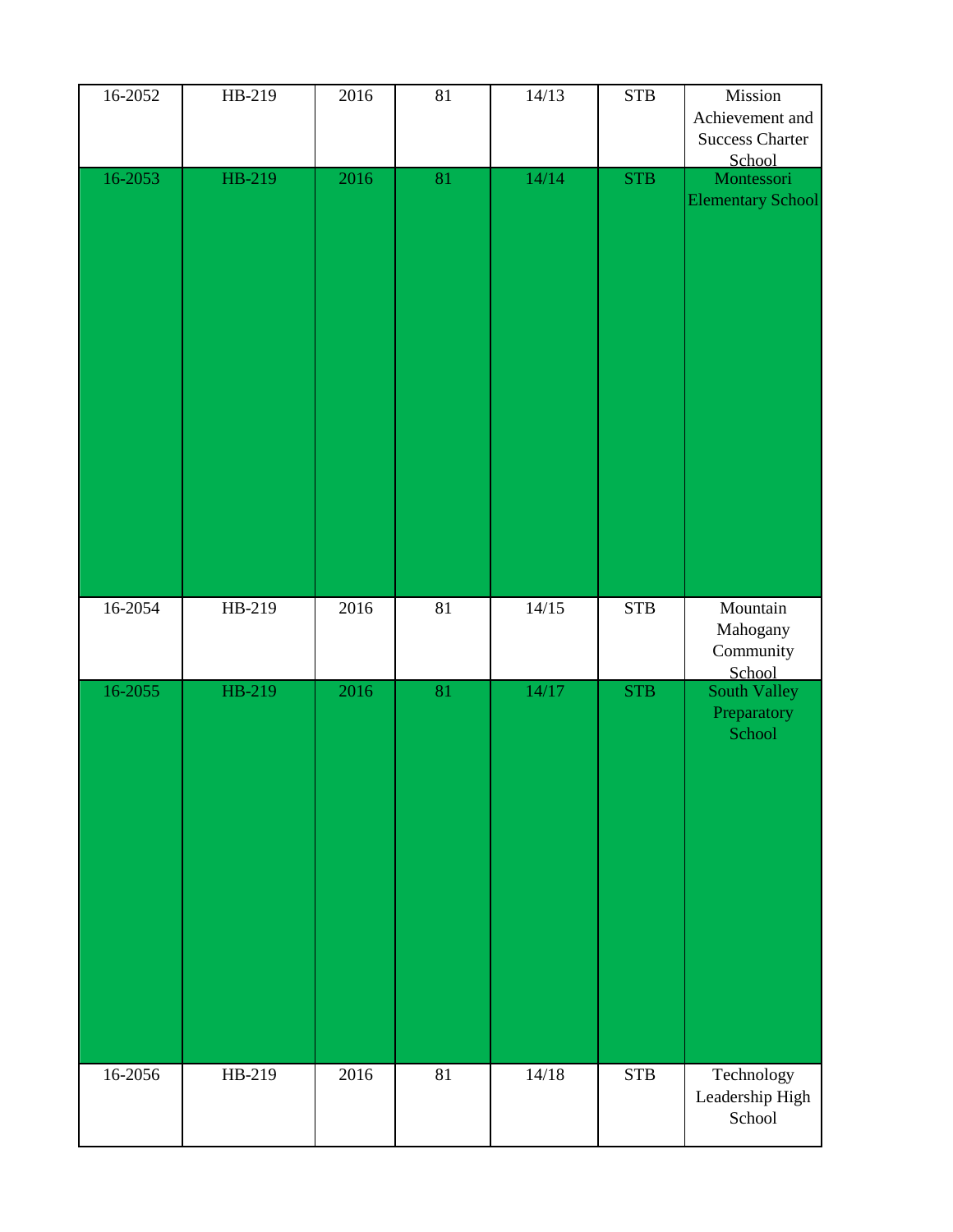| 16-2052     | HB-219 | 2016 | $81\,$ | 14/13 | ${\bf STB}$ | Mission<br>Achievement and<br><b>Success Charter</b><br>School |
|-------------|--------|------|--------|-------|-------------|----------------------------------------------------------------|
| 16-2053     | HB-219 | 2016 | 81     | 14/14 | <b>STB</b>  | Montessori<br><b>Elementary School</b>                         |
| 16-2054     | HB-219 | 2016 | 81     | 14/15 | ${\bf STB}$ | Mountain<br>Mahogany<br>Community<br>School                    |
| 16-2055     | HB-219 | 2016 | 81     | 14/17 | <b>STB</b>  | South Valley<br>Preparatory<br>School                          |
| $16 - 2056$ | HB-219 | 2016 | 81     | 14/18 | <b>STB</b>  | Technology<br>Leadership High<br>School                        |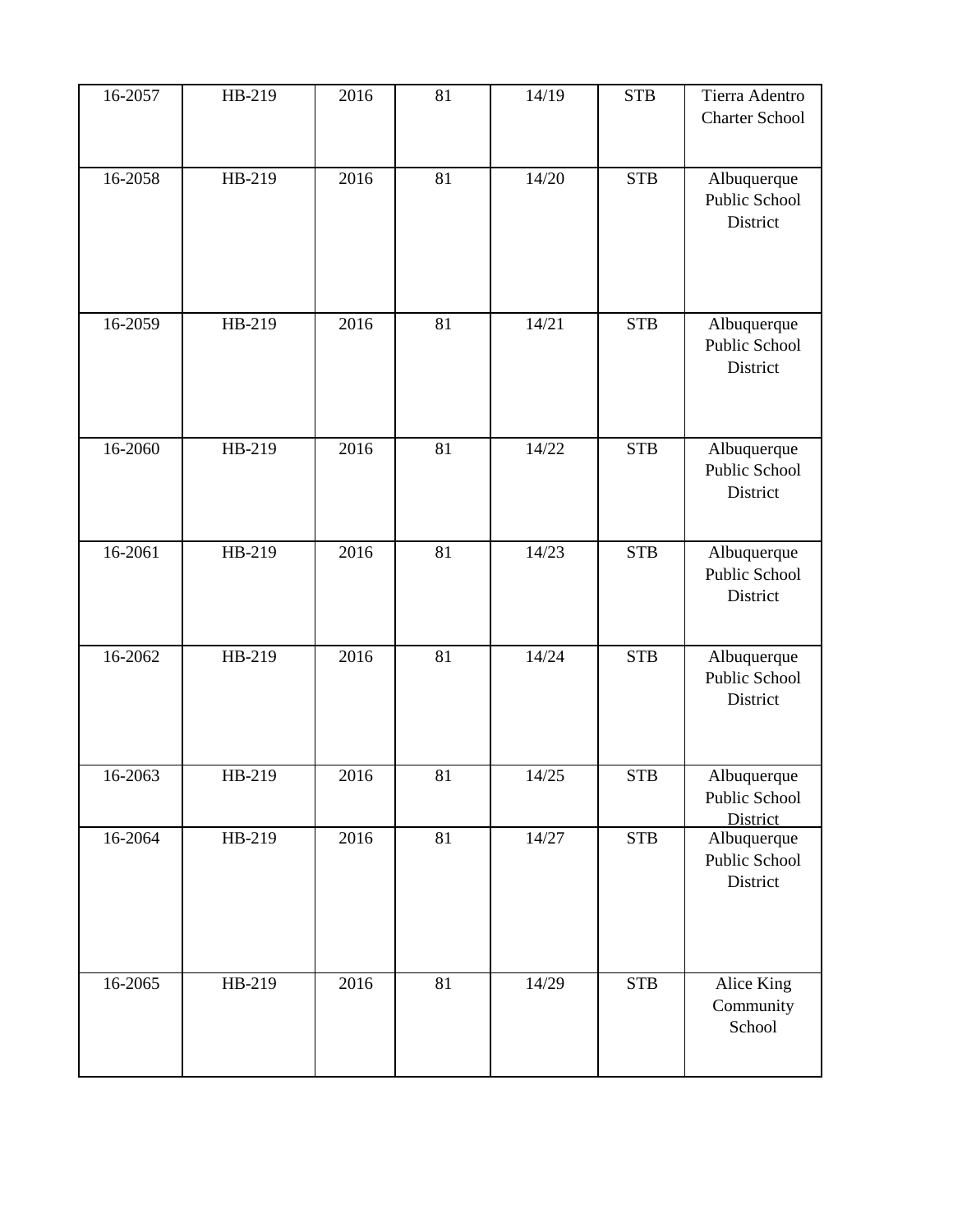| 16-2057     | HB-219 | 2016 | 81 | 14/19 | <b>STB</b> | Tierra Adentro<br><b>Charter School</b>  |
|-------------|--------|------|----|-------|------------|------------------------------------------|
| 16-2058     | HB-219 | 2016 | 81 | 14/20 | <b>STB</b> | Albuquerque<br>Public School<br>District |
| 16-2059     | HB-219 | 2016 | 81 | 14/21 | <b>STB</b> | Albuquerque<br>Public School<br>District |
| 16-2060     | HB-219 | 2016 | 81 | 14/22 | <b>STB</b> | Albuquerque<br>Public School<br>District |
| 16-2061     | HB-219 | 2016 | 81 | 14/23 | <b>STB</b> | Albuquerque<br>Public School<br>District |
| $16 - 2062$ | HB-219 | 2016 | 81 | 14/24 | <b>STB</b> | Albuquerque<br>Public School<br>District |
| 16-2063     | HB-219 | 2016 | 81 | 14/25 | <b>STB</b> | Albuquerque<br>Public School<br>District |
| 16-2064     | HB-219 | 2016 | 81 | 14/27 | <b>STB</b> | Albuquerque<br>Public School<br>District |
| 16-2065     | HB-219 | 2016 | 81 | 14/29 | <b>STB</b> | Alice King<br>Community<br>School        |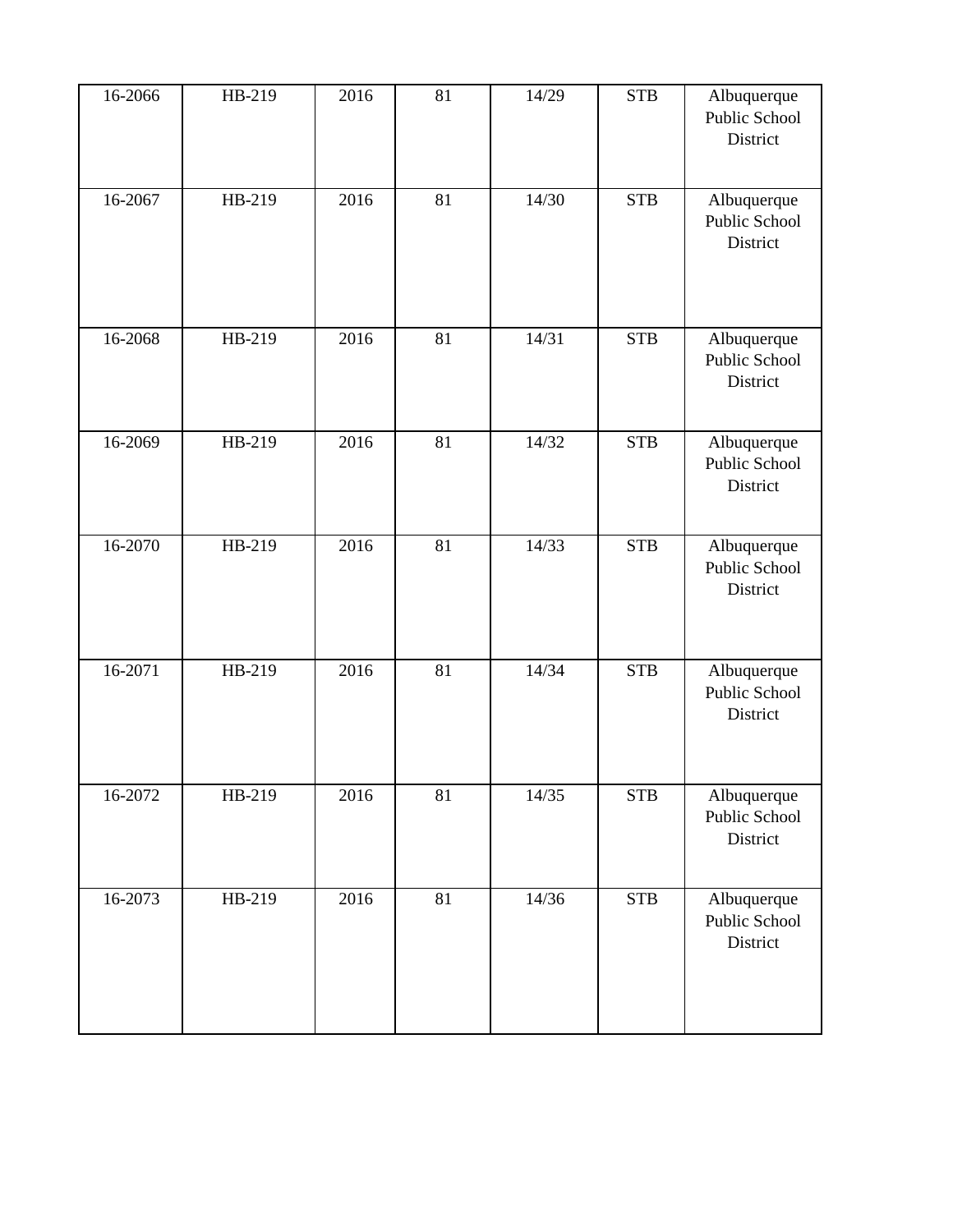| 16-2066 | HB-219 | 2016 | 81 | 14/29 | <b>STB</b> | Albuquerque<br>Public School<br>District |
|---------|--------|------|----|-------|------------|------------------------------------------|
| 16-2067 | HB-219 | 2016 | 81 | 14/30 | <b>STB</b> | Albuquerque<br>Public School<br>District |
| 16-2068 | HB-219 | 2016 | 81 | 14/31 | <b>STB</b> | Albuquerque<br>Public School<br>District |
| 16-2069 | HB-219 | 2016 | 81 | 14/32 | <b>STB</b> | Albuquerque<br>Public School<br>District |
| 16-2070 | HB-219 | 2016 | 81 | 14/33 | <b>STB</b> | Albuquerque<br>Public School<br>District |
| 16-2071 | HB-219 | 2016 | 81 | 14/34 | <b>STB</b> | Albuquerque<br>Public School<br>District |
| 16-2072 | HB-219 | 2016 | 81 | 14/35 | <b>STB</b> | Albuquerque<br>Public School<br>District |
| 16-2073 | HB-219 | 2016 | 81 | 14/36 | <b>STB</b> | Albuquerque<br>Public School<br>District |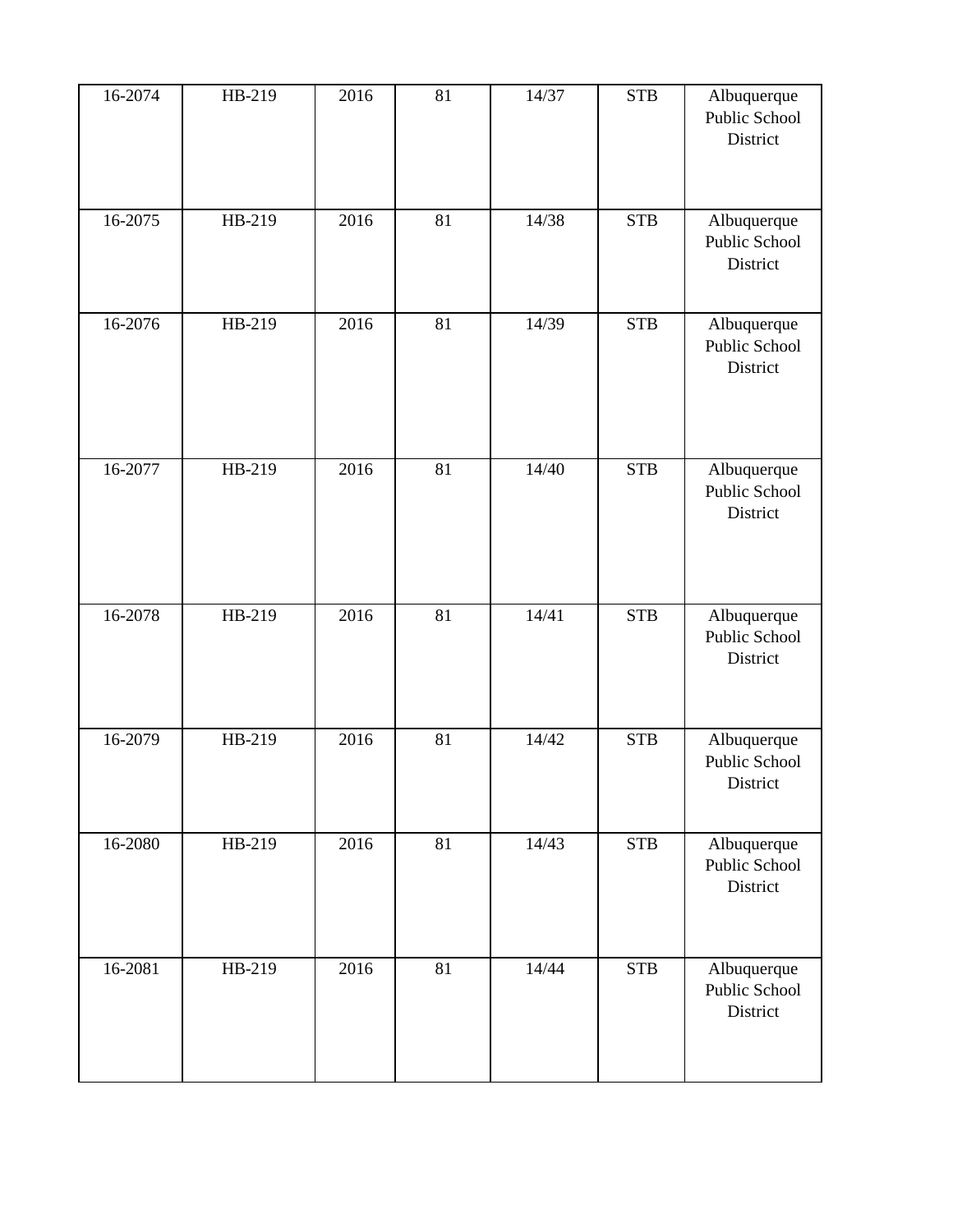| 16-2074 | HB-219 | 2016 | 81 | 14/37 | <b>STB</b> | Albuquerque<br>Public School<br>District |
|---------|--------|------|----|-------|------------|------------------------------------------|
| 16-2075 | HB-219 | 2016 | 81 | 14/38 | <b>STB</b> | Albuquerque<br>Public School<br>District |
| 16-2076 | HB-219 | 2016 | 81 | 14/39 | <b>STB</b> | Albuquerque<br>Public School<br>District |
| 16-2077 | HB-219 | 2016 | 81 | 14/40 | <b>STB</b> | Albuquerque<br>Public School<br>District |
| 16-2078 | HB-219 | 2016 | 81 | 14/41 | <b>STB</b> | Albuquerque<br>Public School<br>District |
| 16-2079 | HB-219 | 2016 | 81 | 14/42 | <b>STB</b> | Albuquerque<br>Public School<br>District |
| 16-2080 | HB-219 | 2016 | 81 | 14/43 | <b>STB</b> | Albuquerque<br>Public School<br>District |
| 16-2081 | HB-219 | 2016 | 81 | 14/44 | <b>STB</b> | Albuquerque<br>Public School<br>District |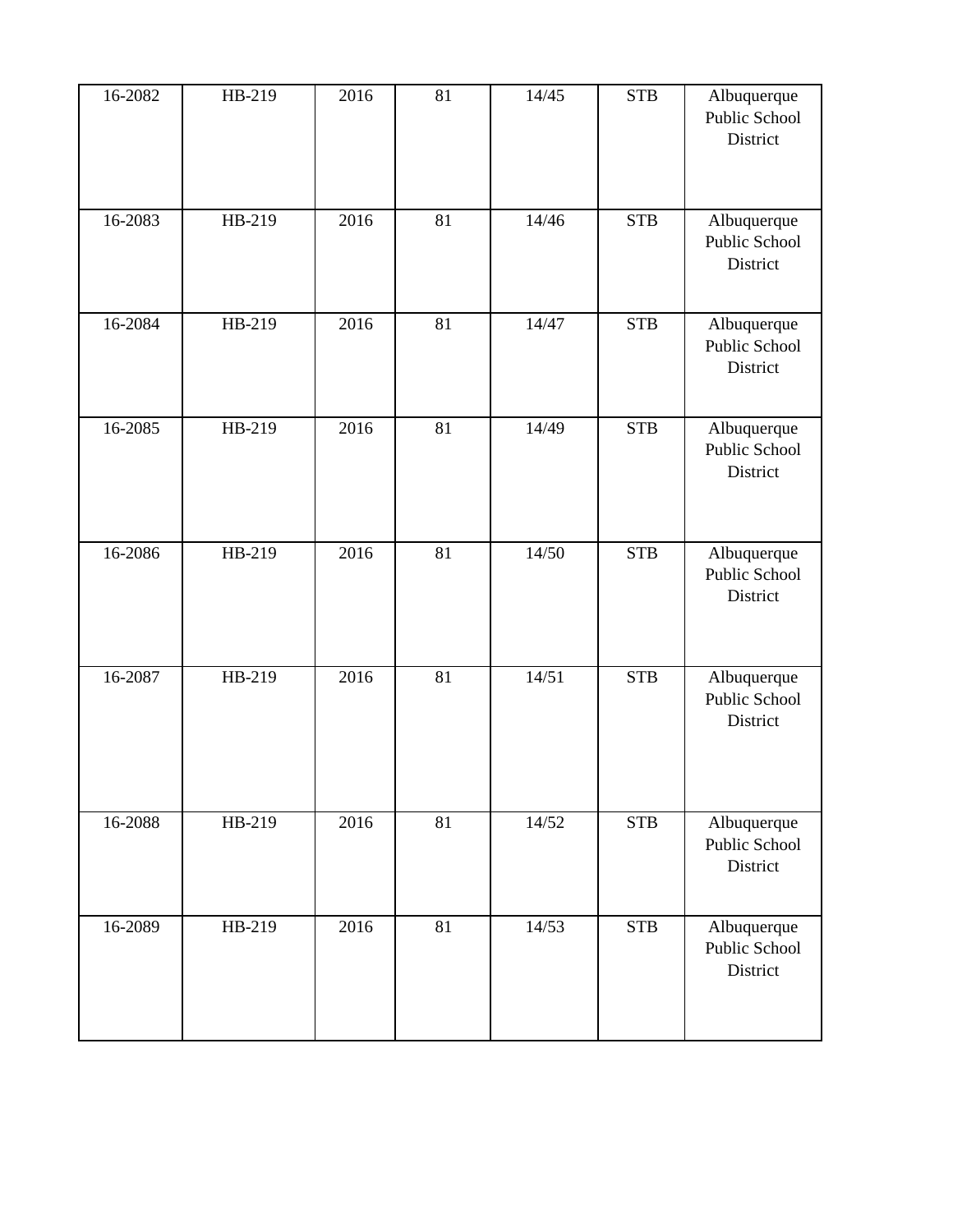| 16-2082     | HB-219 | 2016 | 81 | 14/45 | <b>STB</b> | Albuquerque<br>Public School<br>District |
|-------------|--------|------|----|-------|------------|------------------------------------------|
| $16 - 2083$ | HB-219 | 2016 | 81 | 14/46 | <b>STB</b> | Albuquerque<br>Public School<br>District |
| 16-2084     | HB-219 | 2016 | 81 | 14/47 | <b>STB</b> | Albuquerque<br>Public School<br>District |
| 16-2085     | HB-219 | 2016 | 81 | 14/49 | <b>STB</b> | Albuquerque<br>Public School<br>District |
| 16-2086     | HB-219 | 2016 | 81 | 14/50 | <b>STB</b> | Albuquerque<br>Public School<br>District |
| 16-2087     | HB-219 | 2016 | 81 | 14/51 | <b>STB</b> | Albuquerque<br>Public School<br>District |
| 16-2088     | HB-219 | 2016 | 81 | 14/52 | <b>STB</b> | Albuquerque<br>Public School<br>District |
| 16-2089     | HB-219 | 2016 | 81 | 14/53 | <b>STB</b> | Albuquerque<br>Public School<br>District |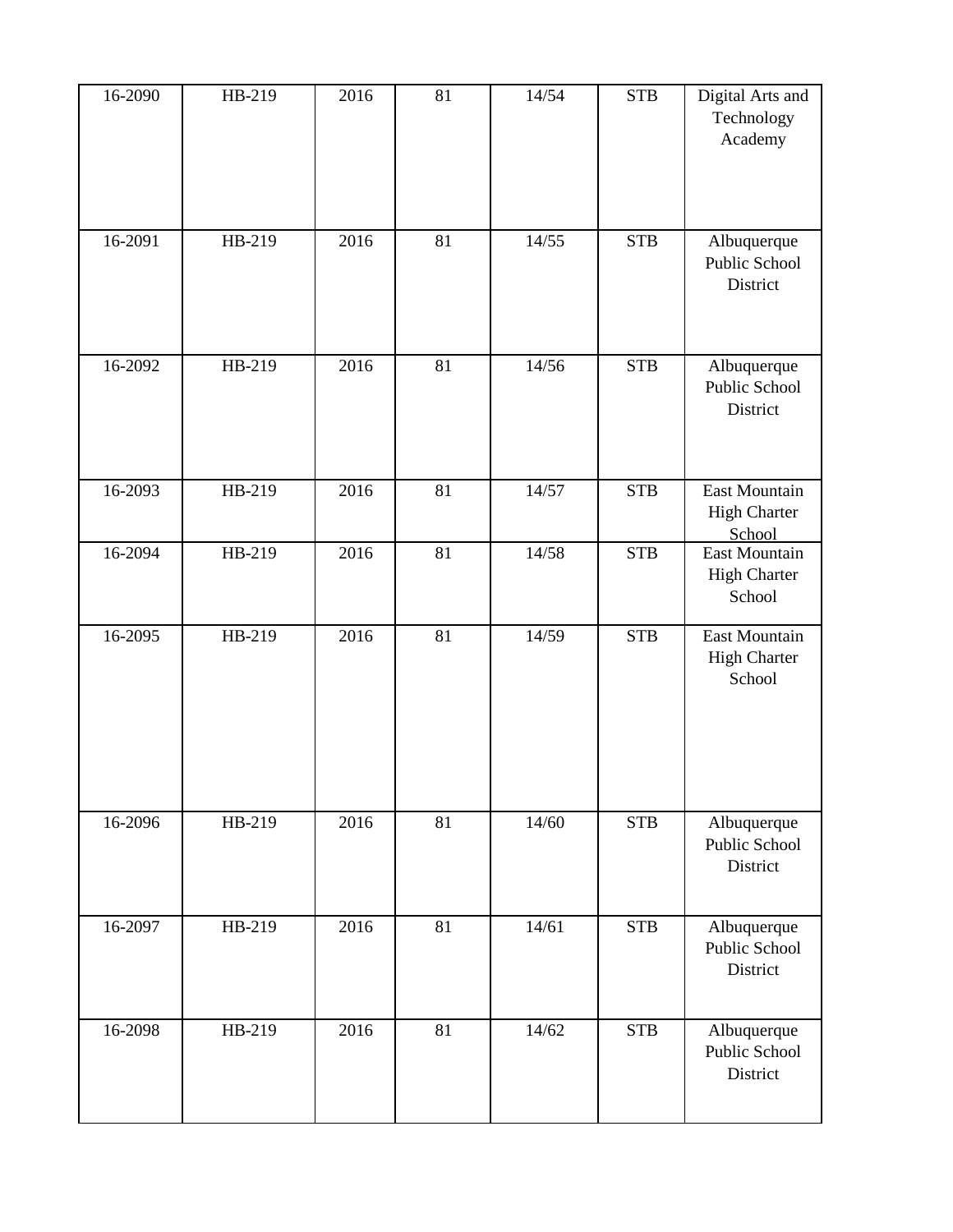| 16-2090 | HB-219 | 2016 | 81 | 14/54 | <b>STB</b> | Digital Arts and<br>Technology<br>Academy      |
|---------|--------|------|----|-------|------------|------------------------------------------------|
| 16-2091 | HB-219 | 2016 | 81 | 14/55 | <b>STB</b> | Albuquerque<br>Public School<br>District       |
| 16-2092 | HB-219 | 2016 | 81 | 14/56 | <b>STB</b> | Albuquerque<br>Public School<br>District       |
| 16-2093 | HB-219 | 2016 | 81 | 14/57 | <b>STB</b> | East Mountain<br><b>High Charter</b><br>School |
| 16-2094 | HB-219 | 2016 | 81 | 14/58 | <b>STB</b> | East Mountain<br><b>High Charter</b><br>School |
| 16-2095 | HB-219 | 2016 | 81 | 14/59 | <b>STB</b> | East Mountain<br><b>High Charter</b><br>School |
| 16-2096 | HB-219 | 2016 | 81 | 14/60 | <b>STB</b> | Albuquerque<br>Public School<br>District       |
| 16-2097 | HB-219 | 2016 | 81 | 14/61 | <b>STB</b> | Albuquerque<br>Public School<br>District       |
| 16-2098 | HB-219 | 2016 | 81 | 14/62 | <b>STB</b> | Albuquerque<br>Public School<br>District       |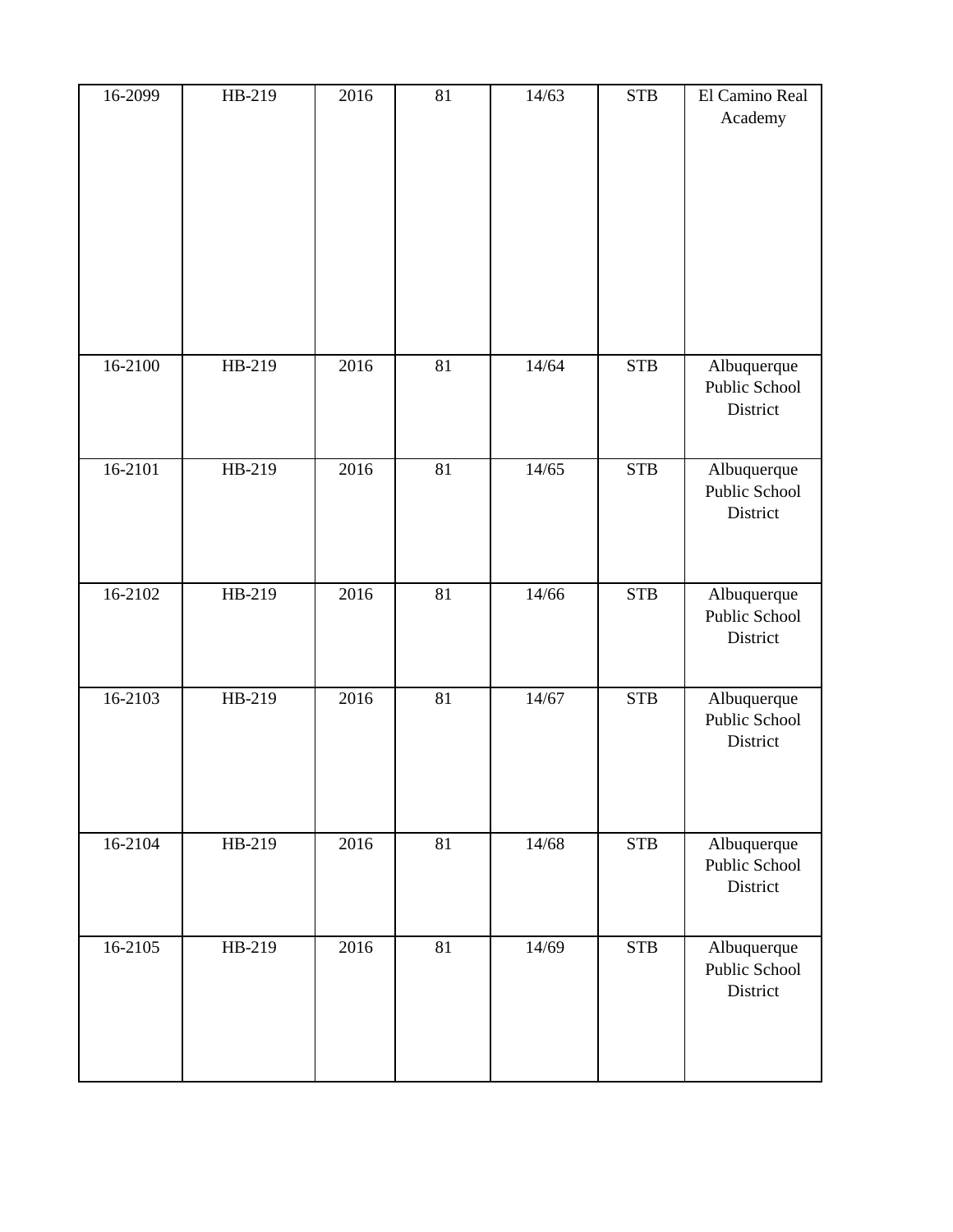| 16-2099     | HB-219 | 2016 | 81 | 14/63 | <b>STB</b> | El Camino Real<br>Academy                |
|-------------|--------|------|----|-------|------------|------------------------------------------|
| 16-2100     | HB-219 | 2016 | 81 | 14/64 | <b>STB</b> | Albuquerque<br>Public School<br>District |
| $16 - 2101$ | HB-219 | 2016 | 81 | 14/65 | <b>STB</b> | Albuquerque<br>Public School<br>District |
| 16-2102     | HB-219 | 2016 | 81 | 14/66 | <b>STB</b> | Albuquerque<br>Public School<br>District |
| 16-2103     | HB-219 | 2016 | 81 | 14/67 | <b>STB</b> | Albuquerque<br>Public School<br>District |
| 16-2104     | HB-219 | 2016 | 81 | 14/68 | <b>STB</b> | Albuquerque<br>Public School<br>District |
| $16 - 2105$ | HB-219 | 2016 | 81 | 14/69 | <b>STB</b> | Albuquerque<br>Public School<br>District |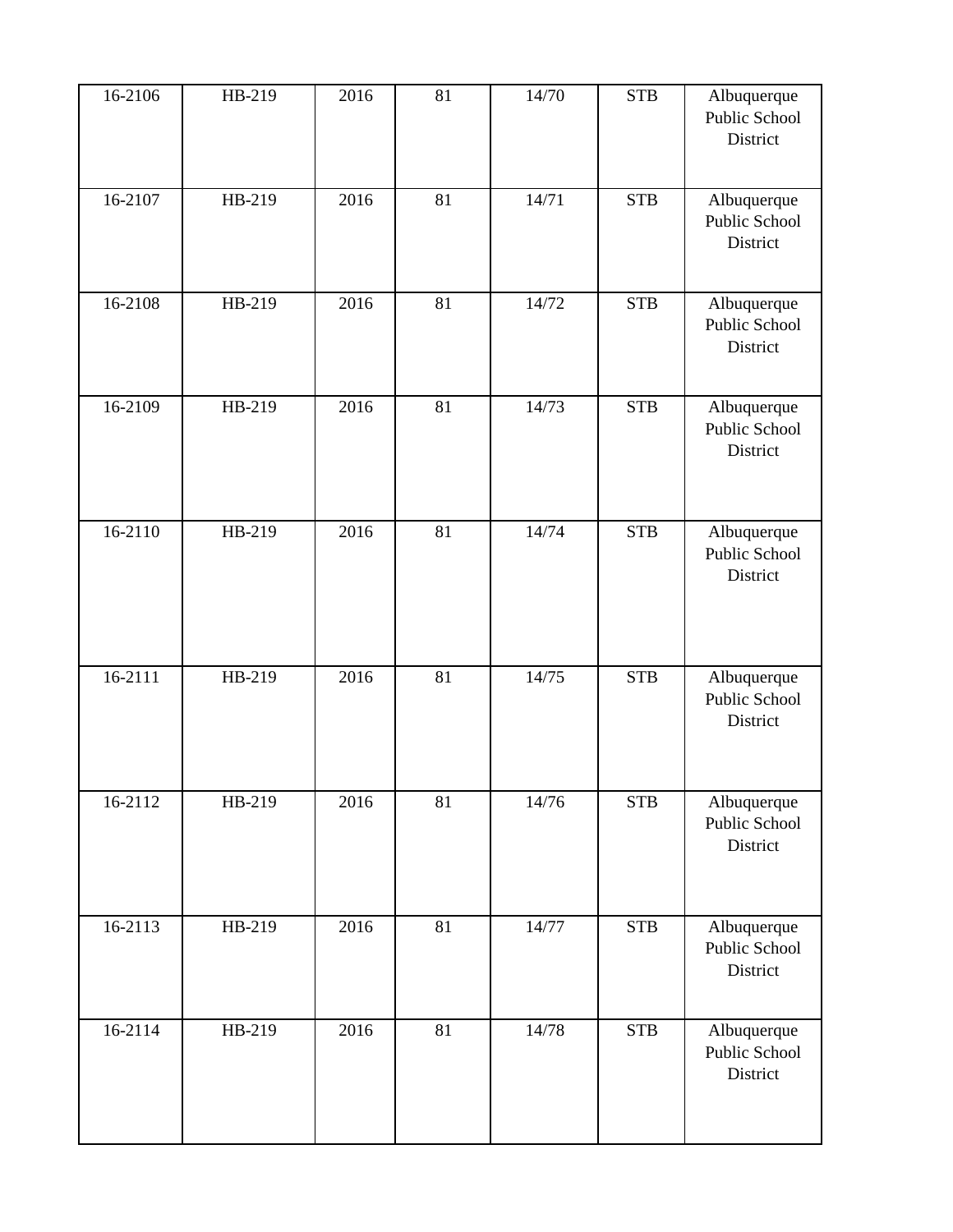| 16-2106     | HB-219 | 2016 | 81 | 14/70 | <b>STB</b> | Albuquerque<br>Public School<br>District |
|-------------|--------|------|----|-------|------------|------------------------------------------|
| 16-2107     | HB-219 | 2016 | 81 | 14/71 | <b>STB</b> | Albuquerque<br>Public School<br>District |
| 16-2108     | HB-219 | 2016 | 81 | 14/72 | <b>STB</b> | Albuquerque<br>Public School<br>District |
| 16-2109     | HB-219 | 2016 | 81 | 14/73 | <b>STB</b> | Albuquerque<br>Public School<br>District |
| 16-2110     | HB-219 | 2016 | 81 | 14/74 | <b>STB</b> | Albuquerque<br>Public School<br>District |
| 16-2111     | HB-219 | 2016 | 81 | 14/75 | <b>STB</b> | Albuquerque<br>Public School<br>District |
| $16 - 2112$ | HB-219 | 2016 | 81 | 14/76 | <b>STB</b> | Albuquerque<br>Public School<br>District |
| 16-2113     | HB-219 | 2016 | 81 | 14/77 | <b>STB</b> | Albuquerque<br>Public School<br>District |
| 16-2114     | HB-219 | 2016 | 81 | 14/78 | <b>STB</b> | Albuquerque<br>Public School<br>District |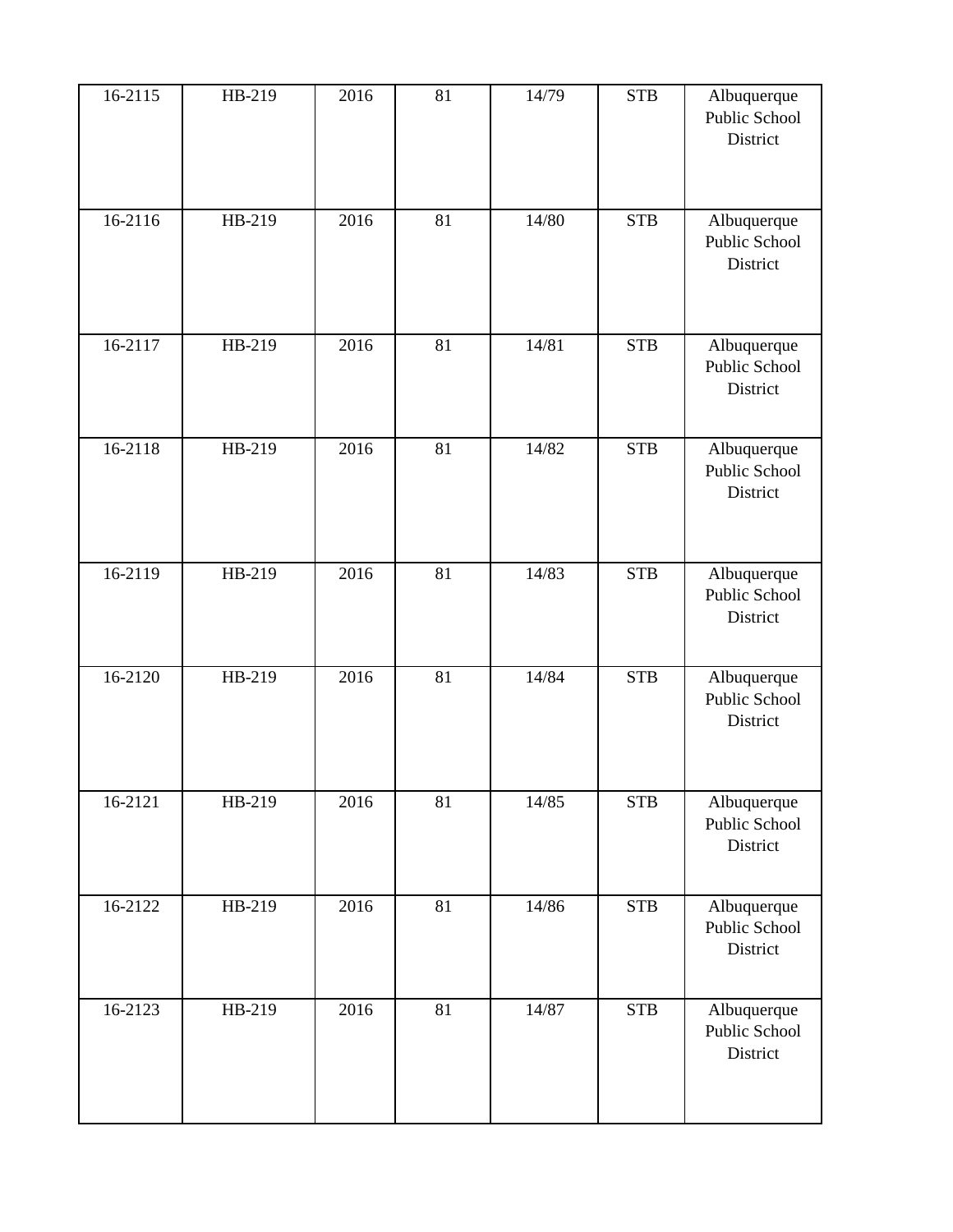| 16-2115 | HB-219 | 2016 | 81 | 14/79 | <b>STB</b> | Albuquerque<br>Public School<br>District |
|---------|--------|------|----|-------|------------|------------------------------------------|
| 16-2116 | HB-219 | 2016 | 81 | 14/80 | <b>STB</b> | Albuquerque<br>Public School<br>District |
| 16-2117 | HB-219 | 2016 | 81 | 14/81 | <b>STB</b> | Albuquerque<br>Public School<br>District |
| 16-2118 | HB-219 | 2016 | 81 | 14/82 | <b>STB</b> | Albuquerque<br>Public School<br>District |
| 16-2119 | HB-219 | 2016 | 81 | 14/83 | <b>STB</b> | Albuquerque<br>Public School<br>District |
| 16-2120 | HB-219 | 2016 | 81 | 14/84 | <b>STB</b> | Albuquerque<br>Public School<br>District |
| 16-2121 | HB-219 | 2016 | 81 | 14/85 | <b>STB</b> | Albuquerque<br>Public School<br>District |
| 16-2122 | HB-219 | 2016 | 81 | 14/86 | <b>STB</b> | Albuquerque<br>Public School<br>District |
| 16-2123 | HB-219 | 2016 | 81 | 14/87 | <b>STB</b> | Albuquerque<br>Public School<br>District |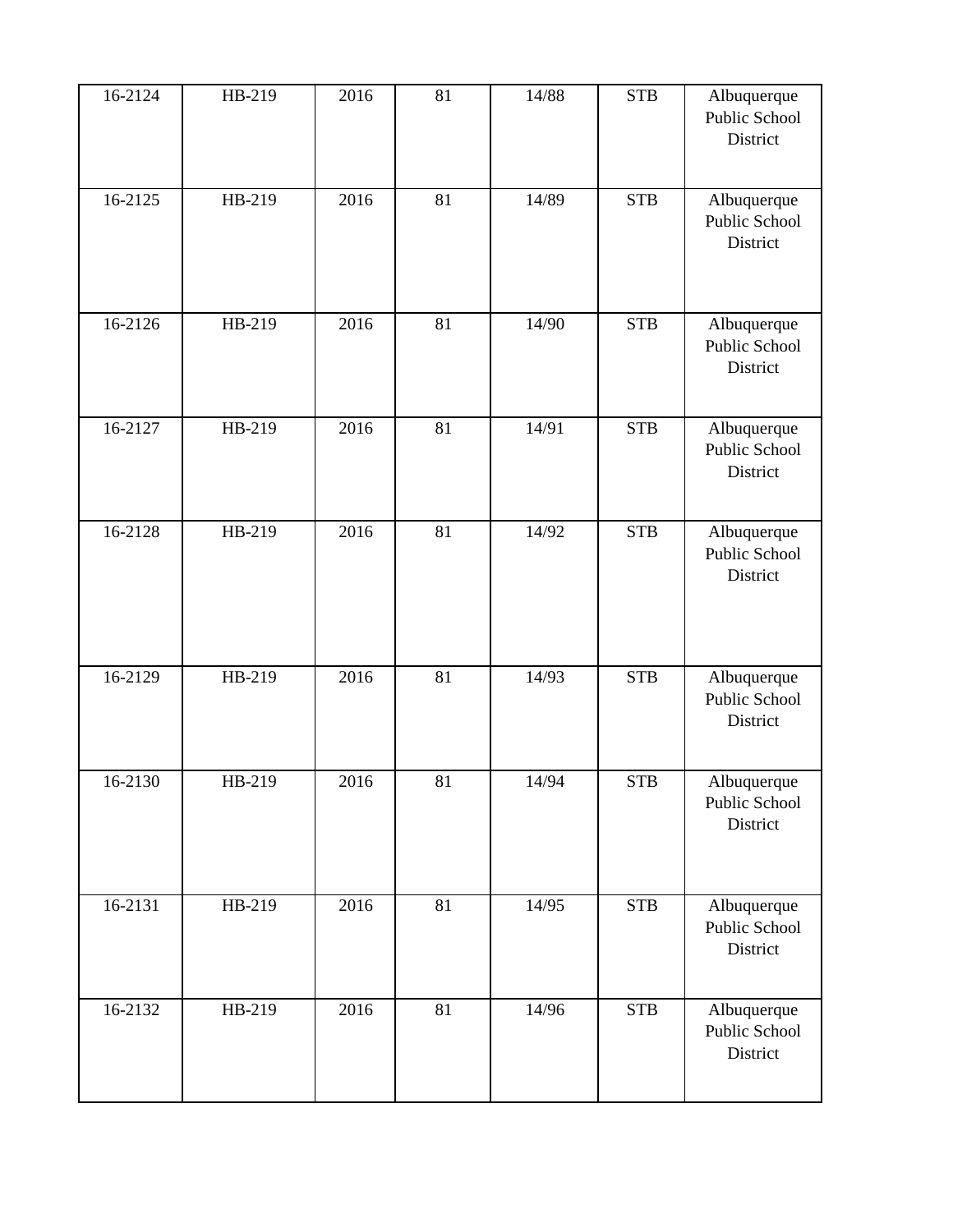| 16-2124 | HB-219 | 2016 | 81 | 14/88 | <b>STB</b> | Albuquerque<br>Public School<br>District |
|---------|--------|------|----|-------|------------|------------------------------------------|
| 16-2125 | HB-219 | 2016 | 81 | 14/89 | <b>STB</b> | Albuquerque<br>Public School<br>District |
| 16-2126 | HB-219 | 2016 | 81 | 14/90 | <b>STB</b> | Albuquerque<br>Public School<br>District |
| 16-2127 | HB-219 | 2016 | 81 | 14/91 | <b>STB</b> | Albuquerque<br>Public School<br>District |
| 16-2128 | HB-219 | 2016 | 81 | 14/92 | <b>STB</b> | Albuquerque<br>Public School<br>District |
| 16-2129 | HB-219 | 2016 | 81 | 14/93 | <b>STB</b> | Albuquerque<br>Public School<br>District |
| 16-2130 | HB-219 | 2016 | 81 | 14/94 | <b>STB</b> | Albuquerque<br>Public School<br>District |
| 16-2131 | HB-219 | 2016 | 81 | 14/95 | <b>STB</b> | Albuquerque<br>Public School<br>District |
| 16-2132 | HB-219 | 2016 | 81 | 14/96 | <b>STB</b> | Albuquerque<br>Public School<br>District |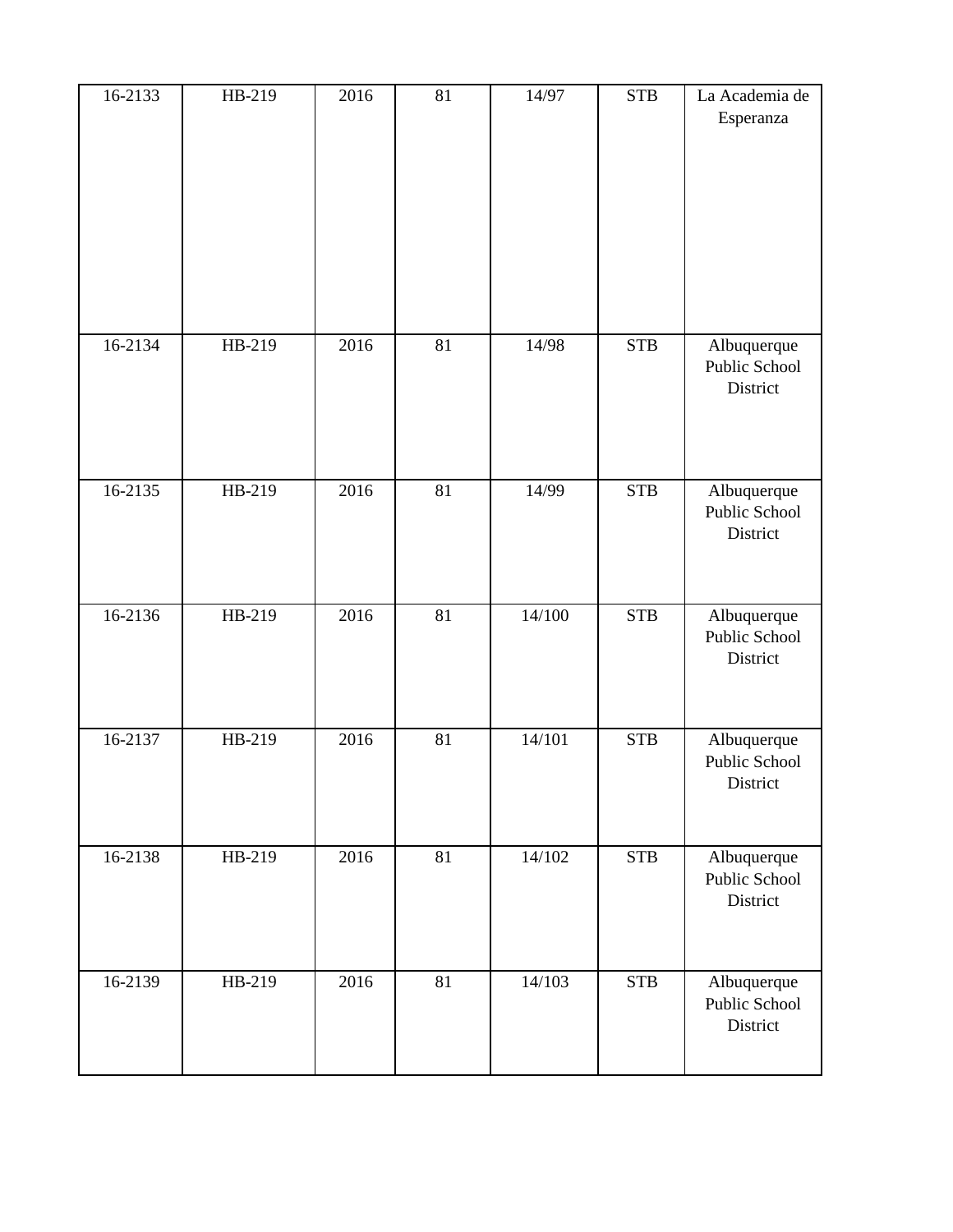| 16-2133     | HB-219 | 2016 | 81 | 14/97  | <b>STB</b>  | La Academia de<br>Esperanza              |
|-------------|--------|------|----|--------|-------------|------------------------------------------|
| 16-2134     | HB-219 | 2016 | 81 | 14/98  | ${\rm STB}$ | Albuquerque<br>Public School<br>District |
| 16-2135     | HB-219 | 2016 | 81 | 14/99  | ${\bf STB}$ | Albuquerque<br>Public School<br>District |
| $16 - 2136$ | HB-219 | 2016 | 81 | 14/100 | <b>STB</b>  | Albuquerque<br>Public School<br>District |
| 16-2137     | HB-219 | 2016 | 81 | 14/101 | <b>STB</b>  | Albuquerque<br>Public School<br>District |
| 16-2138     | HB-219 | 2016 | 81 | 14/102 | ${\bf STB}$ | Albuquerque<br>Public School<br>District |
| 16-2139     | HB-219 | 2016 | 81 | 14/103 | ${\bf STB}$ | Albuquerque<br>Public School<br>District |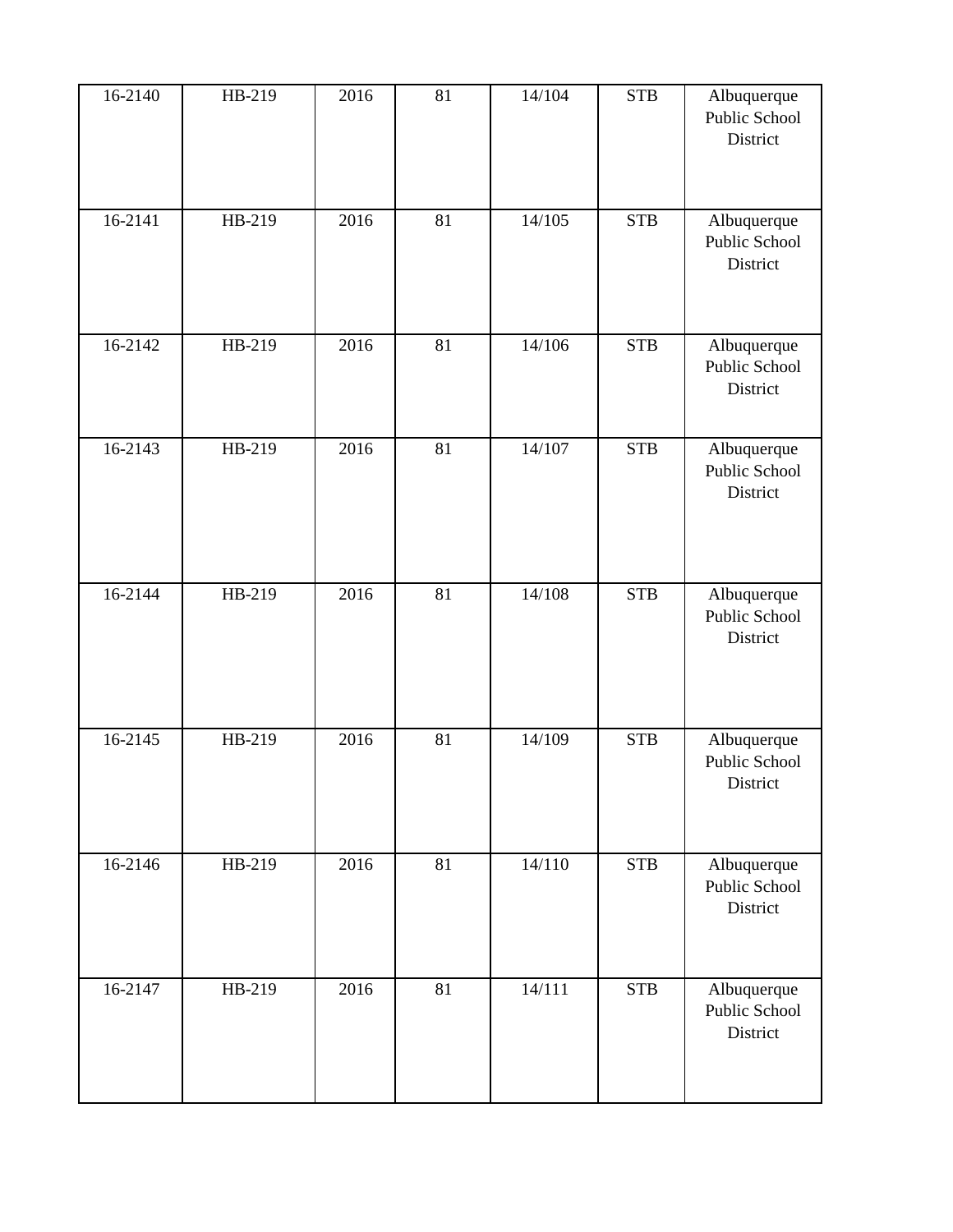| 16-2140 | HB-219 | 2016 | 81 | 14/104 | <b>STB</b> | Albuquerque<br>Public School<br>District |
|---------|--------|------|----|--------|------------|------------------------------------------|
| 16-2141 | HB-219 | 2016 | 81 | 14/105 | <b>STB</b> | Albuquerque<br>Public School<br>District |
| 16-2142 | HB-219 | 2016 | 81 | 14/106 | <b>STB</b> | Albuquerque<br>Public School<br>District |
| 16-2143 | HB-219 | 2016 | 81 | 14/107 | <b>STB</b> | Albuquerque<br>Public School<br>District |
| 16-2144 | HB-219 | 2016 | 81 | 14/108 | <b>STB</b> | Albuquerque<br>Public School<br>District |
| 16-2145 | HB-219 | 2016 | 81 | 14/109 | <b>STB</b> | Albuquerque<br>Public School<br>District |
| 16-2146 | HB-219 | 2016 | 81 | 14/110 | <b>STB</b> | Albuquerque<br>Public School<br>District |
| 16-2147 | HB-219 | 2016 | 81 | 14/111 | <b>STB</b> | Albuquerque<br>Public School<br>District |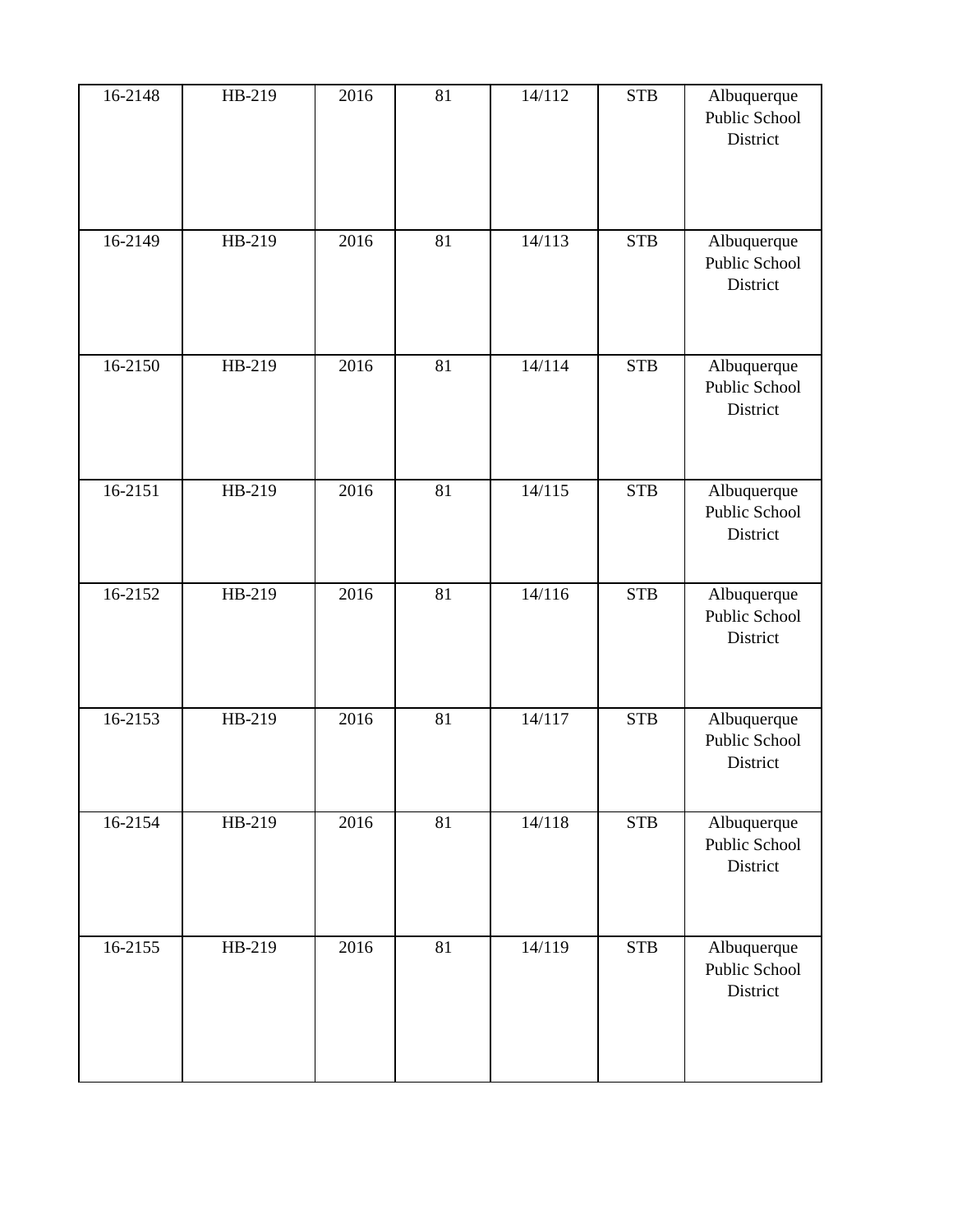| 16-2148 | HB-219 | 2016 | 81 | 14/112            | <b>STB</b> | Albuquerque<br>Public School<br>District |
|---------|--------|------|----|-------------------|------------|------------------------------------------|
| 16-2149 | HB-219 | 2016 | 81 | 14/113            | <b>STB</b> | Albuquerque<br>Public School<br>District |
| 16-2150 | HB-219 | 2016 | 81 | $\frac{1}{4}/114$ | <b>STB</b> | Albuquerque<br>Public School<br>District |
| 16-2151 | HB-219 | 2016 | 81 | 14/115            | <b>STB</b> | Albuquerque<br>Public School<br>District |
| 16-2152 | HB-219 | 2016 | 81 | 14/116            | <b>STB</b> | Albuquerque<br>Public School<br>District |
| 16-2153 | HB-219 | 2016 | 81 | 14/117            | <b>STB</b> | Albuquerque<br>Public School<br>District |
| 16-2154 | HB-219 | 2016 | 81 | 14/118            | <b>STB</b> | Albuquerque<br>Public School<br>District |
| 16-2155 | HB-219 | 2016 | 81 | 14/119            | <b>STB</b> | Albuquerque<br>Public School<br>District |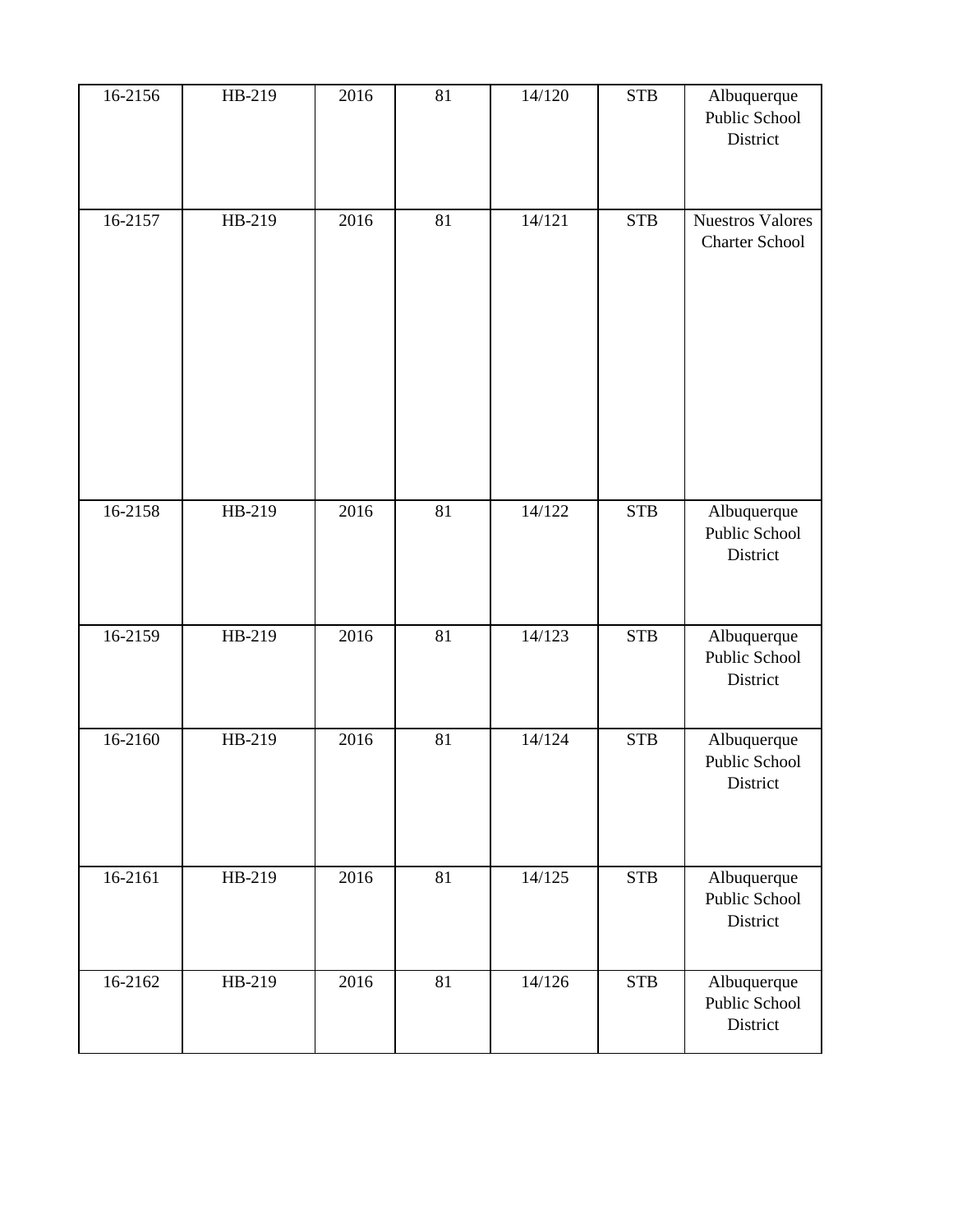| 16-2156     | HB-219   | 2016 | 81 | 14/120 | <b>STB</b> | Albuquerque<br>Public School<br>District         |
|-------------|----------|------|----|--------|------------|--------------------------------------------------|
| 16-2157     | HB-219   | 2016 | 81 | 14/121 | <b>STB</b> | <b>Nuestros Valores</b><br><b>Charter School</b> |
| 16-2158     | HB-219   | 2016 | 81 | 14/122 | <b>STB</b> | Albuquerque<br>Public School<br>District         |
| 16-2159     | HB-219   | 2016 | 81 | 14/123 | <b>STB</b> | Albuquerque<br>Public School<br>District         |
| 16-2160     | $HB-219$ | 2016 | 81 | 14/124 | <b>STB</b> | Albuquerque<br>Public School<br>District         |
| 16-2161     | HB-219   | 2016 | 81 | 14/125 | <b>STB</b> | Albuquerque<br>Public School<br>District         |
| $16 - 2162$ | HB-219   | 2016 | 81 | 14/126 | <b>STB</b> | Albuquerque<br>Public School<br>District         |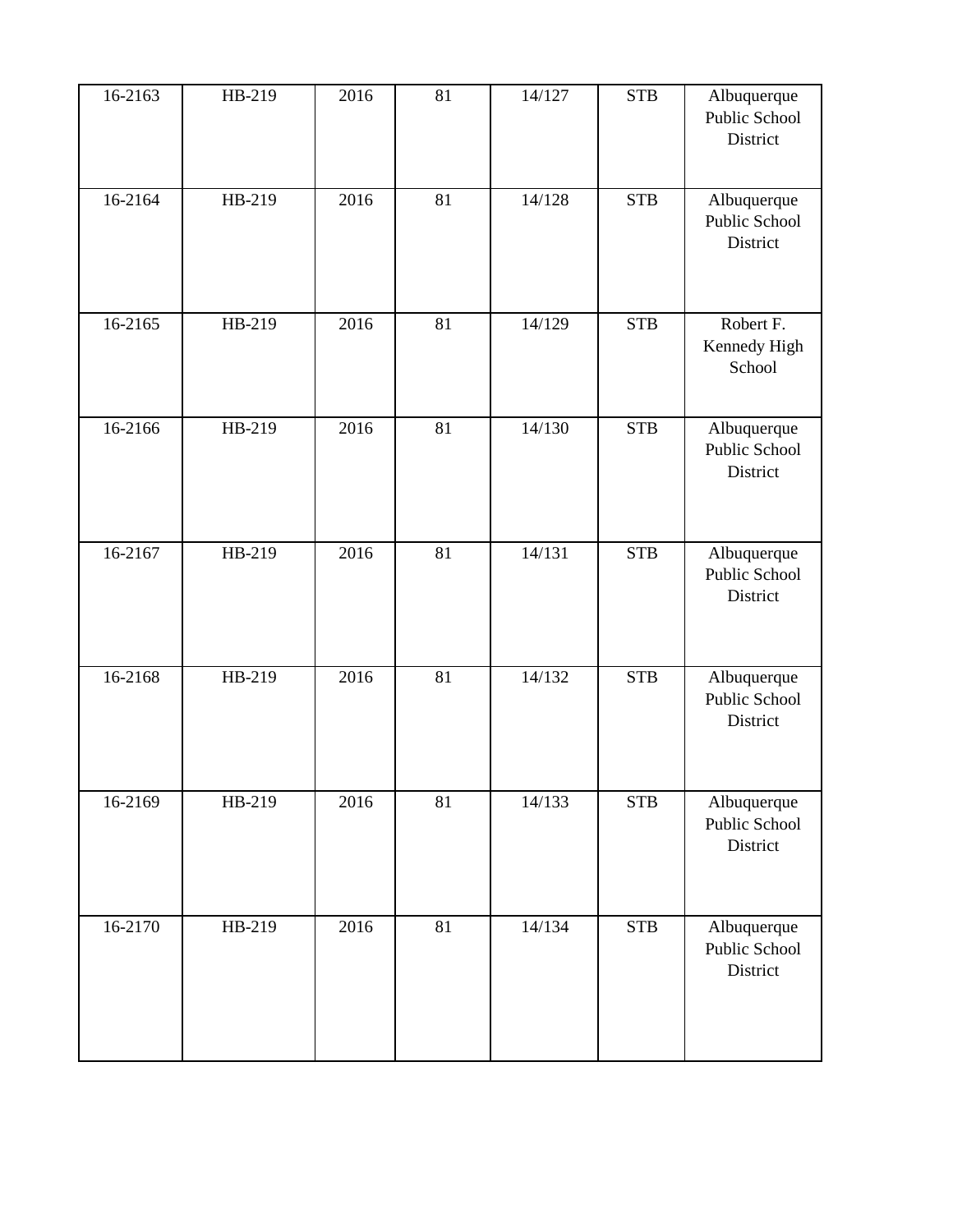| 16-2163     | HB-219 | 2016 | 81 | 14/127 | <b>STB</b> | Albuquerque<br>Public School<br>District |
|-------------|--------|------|----|--------|------------|------------------------------------------|
| 16-2164     | HB-219 | 2016 | 81 | 14/128 | <b>STB</b> | Albuquerque<br>Public School<br>District |
| 16-2165     | HB-219 | 2016 | 81 | 14/129 | <b>STB</b> | Robert F.<br>Kennedy High<br>School      |
| 16-2166     | HB-219 | 2016 | 81 | 14/130 | <b>STB</b> | Albuquerque<br>Public School<br>District |
| 16-2167     | HB-219 | 2016 | 81 | 14/131 | <b>STB</b> | Albuquerque<br>Public School<br>District |
| 16-2168     | HB-219 | 2016 | 81 | 14/132 | <b>STB</b> | Albuquerque<br>Public School<br>District |
| 16-2169     | HB-219 | 2016 | 81 | 14/133 | <b>STB</b> | Albuquerque<br>Public School<br>District |
| $16 - 2170$ | HB-219 | 2016 | 81 | 14/134 | <b>STB</b> | Albuquerque<br>Public School<br>District |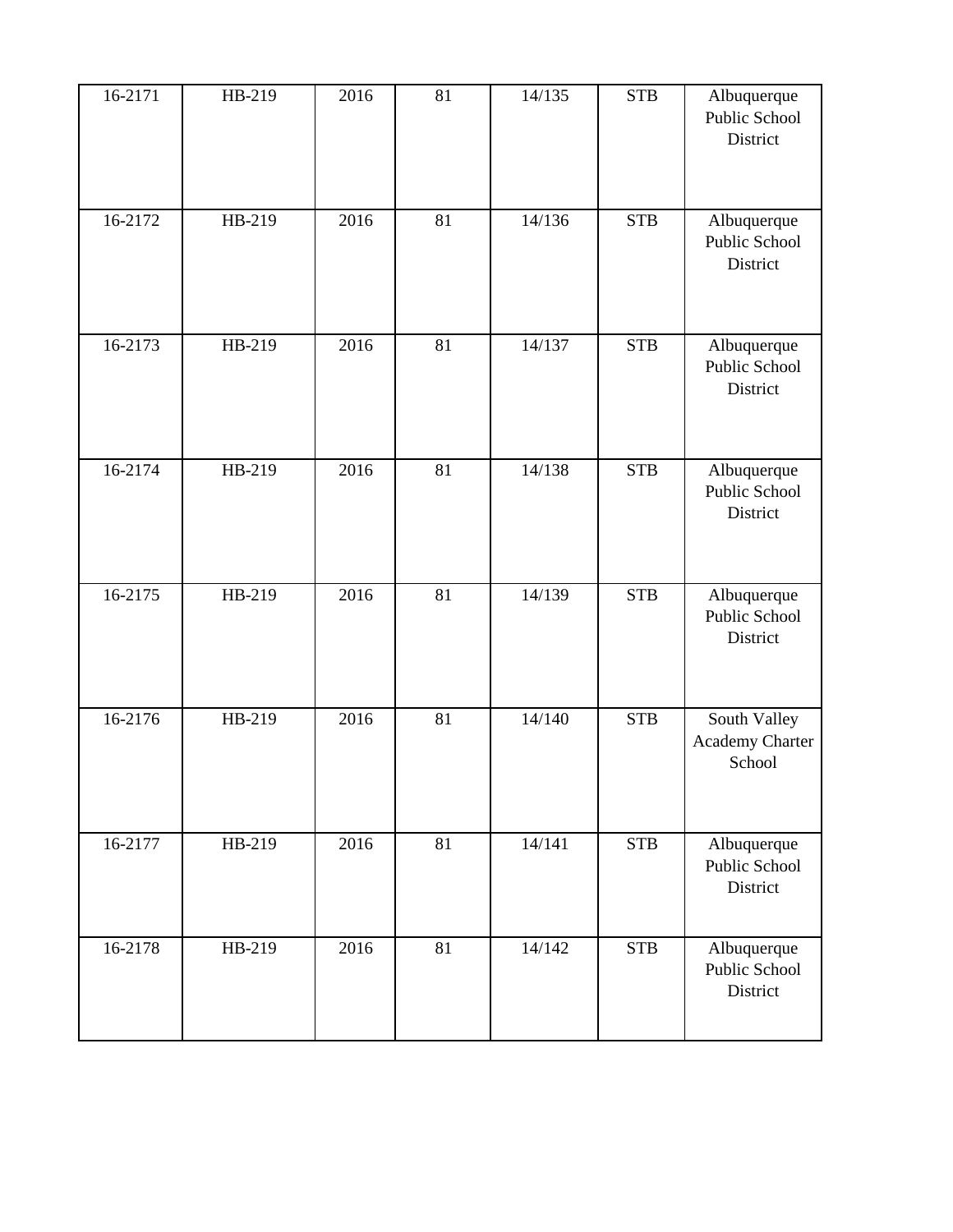| $16 - 2171$ | HB-219 | 2016 | 81 | 14/135 | <b>STB</b> | Albuquerque<br>Public School<br>District  |
|-------------|--------|------|----|--------|------------|-------------------------------------------|
| 16-2172     | HB-219 | 2016 | 81 | 14/136 | <b>STB</b> | Albuquerque<br>Public School<br>District  |
| 16-2173     | HB-219 | 2016 | 81 | 14/137 | <b>STB</b> | Albuquerque<br>Public School<br>District  |
| 16-2174     | HB-219 | 2016 | 81 | 14/138 | <b>STB</b> | Albuquerque<br>Public School<br>District  |
| 16-2175     | HB-219 | 2016 | 81 | 14/139 | <b>STB</b> | Albuquerque<br>Public School<br>District  |
| 16-2176     | HB-219 | 2016 | 81 | 14/140 | <b>STB</b> | South Valley<br>Academy Charter<br>School |
| 16-2177     | HB-219 | 2016 | 81 | 14/141 | <b>STB</b> | Albuquerque<br>Public School<br>District  |
| 16-2178     | HB-219 | 2016 | 81 | 14/142 | <b>STB</b> | Albuquerque<br>Public School<br>District  |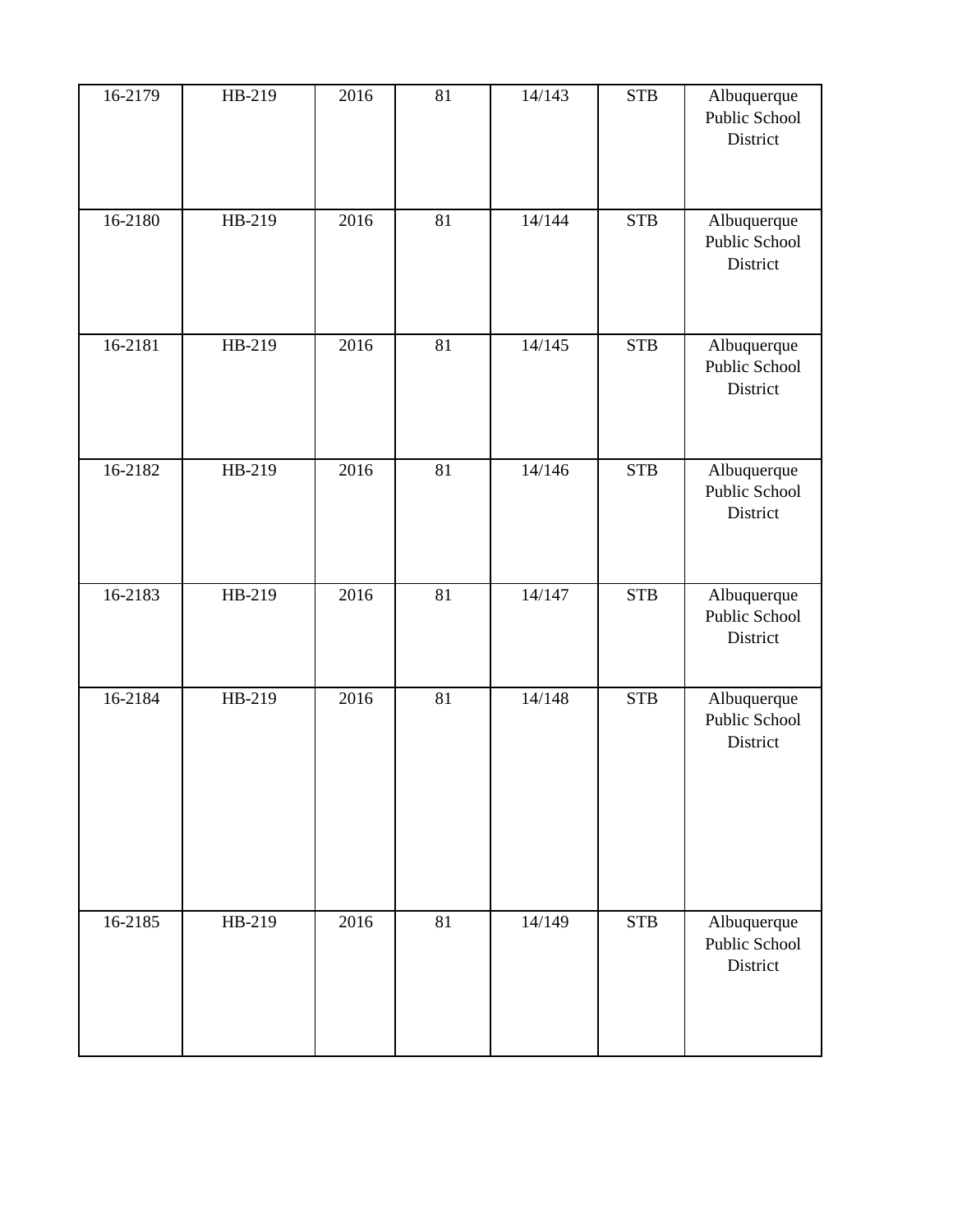| 16-2179 | HB-219 | 2016 | 81 | 14/143 | <b>STB</b> | Albuquerque<br>Public School<br>District |
|---------|--------|------|----|--------|------------|------------------------------------------|
| 16-2180 | HB-219 | 2016 | 81 | 14/144 | <b>STB</b> | Albuquerque<br>Public School<br>District |
| 16-2181 | HB-219 | 2016 | 81 | 14/145 | <b>STB</b> | Albuquerque<br>Public School<br>District |
| 16-2182 | HB-219 | 2016 | 81 | 14/146 | <b>STB</b> | Albuquerque<br>Public School<br>District |
| 16-2183 | HB-219 | 2016 | 81 | 14/147 | <b>STB</b> | Albuquerque<br>Public School<br>District |
| 16-2184 | HB-219 | 2016 | 81 | 14/148 | <b>STB</b> | Albuquerque<br>Public School<br>District |
| 16-2185 | HB-219 | 2016 | 81 | 14/149 | <b>STB</b> | Albuquerque<br>Public School<br>District |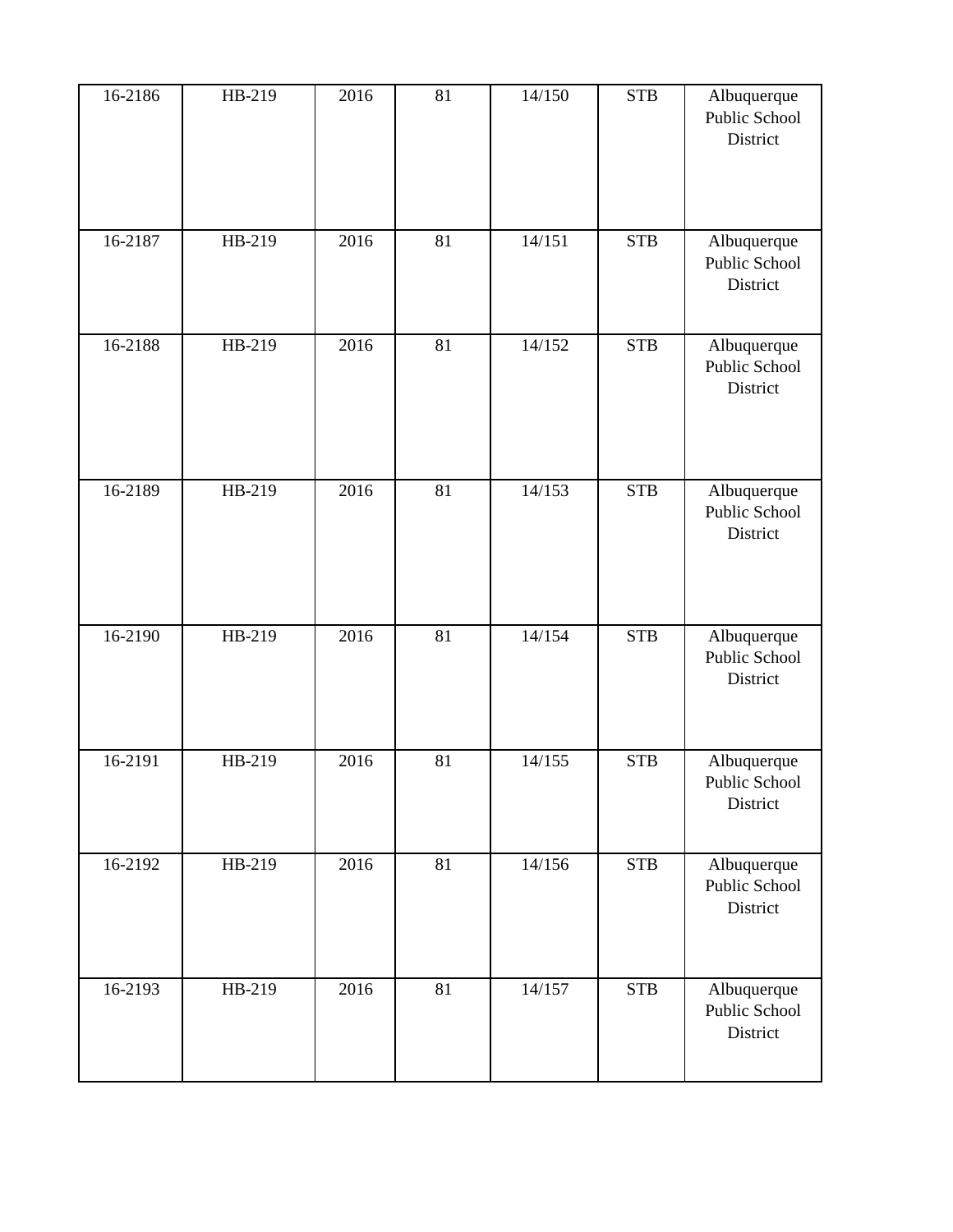| 16-2186 | HB-219 | 2016 | 81              | 14/150 | <b>STB</b> | Albuquerque<br>Public School<br>District |
|---------|--------|------|-----------------|--------|------------|------------------------------------------|
| 16-2187 | HB-219 | 2016 | 81              | 14/151 | <b>STB</b> | Albuquerque<br>Public School<br>District |
| 16-2188 | HB-219 | 2016 | 81              | 14/152 | <b>STB</b> | Albuquerque<br>Public School<br>District |
| 16-2189 | HB-219 | 2016 | 81              | 14/153 | <b>STB</b> | Albuquerque<br>Public School<br>District |
| 16-2190 | HB-219 | 2016 | $\overline{81}$ | 14/154 | <b>STB</b> | Albuquerque<br>Public School<br>District |
| 16-2191 | HB-219 | 2016 | 81              | 14/155 | <b>STB</b> | Albuquerque<br>Public School<br>District |
| 16-2192 | HB-219 | 2016 | 81              | 14/156 | <b>STB</b> | Albuquerque<br>Public School<br>District |
| 16-2193 | HB-219 | 2016 | 81              | 14/157 | <b>STB</b> | Albuquerque<br>Public School<br>District |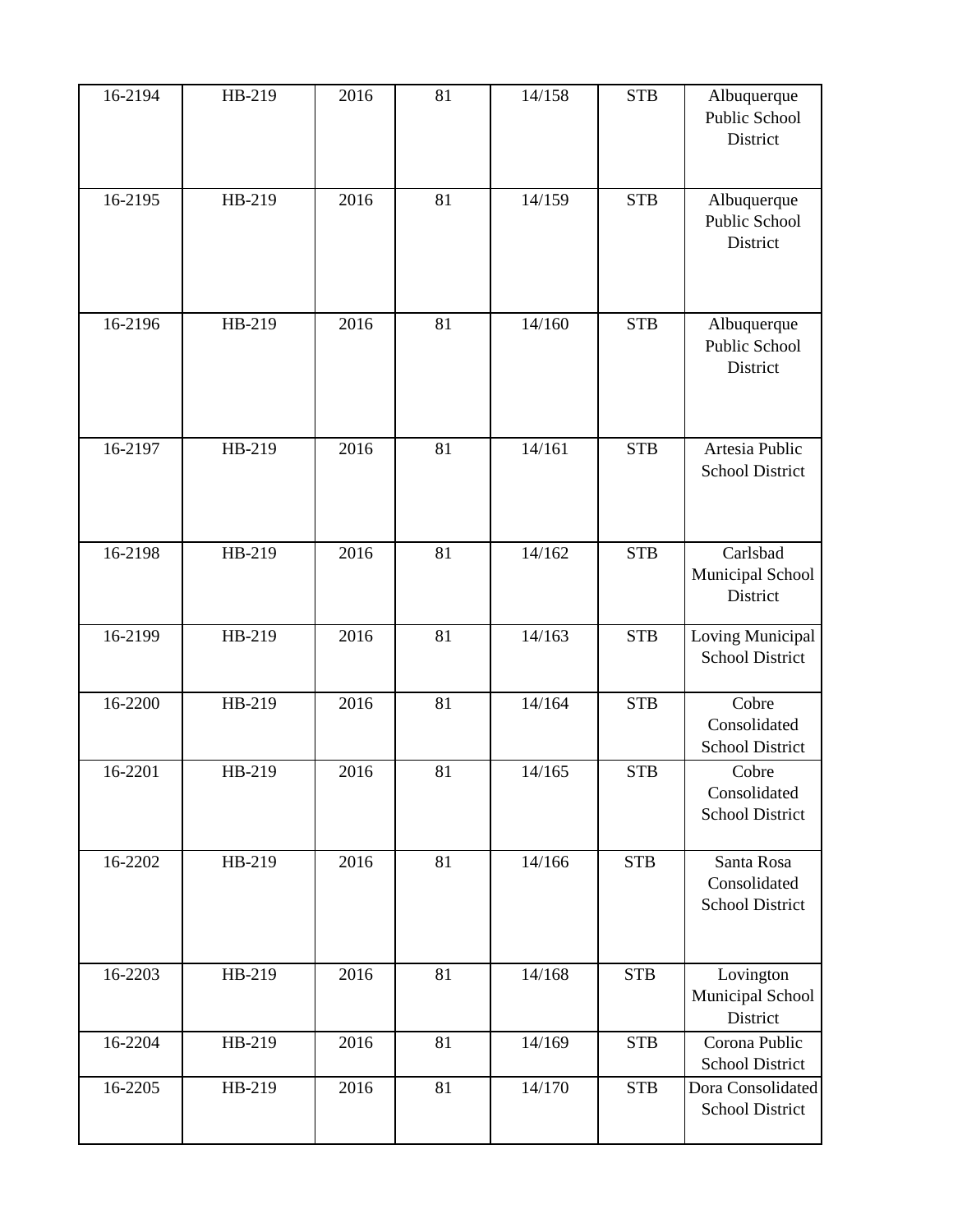| 16-2194 | HB-219 | 2016 | 81 | 14/158 | <b>STB</b> | Albuquerque<br>Public School<br>District             |
|---------|--------|------|----|--------|------------|------------------------------------------------------|
| 16-2195 | HB-219 | 2016 | 81 | 14/159 | <b>STB</b> | Albuquerque<br>Public School<br>District             |
| 16-2196 | HB-219 | 2016 | 81 | 14/160 | <b>STB</b> | Albuquerque<br>Public School<br>District             |
| 16-2197 | HB-219 | 2016 | 81 | 14/161 | <b>STB</b> | Artesia Public<br><b>School District</b>             |
| 16-2198 | HB-219 | 2016 | 81 | 14/162 | <b>STB</b> | Carlsbad<br>Municipal School<br>District             |
| 16-2199 | HB-219 | 2016 | 81 | 14/163 | <b>STB</b> | Loving Municipal<br><b>School District</b>           |
| 16-2200 | HB-219 | 2016 | 81 | 14/164 | <b>STB</b> | Cobre<br>Consolidated<br><b>School District</b>      |
| 16-2201 | HB-219 | 2016 | 81 | 14/165 | <b>STB</b> | Cobre<br>Consolidated<br><b>School District</b>      |
| 16-2202 | HB-219 | 2016 | 81 | 14/166 | <b>STB</b> | Santa Rosa<br>Consolidated<br><b>School District</b> |
| 16-2203 | HB-219 | 2016 | 81 | 14/168 | <b>STB</b> | Lovington<br>Municipal School<br>District            |
| 16-2204 | HB-219 | 2016 | 81 | 14/169 | <b>STB</b> | Corona Public<br><b>School District</b>              |
| 16-2205 | HB-219 | 2016 | 81 | 14/170 | <b>STB</b> | Dora Consolidated<br><b>School District</b>          |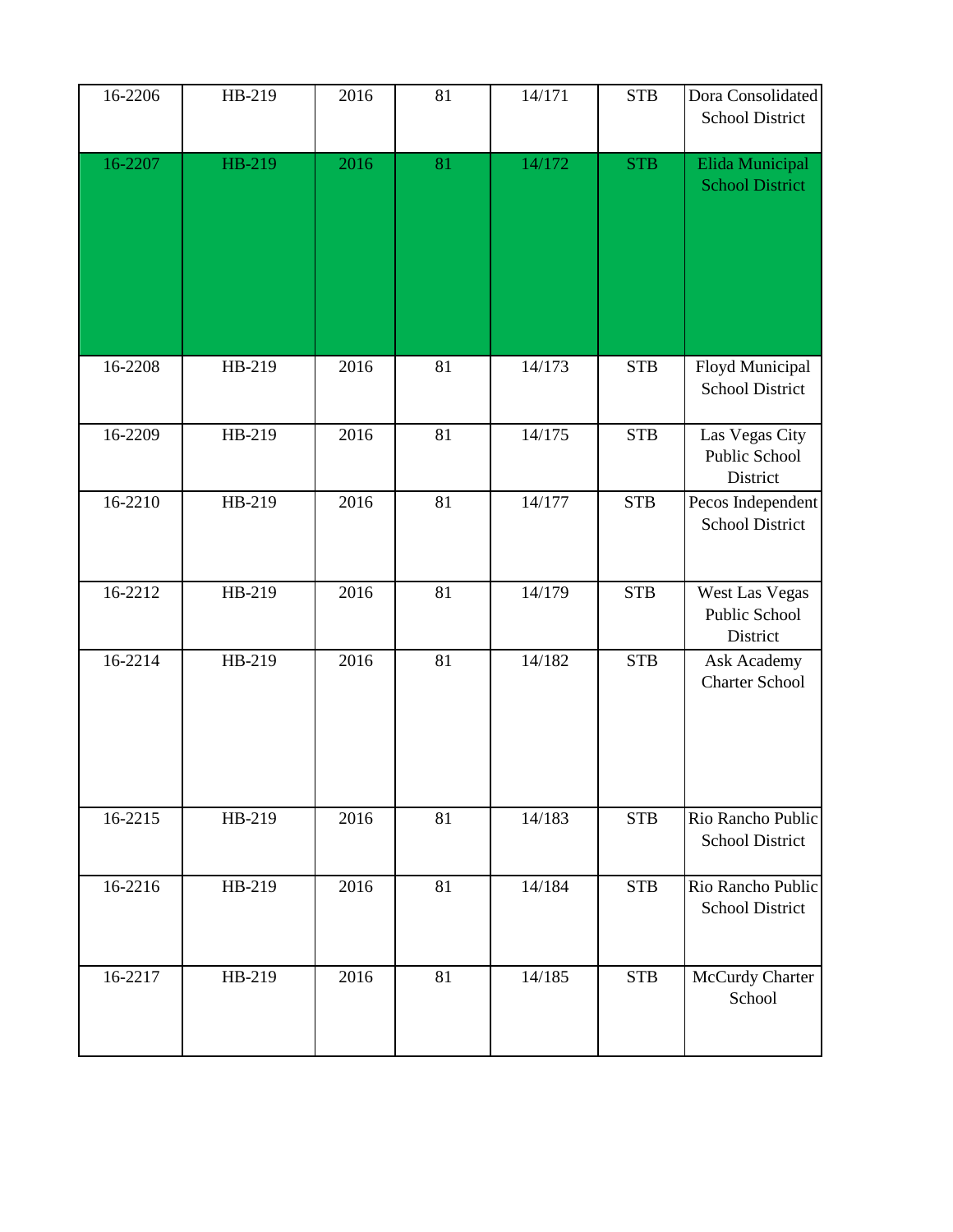| 16-2206 | HB-219 | 2016 | 81 | 14/171 | <b>STB</b>  | Dora Consolidated<br><b>School District</b> |
|---------|--------|------|----|--------|-------------|---------------------------------------------|
| 16-2207 | HB-219 | 2016 | 81 | 14/172 | <b>STB</b>  | Elida Municipal<br><b>School District</b>   |
| 16-2208 | HB-219 | 2016 | 81 | 14/173 | <b>STB</b>  | Floyd Municipal<br>School District          |
| 16-2209 | HB-219 | 2016 | 81 | 14/175 | ${\bf STB}$ | Las Vegas City<br>Public School<br>District |
| 16-2210 | HB-219 | 2016 | 81 | 14/177 | <b>STB</b>  | Pecos Independent<br>School District        |
| 16-2212 | HB-219 | 2016 | 81 | 14/179 | <b>STB</b>  | West Las Vegas<br>Public School<br>District |
| 16-2214 | HB-219 | 2016 | 81 | 14/182 | <b>STB</b>  | Ask Academy<br><b>Charter School</b>        |
| 16-2215 | HB-219 | 2016 | 81 | 14/183 | <b>STB</b>  | Rio Rancho Public<br><b>School District</b> |
| 16-2216 | HB-219 | 2016 | 81 | 14/184 | ${\rm STB}$ | Rio Rancho Public<br>School District        |
| 16-2217 | HB-219 | 2016 | 81 | 14/185 | <b>STB</b>  | McCurdy Charter<br>School                   |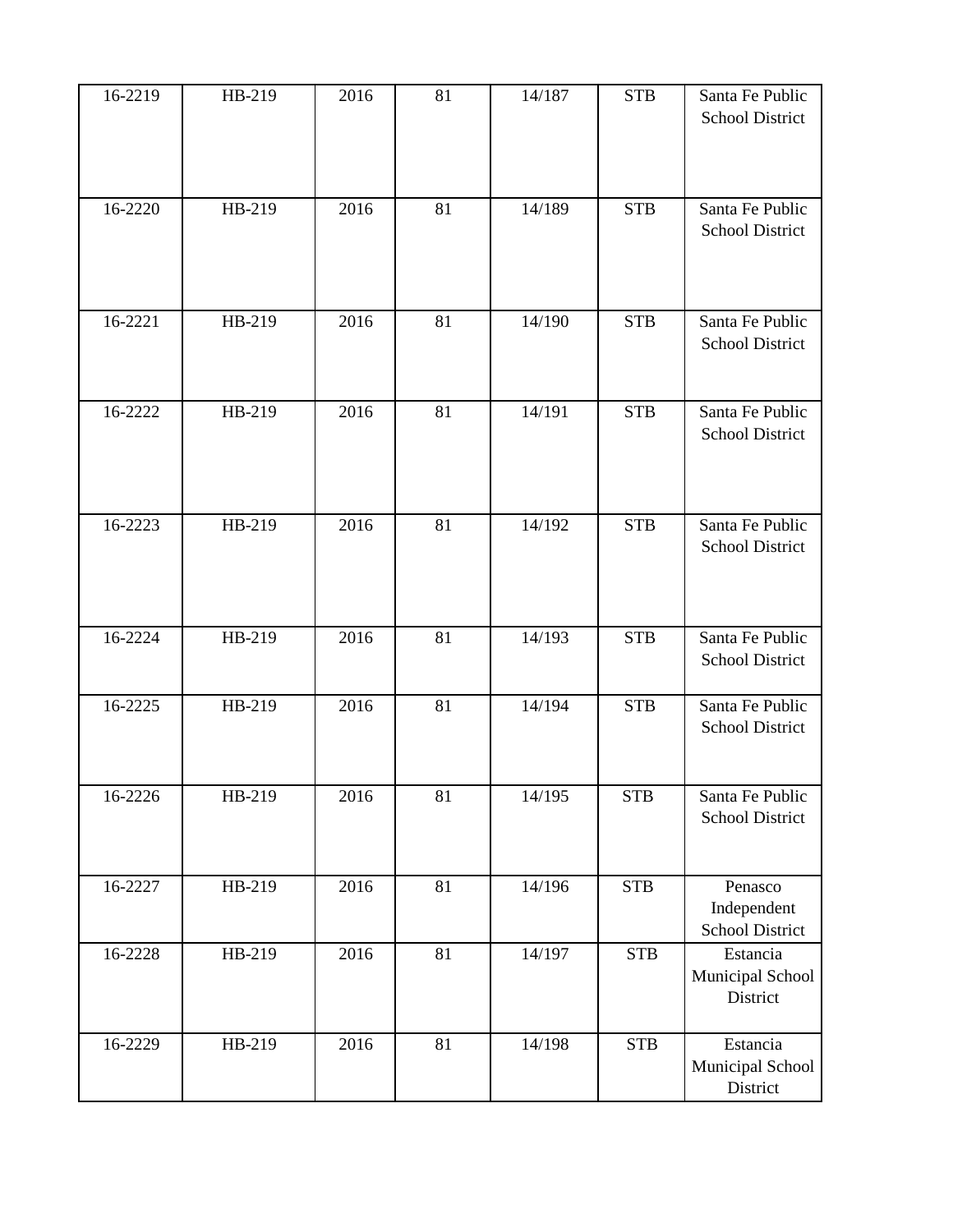| 16-2219 | HB-219 | 2016 | 81 | 14/187 | <b>STB</b> | Santa Fe Public<br><b>School District</b> |
|---------|--------|------|----|--------|------------|-------------------------------------------|
| 16-2220 | HB-219 | 2016 | 81 | 14/189 | <b>STB</b> | Santa Fe Public<br><b>School District</b> |
| 16-2221 | HB-219 | 2016 | 81 | 14/190 | <b>STB</b> | Santa Fe Public<br><b>School District</b> |
| 16-2222 | HB-219 | 2016 | 81 | 14/191 | <b>STB</b> | Santa Fe Public<br><b>School District</b> |
| 16-2223 | HB-219 | 2016 | 81 | 14/192 | <b>STB</b> | Santa Fe Public<br><b>School District</b> |
| 16-2224 | HB-219 | 2016 | 81 | 14/193 | <b>STB</b> | Santa Fe Public<br><b>School District</b> |
| 16-2225 | HB-219 | 2016 | 81 | 14/194 | <b>STB</b> | Santa Fe Public<br><b>School District</b> |
| 16-2226 | HB-219 | 2016 | 81 | 14/195 | <b>STB</b> | Santa Fe Public<br><b>School District</b> |
| 16-2227 | HB-219 | 2016 | 81 | 14/196 | <b>STB</b> | Penasco<br>Independent<br>School District |
| 16-2228 | HB-219 | 2016 | 81 | 14/197 | <b>STB</b> | Estancia<br>Municipal School<br>District  |
| 16-2229 | HB-219 | 2016 | 81 | 14/198 | <b>STB</b> | Estancia<br>Municipal School<br>District  |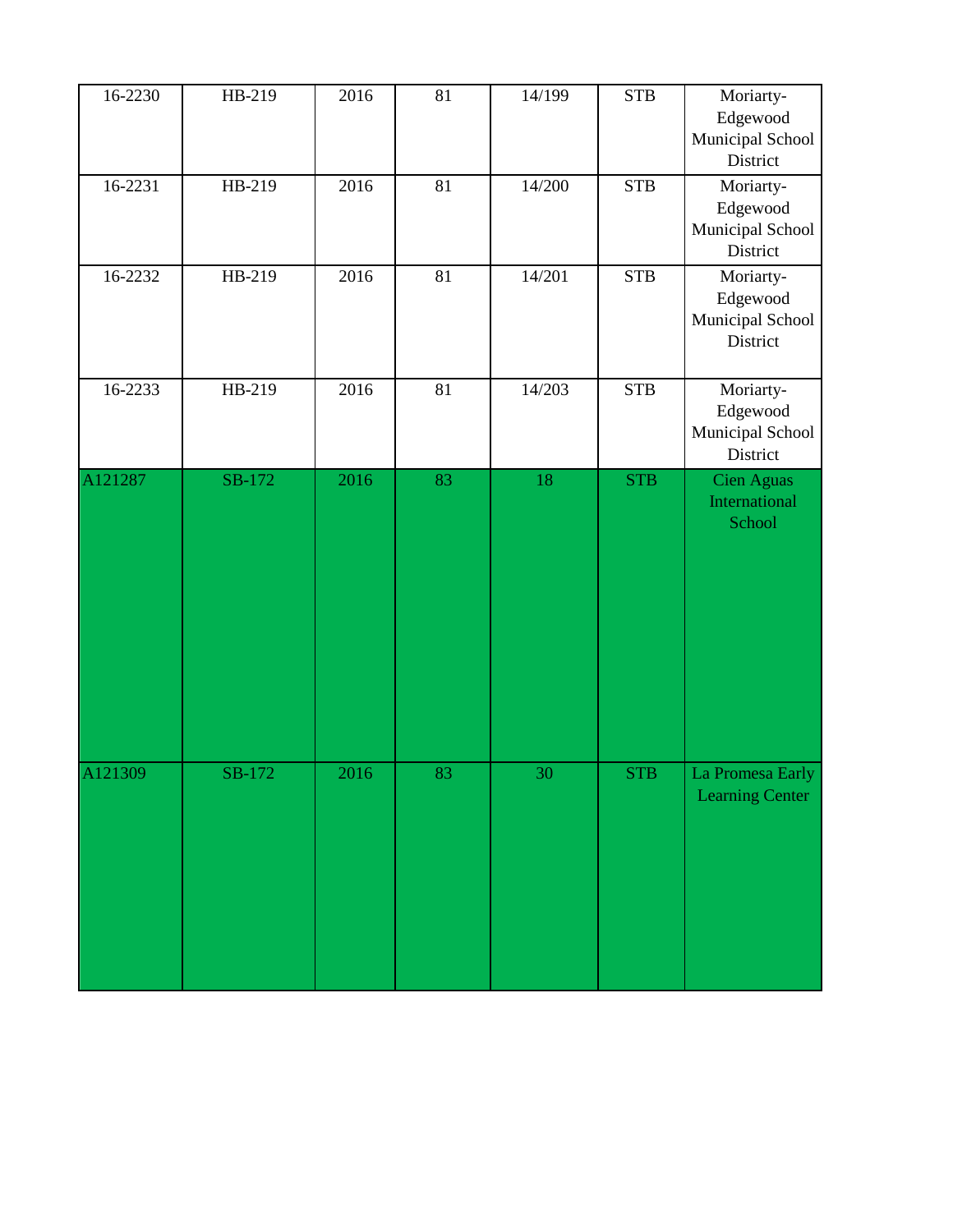| 16-2230 | HB-219 | 2016 | 81 | 14/199 | <b>STB</b> | Moriarty-<br>Edgewood<br>Municipal School<br>District |
|---------|--------|------|----|--------|------------|-------------------------------------------------------|
| 16-2231 | HB-219 | 2016 | 81 | 14/200 | <b>STB</b> | Moriarty-<br>Edgewood<br>Municipal School<br>District |
| 16-2232 | HB-219 | 2016 | 81 | 14/201 | <b>STB</b> | Moriarty-<br>Edgewood<br>Municipal School<br>District |
| 16-2233 | HB-219 | 2016 | 81 | 14/203 | <b>STB</b> | Moriarty-<br>Edgewood<br>Municipal School<br>District |
| A121287 | SB-172 | 2016 | 83 | 18     | <b>STB</b> | <b>Cien Aguas</b><br>International<br>School          |
| A121309 | SB-172 | 2016 | 83 | 30     | <b>STB</b> | La Promesa Early<br><b>Learning Center</b>            |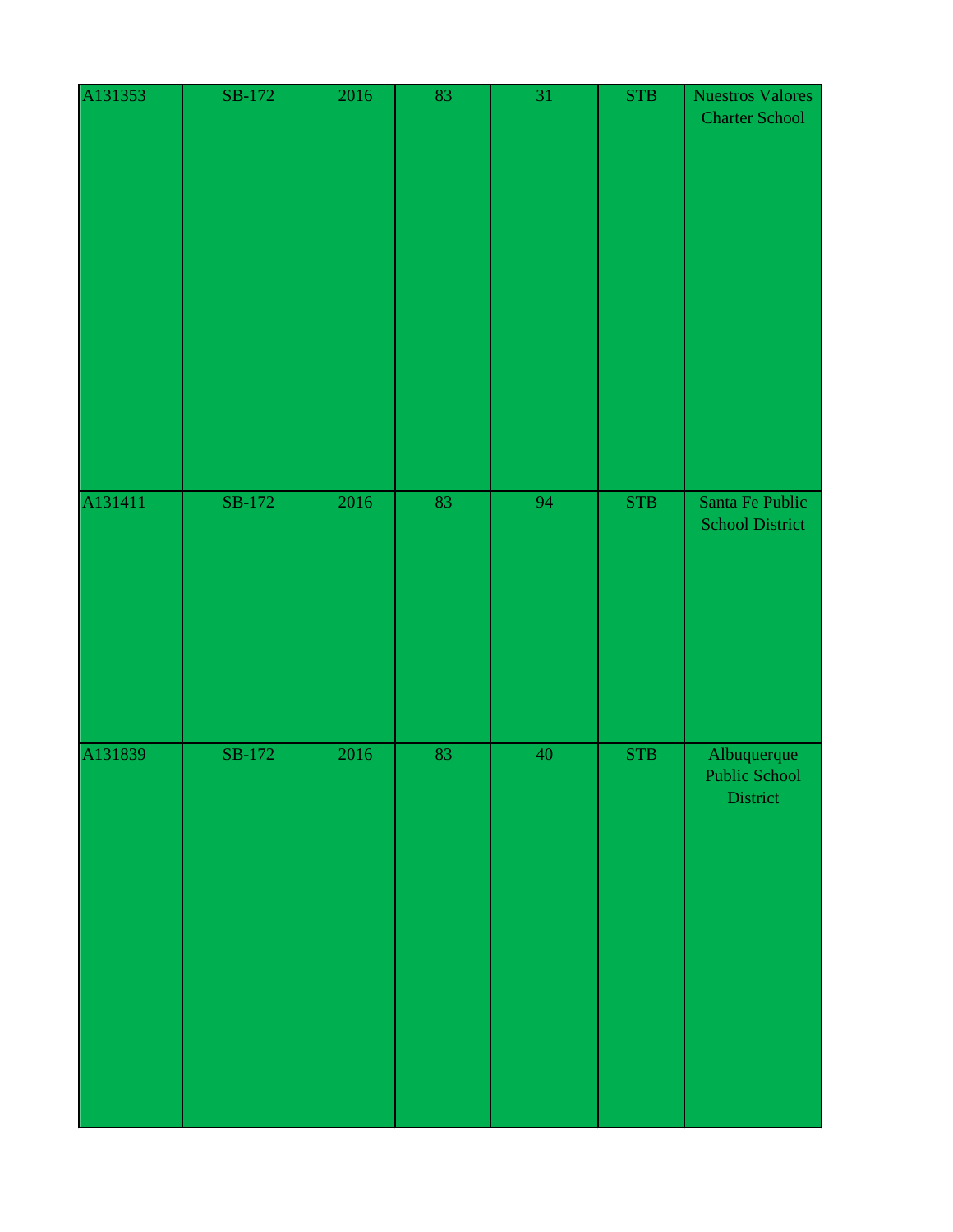| A131353 | SB-172 | 2016 | 83 | $\overline{31}$ | <b>STB</b> | <b>Nuestros Valores</b><br><b>Charter School</b> |
|---------|--------|------|----|-----------------|------------|--------------------------------------------------|
| A131411 | SB-172 | 2016 | 83 | 94              | <b>STB</b> | Santa Fe Public<br><b>School District</b>        |
| A131839 | SB-172 | 2016 | 83 | 40              | <b>STB</b> | Albuquerque<br><b>Public School</b><br>District  |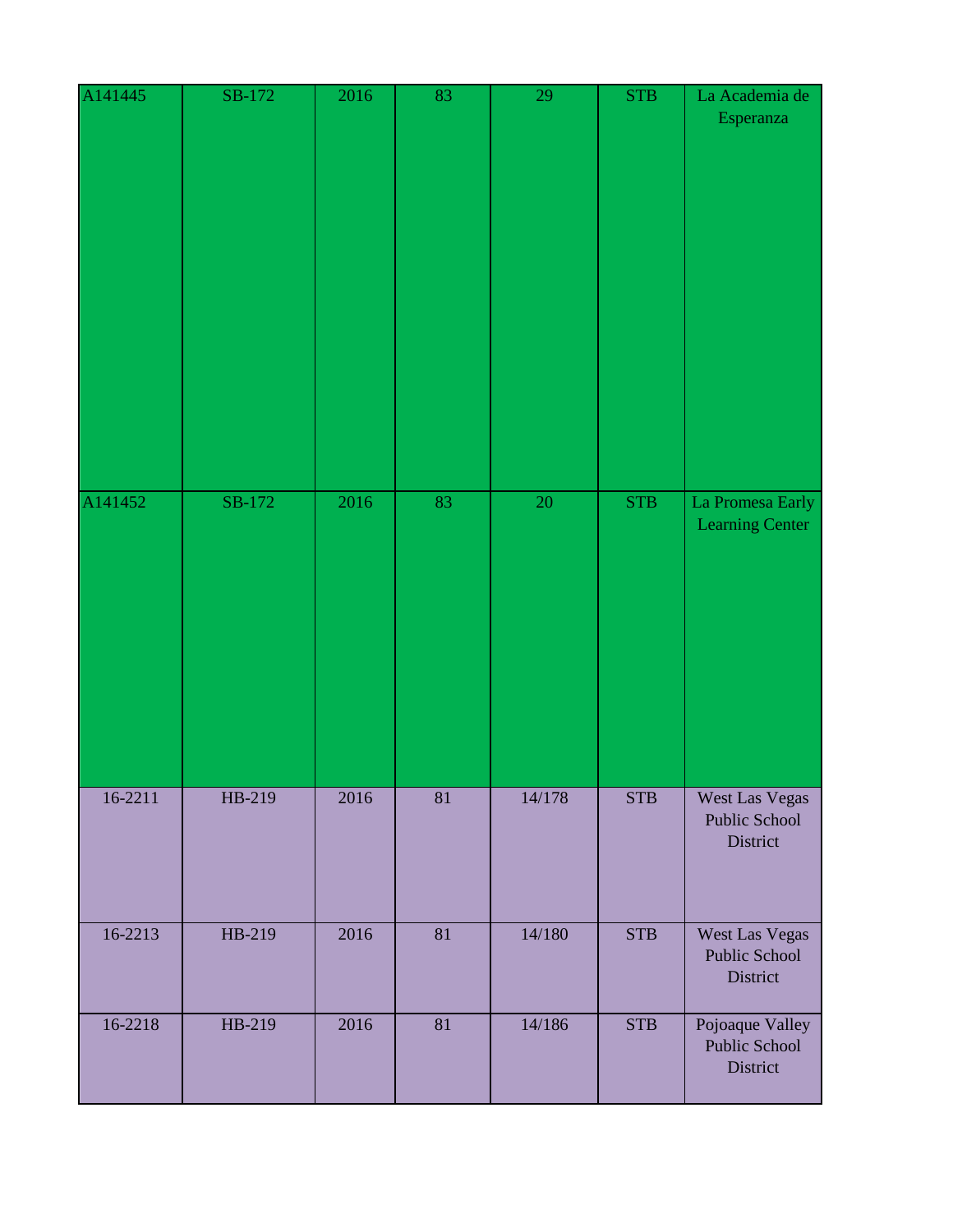| A141445     | SB-172 | 2016 | 83              | 29     | <b>STB</b> | La Academia de<br>Esperanza                  |
|-------------|--------|------|-----------------|--------|------------|----------------------------------------------|
| A141452     | SB-172 | 2016 | 83              | 20     | <b>STB</b> | La Promesa Early<br><b>Learning Center</b>   |
| $16 - 2211$ | HB-219 | 2016 | $\overline{81}$ | 14/178 | <b>STB</b> | West Las Vegas<br>Public School<br>District  |
| 16-2213     | HB-219 | 2016 | 81              | 14/180 | <b>STB</b> | West Las Vegas<br>Public School<br>District  |
| 16-2218     | HB-219 | 2016 | 81              | 14/186 | <b>STB</b> | Pojoaque Valley<br>Public School<br>District |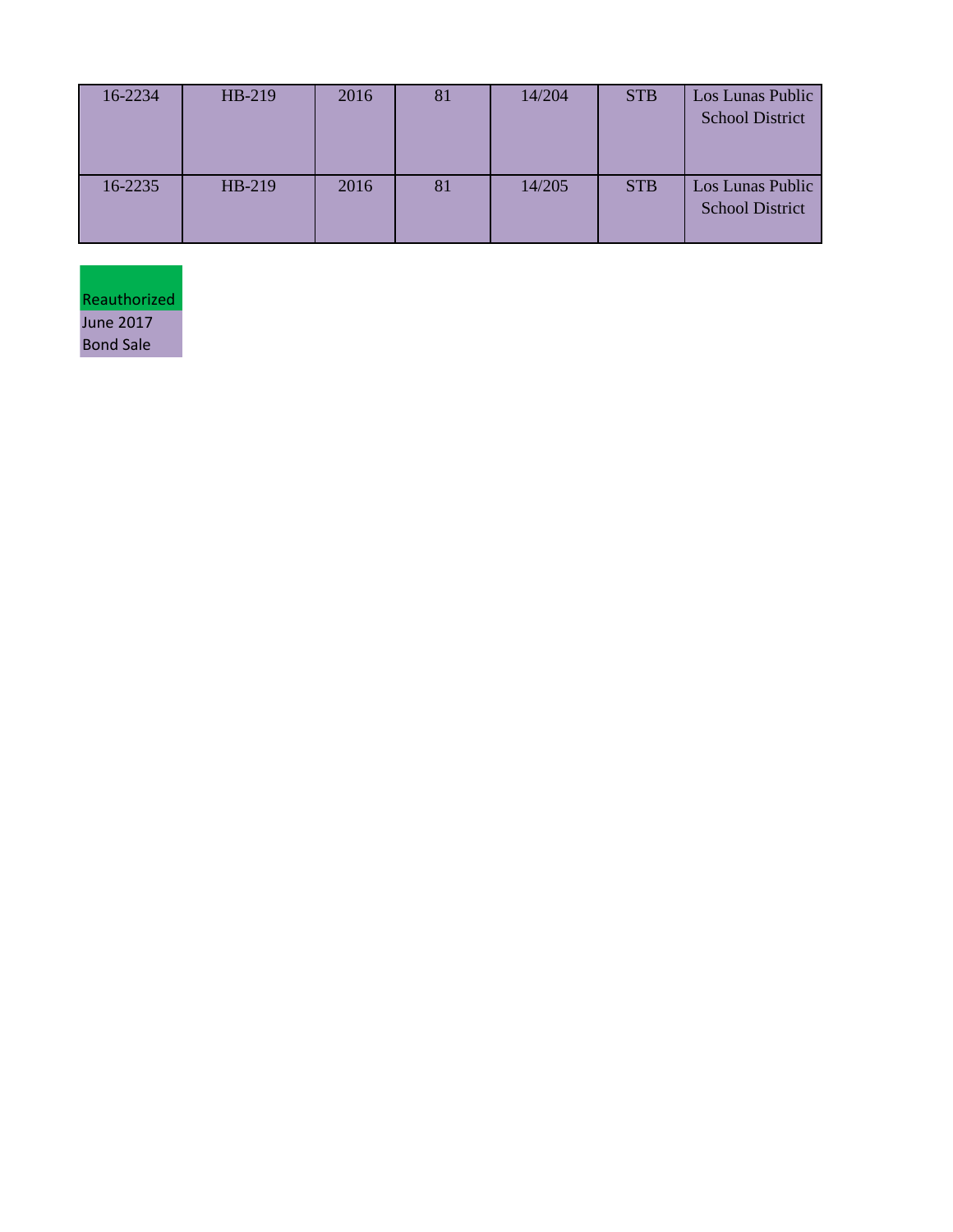| 16-2234 | HB-219 | 2016 | 81 | 14/204 | <b>STB</b> | Los Lunas Public<br><b>School District</b> |
|---------|--------|------|----|--------|------------|--------------------------------------------|
| 16-2235 | HB-219 | 2016 | 81 | 14/205 | <b>STB</b> | Los Lunas Public<br><b>School District</b> |

Reauthorized June 2017 Bond Sale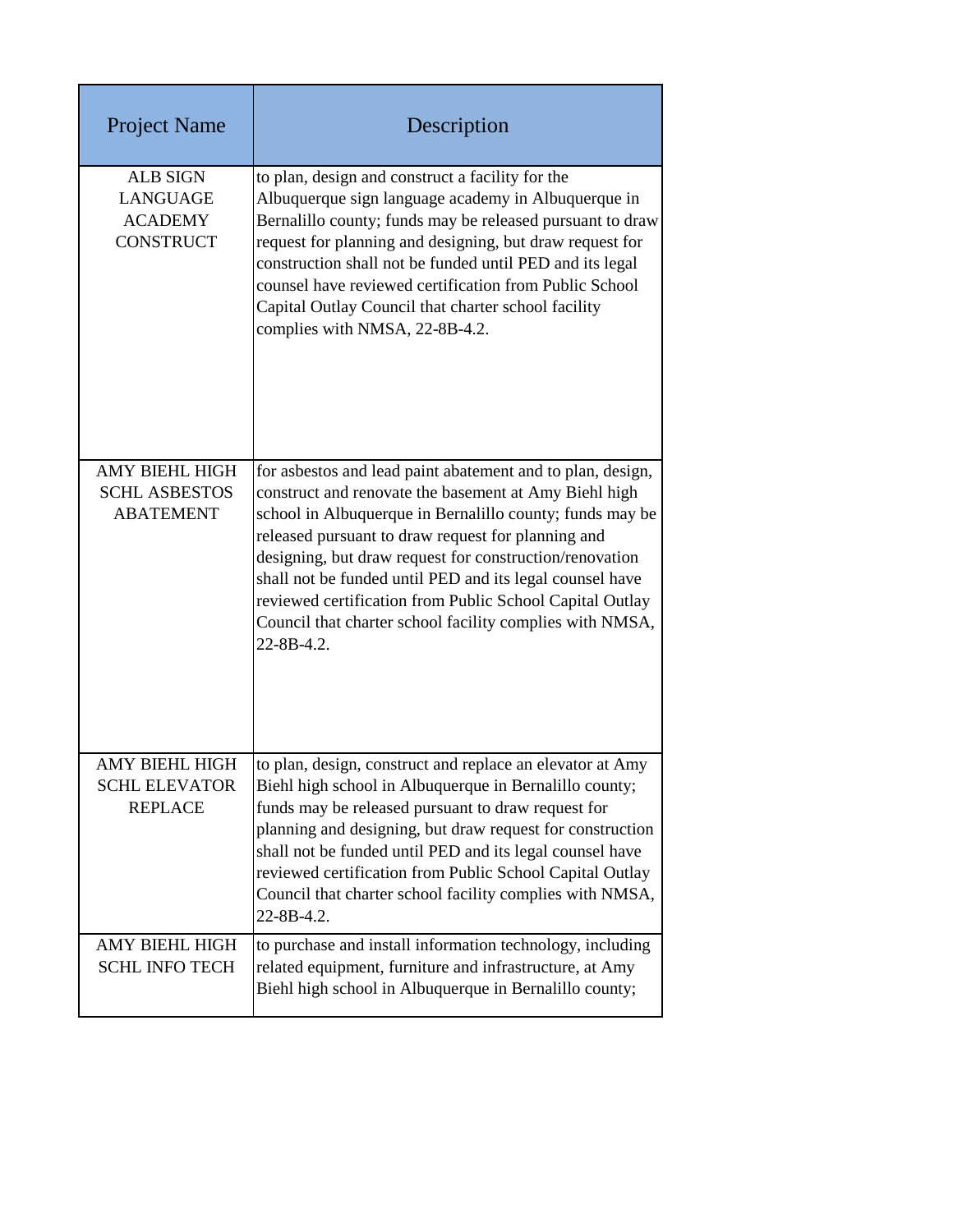| <b>Project Name</b>                                                      | Description                                                                                                                                                                                                                                                                                                                                                                                                                                                                                        |
|--------------------------------------------------------------------------|----------------------------------------------------------------------------------------------------------------------------------------------------------------------------------------------------------------------------------------------------------------------------------------------------------------------------------------------------------------------------------------------------------------------------------------------------------------------------------------------------|
| <b>ALB SIGN</b><br><b>LANGUAGE</b><br><b>ACADEMY</b><br><b>CONSTRUCT</b> | to plan, design and construct a facility for the<br>Albuquerque sign language academy in Albuquerque in<br>Bernalillo county; funds may be released pursuant to draw<br>request for planning and designing, but draw request for<br>construction shall not be funded until PED and its legal<br>counsel have reviewed certification from Public School<br>Capital Outlay Council that charter school facility<br>complies with NMSA, 22-8B-4.2.                                                    |
| <b>AMY BIEHL HIGH</b><br><b>SCHL ASBESTOS</b><br><b>ABATEMENT</b>        | for asbestos and lead paint abatement and to plan, design,<br>construct and renovate the basement at Amy Biehl high<br>school in Albuquerque in Bernalillo county; funds may be<br>released pursuant to draw request for planning and<br>designing, but draw request for construction/renovation<br>shall not be funded until PED and its legal counsel have<br>reviewed certification from Public School Capital Outlay<br>Council that charter school facility complies with NMSA,<br>22-8B-4.2. |
| <b>AMY BIEHL HIGH</b><br><b>SCHL ELEVATOR</b><br><b>REPLACE</b>          | to plan, design, construct and replace an elevator at Amy<br>Biehl high school in Albuquerque in Bernalillo county;<br>funds may be released pursuant to draw request for<br>planning and designing, but draw request for construction<br>shall not be funded until PED and its legal counsel have<br>reviewed certification from Public School Capital Outlay<br>Council that charter school facility complies with NMSA,<br>$22 - 8B - 4.2$ .                                                    |
| AMY BIEHL HIGH<br><b>SCHL INFO TECH</b>                                  | to purchase and install information technology, including<br>related equipment, furniture and infrastructure, at Amy<br>Biehl high school in Albuquerque in Bernalillo county;                                                                                                                                                                                                                                                                                                                     |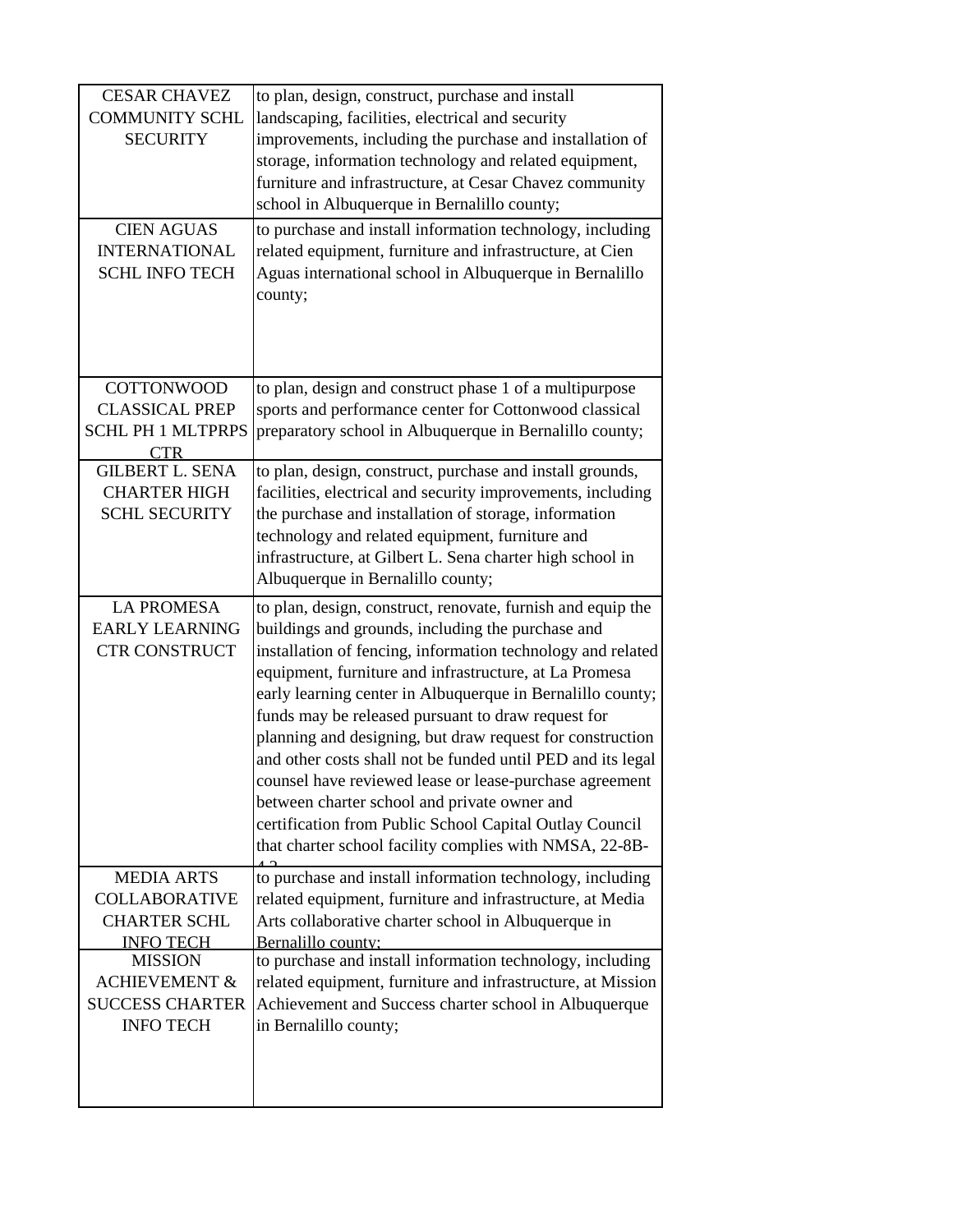| <b>CESAR CHAVEZ</b><br><b>COMMUNITY SCHL</b><br><b>SECURITY</b><br><b>CIEN AGUAS</b><br><b>INTERNATIONAL</b><br><b>SCHL INFO TECH</b> | to plan, design, construct, purchase and install<br>landscaping, facilities, electrical and security<br>improvements, including the purchase and installation of<br>storage, information technology and related equipment,<br>furniture and infrastructure, at Cesar Chavez community<br>school in Albuquerque in Bernalillo county;<br>to purchase and install information technology, including<br>related equipment, furniture and infrastructure, at Cien<br>Aguas international school in Albuquerque in Bernalillo<br>county;                                                                                                                                                                                        |
|---------------------------------------------------------------------------------------------------------------------------------------|----------------------------------------------------------------------------------------------------------------------------------------------------------------------------------------------------------------------------------------------------------------------------------------------------------------------------------------------------------------------------------------------------------------------------------------------------------------------------------------------------------------------------------------------------------------------------------------------------------------------------------------------------------------------------------------------------------------------------|
| <b>COTTONWOOD</b><br><b>CLASSICAL PREP</b><br><b>SCHL PH 1 MLTPRPS</b><br>CTR <sup></sup>                                             | to plan, design and construct phase 1 of a multipurpose<br>sports and performance center for Cottonwood classical<br>preparatory school in Albuquerque in Bernalillo county;                                                                                                                                                                                                                                                                                                                                                                                                                                                                                                                                               |
| <b>GILBERT L. SENA</b><br><b>CHARTER HIGH</b><br><b>SCHL SECURITY</b>                                                                 | to plan, design, construct, purchase and install grounds,<br>facilities, electrical and security improvements, including<br>the purchase and installation of storage, information<br>technology and related equipment, furniture and<br>infrastructure, at Gilbert L. Sena charter high school in<br>Albuquerque in Bernalillo county;                                                                                                                                                                                                                                                                                                                                                                                     |
| <b>LA PROMESA</b><br><b>EARLY LEARNING</b><br><b>CTR CONSTRUCT</b>                                                                    | to plan, design, construct, renovate, furnish and equip the<br>buildings and grounds, including the purchase and<br>installation of fencing, information technology and related<br>equipment, furniture and infrastructure, at La Promesa<br>early learning center in Albuquerque in Bernalillo county;<br>funds may be released pursuant to draw request for<br>planning and designing, but draw request for construction<br>and other costs shall not be funded until PED and its legal<br>counsel have reviewed lease or lease-purchase agreement<br>between charter school and private owner and<br>certification from Public School Capital Outlay Council<br>that charter school facility complies with NMSA, 22-8B- |
| <b>MEDIA ARTS</b><br><b>COLLABORATIVE</b><br><b>CHARTER SCHL</b><br><b>INFO TECH</b>                                                  | to purchase and install information technology, including<br>related equipment, furniture and infrastructure, at Media<br>Arts collaborative charter school in Albuquerque in<br>Bernalillo county:                                                                                                                                                                                                                                                                                                                                                                                                                                                                                                                        |
| <b>MISSION</b><br><b>ACHIEVEMENT &amp;</b><br><b>SUCCESS CHARTER</b><br><b>INFO TECH</b>                                              | to purchase and install information technology, including<br>related equipment, furniture and infrastructure, at Mission<br>Achievement and Success charter school in Albuquerque<br>in Bernalillo county;                                                                                                                                                                                                                                                                                                                                                                                                                                                                                                                 |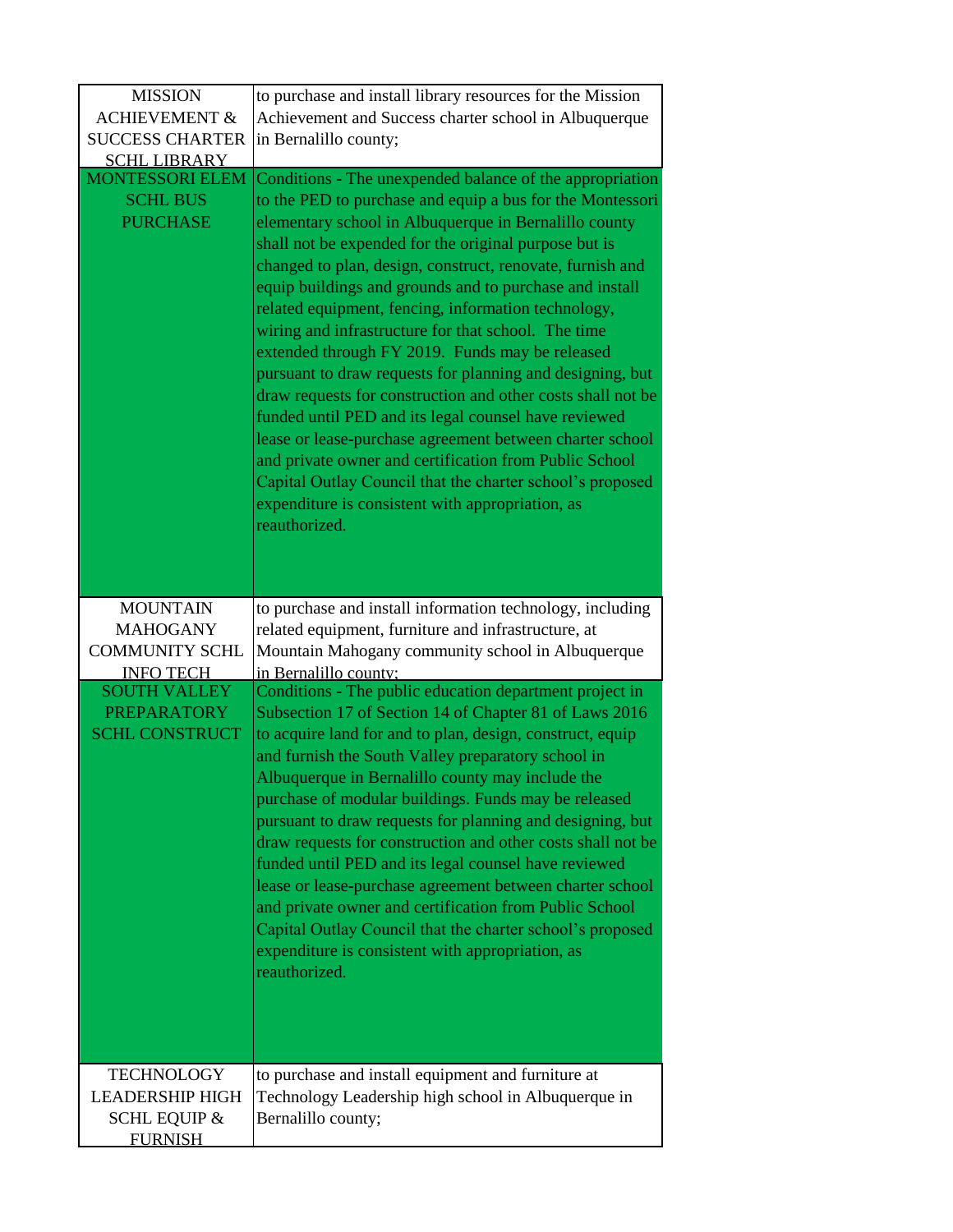| <b>MISSION</b>                                               | to purchase and install library resources for the Mission                                                                                                                                                                                                                                                                                                                                                                                                                                                                                                                                                                                                                                                                                                                                                                                                                                                                                                                    |
|--------------------------------------------------------------|------------------------------------------------------------------------------------------------------------------------------------------------------------------------------------------------------------------------------------------------------------------------------------------------------------------------------------------------------------------------------------------------------------------------------------------------------------------------------------------------------------------------------------------------------------------------------------------------------------------------------------------------------------------------------------------------------------------------------------------------------------------------------------------------------------------------------------------------------------------------------------------------------------------------------------------------------------------------------|
| <b>ACHIEVEMENT &amp;</b>                                     | Achievement and Success charter school in Albuquerque                                                                                                                                                                                                                                                                                                                                                                                                                                                                                                                                                                                                                                                                                                                                                                                                                                                                                                                        |
| <b>SUCCESS CHARTER</b>                                       | in Bernalillo county;                                                                                                                                                                                                                                                                                                                                                                                                                                                                                                                                                                                                                                                                                                                                                                                                                                                                                                                                                        |
| <b>SCHL LIBRARY</b>                                          |                                                                                                                                                                                                                                                                                                                                                                                                                                                                                                                                                                                                                                                                                                                                                                                                                                                                                                                                                                              |
| <b>MONTESSORI ELEM</b><br><b>SCHL BUS</b><br><b>PURCHASE</b> | Conditions - The unexpended balance of the appropriation<br>to the PED to purchase and equip a bus for the Montessori<br>elementary school in Albuquerque in Bernalillo county<br>shall not be expended for the original purpose but is<br>changed to plan, design, construct, renovate, furnish and<br>equip buildings and grounds and to purchase and install<br>related equipment, fencing, information technology,<br>wiring and infrastructure for that school. The time<br>extended through FY 2019. Funds may be released<br>pursuant to draw requests for planning and designing, but<br>draw requests for construction and other costs shall not be<br>funded until PED and its legal counsel have reviewed<br>lease or lease-purchase agreement between charter school<br>and private owner and certification from Public School<br>Capital Outlay Council that the charter school's proposed<br>expenditure is consistent with appropriation, as<br>reauthorized. |
| <b>MOUNTAIN</b>                                              | to purchase and install information technology, including                                                                                                                                                                                                                                                                                                                                                                                                                                                                                                                                                                                                                                                                                                                                                                                                                                                                                                                    |
| <b>MAHOGANY</b>                                              | related equipment, furniture and infrastructure, at                                                                                                                                                                                                                                                                                                                                                                                                                                                                                                                                                                                                                                                                                                                                                                                                                                                                                                                          |
| <b>COMMUNITY SCHL</b>                                        | Mountain Mahogany community school in Albuquerque                                                                                                                                                                                                                                                                                                                                                                                                                                                                                                                                                                                                                                                                                                                                                                                                                                                                                                                            |
| <b>INFO TECH</b>                                             | in Bernalillo county:                                                                                                                                                                                                                                                                                                                                                                                                                                                                                                                                                                                                                                                                                                                                                                                                                                                                                                                                                        |
| <b>SOUTH VALLEY</b>                                          | Conditions - The public education department project in                                                                                                                                                                                                                                                                                                                                                                                                                                                                                                                                                                                                                                                                                                                                                                                                                                                                                                                      |
| <b>PREPARATORY</b><br><b>SCHL CONSTRUCT</b>                  | Subsection 17 of Section 14 of Chapter 81 of Laws 2016<br>to acquire land for and to plan, design, construct, equip<br>and furnish the South Valley preparatory school in<br>Albuquerque in Bernalillo county may include the<br>purchase of modular buildings. Funds may be released<br>pursuant to draw requests for planning and designing, but<br>draw requests for construction and other costs shall not be<br>funded until PED and its legal counsel have reviewed<br>lease or lease-purchase agreement between charter school<br>and private owner and certification from Public School<br>Capital Outlay Council that the charter school's proposed<br>expenditure is consistent with appropriation, as<br>reauthorized.                                                                                                                                                                                                                                            |
| <b>TECHNOLOGY</b>                                            | to purchase and install equipment and furniture at                                                                                                                                                                                                                                                                                                                                                                                                                                                                                                                                                                                                                                                                                                                                                                                                                                                                                                                           |
| <b>LEADERSHIP HIGH</b>                                       | Technology Leadership high school in Albuquerque in                                                                                                                                                                                                                                                                                                                                                                                                                                                                                                                                                                                                                                                                                                                                                                                                                                                                                                                          |
| <b>SCHL EQUIP &amp;</b>                                      | Bernalillo county;                                                                                                                                                                                                                                                                                                                                                                                                                                                                                                                                                                                                                                                                                                                                                                                                                                                                                                                                                           |
| <b>FURNISH</b>                                               |                                                                                                                                                                                                                                                                                                                                                                                                                                                                                                                                                                                                                                                                                                                                                                                                                                                                                                                                                                              |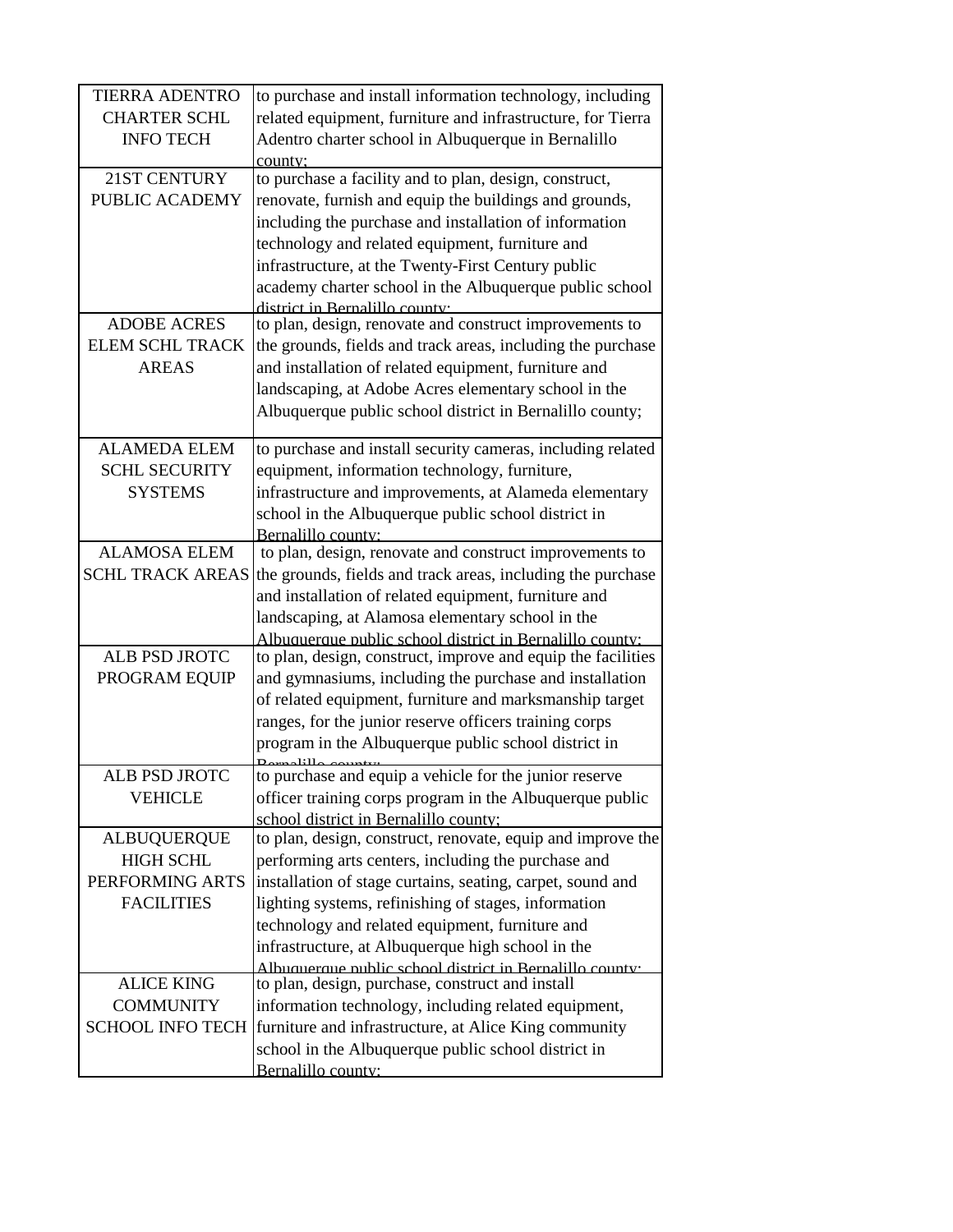| <b>TIERRA ADENTRO</b>   | to purchase and install information technology, including    |
|-------------------------|--------------------------------------------------------------|
| <b>CHARTER SCHL</b>     | related equipment, furniture and infrastructure, for Tierra  |
| <b>INFO TECH</b>        | Adentro charter school in Albuquerque in Bernalillo          |
|                         | county:                                                      |
| 21ST CENTURY            | to purchase a facility and to plan, design, construct,       |
| PUBLIC ACADEMY          | renovate, furnish and equip the buildings and grounds,       |
|                         | including the purchase and installation of information       |
|                         | technology and related equipment, furniture and              |
|                         | infrastructure, at the Twenty-First Century public           |
|                         | academy charter school in the Albuquerque public school      |
|                         | district in Rernalillo county.                               |
| <b>ADOBE ACRES</b>      | to plan, design, renovate and construct improvements to      |
| <b>ELEM SCHL TRACK</b>  | the grounds, fields and track areas, including the purchase  |
| <b>AREAS</b>            | and installation of related equipment, furniture and         |
|                         | landscaping, at Adobe Acres elementary school in the         |
|                         | Albuquerque public school district in Bernalillo county;     |
| <b>ALAMEDA ELEM</b>     | to purchase and install security cameras, including related  |
| <b>SCHL SECURITY</b>    | equipment, information technology, furniture,                |
| <b>SYSTEMS</b>          | infrastructure and improvements, at Alameda elementary       |
|                         | school in the Albuquerque public school district in          |
|                         | Bernalillo county:                                           |
| <b>ALAMOSA ELEM</b>     | to plan, design, renovate and construct improvements to      |
| <b>SCHL TRACK AREAS</b> | the grounds, fields and track areas, including the purchase  |
|                         | and installation of related equipment, furniture and         |
|                         | landscaping, at Alamosa elementary school in the             |
|                         | Albuquerque public school district in Bernalillo county:     |
| <b>ALB PSD JROTC</b>    | to plan, design, construct, improve and equip the facilities |
| PROGRAM EQUIP           | and gymnasiums, including the purchase and installation      |
|                         | of related equipment, furniture and marksmanship target      |
|                         | ranges, for the junior reserve officers training corps       |
|                         | program in the Albuquerque public school district in         |
| ALB PSD JROTC           | to purchase and equip a vehicle for the junior reserve       |
| <b>VEHICLE</b>          | officer training corps program in the Albuquerque public     |
|                         | school district in Bernalillo county;                        |
| <b>ALBUQUERQUE</b>      | to plan, design, construct, renovate, equip and improve the  |
| <b>HIGH SCHL</b>        | performing arts centers, including the purchase and          |
| PERFORMING ARTS         | installation of stage curtains, seating, carpet, sound and   |
| <b>FACILITIES</b>       | lighting systems, refinishing of stages, information         |
|                         | technology and related equipment, furniture and              |
|                         | infrastructure, at Albuquerque high school in the            |
|                         | Albuquerque public school district in Rernalillo county.     |
| <b>ALICE KING</b>       | to plan, design, purchase, construct and install             |
| <b>COMMUNITY</b>        | information technology, including related equipment,         |
| <b>SCHOOL INFO TECH</b> | furniture and infrastructure, at Alice King community        |
|                         | school in the Albuquerque public school district in          |
|                         | Bernalillo county:                                           |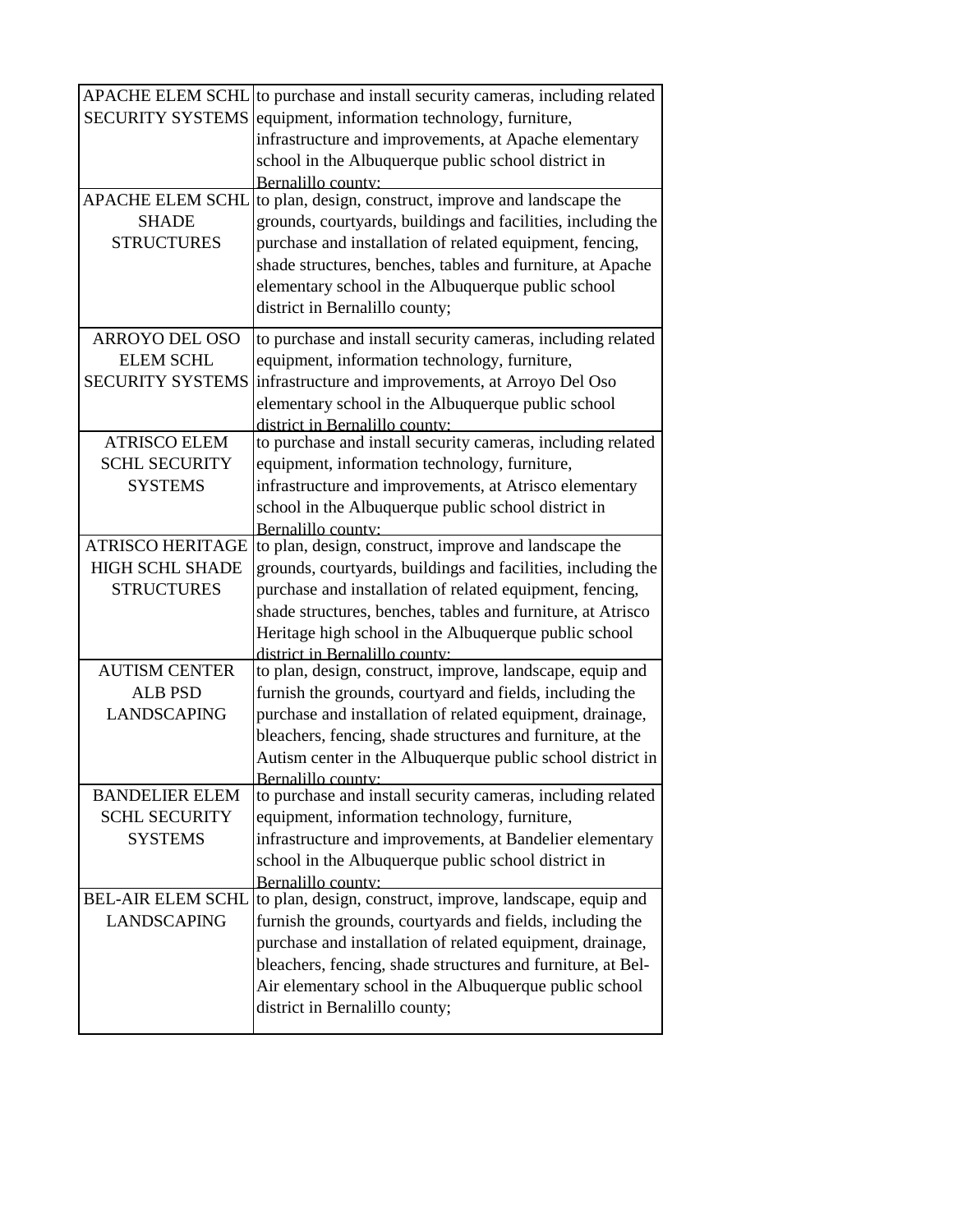| <b>APACHE ELEM SCHL</b>  | to purchase and install security cameras, including related  |
|--------------------------|--------------------------------------------------------------|
| <b>SECURITY SYSTEMS</b>  | equipment, information technology, furniture,                |
|                          | infrastructure and improvements, at Apache elementary        |
|                          | school in the Albuquerque public school district in          |
|                          | Bernalillo county:                                           |
| <b>APACHE ELEM SCHL</b>  | to plan, design, construct, improve and landscape the        |
| <b>SHADE</b>             | grounds, courtyards, buildings and facilities, including the |
| <b>STRUCTURES</b>        | purchase and installation of related equipment, fencing,     |
|                          | shade structures, benches, tables and furniture, at Apache   |
|                          | elementary school in the Albuquerque public school           |
|                          | district in Bernalillo county;                               |
|                          |                                                              |
| <b>ARROYO DEL OSO</b>    | to purchase and install security cameras, including related  |
| <b>ELEM SCHL</b>         | equipment, information technology, furniture,                |
| <b>SECURITY SYSTEMS</b>  | infrastructure and improvements, at Arroyo Del Oso           |
|                          | elementary school in the Albuquerque public school           |
|                          | district in Bernalillo county:                               |
| <b>ATRISCO ELEM</b>      | to purchase and install security cameras, including related  |
| <b>SCHL SECURITY</b>     | equipment, information technology, furniture,                |
| <b>SYSTEMS</b>           | infrastructure and improvements, at Atrisco elementary       |
|                          | school in the Albuquerque public school district in          |
|                          | Bernalillo county:                                           |
| <b>ATRISCO HERITAGE</b>  | to plan, design, construct, improve and landscape the        |
| <b>HIGH SCHL SHADE</b>   | grounds, courtyards, buildings and facilities, including the |
| <b>STRUCTURES</b>        | purchase and installation of related equipment, fencing,     |
|                          | shade structures, benches, tables and furniture, at Atrisco  |
|                          | Heritage high school in the Albuquerque public school        |
|                          | district in Bernalillo county:                               |
| <b>AUTISM CENTER</b>     | to plan, design, construct, improve, landscape, equip and    |
| <b>ALB PSD</b>           | furnish the grounds, courtyard and fields, including the     |
| <b>LANDSCAPING</b>       | purchase and installation of related equipment, drainage,    |
|                          | bleachers, fencing, shade structures and furniture, at the   |
|                          | Autism center in the Albuquerque public school district in   |
|                          | Bernalillo county:                                           |
| <b>BANDELIER ELEM</b>    | to purchase and install security cameras, including related  |
| <b>SCHL SECURITY</b>     | equipment, information technology, furniture,                |
| <b>SYSTEMS</b>           | infrastructure and improvements, at Bandelier elementary     |
|                          | school in the Albuquerque public school district in          |
|                          | Bernalillo county:                                           |
| <b>BEL-AIR ELEM SCHL</b> | to plan, design, construct, improve, landscape, equip and    |
| <b>LANDSCAPING</b>       | furnish the grounds, courtyards and fields, including the    |
|                          | purchase and installation of related equipment, drainage,    |
|                          | bleachers, fencing, shade structures and furniture, at Bel-  |
|                          | Air elementary school in the Albuquerque public school       |
|                          | district in Bernalillo county;                               |
|                          |                                                              |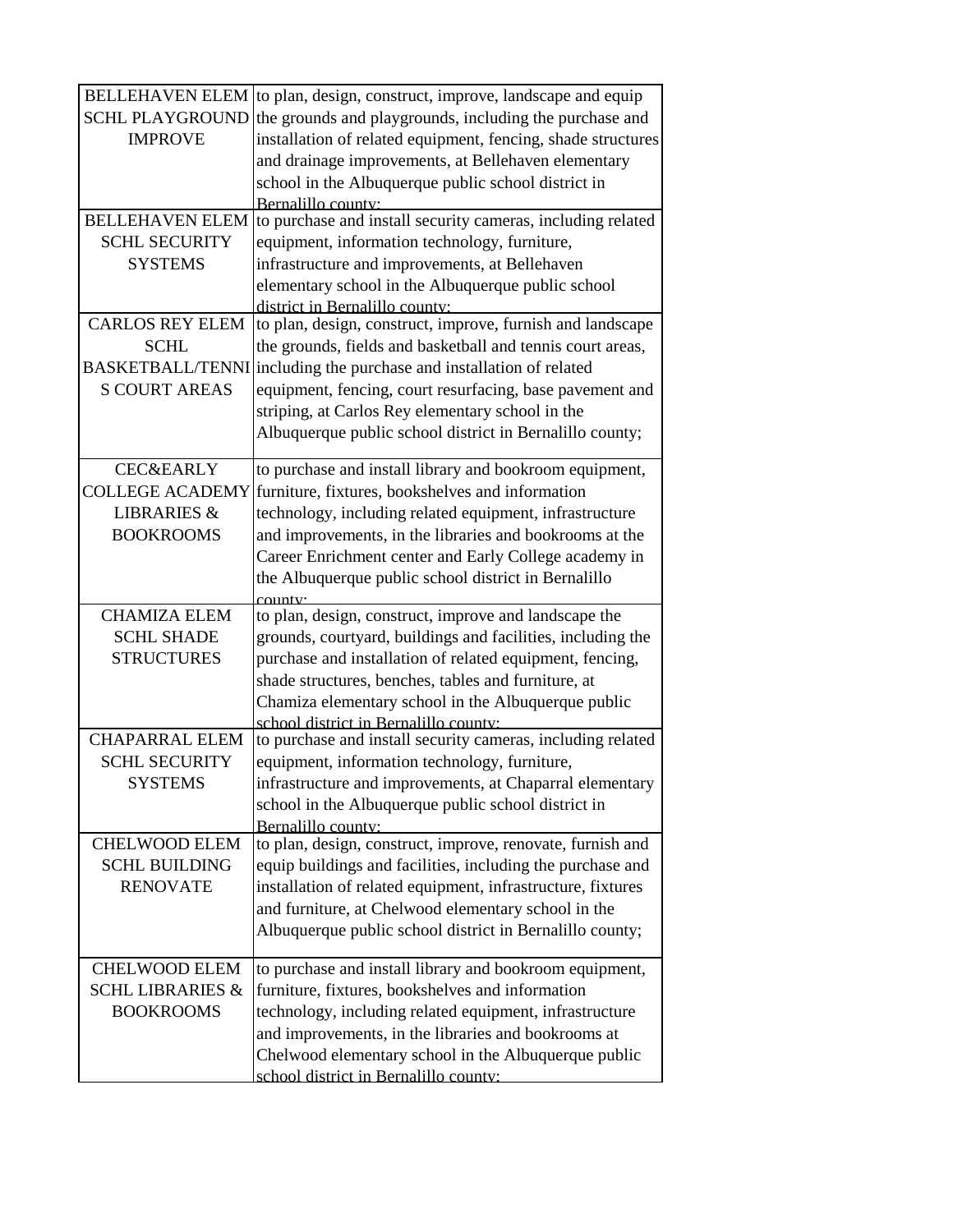| <b>BELLEHAVEN ELEM</b>      | to plan, design, construct, improve, landscape and equip                         |
|-----------------------------|----------------------------------------------------------------------------------|
| <b>SCHL PLAYGROUND</b>      | the grounds and playgrounds, including the purchase and                          |
| <b>IMPROVE</b>              | installation of related equipment, fencing, shade structures                     |
|                             | and drainage improvements, at Bellehaven elementary                              |
|                             | school in the Albuquerque public school district in                              |
|                             | Bernalillo county:                                                               |
| <b>BELLEHAVEN ELEM</b>      | to purchase and install security cameras, including related                      |
| <b>SCHL SECURITY</b>        | equipment, information technology, furniture,                                    |
| <b>SYSTEMS</b>              | infrastructure and improvements, at Bellehaven                                   |
|                             | elementary school in the Albuquerque public school                               |
|                             | district in Bernalillo county:                                                   |
| <b>CARLOS REY ELEM</b>      | to plan, design, construct, improve, furnish and landscape                       |
| <b>SCHL</b>                 | the grounds, fields and basketball and tennis court areas,                       |
|                             | BASKETBALL/TENNI including the purchase and installation of related              |
| <b>S COURT AREAS</b>        | equipment, fencing, court resurfacing, base pavement and                         |
|                             | striping, at Carlos Rey elementary school in the                                 |
|                             | Albuquerque public school district in Bernalillo county;                         |
| <b>CEC&amp;EARLY</b>        | to purchase and install library and bookroom equipment,                          |
| <b>COLLEGE ACADEMY</b>      | furniture, fixtures, bookshelves and information                                 |
| <b>LIBRARIES &amp;</b>      | technology, including related equipment, infrastructure                          |
| <b>BOOKROOMS</b>            | and improvements, in the libraries and bookrooms at the                          |
|                             | Career Enrichment center and Early College academy in                            |
|                             | the Albuquerque public school district in Bernalillo                             |
|                             | county <sup>.</sup>                                                              |
| <b>CHAMIZA ELEM</b>         | to plan, design, construct, improve and landscape the                            |
| <b>SCHL SHADE</b>           | grounds, courtyard, buildings and facilities, including the                      |
| <b>STRUCTURES</b>           | purchase and installation of related equipment, fencing,                         |
|                             | shade structures, benches, tables and furniture, at                              |
|                             | Chamiza elementary school in the Albuquerque public                              |
|                             | school district in Bernalillo county:                                            |
| <b>CHAPARRAL ELEM</b>       | to purchase and install security cameras, including related                      |
| <b>SCHL SECURITY</b>        | equipment, information technology, furniture,                                    |
| <b>SYSTEMS</b>              | infrastructure and improvements, at Chaparral elementary                         |
|                             | school in the Albuquerque public school district in                              |
| <b>CHELWOOD ELEM</b>        | Bernalillo county:<br>to plan, design, construct, improve, renovate, furnish and |
| <b>SCHL BUILDING</b>        | equip buildings and facilities, including the purchase and                       |
| <b>RENOVATE</b>             | installation of related equipment, infrastructure, fixtures                      |
|                             | and furniture, at Chelwood elementary school in the                              |
|                             | Albuquerque public school district in Bernalillo county;                         |
|                             |                                                                                  |
| <b>CHELWOOD ELEM</b>        | to purchase and install library and bookroom equipment,                          |
| <b>SCHL LIBRARIES &amp;</b> | furniture, fixtures, bookshelves and information                                 |
| <b>BOOKROOMS</b>            | technology, including related equipment, infrastructure                          |
|                             | and improvements, in the libraries and bookrooms at                              |
|                             | Chelwood elementary school in the Albuquerque public                             |
|                             | school district in Bernalillo county.                                            |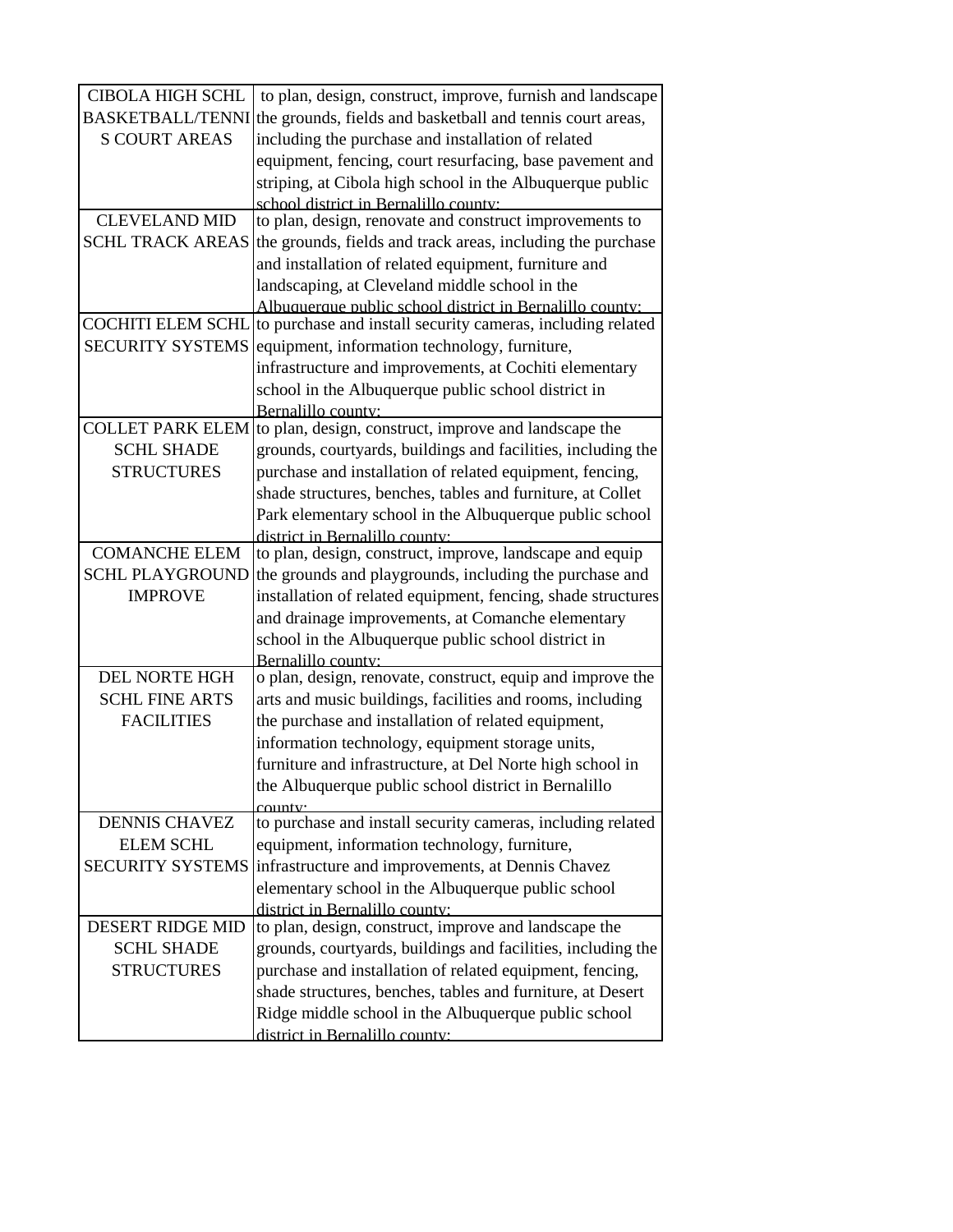| <b>CIBOLA HIGH SCHL</b>  | to plan, design, construct, improve, furnish and landscape                                                                                                                                                       |
|--------------------------|------------------------------------------------------------------------------------------------------------------------------------------------------------------------------------------------------------------|
| <b>BASKETBALL/TENNI</b>  | the grounds, fields and basketball and tennis court areas,                                                                                                                                                       |
| <b>S COURT AREAS</b>     | including the purchase and installation of related                                                                                                                                                               |
|                          | equipment, fencing, court resurfacing, base pavement and                                                                                                                                                         |
|                          | striping, at Cibola high school in the Albuquerque public                                                                                                                                                        |
|                          | school district in Bernalillo county:                                                                                                                                                                            |
| <b>CLEVELAND MID</b>     | to plan, design, renovate and construct improvements to                                                                                                                                                          |
| <b>SCHL TRACK AREAS</b>  | the grounds, fields and track areas, including the purchase                                                                                                                                                      |
|                          | and installation of related equipment, furniture and                                                                                                                                                             |
|                          | landscaping, at Cleveland middle school in the                                                                                                                                                                   |
|                          | Albuquerque public school district in Bernalillo county:                                                                                                                                                         |
| <b>COCHITI ELEM SCHL</b> | to purchase and install security cameras, including related                                                                                                                                                      |
| <b>SECURITY SYSTEMS</b>  | equipment, information technology, furniture,                                                                                                                                                                    |
|                          | infrastructure and improvements, at Cochiti elementary                                                                                                                                                           |
|                          | school in the Albuquerque public school district in                                                                                                                                                              |
|                          | Bernalillo county:                                                                                                                                                                                               |
| <b>COLLET PARK ELEM</b>  | to plan, design, construct, improve and landscape the                                                                                                                                                            |
| <b>SCHL SHADE</b>        | grounds, courtyards, buildings and facilities, including the                                                                                                                                                     |
| <b>STRUCTURES</b>        | purchase and installation of related equipment, fencing,                                                                                                                                                         |
|                          | shade structures, benches, tables and furniture, at Collet                                                                                                                                                       |
|                          | Park elementary school in the Albuquerque public school                                                                                                                                                          |
|                          | district in Bernalillo county:                                                                                                                                                                                   |
| <b>COMANCHE ELEM</b>     | to plan, design, construct, improve, landscape and equip                                                                                                                                                         |
| <b>SCHL PLAYGROUND</b>   | the grounds and playgrounds, including the purchase and                                                                                                                                                          |
| <b>IMPROVE</b>           | installation of related equipment, fencing, shade structures                                                                                                                                                     |
|                          | and drainage improvements, at Comanche elementary                                                                                                                                                                |
|                          | school in the Albuquerque public school district in                                                                                                                                                              |
|                          | Bernalillo county:                                                                                                                                                                                               |
| <b>DEL NORTE HGH</b>     | o plan, design, renovate, construct, equip and improve the                                                                                                                                                       |
| <b>SCHL FINE ARTS</b>    | arts and music buildings, facilities and rooms, including                                                                                                                                                        |
| <b>FACILITIES</b>        | the purchase and installation of related equipment,                                                                                                                                                              |
|                          | information technology, equipment storage units,                                                                                                                                                                 |
|                          | furniture and infrastructure, at Del Norte high school in                                                                                                                                                        |
|                          | the Albuquerque public school district in Bernalillo                                                                                                                                                             |
| <b>DENNIS CHAVEZ</b>     | to purchase and install security cameras, including related                                                                                                                                                      |
| <b>ELEM SCHL</b>         | equipment, information technology, furniture,                                                                                                                                                                    |
| <b>SECURITY SYSTEMS</b>  | infrastructure and improvements, at Dennis Chavez                                                                                                                                                                |
|                          |                                                                                                                                                                                                                  |
|                          | elementary school in the Albuquerque public school<br>district in Bernalillo county:                                                                                                                             |
| <b>DESERT RIDGE MID</b>  | to plan, design, construct, improve and landscape the                                                                                                                                                            |
| <b>SCHL SHADE</b>        | grounds, courtyards, buildings and facilities, including the                                                                                                                                                     |
|                          |                                                                                                                                                                                                                  |
|                          |                                                                                                                                                                                                                  |
|                          |                                                                                                                                                                                                                  |
|                          |                                                                                                                                                                                                                  |
| <b>STRUCTURES</b>        | purchase and installation of related equipment, fencing,<br>shade structures, benches, tables and furniture, at Desert<br>Ridge middle school in the Albuquerque public school<br>district in Bernalillo county: |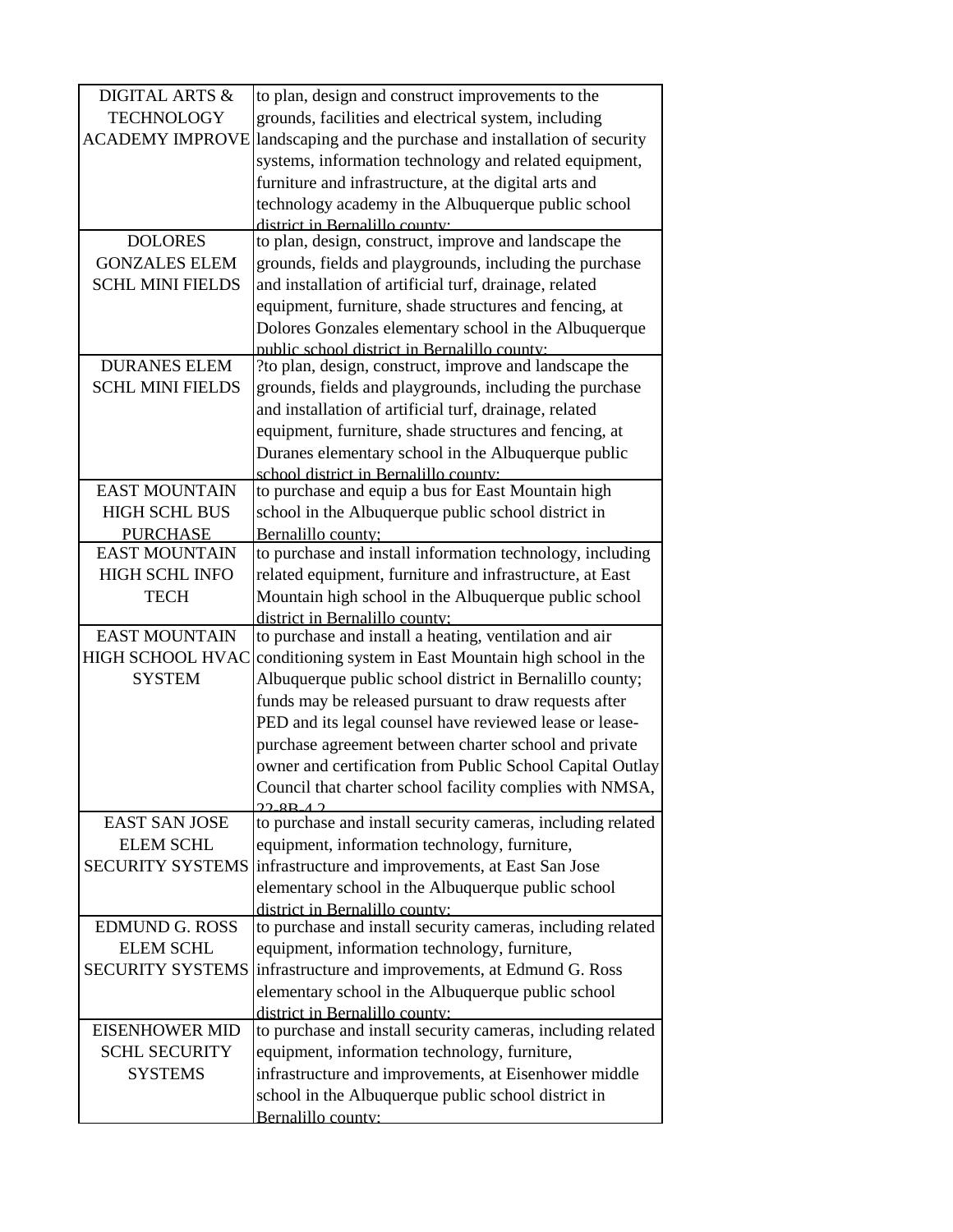| <b>DIGITAL ARTS &amp;</b> | to plan, design and construct improvements to the           |
|---------------------------|-------------------------------------------------------------|
| <b>TECHNOLOGY</b>         | grounds, facilities and electrical system, including        |
| <b>ACADEMY IMPROVE</b>    | landscaping and the purchase and installation of security   |
|                           | systems, information technology and related equipment,      |
|                           | furniture and infrastructure, at the digital arts and       |
|                           | technology academy in the Albuquerque public school         |
|                           | district in Rernalillo county.                              |
| <b>DOLORES</b>            | to plan, design, construct, improve and landscape the       |
| <b>GONZALES ELEM</b>      | grounds, fields and playgrounds, including the purchase     |
| <b>SCHL MINI FIELDS</b>   | and installation of artificial turf, drainage, related      |
|                           | equipment, furniture, shade structures and fencing, at      |
|                           | Dolores Gonzales elementary school in the Albuquerque       |
|                           | public school district in Bernalillo county:                |
| <b>DURANES ELEM</b>       | ?to plan, design, construct, improve and landscape the      |
| <b>SCHL MINI FIELDS</b>   | grounds, fields and playgrounds, including the purchase     |
|                           | and installation of artificial turf, drainage, related      |
|                           | equipment, furniture, shade structures and fencing, at      |
|                           | Duranes elementary school in the Albuquerque public         |
|                           | school district in Bernalillo county:                       |
| <b>EAST MOUNTAIN</b>      | to purchase and equip a bus for East Mountain high          |
| <b>HIGH SCHL BUS</b>      | school in the Albuquerque public school district in         |
| <b>PURCHASE</b>           | Bernalillo county;                                          |
| <b>EAST MOUNTAIN</b>      | to purchase and install information technology, including   |
| <b>HIGH SCHL INFO</b>     | related equipment, furniture and infrastructure, at East    |
| <b>TECH</b>               | Mountain high school in the Albuquerque public school       |
|                           | district in Bernalillo county:                              |
| <b>EAST MOUNTAIN</b>      | to purchase and install a heating, ventilation and air      |
| <b>HIGH SCHOOL HVAC</b>   | conditioning system in East Mountain high school in the     |
| <b>SYSTEM</b>             | Albuquerque public school district in Bernalillo county;    |
|                           | funds may be released pursuant to draw requests after       |
|                           | PED and its legal counsel have reviewed lease or lease-     |
|                           | purchase agreement between charter school and private       |
|                           | owner and certification from Public School Capital Outlay   |
|                           | Council that charter school facility complies with NMSA,    |
| <b>EAST SAN JOSE</b>      | to purchase and install security cameras, including related |
| <b>ELEM SCHL</b>          | equipment, information technology, furniture,               |
| <b>SECURITY SYSTEMS</b>   | infrastructure and improvements, at East San Jose           |
|                           | elementary school in the Albuquerque public school          |
|                           | district in Bernalillo county:                              |
| <b>EDMUND G. ROSS</b>     | to purchase and install security cameras, including related |
| <b>ELEM SCHL</b>          | equipment, information technology, furniture,               |
| <b>SECURITY SYSTEMS</b>   | infrastructure and improvements, at Edmund G. Ross          |
|                           | elementary school in the Albuquerque public school          |
|                           | district in Bernalillo county:                              |
| <b>EISENHOWER MID</b>     | to purchase and install security cameras, including related |
| <b>SCHL SECURITY</b>      | equipment, information technology, furniture,               |
| <b>SYSTEMS</b>            | infrastructure and improvements, at Eisenhower middle       |
|                           | school in the Albuquerque public school district in         |
|                           | Bernalillo county:                                          |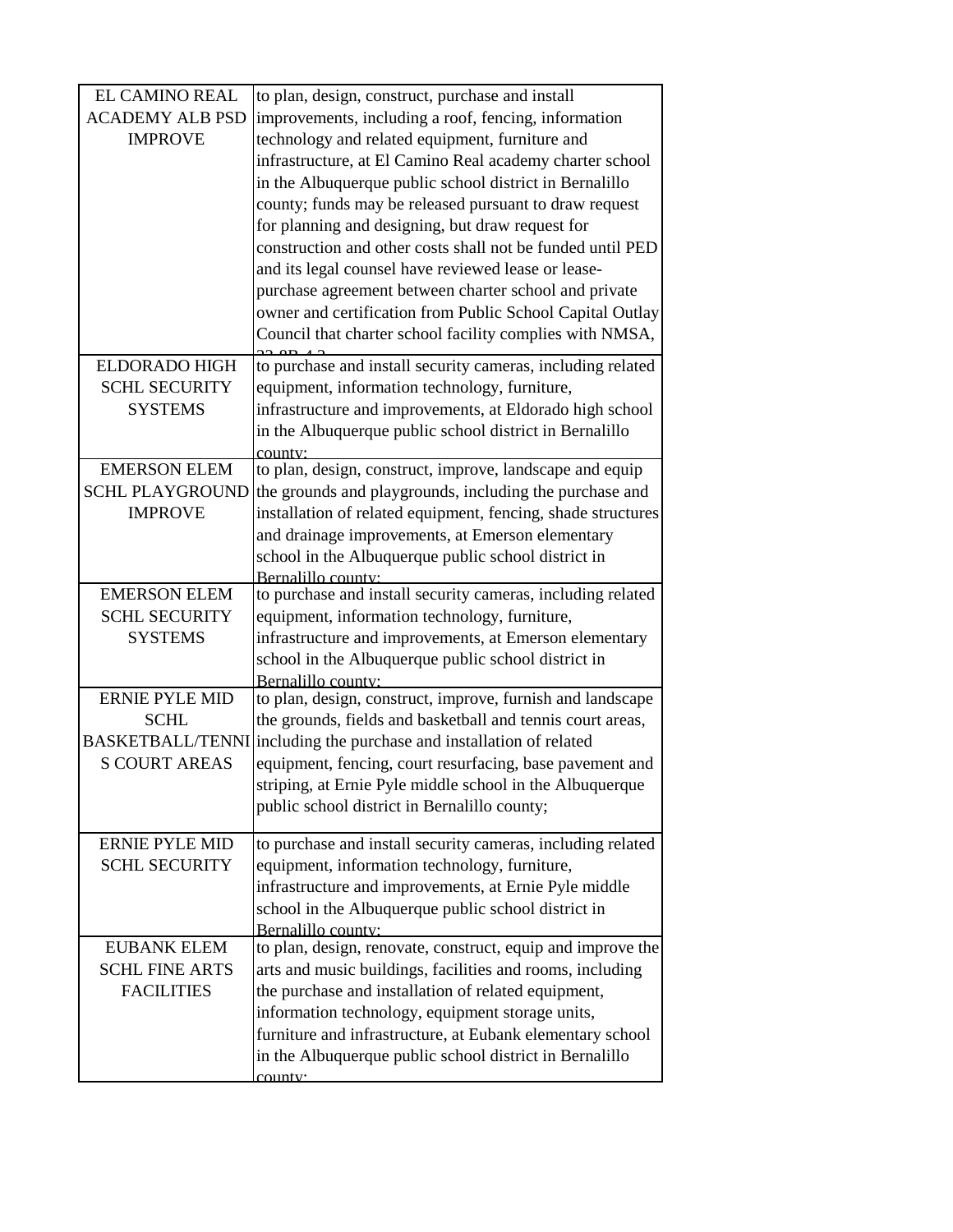| <b>EL CAMINO REAL</b>  | to plan, design, construct, purchase and install                                                                     |
|------------------------|----------------------------------------------------------------------------------------------------------------------|
| <b>ACADEMY ALB PSD</b> | improvements, including a roof, fencing, information                                                                 |
| <b>IMPROVE</b>         | technology and related equipment, furniture and                                                                      |
|                        | infrastructure, at El Camino Real academy charter school                                                             |
|                        | in the Albuquerque public school district in Bernalillo                                                              |
|                        | county; funds may be released pursuant to draw request                                                               |
|                        | for planning and designing, but draw request for                                                                     |
|                        | construction and other costs shall not be funded until PED                                                           |
|                        | and its legal counsel have reviewed lease or lease-                                                                  |
|                        | purchase agreement between charter school and private                                                                |
|                        | owner and certification from Public School Capital Outlay                                                            |
|                        | Council that charter school facility complies with NMSA,                                                             |
| <b>ELDORADO HIGH</b>   | to purchase and install security cameras, including related                                                          |
| <b>SCHL SECURITY</b>   | equipment, information technology, furniture,                                                                        |
| <b>SYSTEMS</b>         | infrastructure and improvements, at Eldorado high school                                                             |
|                        | in the Albuquerque public school district in Bernalillo                                                              |
|                        | county:                                                                                                              |
| <b>EMERSON ELEM</b>    | to plan, design, construct, improve, landscape and equip                                                             |
| <b>SCHL PLAYGROUND</b> | the grounds and playgrounds, including the purchase and                                                              |
| <b>IMPROVE</b>         | installation of related equipment, fencing, shade structures                                                         |
|                        | and drainage improvements, at Emerson elementary                                                                     |
|                        | school in the Albuquerque public school district in                                                                  |
| <b>EMERSON ELEM</b>    | Bernalillo county:<br>to purchase and install security cameras, including related                                    |
| <b>SCHL SECURITY</b>   | equipment, information technology, furniture,                                                                        |
| <b>SYSTEMS</b>         | infrastructure and improvements, at Emerson elementary                                                               |
|                        | school in the Albuquerque public school district in                                                                  |
|                        | Bernalillo county:                                                                                                   |
| <b>ERNIE PYLE MID</b>  |                                                                                                                      |
|                        | to plan, design, construct, improve, furnish and landscape                                                           |
| SCHL                   | the grounds, fields and basketball and tennis court areas,                                                           |
|                        | BASKETBALL/TENNI including the purchase and installation of related                                                  |
| <b>S COURT AREAS</b>   | equipment, fencing, court resurfacing, base pavement and                                                             |
|                        | striping, at Ernie Pyle middle school in the Albuquerque                                                             |
|                        | public school district in Bernalillo county;                                                                         |
|                        |                                                                                                                      |
| <b>ERNIE PYLE MID</b>  | to purchase and install security cameras, including related                                                          |
| <b>SCHL SECURITY</b>   | equipment, information technology, furniture,                                                                        |
|                        | infrastructure and improvements, at Ernie Pyle middle                                                                |
|                        | school in the Albuquerque public school district in                                                                  |
| <b>EUBANK ELEM</b>     | Bernalillo county:                                                                                                   |
| <b>SCHL FINE ARTS</b>  | to plan, design, renovate, construct, equip and improve the                                                          |
| <b>FACILITIES</b>      | arts and music buildings, facilities and rooms, including                                                            |
|                        | the purchase and installation of related equipment,                                                                  |
|                        | information technology, equipment storage units,                                                                     |
|                        | furniture and infrastructure, at Eubank elementary school<br>in the Albuquerque public school district in Bernalillo |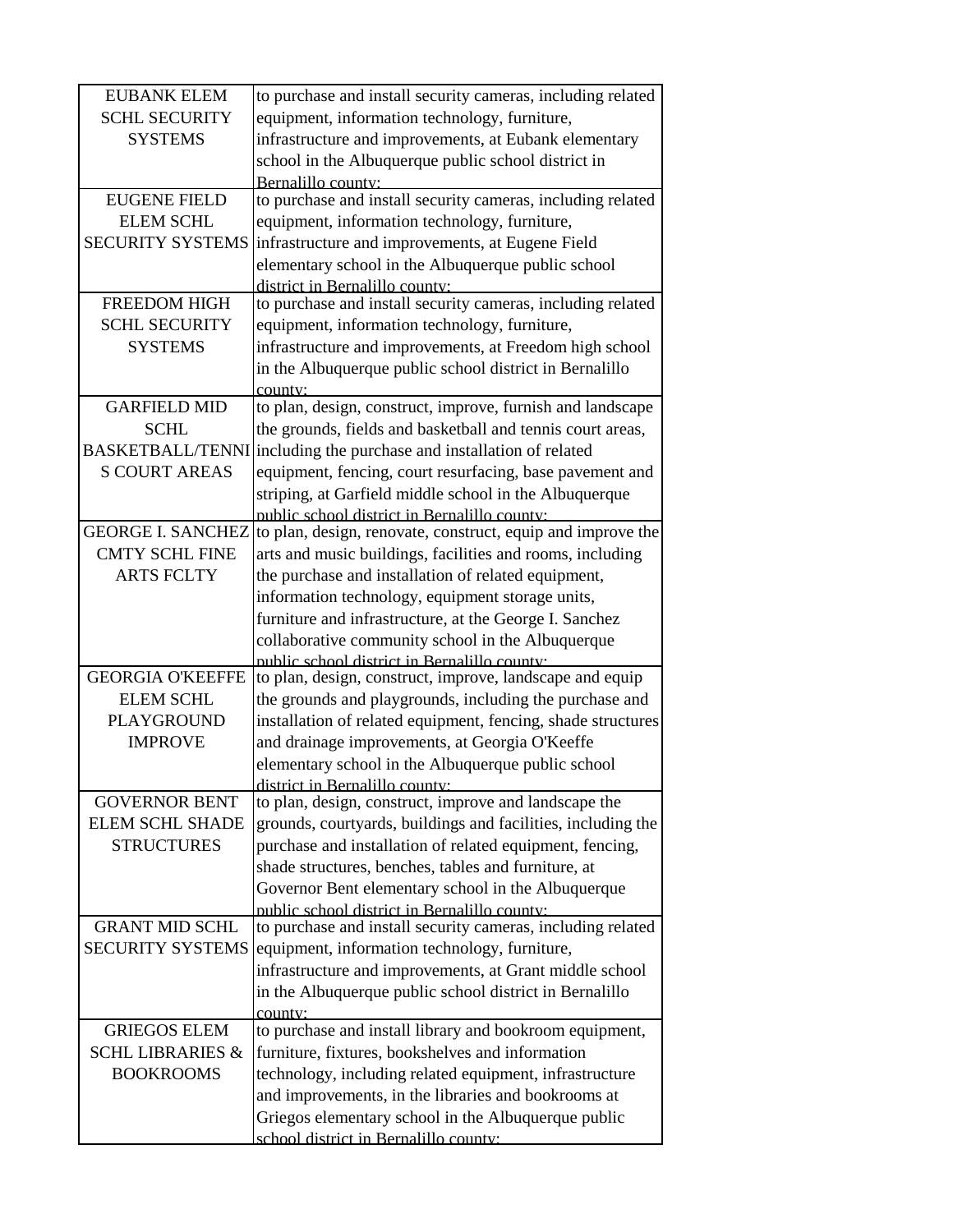| <b>EUBANK ELEM</b>          | to purchase and install security cameras, including related                                        |
|-----------------------------|----------------------------------------------------------------------------------------------------|
| <b>SCHL SECURITY</b>        | equipment, information technology, furniture,                                                      |
| <b>SYSTEMS</b>              | infrastructure and improvements, at Eubank elementary                                              |
|                             | school in the Albuquerque public school district in                                                |
|                             | Bernalillo county:                                                                                 |
| <b>EUGENE FIELD</b>         | to purchase and install security cameras, including related                                        |
| <b>ELEM SCHL</b>            | equipment, information technology, furniture,                                                      |
| <b>SECURITY SYSTEMS</b>     | infrastructure and improvements, at Eugene Field                                                   |
|                             | elementary school in the Albuquerque public school                                                 |
|                             | district in Bernalillo county:                                                                     |
| <b>FREEDOM HIGH</b>         | to purchase and install security cameras, including related                                        |
| <b>SCHL SECURITY</b>        | equipment, information technology, furniture,                                                      |
| <b>SYSTEMS</b>              | infrastructure and improvements, at Freedom high school                                            |
|                             | in the Albuquerque public school district in Bernalillo                                            |
|                             | county:                                                                                            |
| <b>GARFIELD MID</b>         | to plan, design, construct, improve, furnish and landscape                                         |
| <b>SCHL</b>                 | the grounds, fields and basketball and tennis court areas,                                         |
| <b>BASKETBALL/TENNI</b>     | including the purchase and installation of related                                                 |
| <b>S COURT AREAS</b>        | equipment, fencing, court resurfacing, base pavement and                                           |
|                             | striping, at Garfield middle school in the Albuquerque                                             |
|                             | public school district in Bernalillo county.                                                       |
| <b>GEORGE I. SANCHEZ</b>    | to plan, design, renovate, construct, equip and improve the                                        |
| <b>CMTY SCHL FINE</b>       | arts and music buildings, facilities and rooms, including                                          |
| <b>ARTS FCLTY</b>           | the purchase and installation of related equipment,                                                |
|                             | information technology, equipment storage units,                                                   |
|                             | furniture and infrastructure, at the George I. Sanchez                                             |
|                             | collaborative community school in the Albuquerque                                                  |
| <b>GEORGIA O'KEEFFE</b>     | public school district in Bernalillo county:                                                       |
|                             | to plan, design, construct, improve, landscape and equip                                           |
| <b>ELEM SCHL</b>            | the grounds and playgrounds, including the purchase and                                            |
| <b>PLAYGROUND</b>           | installation of related equipment, fencing, shade structures                                       |
| <b>IMPROVE</b>              | and drainage improvements, at Georgia O'Keeffe                                                     |
|                             | elementary school in the Albuquerque public school                                                 |
| <b>GOVERNOR BENT</b>        | district in Bernalillo county:<br>to plan, design, construct, improve and landscape the            |
| <b>ELEM SCHL SHADE</b>      | grounds, courtyards, buildings and facilities, including the                                       |
| <b>STRUCTURES</b>           | purchase and installation of related equipment, fencing,                                           |
|                             | shade structures, benches, tables and furniture, at                                                |
|                             |                                                                                                    |
|                             | Governor Bent elementary school in the Albuquerque<br>public school district in Bernalillo county: |
| <b>GRANT MID SCHL</b>       | to purchase and install security cameras, including related                                        |
| <b>SECURITY SYSTEMS</b>     | equipment, information technology, furniture,                                                      |
|                             | infrastructure and improvements, at Grant middle school                                            |
|                             | in the Albuquerque public school district in Bernalillo                                            |
|                             | county:                                                                                            |
| <b>GRIEGOS ELEM</b>         | to purchase and install library and bookroom equipment,                                            |
| <b>SCHL LIBRARIES &amp;</b> | furniture, fixtures, bookshelves and information                                                   |
| <b>BOOKROOMS</b>            | technology, including related equipment, infrastructure                                            |
|                             | and improvements, in the libraries and bookrooms at                                                |
|                             | Griegos elementary school in the Albuquerque public                                                |
|                             | school district in Bernalillo county:                                                              |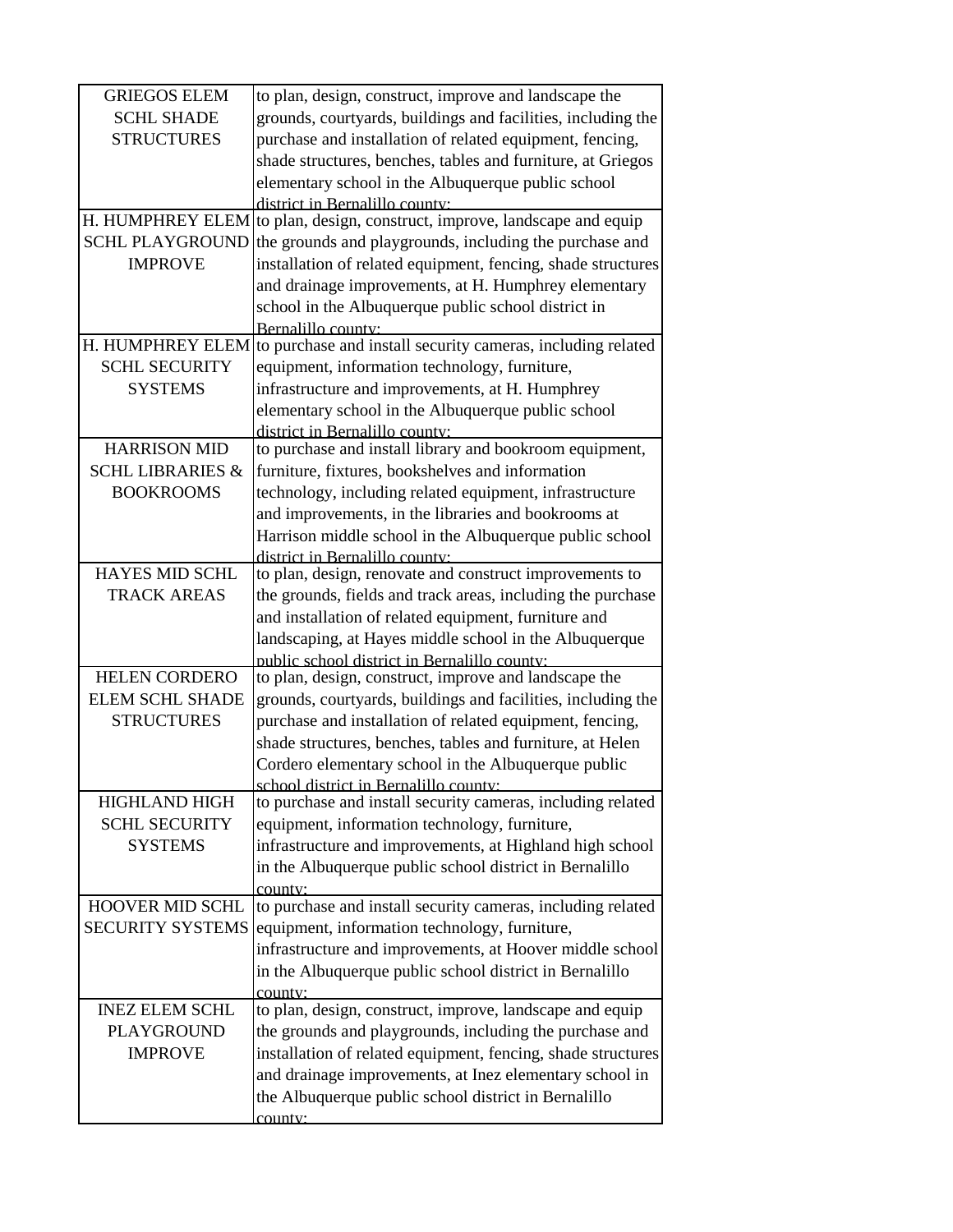| <b>GRIEGOS ELEM</b>         | to plan, design, construct, improve and landscape the                                                |
|-----------------------------|------------------------------------------------------------------------------------------------------|
| <b>SCHL SHADE</b>           | grounds, courtyards, buildings and facilities, including the                                         |
| <b>STRUCTURES</b>           | purchase and installation of related equipment, fencing,                                             |
|                             | shade structures, benches, tables and furniture, at Griegos                                          |
|                             | elementary school in the Albuquerque public school                                                   |
|                             | district in Bernalillo county:                                                                       |
|                             | H. HUMPHREY ELEM to plan, design, construct, improve, landscape and equip                            |
| <b>SCHL PLAYGROUND</b>      | the grounds and playgrounds, including the purchase and                                              |
| <b>IMPROVE</b>              | installation of related equipment, fencing, shade structures                                         |
|                             | and drainage improvements, at H. Humphrey elementary                                                 |
|                             | school in the Albuquerque public school district in                                                  |
| H. HUMPHREY ELEM            | Bernalillo county:<br>to purchase and install security cameras, including related                    |
| <b>SCHL SECURITY</b>        | equipment, information technology, furniture,                                                        |
| <b>SYSTEMS</b>              | infrastructure and improvements, at H. Humphrey                                                      |
|                             |                                                                                                      |
|                             | elementary school in the Albuquerque public school<br>district in Bernalillo county:                 |
| <b>HARRISON MID</b>         | to purchase and install library and bookroom equipment,                                              |
| <b>SCHL LIBRARIES &amp;</b> | furniture, fixtures, bookshelves and information                                                     |
| <b>BOOKROOMS</b>            | technology, including related equipment, infrastructure                                              |
|                             | and improvements, in the libraries and bookrooms at                                                  |
|                             | Harrison middle school in the Albuquerque public school                                              |
|                             | district in Bernalillo county:                                                                       |
| <b>HAYES MID SCHL</b>       | to plan, design, renovate and construct improvements to                                              |
| <b>TRACK AREAS</b>          | the grounds, fields and track areas, including the purchase                                          |
|                             | and installation of related equipment, furniture and                                                 |
|                             | landscaping, at Hayes middle school in the Albuquerque                                               |
|                             | public school district in Bernalillo county:                                                         |
| <b>HELEN CORDERO</b>        | to plan, design, construct, improve and landscape the                                                |
| <b>ELEM SCHL SHADE</b>      | grounds, courtyards, buildings and facilities, including the                                         |
| <b>STRUCTURES</b>           | purchase and installation of related equipment, fencing,                                             |
|                             | shade structures, benches, tables and furniture, at Helen                                            |
|                             | Cordero elementary school in the Albuquerque public                                                  |
| <b>HIGHLAND HIGH</b>        | school district in Bernalillo county:<br>to purchase and install security cameras, including related |
| <b>SCHL SECURITY</b>        | equipment, information technology, furniture,                                                        |
| <b>SYSTEMS</b>              | infrastructure and improvements, at Highland high school                                             |
|                             | in the Albuquerque public school district in Bernalillo                                              |
|                             | county:                                                                                              |
| HOOVER MID SCHL             | to purchase and install security cameras, including related                                          |
| <b>SECURITY SYSTEMS</b>     | equipment, information technology, furniture,                                                        |
|                             | infrastructure and improvements, at Hoover middle school                                             |
|                             | in the Albuquerque public school district in Bernalillo                                              |
|                             | county:                                                                                              |
| <b>INEZ ELEM SCHL</b>       | to plan, design, construct, improve, landscape and equip                                             |
| PLAYGROUND                  | the grounds and playgrounds, including the purchase and                                              |
| <b>IMPROVE</b>              | installation of related equipment, fencing, shade structures                                         |
|                             | and drainage improvements, at Inez elementary school in                                              |
|                             | the Albuquerque public school district in Bernalillo                                                 |
|                             | county:                                                                                              |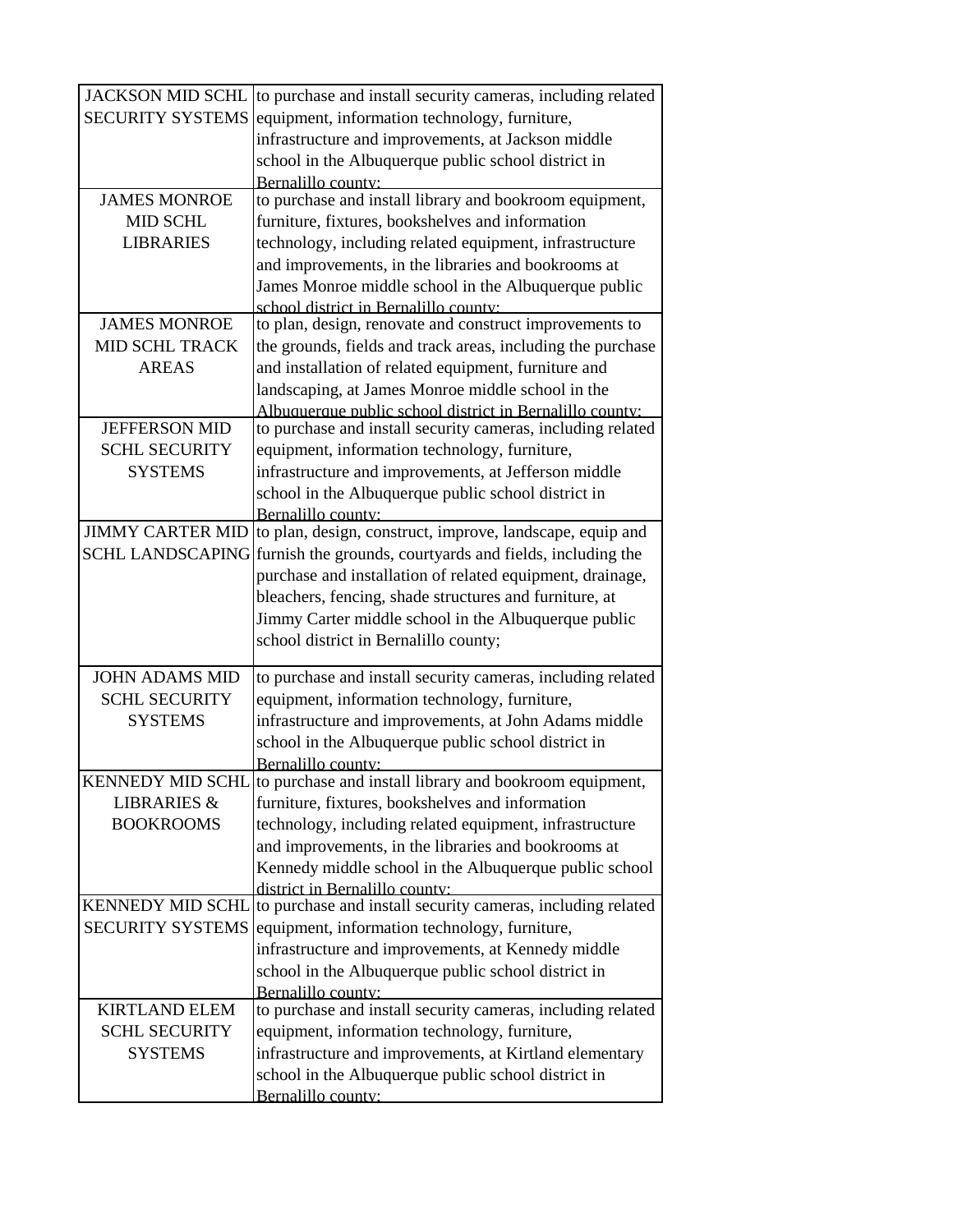| <b>JACKSON MID SCHL</b> | to purchase and install security cameras, including related              |
|-------------------------|--------------------------------------------------------------------------|
| <b>SECURITY SYSTEMS</b> | equipment, information technology, furniture,                            |
|                         | infrastructure and improvements, at Jackson middle                       |
|                         | school in the Albuquerque public school district in                      |
|                         | Bernalillo county:                                                       |
| <b>JAMES MONROE</b>     | to purchase and install library and bookroom equipment,                  |
| <b>MID SCHL</b>         | furniture, fixtures, bookshelves and information                         |
| <b>LIBRARIES</b>        | technology, including related equipment, infrastructure                  |
|                         | and improvements, in the libraries and bookrooms at                      |
|                         | James Monroe middle school in the Albuquerque public                     |
|                         | school district in Bernalillo county:                                    |
| <b>JAMES MONROE</b>     | to plan, design, renovate and construct improvements to                  |
| MID SCHL TRACK          | the grounds, fields and track areas, including the purchase              |
| <b>AREAS</b>            | and installation of related equipment, furniture and                     |
|                         | landscaping, at James Monroe middle school in the                        |
|                         | Albuquerque public school district in Bernalillo county:                 |
| <b>JEFFERSON MID</b>    | to purchase and install security cameras, including related              |
| <b>SCHL SECURITY</b>    | equipment, information technology, furniture,                            |
| <b>SYSTEMS</b>          | infrastructure and improvements, at Jefferson middle                     |
|                         | school in the Albuquerque public school district in                      |
|                         | Bernalillo county:                                                       |
| <b>JIMMY CARTER MID</b> | to plan, design, construct, improve, landscape, equip and                |
| <b>SCHL LANDSCAPING</b> | furnish the grounds, courtyards and fields, including the                |
|                         | purchase and installation of related equipment, drainage,                |
|                         | bleachers, fencing, shade structures and furniture, at                   |
|                         | Jimmy Carter middle school in the Albuquerque public                     |
|                         | school district in Bernalillo county;                                    |
|                         |                                                                          |
| <b>JOHN ADAMS MID</b>   | to purchase and install security cameras, including related              |
| <b>SCHL SECURITY</b>    | equipment, information technology, furniture,                            |
| <b>SYSTEMS</b>          | infrastructure and improvements, at John Adams middle                    |
|                         | school in the Albuquerque public school district in                      |
|                         | Bernalillo county:                                                       |
|                         | KENNEDY MID SCHL to purchase and install library and bookroom equipment, |
| <b>LIBRARIES &amp;</b>  | furniture, fixtures, bookshelves and information                         |
| <b>BOOKROOMS</b>        | technology, including related equipment, infrastructure                  |
|                         | and improvements, in the libraries and bookrooms at                      |
|                         | Kennedy middle school in the Albuquerque public school                   |
|                         | district in Bernalillo county.                                           |
| <b>KENNEDY MID SCHL</b> | to purchase and install security cameras, including related              |
| <b>SECURITY SYSTEMS</b> | equipment, information technology, furniture,                            |
|                         | infrastructure and improvements, at Kennedy middle                       |
|                         | school in the Albuquerque public school district in                      |
|                         | Bernalillo county:                                                       |
| <b>KIRTLAND ELEM</b>    | to purchase and install security cameras, including related              |
| <b>SCHL SECURITY</b>    | equipment, information technology, furniture,                            |
| <b>SYSTEMS</b>          | infrastructure and improvements, at Kirtland elementary                  |
|                         | school in the Albuquerque public school district in                      |
|                         | Bernalillo county:                                                       |
|                         |                                                                          |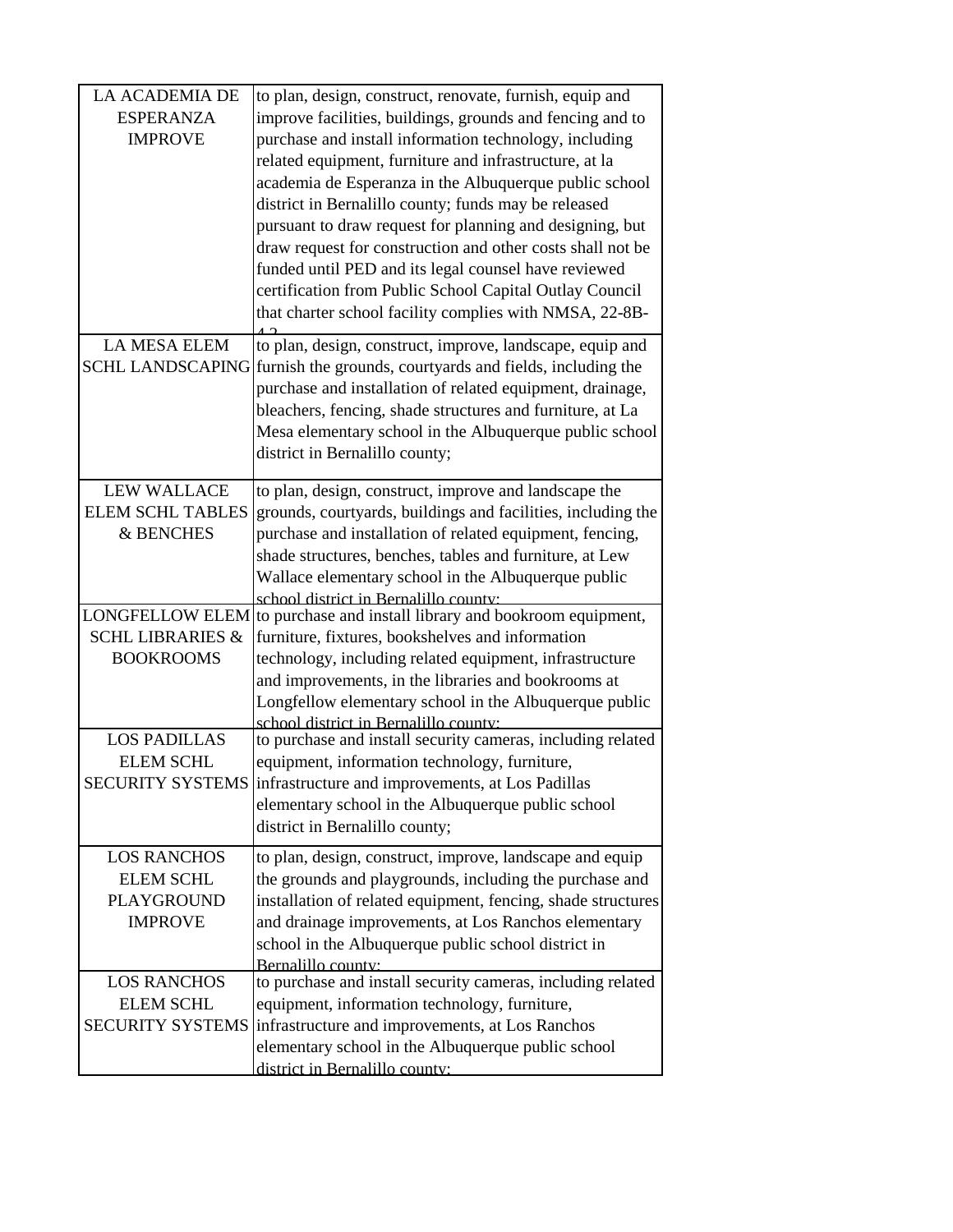| <b>LA ACADEMIA DE</b>                           | to plan, design, construct, renovate, furnish, equip and                                                    |
|-------------------------------------------------|-------------------------------------------------------------------------------------------------------------|
| <b>ESPERANZA</b>                                | improve facilities, buildings, grounds and fencing and to                                                   |
| <b>IMPROVE</b>                                  | purchase and install information technology, including                                                      |
|                                                 | related equipment, furniture and infrastructure, at la                                                      |
|                                                 | academia de Esperanza in the Albuquerque public school                                                      |
|                                                 | district in Bernalillo county; funds may be released                                                        |
|                                                 | pursuant to draw request for planning and designing, but                                                    |
|                                                 | draw request for construction and other costs shall not be                                                  |
|                                                 | funded until PED and its legal counsel have reviewed                                                        |
|                                                 | certification from Public School Capital Outlay Council                                                     |
|                                                 | that charter school facility complies with NMSA, 22-8B-                                                     |
| <b>LA MESA ELEM</b>                             | to plan, design, construct, improve, landscape, equip and                                                   |
| <b>SCHL LANDSCAPING</b>                         | furnish the grounds, courtyards and fields, including the                                                   |
|                                                 | purchase and installation of related equipment, drainage,                                                   |
|                                                 | bleachers, fencing, shade structures and furniture, at La                                                   |
|                                                 | Mesa elementary school in the Albuquerque public school                                                     |
|                                                 | district in Bernalillo county;                                                                              |
| <b>LEW WALLACE</b>                              | to plan, design, construct, improve and landscape the                                                       |
| <b>ELEM SCHL TABLES</b>                         | grounds, courtyards, buildings and facilities, including the                                                |
| & BENCHES                                       | purchase and installation of related equipment, fencing,                                                    |
|                                                 | shade structures, benches, tables and furniture, at Lew                                                     |
|                                                 | Wallace elementary school in the Albuquerque public                                                         |
|                                                 | school district in Bernalillo county:                                                                       |
| <b>LONGFELLOW ELEM</b>                          | to purchase and install library and bookroom equipment,                                                     |
| <b>SCHL LIBRARIES &amp;</b><br><b>BOOKROOMS</b> | furniture, fixtures, bookshelves and information<br>technology, including related equipment, infrastructure |
|                                                 | and improvements, in the libraries and bookrooms at                                                         |
|                                                 | Longfellow elementary school in the Albuquerque public                                                      |
|                                                 | school district in Bernalillo county:                                                                       |
| <b>LOS PADILLAS</b>                             | to purchase and install security cameras, including related                                                 |
| <b>ELEM SCHL</b>                                | equipment, information technology, furniture,                                                               |
| <b>SECURITY SYSTEMS</b>                         | infrastructure and improvements, at Los Padillas                                                            |
|                                                 | elementary school in the Albuquerque public school                                                          |
|                                                 | district in Bernalillo county;                                                                              |
| <b>LOS RANCHOS</b>                              | to plan, design, construct, improve, landscape and equip                                                    |
| <b>ELEM SCHL</b>                                | the grounds and playgrounds, including the purchase and                                                     |
| <b>PLAYGROUND</b>                               | installation of related equipment, fencing, shade structures                                                |
| <b>IMPROVE</b>                                  | and drainage improvements, at Los Ranchos elementary                                                        |
|                                                 | school in the Albuquerque public school district in                                                         |
| <b>LOS RANCHOS</b>                              | Bernalillo county:<br>to purchase and install security cameras, including related                           |
| <b>ELEM SCHL</b>                                | equipment, information technology, furniture,                                                               |
| <b>SECURITY SYSTEMS</b>                         | infrastructure and improvements, at Los Ranchos                                                             |
|                                                 | elementary school in the Albuquerque public school                                                          |
|                                                 | district in Bernalillo county:                                                                              |
|                                                 |                                                                                                             |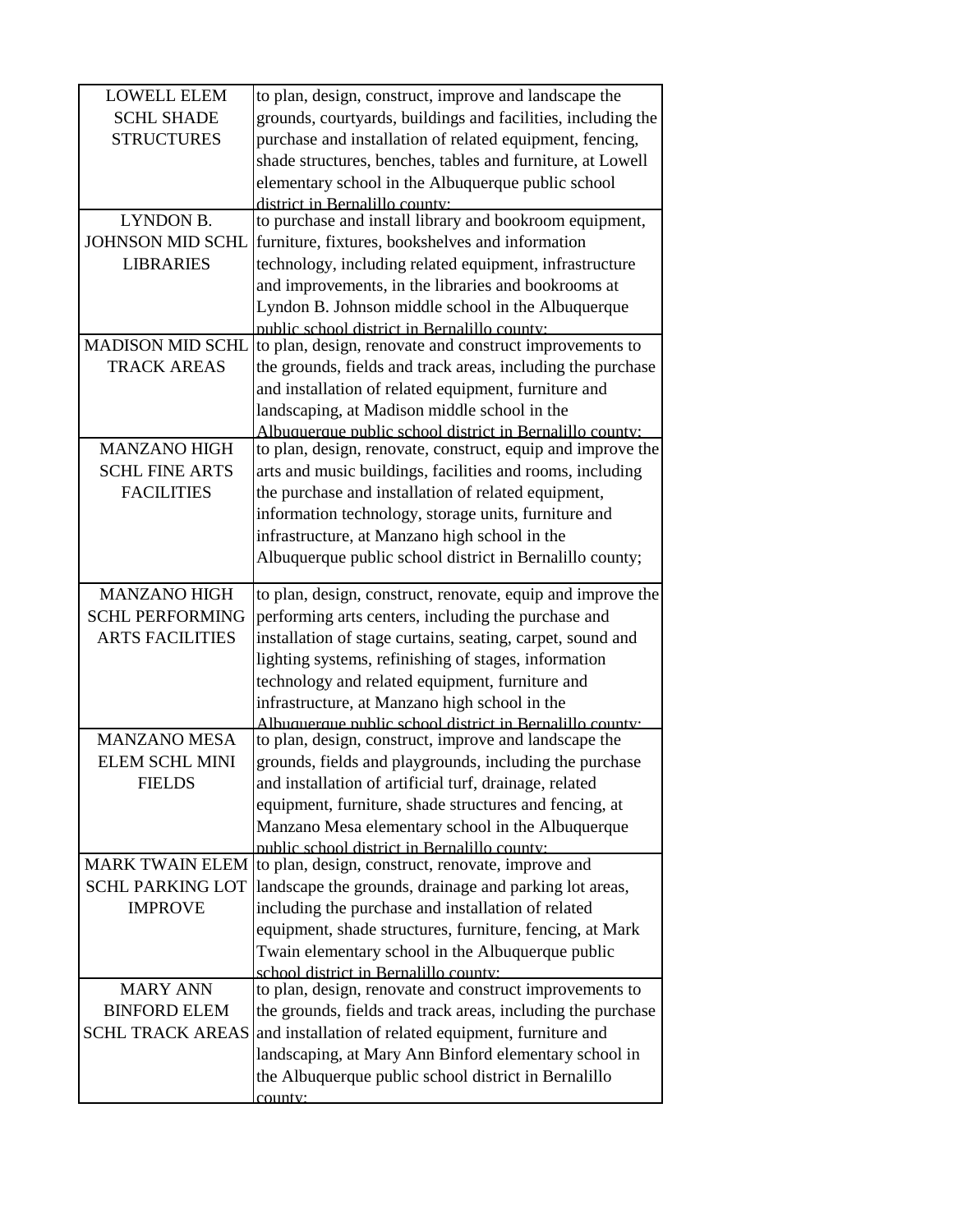| <b>LOWELL ELEM</b>      | to plan, design, construct, improve and landscape the                                                               |
|-------------------------|---------------------------------------------------------------------------------------------------------------------|
| <b>SCHL SHADE</b>       | grounds, courtyards, buildings and facilities, including the                                                        |
| <b>STRUCTURES</b>       | purchase and installation of related equipment, fencing,                                                            |
|                         | shade structures, benches, tables and furniture, at Lowell                                                          |
|                         | elementary school in the Albuquerque public school                                                                  |
|                         | district in Bernalillo county:                                                                                      |
| LYNDON B.               | to purchase and install library and bookroom equipment,                                                             |
| <b>JOHNSON MID SCHL</b> | furniture, fixtures, bookshelves and information                                                                    |
| <b>LIBRARIES</b>        | technology, including related equipment, infrastructure                                                             |
|                         | and improvements, in the libraries and bookrooms at                                                                 |
|                         | Lyndon B. Johnson middle school in the Albuquerque                                                                  |
|                         | public school district in Bernalillo county:                                                                        |
| <b>MADISON MID SCHL</b> | to plan, design, renovate and construct improvements to                                                             |
| <b>TRACK AREAS</b>      | the grounds, fields and track areas, including the purchase                                                         |
|                         | and installation of related equipment, furniture and                                                                |
|                         | landscaping, at Madison middle school in the<br>Albuquerque public school district in Bernalillo county:            |
| <b>MANZANO HIGH</b>     | to plan, design, renovate, construct, equip and improve the                                                         |
| <b>SCHL FINE ARTS</b>   | arts and music buildings, facilities and rooms, including                                                           |
| <b>FACILITIES</b>       | the purchase and installation of related equipment,                                                                 |
|                         | information technology, storage units, furniture and                                                                |
|                         | infrastructure, at Manzano high school in the                                                                       |
|                         | Albuquerque public school district in Bernalillo county;                                                            |
|                         |                                                                                                                     |
| <b>MANZANO HIGH</b>     | to plan, design, construct, renovate, equip and improve the                                                         |
| <b>SCHL PERFORMING</b>  | performing arts centers, including the purchase and                                                                 |
| <b>ARTS FACILITIES</b>  | installation of stage curtains, seating, carpet, sound and                                                          |
|                         | lighting systems, refinishing of stages, information                                                                |
|                         | technology and related equipment, furniture and                                                                     |
|                         | infrastructure, at Manzano high school in the                                                                       |
|                         | Albuquerque public school district in Rernalillo county:                                                            |
| <b>MANZANO MESA</b>     | to plan, design, construct, improve and landscape the                                                               |
| <b>ELEM SCHL MINI</b>   | grounds, fields and playgrounds, including the purchase                                                             |
| <b>FIELDS</b>           | and installation of artificial turf, drainage, related                                                              |
|                         | equipment, furniture, shade structures and fencing, at                                                              |
|                         | Manzano Mesa elementary school in the Albuquerque                                                                   |
|                         | public school district in Bernalillo county:<br>MARK TWAIN ELEM   to plan, design, construct, renovate, improve and |
| <b>SCHL PARKING LOT</b> | landscape the grounds, drainage and parking lot areas,                                                              |
| <b>IMPROVE</b>          | including the purchase and installation of related                                                                  |
|                         | equipment, shade structures, furniture, fencing, at Mark                                                            |
|                         | Twain elementary school in the Albuquerque public                                                                   |
|                         | school district in Bernalillo county:                                                                               |
| <b>MARY ANN</b>         | to plan, design, renovate and construct improvements to                                                             |
| <b>BINFORD ELEM</b>     | the grounds, fields and track areas, including the purchase                                                         |
| <b>SCHL TRACK AREAS</b> | and installation of related equipment, furniture and                                                                |
|                         | landscaping, at Mary Ann Binford elementary school in                                                               |
|                         | the Albuquerque public school district in Bernalillo                                                                |
|                         | county:                                                                                                             |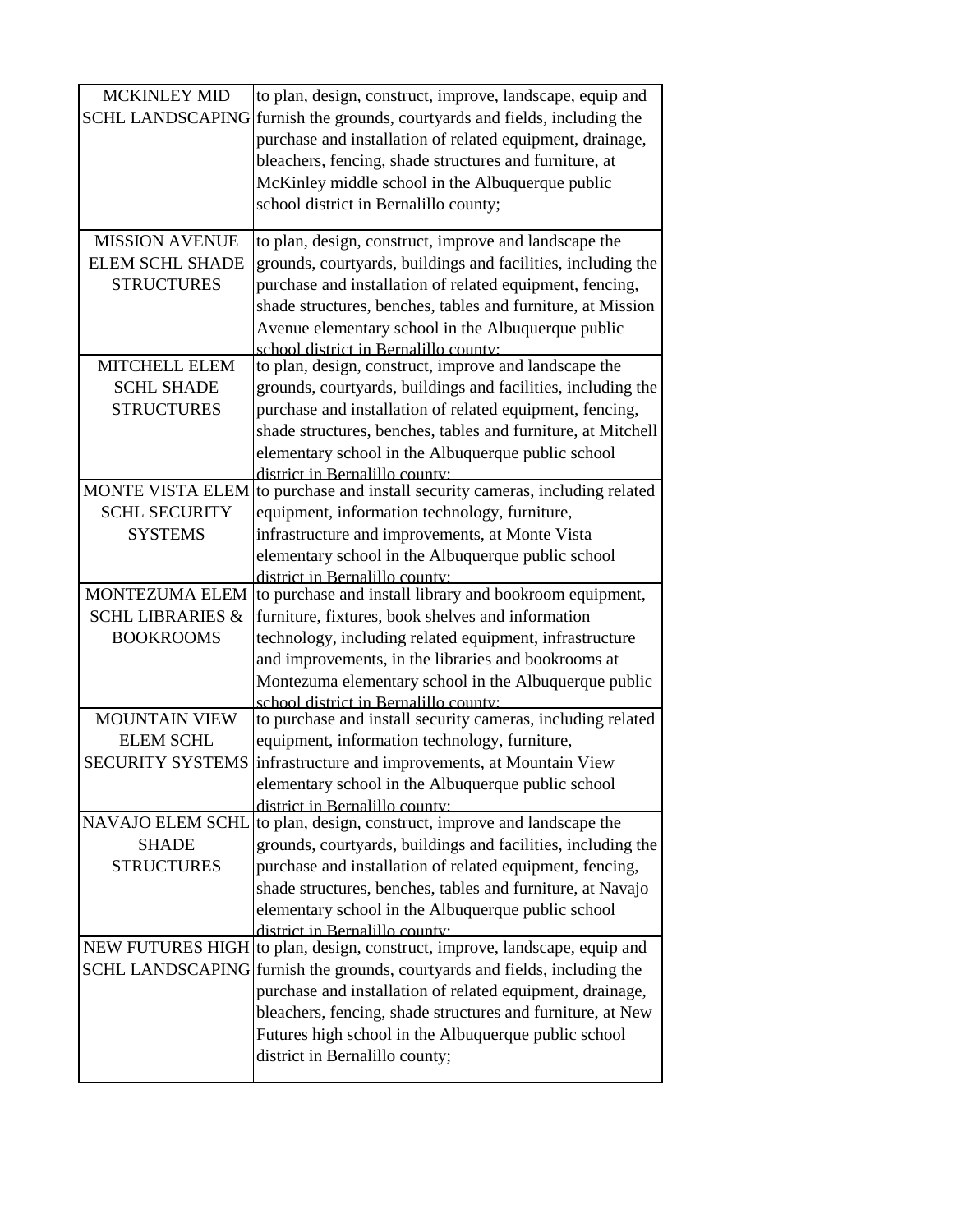| <b>MCKINLEY MID</b>         | to plan, design, construct, improve, landscape, equip and                                     |
|-----------------------------|-----------------------------------------------------------------------------------------------|
| <b>SCHL LANDSCAPING</b>     | furnish the grounds, courtyards and fields, including the                                     |
|                             | purchase and installation of related equipment, drainage,                                     |
|                             | bleachers, fencing, shade structures and furniture, at                                        |
|                             | McKinley middle school in the Albuquerque public                                              |
|                             | school district in Bernalillo county;                                                         |
|                             |                                                                                               |
| <b>MISSION AVENUE</b>       | to plan, design, construct, improve and landscape the                                         |
| <b>ELEM SCHL SHADE</b>      | grounds, courtyards, buildings and facilities, including the                                  |
| <b>STRUCTURES</b>           | purchase and installation of related equipment, fencing,                                      |
|                             | shade structures, benches, tables and furniture, at Mission                                   |
|                             | Avenue elementary school in the Albuquerque public                                            |
|                             | school district in Bernalillo county:                                                         |
| <b>MITCHELL ELEM</b>        | to plan, design, construct, improve and landscape the                                         |
| <b>SCHL SHADE</b>           | grounds, courtyards, buildings and facilities, including the                                  |
| <b>STRUCTURES</b>           | purchase and installation of related equipment, fencing,                                      |
|                             | shade structures, benches, tables and furniture, at Mitchell                                  |
|                             | elementary school in the Albuquerque public school                                            |
| <b>MONTE VISTA ELEM</b>     | district in Bernalillo county:<br>to purchase and install security cameras, including related |
| <b>SCHL SECURITY</b>        | equipment, information technology, furniture,                                                 |
| <b>SYSTEMS</b>              | infrastructure and improvements, at Monte Vista                                               |
|                             | elementary school in the Albuquerque public school                                            |
|                             | district in Bernalillo county:                                                                |
| MONTEZUMA ELEM              | to purchase and install library and bookroom equipment,                                       |
| <b>SCHL LIBRARIES &amp;</b> | furniture, fixtures, book shelves and information                                             |
| <b>BOOKROOMS</b>            |                                                                                               |
|                             | technology, including related equipment, infrastructure                                       |
|                             | and improvements, in the libraries and bookrooms at                                           |
|                             | Montezuma elementary school in the Albuquerque public                                         |
|                             | school district in Bernalillo county.                                                         |
| <b>MOUNTAIN VIEW</b>        | to purchase and install security cameras, including related                                   |
| <b>ELEM SCHL</b>            | equipment, information technology, furniture,                                                 |
| <b>SECURITY SYSTEMS</b>     | infrastructure and improvements, at Mountain View                                             |
|                             | elementary school in the Albuquerque public school                                            |
|                             | district in Bernalillo county:                                                                |
| <b>NAVAJO ELEM SCHL</b>     | to plan, design, construct, improve and landscape the                                         |
| <b>SHADE</b>                | grounds, courtyards, buildings and facilities, including the                                  |
| <b>STRUCTURES</b>           | purchase and installation of related equipment, fencing,                                      |
|                             | shade structures, benches, tables and furniture, at Navajo                                    |
|                             | elementary school in the Albuquerque public school                                            |
|                             | district in Bernalillo county:                                                                |
|                             | NEW FUTURES HIGH to plan, design, construct, improve, landscape, equip and                    |
|                             | SCHL LANDSCAPING furnish the grounds, courtyards and fields, including the                    |
|                             | purchase and installation of related equipment, drainage,                                     |
|                             | bleachers, fencing, shade structures and furniture, at New                                    |
|                             | Futures high school in the Albuquerque public school<br>district in Bernalillo county;        |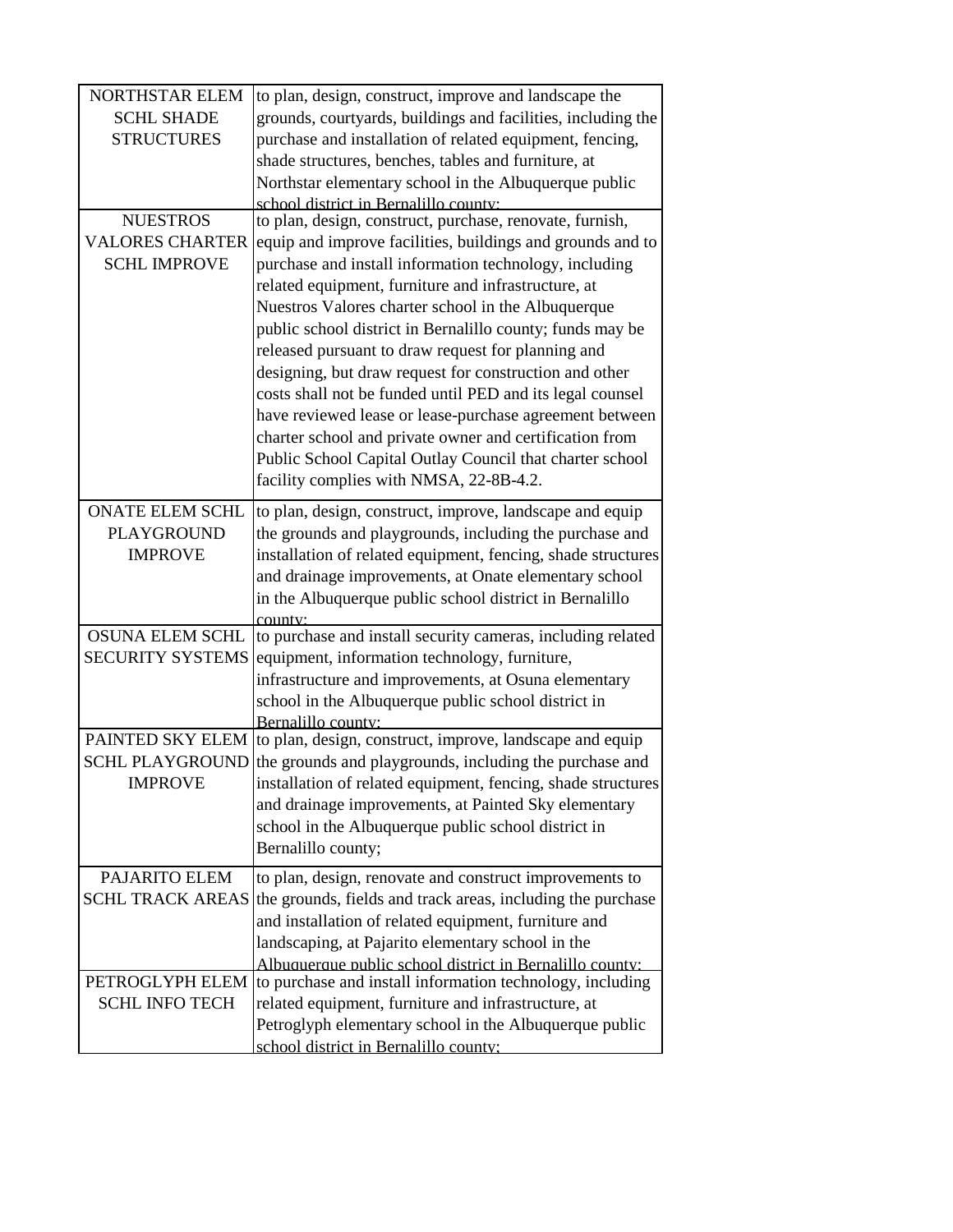| <b>NORTHSTAR ELEM</b>   | to plan, design, construct, improve and landscape the        |
|-------------------------|--------------------------------------------------------------|
| <b>SCHL SHADE</b>       | grounds, courtyards, buildings and facilities, including the |
| <b>STRUCTURES</b>       | purchase and installation of related equipment, fencing,     |
|                         | shade structures, benches, tables and furniture, at          |
|                         | Northstar elementary school in the Albuquerque public        |
|                         | school district in Bernalillo county:                        |
| <b>NUESTROS</b>         | to plan, design, construct, purchase, renovate, furnish,     |
| <b>VALORES CHARTER</b>  | equip and improve facilities, buildings and grounds and to   |
| <b>SCHL IMPROVE</b>     | purchase and install information technology, including       |
|                         | related equipment, furniture and infrastructure, at          |
|                         | Nuestros Valores charter school in the Albuquerque           |
|                         | public school district in Bernalillo county; funds may be    |
|                         | released pursuant to draw request for planning and           |
|                         | designing, but draw request for construction and other       |
|                         | costs shall not be funded until PED and its legal counsel    |
|                         | have reviewed lease or lease-purchase agreement between      |
|                         | charter school and private owner and certification from      |
|                         | Public School Capital Outlay Council that charter school     |
|                         | facility complies with NMSA, 22-8B-4.2.                      |
| <b>ONATE ELEM SCHL</b>  | to plan, design, construct, improve, landscape and equip     |
| <b>PLAYGROUND</b>       | the grounds and playgrounds, including the purchase and      |
| <b>IMPROVE</b>          | installation of related equipment, fencing, shade structures |
|                         | and drainage improvements, at Onate elementary school        |
|                         | in the Albuquerque public school district in Bernalillo      |
|                         | county <sup>.</sup>                                          |
| <b>OSUNA ELEM SCHL</b>  | to purchase and install security cameras, including related  |
| <b>SECURITY SYSTEMS</b> | equipment, information technology, furniture,                |
|                         | infrastructure and improvements, at Osuna elementary         |
|                         | school in the Albuquerque public school district in          |
|                         | Bernalillo county:                                           |
| PAINTED SKY ELEM        | to plan, design, construct, improve, landscape and equip     |
| <b>SCHL PLAYGROUND</b>  | the grounds and playgrounds, including the purchase and      |
| <b>IMPROVE</b>          | installation of related equipment, fencing, shade structures |
|                         | and drainage improvements, at Painted Sky elementary         |
|                         | school in the Albuquerque public school district in          |
|                         | Bernalillo county;                                           |
| PAJARITO ELEM           | to plan, design, renovate and construct improvements to      |
| <b>SCHL TRACK AREAS</b> | the grounds, fields and track areas, including the purchase  |
|                         | and installation of related equipment, furniture and         |
|                         | landscaping, at Pajarito elementary school in the            |
|                         | Albuquerque public school district in Bernalillo county:     |
| PETROGLYPH ELEM         | to purchase and install information technology, including    |
| <b>SCHL INFO TECH</b>   | related equipment, furniture and infrastructure, at          |
|                         | Petroglyph elementary school in the Albuquerque public       |
|                         | school district in Bernalillo county:                        |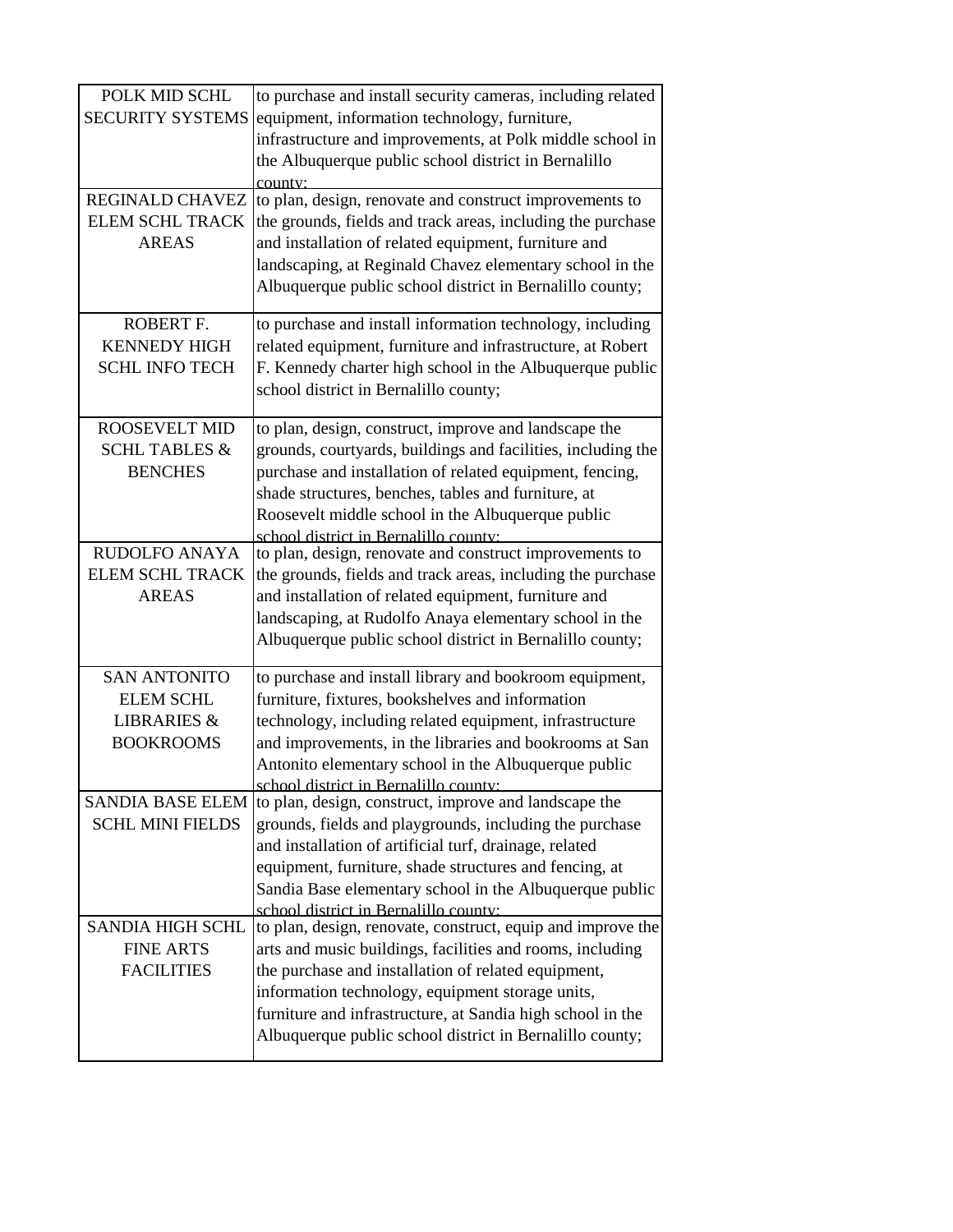| POLK MID SCHL            | to purchase and install security cameras, including related  |
|--------------------------|--------------------------------------------------------------|
| <b>SECURITY SYSTEMS</b>  | equipment, information technology, furniture,                |
|                          | infrastructure and improvements, at Polk middle school in    |
|                          | the Albuquerque public school district in Bernalillo         |
|                          | county:                                                      |
| REGINALD CHAVEZ          | to plan, design, renovate and construct improvements to      |
| <b>ELEM SCHL TRACK</b>   | the grounds, fields and track areas, including the purchase  |
| <b>AREAS</b>             | and installation of related equipment, furniture and         |
|                          | landscaping, at Reginald Chavez elementary school in the     |
|                          | Albuquerque public school district in Bernalillo county;     |
|                          |                                                              |
| ROBERT F.                | to purchase and install information technology, including    |
| <b>KENNEDY HIGH</b>      | related equipment, furniture and infrastructure, at Robert   |
| <b>SCHL INFO TECH</b>    | F. Kennedy charter high school in the Albuquerque public     |
|                          | school district in Bernalillo county;                        |
|                          |                                                              |
| <b>ROOSEVELT MID</b>     | to plan, design, construct, improve and landscape the        |
| <b>SCHL TABLES &amp;</b> | grounds, courtyards, buildings and facilities, including the |
| <b>BENCHES</b>           | purchase and installation of related equipment, fencing,     |
|                          | shade structures, benches, tables and furniture, at          |
|                          | Roosevelt middle school in the Albuquerque public            |
|                          | school district in Bernalillo county:                        |
| <b>RUDOLFO ANAYA</b>     | to plan, design, renovate and construct improvements to      |
| <b>ELEM SCHL TRACK</b>   | the grounds, fields and track areas, including the purchase  |
| <b>AREAS</b>             | and installation of related equipment, furniture and         |
|                          | landscaping, at Rudolfo Anaya elementary school in the       |
|                          | Albuquerque public school district in Bernalillo county;     |
|                          |                                                              |
| <b>SAN ANTONITO</b>      | to purchase and install library and bookroom equipment,      |
| <b>ELEM SCHL</b>         | furniture, fixtures, bookshelves and information             |
| <b>LIBRARIES &amp;</b>   | technology, including related equipment, infrastructure      |
| <b>BOOKROOMS</b>         | and improvements, in the libraries and bookrooms at San      |
|                          | Antonito elementary school in the Albuquerque public         |
|                          | school district in Bernalillo county:                        |
| <b>SANDIA BASE ELEM</b>  | to plan, design, construct, improve and landscape the        |
| <b>SCHL MINI FIELDS</b>  | grounds, fields and playgrounds, including the purchase      |
|                          | and installation of artificial turf, drainage, related       |
|                          | equipment, furniture, shade structures and fencing, at       |
|                          | Sandia Base elementary school in the Albuquerque public      |
|                          | school district in Bernalillo county:                        |
| <b>SANDIA HIGH SCHL</b>  | to plan, design, renovate, construct, equip and improve the  |
| <b>FINE ARTS</b>         | arts and music buildings, facilities and rooms, including    |
| <b>FACILITIES</b>        | the purchase and installation of related equipment,          |
|                          | information technology, equipment storage units,             |
|                          | furniture and infrastructure, at Sandia high school in the   |
|                          | Albuquerque public school district in Bernalillo county;     |
|                          |                                                              |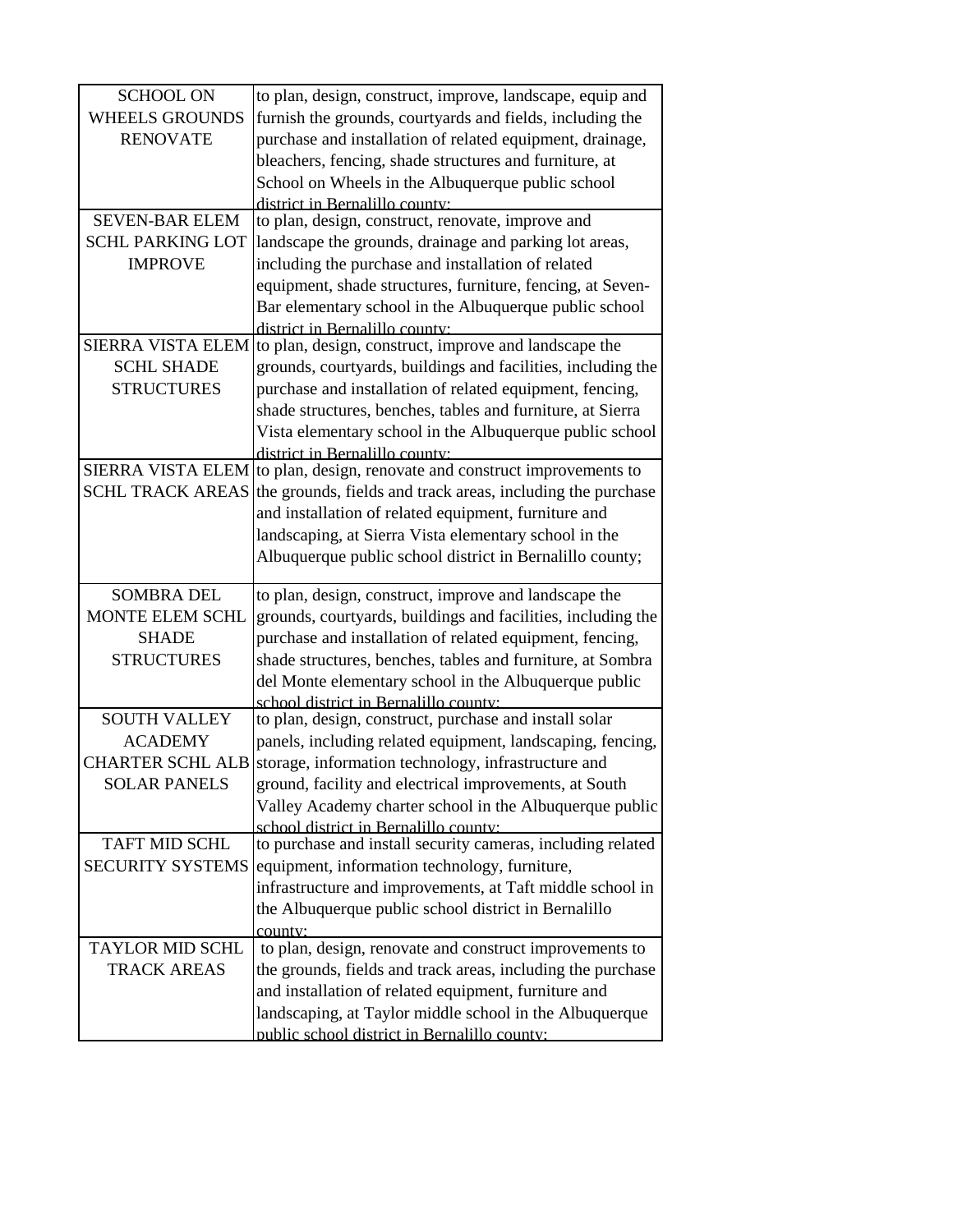| <b>SCHOOL ON</b>         | to plan, design, construct, improve, landscape, equip and                                                   |
|--------------------------|-------------------------------------------------------------------------------------------------------------|
| <b>WHEELS GROUNDS</b>    | furnish the grounds, courtyards and fields, including the                                                   |
| <b>RENOVATE</b>          | purchase and installation of related equipment, drainage,                                                   |
|                          | bleachers, fencing, shade structures and furniture, at                                                      |
|                          | School on Wheels in the Albuquerque public school                                                           |
|                          | district in Bernalillo county:                                                                              |
| <b>SEVEN-BAR ELEM</b>    | to plan, design, construct, renovate, improve and                                                           |
| <b>SCHL PARKING LOT</b>  | landscape the grounds, drainage and parking lot areas,                                                      |
| <b>IMPROVE</b>           | including the purchase and installation of related                                                          |
|                          | equipment, shade structures, furniture, fencing, at Seven-                                                  |
|                          | Bar elementary school in the Albuquerque public school                                                      |
|                          | district in Bernalillo county:                                                                              |
| <b>SIERRA VISTA ELEM</b> | to plan, design, construct, improve and landscape the                                                       |
| <b>SCHL SHADE</b>        | grounds, courtyards, buildings and facilities, including the                                                |
| <b>STRUCTURES</b>        | purchase and installation of related equipment, fencing,                                                    |
|                          | shade structures, benches, tables and furniture, at Sierra                                                  |
|                          |                                                                                                             |
|                          | Vista elementary school in the Albuquerque public school                                                    |
|                          | district in Bernalillo county:<br>SIERRA VISTA ELEM to plan, design, renovate and construct improvements to |
| <b>SCHL TRACK AREAS</b>  |                                                                                                             |
|                          | the grounds, fields and track areas, including the purchase                                                 |
|                          | and installation of related equipment, furniture and                                                        |
|                          | landscaping, at Sierra Vista elementary school in the                                                       |
|                          | Albuquerque public school district in Bernalillo county;                                                    |
| <b>SOMBRA DEL</b>        | to plan, design, construct, improve and landscape the                                                       |
| <b>MONTE ELEM SCHL</b>   | grounds, courtyards, buildings and facilities, including the                                                |
| <b>SHADE</b>             | purchase and installation of related equipment, fencing,                                                    |
| <b>STRUCTURES</b>        | shade structures, benches, tables and furniture, at Sombra                                                  |
|                          | del Monte elementary school in the Albuquerque public                                                       |
|                          | school district in Bernalillo county:                                                                       |
| <b>SOUTH VALLEY</b>      | to plan, design, construct, purchase and install solar                                                      |
| <b>ACADEMY</b>           | panels, including related equipment, landscaping, fencing,                                                  |
| <b>CHARTER SCHL ALB</b>  | storage, information technology, infrastructure and                                                         |
|                          |                                                                                                             |
| <b>SOLAR PANELS</b>      | ground, facility and electrical improvements, at South                                                      |
|                          | Valley Academy charter school in the Albuquerque public                                                     |
| <b>TAFT MID SCHL</b>     | school district in Bernalillo county:                                                                       |
|                          | to purchase and install security cameras, including related                                                 |
| <b>SECURITY SYSTEMS</b>  | equipment, information technology, furniture,                                                               |
|                          | infrastructure and improvements, at Taft middle school in                                                   |
|                          | the Albuquerque public school district in Bernalillo                                                        |
|                          | county:                                                                                                     |
| <b>TAYLOR MID SCHL</b>   | to plan, design, renovate and construct improvements to                                                     |
| <b>TRACK AREAS</b>       | the grounds, fields and track areas, including the purchase                                                 |
|                          | and installation of related equipment, furniture and                                                        |
|                          | landscaping, at Taylor middle school in the Albuquerque                                                     |
|                          | public school district in Bernalillo county:                                                                |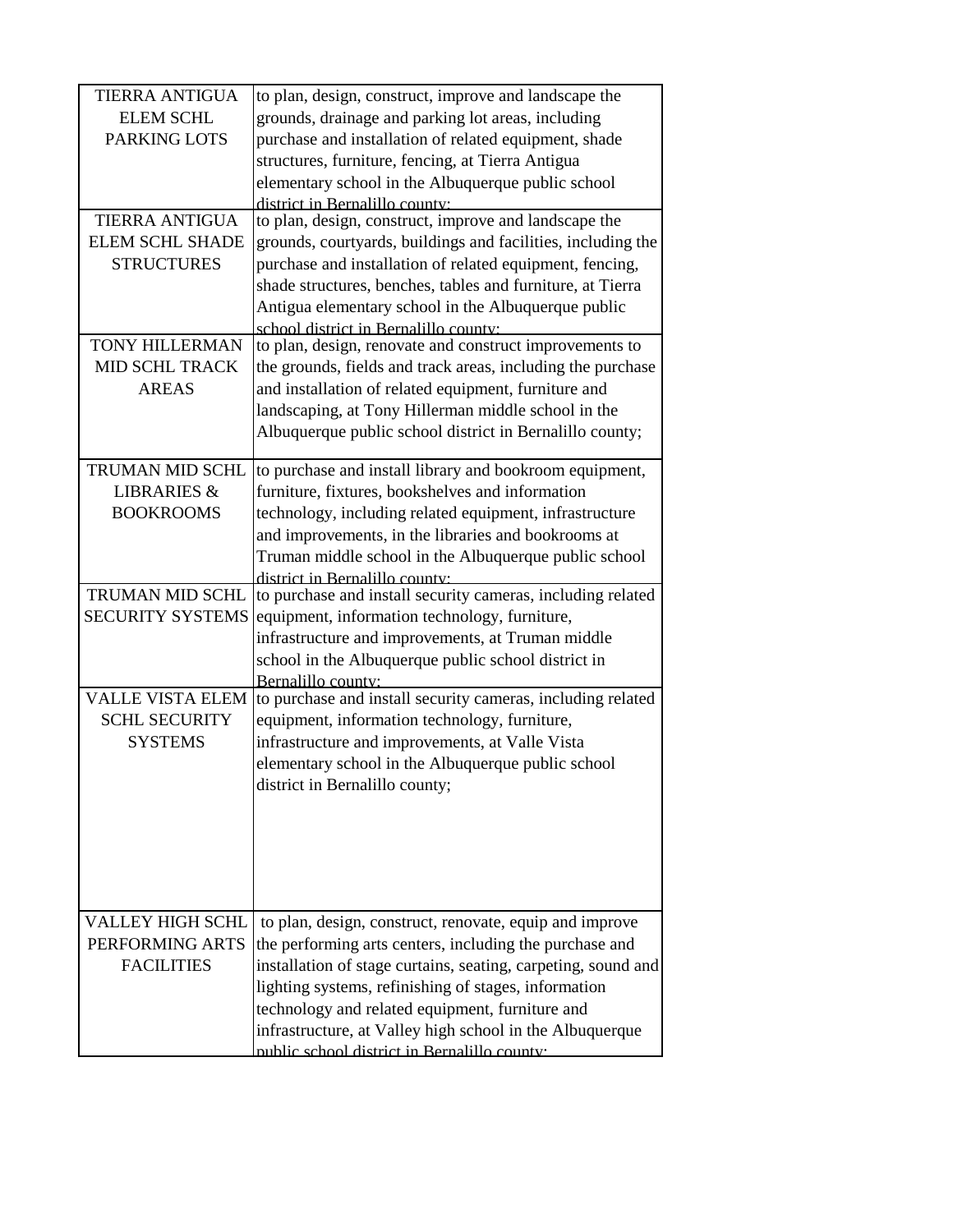| <b>TIERRA ANTIGUA</b>   | to plan, design, construct, improve and landscape the         |
|-------------------------|---------------------------------------------------------------|
| <b>ELEM SCHL</b>        | grounds, drainage and parking lot areas, including            |
| <b>PARKING LOTS</b>     | purchase and installation of related equipment, shade         |
|                         | structures, furniture, fencing, at Tierra Antigua             |
|                         | elementary school in the Albuquerque public school            |
|                         | district in Bernalillo county:                                |
| <b>TIERRA ANTIGUA</b>   | to plan, design, construct, improve and landscape the         |
| <b>ELEM SCHL SHADE</b>  | grounds, courtyards, buildings and facilities, including the  |
| <b>STRUCTURES</b>       | purchase and installation of related equipment, fencing,      |
|                         | shade structures, benches, tables and furniture, at Tierra    |
|                         | Antigua elementary school in the Albuquerque public           |
|                         | school district in Bernalillo county:                         |
| <b>TONY HILLERMAN</b>   | to plan, design, renovate and construct improvements to       |
| <b>MID SCHL TRACK</b>   | the grounds, fields and track areas, including the purchase   |
| <b>AREAS</b>            | and installation of related equipment, furniture and          |
|                         | landscaping, at Tony Hillerman middle school in the           |
|                         | Albuquerque public school district in Bernalillo county;      |
| <b>TRUMAN MID SCHL</b>  | to purchase and install library and bookroom equipment,       |
| <b>LIBRARIES &amp;</b>  | furniture, fixtures, bookshelves and information              |
| <b>BOOKROOMS</b>        | technology, including related equipment, infrastructure       |
|                         | and improvements, in the libraries and bookrooms at           |
|                         | Truman middle school in the Albuquerque public school         |
|                         | district in Bernalillo county:                                |
| TRUMAN MID SCHL         | to purchase and install security cameras, including related   |
| <b>SECURITY SYSTEMS</b> | equipment, information technology, furniture,                 |
|                         | infrastructure and improvements, at Truman middle             |
|                         | school in the Albuquerque public school district in           |
|                         | Bernalillo county:                                            |
| <b>VALLE VISTA ELEM</b> | to purchase and install security cameras, including related   |
| <b>SCHL SECURITY</b>    | equipment, information technology, furniture,                 |
| <b>SYSTEMS</b>          | infrastructure and improvements, at Valle Vista               |
|                         | elementary school in the Albuquerque public school            |
|                         | district in Bernalillo county;                                |
|                         |                                                               |
|                         |                                                               |
|                         |                                                               |
|                         |                                                               |
|                         |                                                               |
| <b>VALLEY HIGH SCHL</b> | to plan, design, construct, renovate, equip and improve       |
| PERFORMING ARTS         | the performing arts centers, including the purchase and       |
| <b>FACILITIES</b>       | installation of stage curtains, seating, carpeting, sound and |
|                         | lighting systems, refinishing of stages, information          |
|                         | technology and related equipment, furniture and               |
|                         | infrastructure, at Valley high school in the Albuquerque      |
|                         | public school district in Bernalillo county.                  |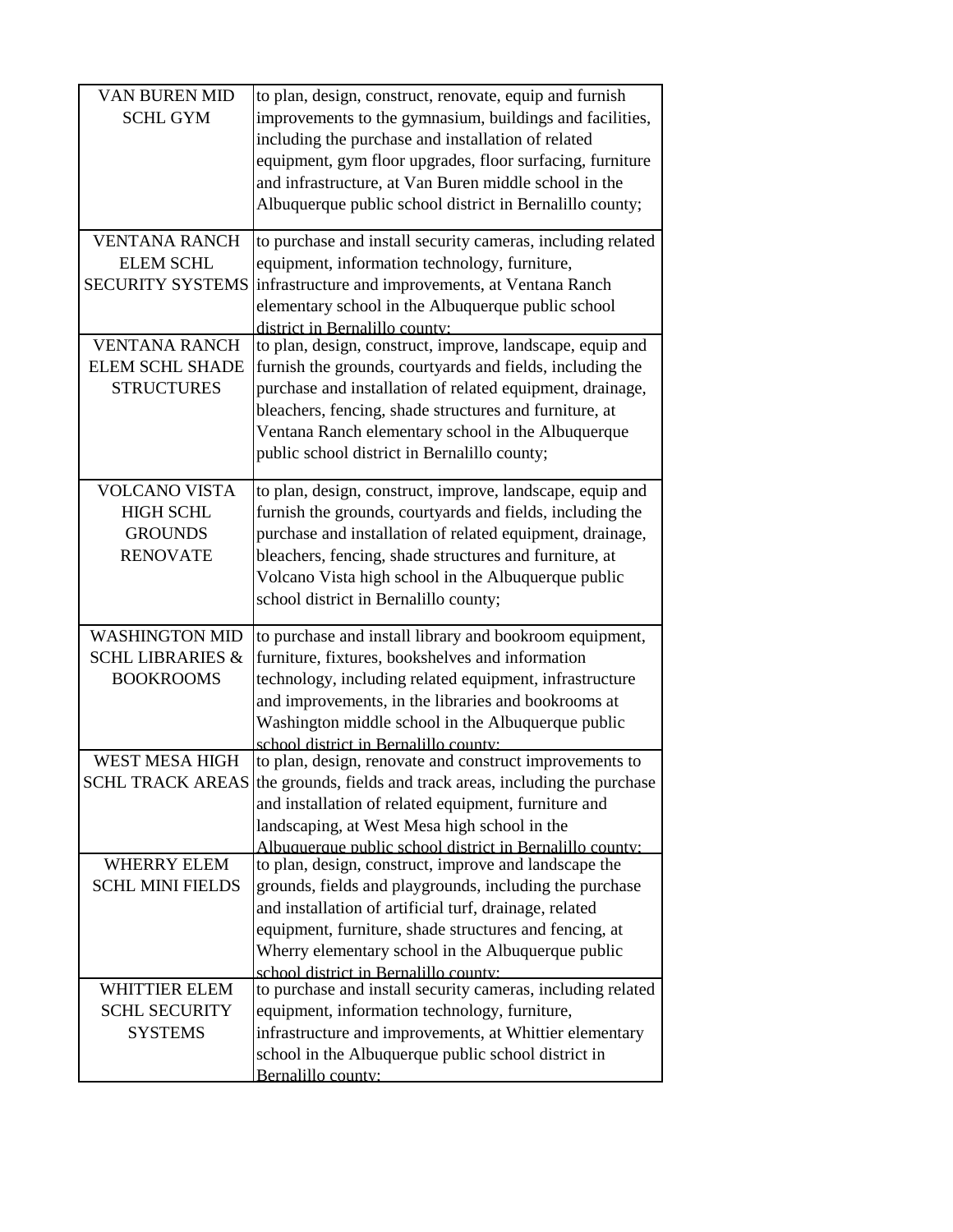| <b>VAN BUREN MID</b><br><b>SCHL GYM</b>                                       | to plan, design, construct, renovate, equip and furnish<br>improvements to the gymnasium, buildings and facilities,<br>including the purchase and installation of related<br>equipment, gym floor upgrades, floor surfacing, furniture<br>and infrastructure, at Van Buren middle school in the<br>Albuquerque public school district in Bernalillo county; |
|-------------------------------------------------------------------------------|-------------------------------------------------------------------------------------------------------------------------------------------------------------------------------------------------------------------------------------------------------------------------------------------------------------------------------------------------------------|
| <b>VENTANA RANCH</b><br><b>ELEM SCHL</b><br><b>SECURITY SYSTEMS</b>           | to purchase and install security cameras, including related<br>equipment, information technology, furniture,<br>infrastructure and improvements, at Ventana Ranch<br>elementary school in the Albuquerque public school<br>district in Bernalillo county:                                                                                                   |
| <b>VENTANA RANCH</b><br><b>ELEM SCHL SHADE</b><br><b>STRUCTURES</b>           | to plan, design, construct, improve, landscape, equip and<br>furnish the grounds, courtyards and fields, including the<br>purchase and installation of related equipment, drainage,<br>bleachers, fencing, shade structures and furniture, at<br>Ventana Ranch elementary school in the Albuquerque<br>public school district in Bernalillo county;         |
| <b>VOLCANO VISTA</b><br><b>HIGH SCHL</b><br><b>GROUNDS</b><br><b>RENOVATE</b> | to plan, design, construct, improve, landscape, equip and<br>furnish the grounds, courtyards and fields, including the<br>purchase and installation of related equipment, drainage,<br>bleachers, fencing, shade structures and furniture, at<br>Volcano Vista high school in the Albuquerque public<br>school district in Bernalillo county;               |
| <b>WASHINGTON MID</b><br><b>SCHL LIBRARIES &amp;</b><br><b>BOOKROOMS</b>      | to purchase and install library and bookroom equipment,<br>furniture, fixtures, bookshelves and information<br>technology, including related equipment, infrastructure<br>and improvements, in the libraries and bookrooms at<br>Washington middle school in the Albuquerque public<br>school district in Bernalillo county.                                |
| <b>WEST MESA HIGH</b>                                                         | to plan, design, renovate and construct improvements to<br>SCHL TRACK AREAS the grounds, fields and track areas, including the purchase<br>and installation of related equipment, furniture and<br>landscaping, at West Mesa high school in the<br>Albuquerque public school district in Bernalillo county:                                                 |
| <b>WHERRY ELEM</b><br><b>SCHL MINI FIELDS</b>                                 | to plan, design, construct, improve and landscape the<br>grounds, fields and playgrounds, including the purchase<br>and installation of artificial turf, drainage, related<br>equipment, furniture, shade structures and fencing, at<br>Wherry elementary school in the Albuquerque public<br>school district in Bernalillo county:                         |
| <b>WHITTIER ELEM</b><br><b>SCHL SECURITY</b><br><b>SYSTEMS</b>                | to purchase and install security cameras, including related<br>equipment, information technology, furniture,<br>infrastructure and improvements, at Whittier elementary<br>school in the Albuquerque public school district in<br>Bernalillo county:                                                                                                        |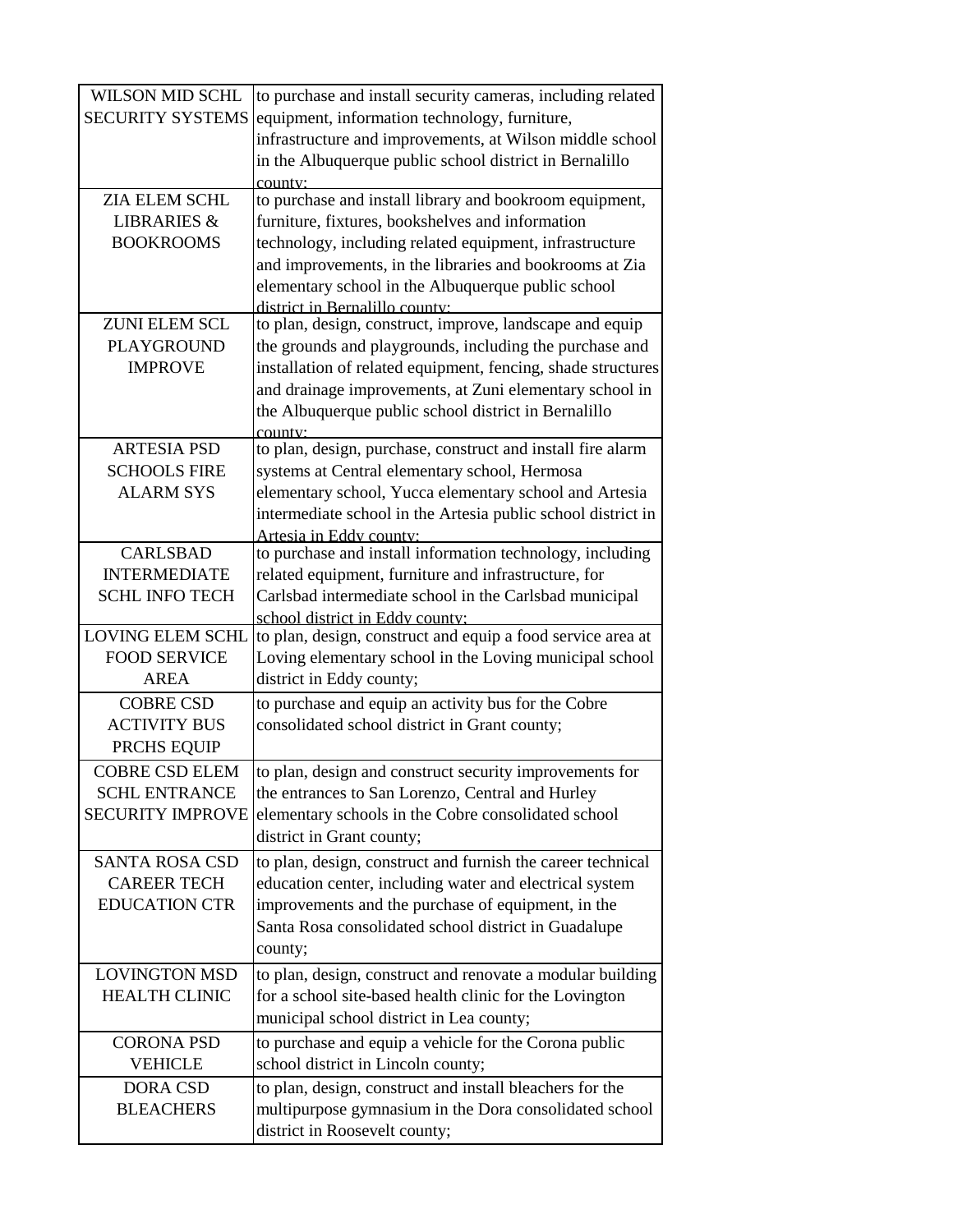| <b>WILSON MID SCHL</b>  | to purchase and install security cameras, including related                                          |
|-------------------------|------------------------------------------------------------------------------------------------------|
| <b>SECURITY SYSTEMS</b> | equipment, information technology, furniture,                                                        |
|                         | infrastructure and improvements, at Wilson middle school                                             |
|                         | in the Albuquerque public school district in Bernalillo                                              |
|                         | county:                                                                                              |
| ZIA ELEM SCHL           | to purchase and install library and bookroom equipment,                                              |
| <b>LIBRARIES &amp;</b>  | furniture, fixtures, bookshelves and information                                                     |
| <b>BOOKROOMS</b>        | technology, including related equipment, infrastructure                                              |
|                         | and improvements, in the libraries and bookrooms at Zia                                              |
|                         | elementary school in the Albuquerque public school                                                   |
| <b>ZUNI ELEM SCL</b>    | district in Bernalillo county:<br>to plan, design, construct, improve, landscape and equip           |
| <b>PLAYGROUND</b>       | the grounds and playgrounds, including the purchase and                                              |
| <b>IMPROVE</b>          | installation of related equipment, fencing, shade structures                                         |
|                         | and drainage improvements, at Zuni elementary school in                                              |
|                         | the Albuquerque public school district in Bernalillo                                                 |
|                         | $\text{conv}(\mathbf{v})$                                                                            |
| <b>ARTESIA PSD</b>      | to plan, design, purchase, construct and install fire alarm                                          |
| <b>SCHOOLS FIRE</b>     | systems at Central elementary school, Hermosa                                                        |
| <b>ALARM SYS</b>        | elementary school, Yucca elementary school and Artesia                                               |
|                         | intermediate school in the Artesia public school district in                                         |
|                         | Artesia in Eddy county:                                                                              |
| <b>CARLSBAD</b>         | to purchase and install information technology, including                                            |
| <b>INTERMEDIATE</b>     | related equipment, furniture and infrastructure, for                                                 |
| <b>SCHL INFO TECH</b>   | Carlsbad intermediate school in the Carlsbad municipal                                               |
| <b>LOVING ELEM SCHL</b> | school district in Eddy county:                                                                      |
| <b>FOOD SERVICE</b>     | to plan, design, construct and equip a food service area at                                          |
| <b>AREA</b>             | Loving elementary school in the Loving municipal school<br>district in Eddy county;                  |
| <b>COBRE CSD</b>        |                                                                                                      |
| <b>ACTIVITY BUS</b>     | to purchase and equip an activity bus for the Cobre<br>consolidated school district in Grant county; |
| PRCHS EQUIP             |                                                                                                      |
| <b>COBRE CSD ELEM</b>   | to plan, design and construct security improvements for                                              |
| <b>SCHL ENTRANCE</b>    | the entrances to San Lorenzo, Central and Hurley                                                     |
| <b>SECURITY IMPROVE</b> | elementary schools in the Cobre consolidated school                                                  |
|                         | district in Grant county;                                                                            |
| <b>SANTA ROSA CSD</b>   | to plan, design, construct and furnish the career technical                                          |
| <b>CAREER TECH</b>      | education center, including water and electrical system                                              |
| <b>EDUCATION CTR</b>    | improvements and the purchase of equipment, in the                                                   |
|                         | Santa Rosa consolidated school district in Guadalupe                                                 |
|                         | county;                                                                                              |
| <b>LOVINGTON MSD</b>    | to plan, design, construct and renovate a modular building                                           |
| <b>HEALTH CLINIC</b>    | for a school site-based health clinic for the Lovington                                              |
|                         | municipal school district in Lea county;                                                             |
| <b>CORONA PSD</b>       | to purchase and equip a vehicle for the Corona public                                                |
| <b>VEHICLE</b>          | school district in Lincoln county;                                                                   |
| <b>DORA CSD</b>         | to plan, design, construct and install bleachers for the                                             |
| <b>BLEACHERS</b>        | multipurpose gymnasium in the Dora consolidated school                                               |
|                         | district in Roosevelt county;                                                                        |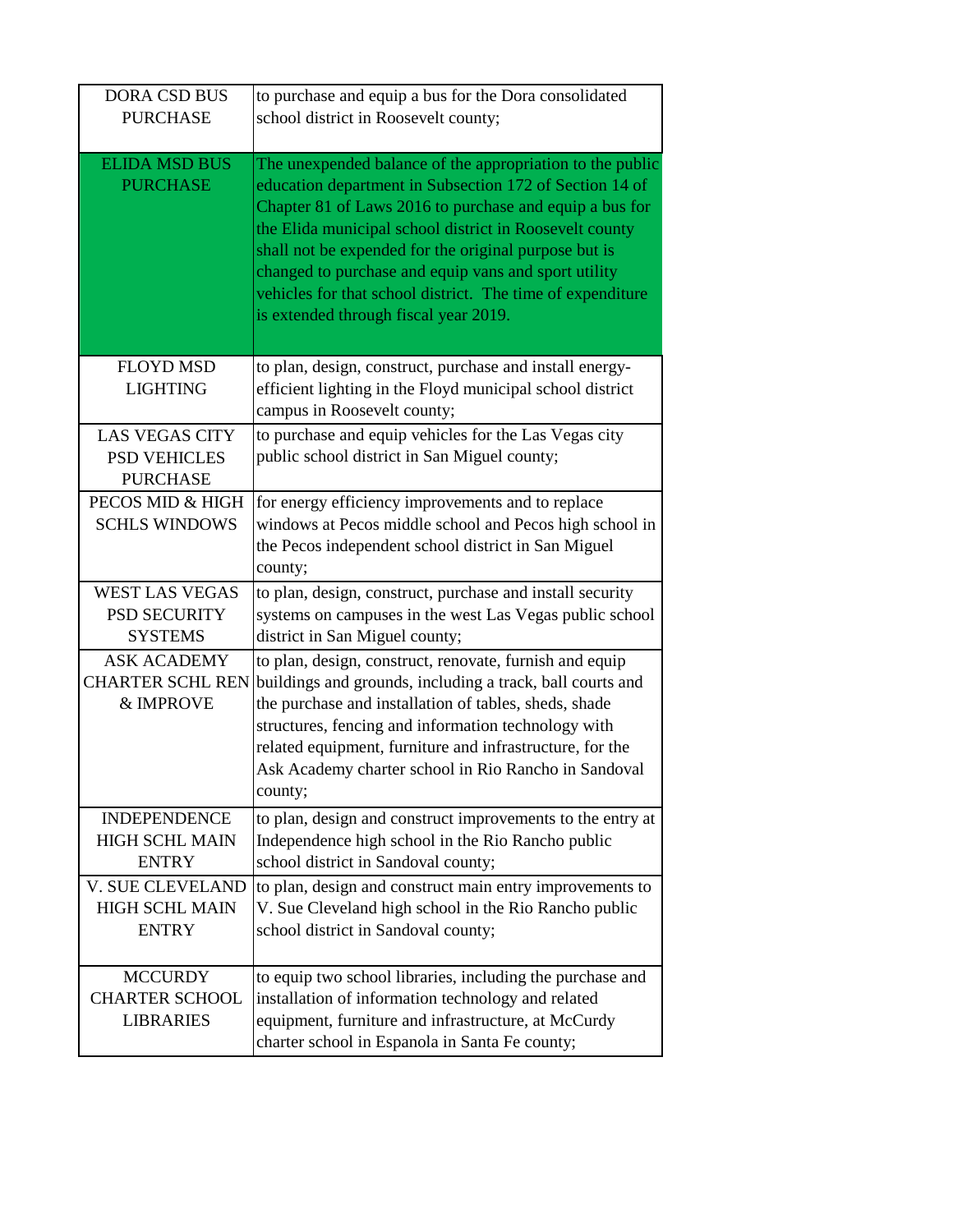| <b>DORA CSD BUS</b>                                              | to purchase and equip a bus for the Dora consolidated                                                                                                                                                                                                                                                                                                                                                                                                              |
|------------------------------------------------------------------|--------------------------------------------------------------------------------------------------------------------------------------------------------------------------------------------------------------------------------------------------------------------------------------------------------------------------------------------------------------------------------------------------------------------------------------------------------------------|
| <b>PURCHASE</b>                                                  | school district in Roosevelt county;                                                                                                                                                                                                                                                                                                                                                                                                                               |
| <b>ELIDA MSD BUS</b><br><b>PURCHASE</b>                          | The unexpended balance of the appropriation to the public<br>education department in Subsection 172 of Section 14 of<br>Chapter 81 of Laws 2016 to purchase and equip a bus for<br>the Elida municipal school district in Roosevelt county<br>shall not be expended for the original purpose but is<br>changed to purchase and equip vans and sport utility<br>vehicles for that school district. The time of expenditure<br>is extended through fiscal year 2019. |
| <b>FLOYD MSD</b><br><b>LIGHTING</b>                              | to plan, design, construct, purchase and install energy-<br>efficient lighting in the Floyd municipal school district<br>campus in Roosevelt county;                                                                                                                                                                                                                                                                                                               |
| <b>LAS VEGAS CITY</b><br><b>PSD VEHICLES</b><br><b>PURCHASE</b>  | to purchase and equip vehicles for the Las Vegas city<br>public school district in San Miguel county;                                                                                                                                                                                                                                                                                                                                                              |
| PECOS MID & HIGH<br><b>SCHLS WINDOWS</b>                         | for energy efficiency improvements and to replace<br>windows at Pecos middle school and Pecos high school in<br>the Pecos independent school district in San Miguel<br>county;                                                                                                                                                                                                                                                                                     |
| <b>WEST LAS VEGAS</b><br><b>PSD SECURITY</b><br><b>SYSTEMS</b>   | to plan, design, construct, purchase and install security<br>systems on campuses in the west Las Vegas public school<br>district in San Miguel county;                                                                                                                                                                                                                                                                                                             |
| <b>ASK ACADEMY</b><br><b>CHARTER SCHL REN</b><br>& IMPROVE       | to plan, design, construct, renovate, furnish and equip<br>buildings and grounds, including a track, ball courts and<br>the purchase and installation of tables, sheds, shade<br>structures, fencing and information technology with<br>related equipment, furniture and infrastructure, for the<br>Ask Academy charter school in Rio Rancho in Sandoval<br>county;                                                                                                |
| <b>INDEPENDENCE</b><br><b>HIGH SCHL MAIN</b><br><b>ENTRY</b>     | to plan, design and construct improvements to the entry at<br>Independence high school in the Rio Rancho public<br>school district in Sandoval county;                                                                                                                                                                                                                                                                                                             |
| <b>V. SUE CLEVELAND</b><br><b>HIGH SCHL MAIN</b><br><b>ENTRY</b> | to plan, design and construct main entry improvements to<br>V. Sue Cleveland high school in the Rio Rancho public<br>school district in Sandoval county;                                                                                                                                                                                                                                                                                                           |
| <b>MCCURDY</b><br><b>CHARTER SCHOOL</b><br><b>LIBRARIES</b>      | to equip two school libraries, including the purchase and<br>installation of information technology and related<br>equipment, furniture and infrastructure, at McCurdy<br>charter school in Espanola in Santa Fe county;                                                                                                                                                                                                                                           |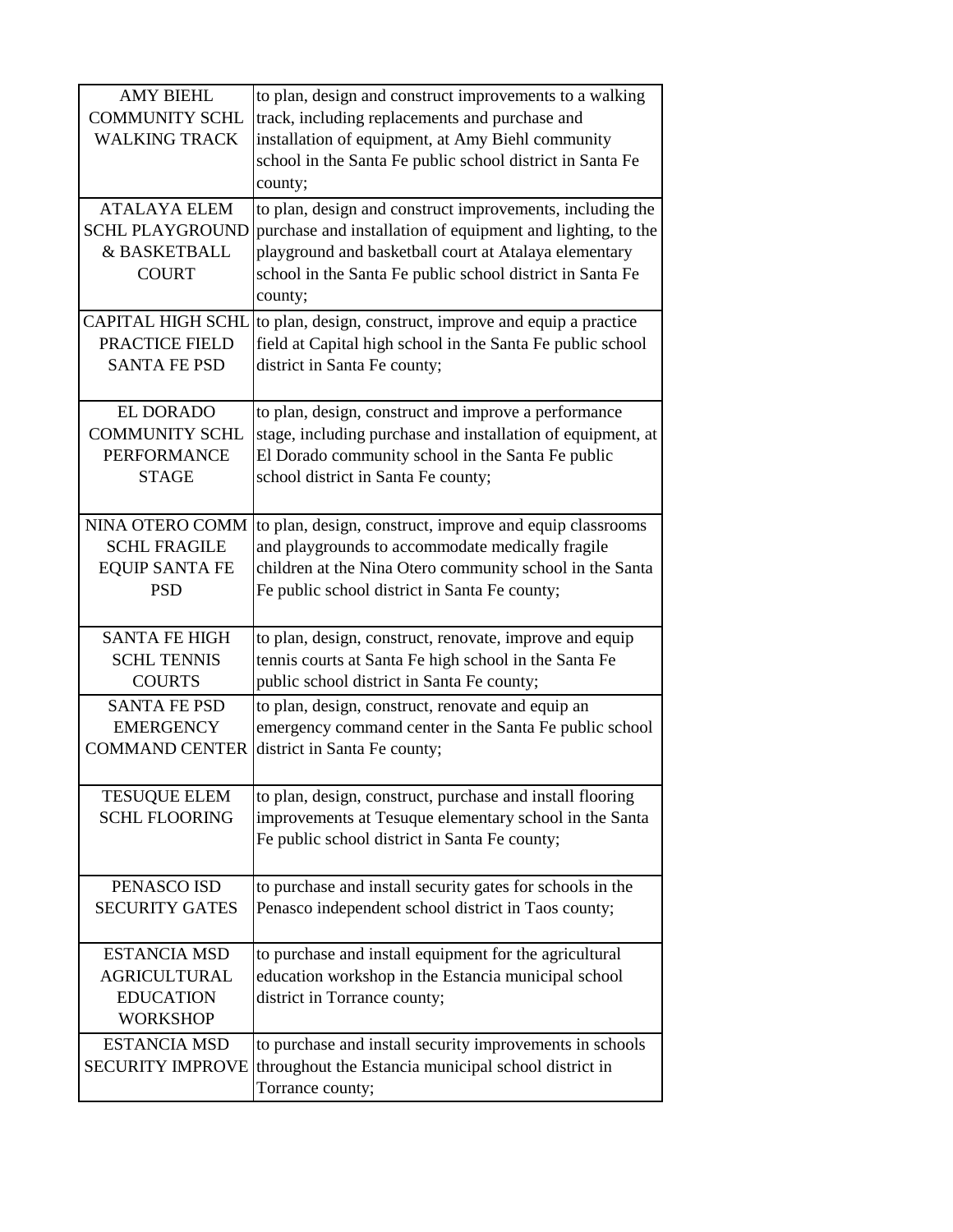| <b>AMY BIEHL</b><br><b>COMMUNITY SCHL</b><br><b>WALKING TRACK</b>                 | to plan, design and construct improvements to a walking<br>track, including replacements and purchase and<br>installation of equipment, at Amy Biehl community<br>school in the Santa Fe public school district in Santa Fe<br>county;                    |
|-----------------------------------------------------------------------------------|-----------------------------------------------------------------------------------------------------------------------------------------------------------------------------------------------------------------------------------------------------------|
| <b>ATALAYA ELEM</b><br><b>SCHL PLAYGROUND</b><br>& BASKETBALL<br><b>COURT</b>     | to plan, design and construct improvements, including the<br>purchase and installation of equipment and lighting, to the<br>playground and basketball court at Atalaya elementary<br>school in the Santa Fe public school district in Santa Fe<br>county; |
| <b>CAPITAL HIGH SCHL</b>                                                          | to plan, design, construct, improve and equip a practice                                                                                                                                                                                                  |
| PRACTICE FIELD                                                                    | field at Capital high school in the Santa Fe public school                                                                                                                                                                                                |
| <b>SANTA FE PSD</b>                                                               | district in Santa Fe county;                                                                                                                                                                                                                              |
| <b>EL DORADO</b>                                                                  | to plan, design, construct and improve a performance                                                                                                                                                                                                      |
| <b>COMMUNITY SCHL</b>                                                             | stage, including purchase and installation of equipment, at                                                                                                                                                                                               |
| <b>PERFORMANCE</b>                                                                | El Dorado community school in the Santa Fe public                                                                                                                                                                                                         |
| <b>STAGE</b>                                                                      | school district in Santa Fe county;                                                                                                                                                                                                                       |
| NINA OTERO COMM                                                                   | to plan, design, construct, improve and equip classrooms                                                                                                                                                                                                  |
| <b>SCHL FRAGILE</b>                                                               | and playgrounds to accommodate medically fragile                                                                                                                                                                                                          |
| <b>EQUIP SANTA FE</b>                                                             | children at the Nina Otero community school in the Santa                                                                                                                                                                                                  |
| <b>PSD</b>                                                                        | Fe public school district in Santa Fe county;                                                                                                                                                                                                             |
| <b>SANTA FE HIGH</b>                                                              | to plan, design, construct, renovate, improve and equip                                                                                                                                                                                                   |
| <b>SCHL TENNIS</b>                                                                | tennis courts at Santa Fe high school in the Santa Fe                                                                                                                                                                                                     |
| <b>COURTS</b>                                                                     | public school district in Santa Fe county;                                                                                                                                                                                                                |
| <b>SANTA FE PSD</b>                                                               | to plan, design, construct, renovate and equip an                                                                                                                                                                                                         |
| <b>EMERGENCY</b>                                                                  | emergency command center in the Santa Fe public school                                                                                                                                                                                                    |
| <b>COMMAND CENTER</b>                                                             | district in Santa Fe county;                                                                                                                                                                                                                              |
| <b>TESUQUE ELEM</b><br><b>SCHL FLOORING</b>                                       | to plan, design, construct, purchase and install flooring<br>improvements at Tesuque elementary school in the Santa<br>Fe public school district in Santa Fe county;                                                                                      |
| PENASCO ISD                                                                       | to purchase and install security gates for schools in the                                                                                                                                                                                                 |
| <b>SECURITY GATES</b>                                                             | Penasco independent school district in Taos county;                                                                                                                                                                                                       |
| <b>ESTANCIA MSD</b><br><b>AGRICULTURAL</b><br><b>EDUCATION</b><br><b>WORKSHOP</b> | to purchase and install equipment for the agricultural<br>education workshop in the Estancia municipal school<br>district in Torrance county;                                                                                                             |
| <b>ESTANCIA MSD</b><br><b>SECURITY IMPROVE</b>                                    | to purchase and install security improvements in schools<br>throughout the Estancia municipal school district in<br>Torrance county;                                                                                                                      |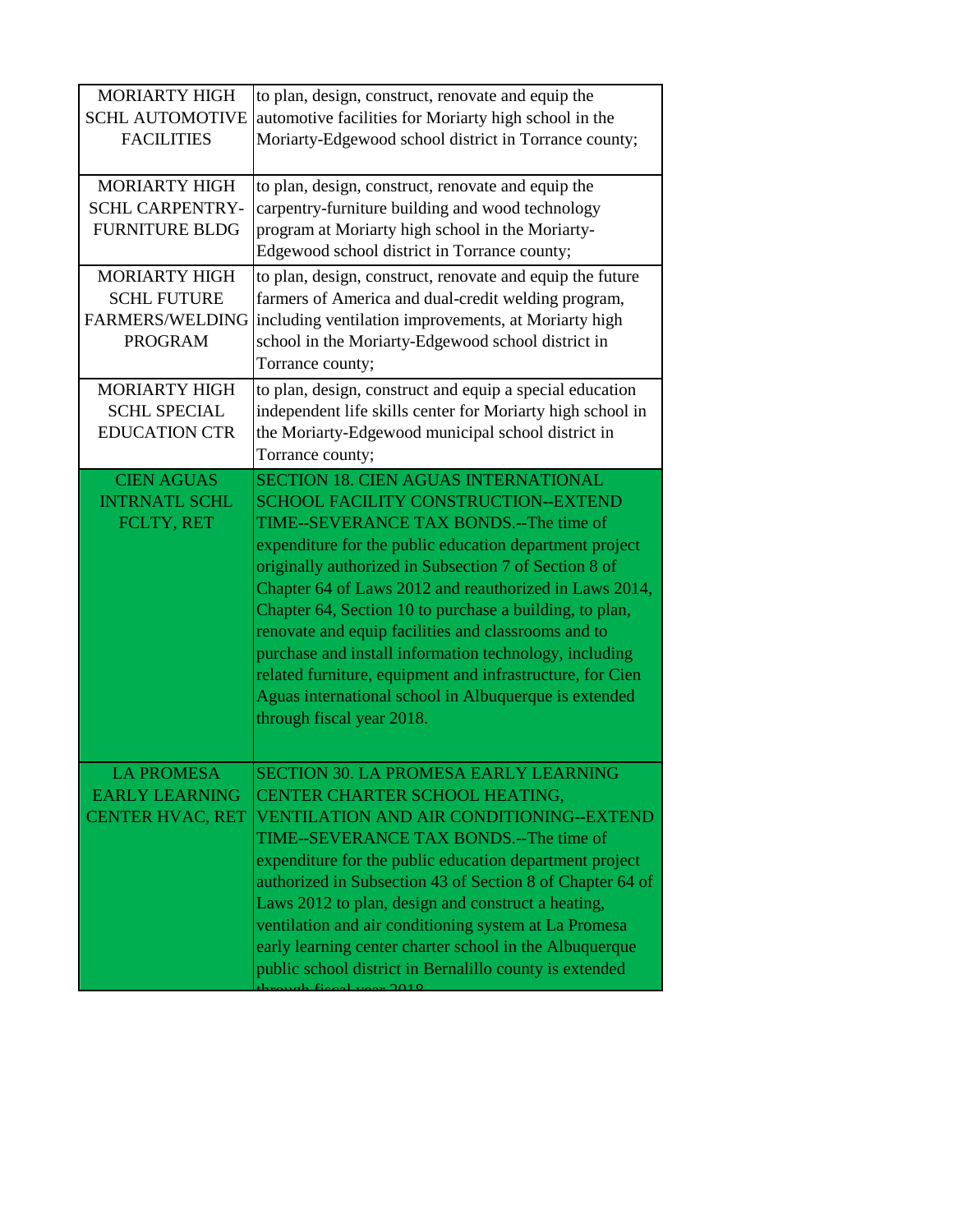| <b>MORIARTY HIGH</b><br><b>SCHL AUTOMOTIVE</b><br><b>FACILITIES</b>                    | to plan, design, construct, renovate and equip the<br>automotive facilities for Moriarty high school in the<br>Moriarty-Edgewood school district in Torrance county;                                                                                                                                                                                                                                                                                                                                                                                                                                                                               |
|----------------------------------------------------------------------------------------|----------------------------------------------------------------------------------------------------------------------------------------------------------------------------------------------------------------------------------------------------------------------------------------------------------------------------------------------------------------------------------------------------------------------------------------------------------------------------------------------------------------------------------------------------------------------------------------------------------------------------------------------------|
| <b>MORIARTY HIGH</b><br><b>SCHL CARPENTRY-</b><br><b>FURNITURE BLDG</b>                | to plan, design, construct, renovate and equip the<br>carpentry-furniture building and wood technology<br>program at Moriarty high school in the Moriarty-<br>Edgewood school district in Torrance county;                                                                                                                                                                                                                                                                                                                                                                                                                                         |
| <b>MORIARTY HIGH</b><br><b>SCHL FUTURE</b><br><b>FARMERS/WELDING</b><br><b>PROGRAM</b> | to plan, design, construct, renovate and equip the future<br>farmers of America and dual-credit welding program,<br>including ventilation improvements, at Moriarty high<br>school in the Moriarty-Edgewood school district in<br>Torrance county;                                                                                                                                                                                                                                                                                                                                                                                                 |
| <b>MORIARTY HIGH</b><br><b>SCHL SPECIAL</b><br><b>EDUCATION CTR</b>                    | to plan, design, construct and equip a special education<br>independent life skills center for Moriarty high school in<br>the Moriarty-Edgewood municipal school district in<br>Torrance county;                                                                                                                                                                                                                                                                                                                                                                                                                                                   |
| <b>CIEN AGUAS</b><br><b>INTRNATL SCHL</b><br>FCLTY, RET                                | <b>SECTION 18. CIEN AGUAS INTERNATIONAL</b><br><b>SCHOOL FACILITY CONSTRUCTION--EXTEND</b><br>TIME--SEVERANCE TAX BONDS.--The time of<br>expenditure for the public education department project<br>originally authorized in Subsection 7 of Section 8 of<br>Chapter 64 of Laws 2012 and reauthorized in Laws 2014,<br>Chapter 64, Section 10 to purchase a building, to plan,<br>renovate and equip facilities and classrooms and to<br>purchase and install information technology, including<br>related furniture, equipment and infrastructure, for Cien<br>Aguas international school in Albuquerque is extended<br>through fiscal year 2018. |
| <b>LA PROMESA</b><br><b>EARLY LEARNING</b><br><b>CENTER HVAC, RET</b>                  | SECTION 30. LA PROMESA EARLY LEARNING<br>CENTER CHARTER SCHOOL HEATING,<br><b>VENTILATION AND AIR CONDITIONING--EXTEND</b><br>TIME--SEVERANCE TAX BONDS.--The time of<br>expenditure for the public education department project<br>authorized in Subsection 43 of Section 8 of Chapter 64 of<br>Laws 2012 to plan, design and construct a heating,<br>ventilation and air conditioning system at La Promesa<br>early learning center charter school in the Albuquerque<br>public school district in Bernalillo county is extended                                                                                                                 |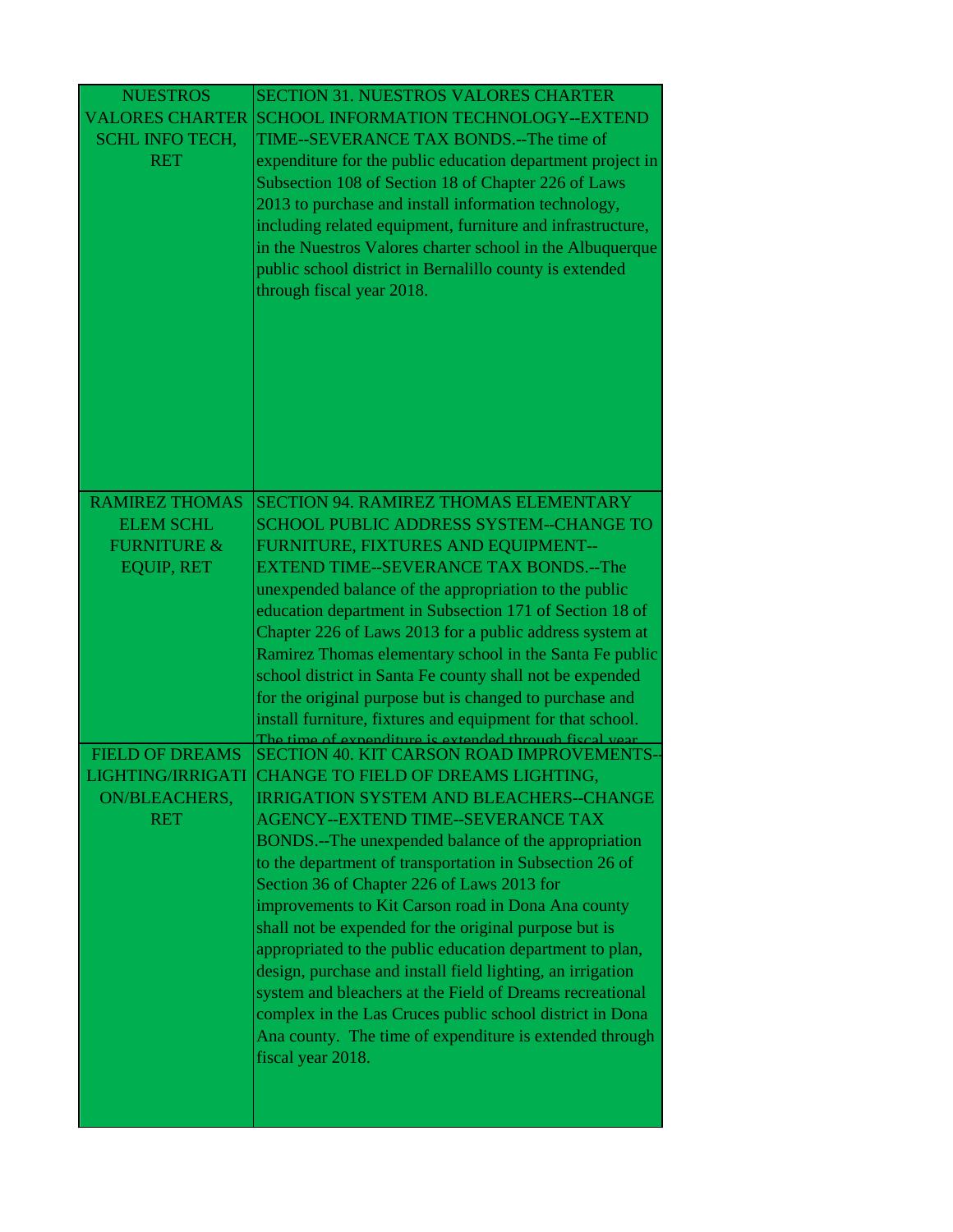| <b>NUESTROS</b>        | <b>SECTION 31. NUESTROS VALORES CHARTER</b>                                                                         |
|------------------------|---------------------------------------------------------------------------------------------------------------------|
| <b>VALORES CHARTER</b> | SCHOOL INFORMATION TECHNOLOGY--EXTEND                                                                               |
| <b>SCHL INFO TECH,</b> | TIME--SEVERANCE TAX BONDS.--The time of                                                                             |
| <b>RET</b>             | expenditure for the public education department project in                                                          |
|                        | Subsection 108 of Section 18 of Chapter 226 of Laws                                                                 |
|                        | 2013 to purchase and install information technology,                                                                |
|                        | including related equipment, furniture and infrastructure,                                                          |
|                        | in the Nuestros Valores charter school in the Albuquerque                                                           |
|                        | public school district in Bernalillo county is extended                                                             |
|                        | through fiscal year 2018.                                                                                           |
|                        |                                                                                                                     |
|                        |                                                                                                                     |
|                        |                                                                                                                     |
|                        |                                                                                                                     |
|                        |                                                                                                                     |
|                        |                                                                                                                     |
|                        |                                                                                                                     |
|                        |                                                                                                                     |
| <b>RAMIREZ THOMAS</b>  | <b>SECTION 94. RAMIREZ THOMAS ELEMENTARY</b>                                                                        |
| <b>ELEM SCHL</b>       | <b>SCHOOL PUBLIC ADDRESS SYSTEM--CHANGE TO</b>                                                                      |
| <b>FURNITURE &amp;</b> | FURNITURE, FIXTURES AND EQUIPMENT--                                                                                 |
| <b>EQUIP, RET</b>      | <b>EXTEND TIME--SEVERANCE TAX BONDS.--The</b>                                                                       |
|                        | unexpended balance of the appropriation to the public                                                               |
|                        | education department in Subsection 171 of Section 18 of                                                             |
|                        | Chapter 226 of Laws 2013 for a public address system at                                                             |
|                        | Ramirez Thomas elementary school in the Santa Fe public<br>school district in Santa Fe county shall not be expended |
|                        | for the original purpose but is changed to purchase and                                                             |
|                        | install furniture, fixtures and equipment for that school.                                                          |
|                        | The time of expenditure is extended through fiscal year                                                             |
| <b>FIELD OF DREAMS</b> | SECTION 40. KIT CARSON ROAD IMPROVEMENTS-                                                                           |
| LIGHTING/IRRIGATI      | CHANGE TO FIELD OF DREAMS LIGHTING.                                                                                 |
| <b>ON/BLEACHERS,</b>   | <b>IRRIGATION SYSTEM AND BLEACHERS--CHANGE</b>                                                                      |
| <b>RET</b>             | AGENCY--EXTEND TIME--SEVERANCE TAX                                                                                  |
|                        | BONDS.--The unexpended balance of the appropriation                                                                 |
|                        | to the department of transportation in Subsection 26 of                                                             |
|                        | Section 36 of Chapter 226 of Laws 2013 for<br>improvements to Kit Carson road in Dona Ana county                    |
|                        | shall not be expended for the original purpose but is                                                               |
|                        | appropriated to the public education department to plan,                                                            |
|                        | design, purchase and install field lighting, an irrigation                                                          |
|                        | system and bleachers at the Field of Dreams recreational                                                            |
|                        | complex in the Las Cruces public school district in Dona                                                            |
|                        | Ana county. The time of expenditure is extended through                                                             |
|                        | fiscal year 2018.                                                                                                   |
|                        |                                                                                                                     |
|                        |                                                                                                                     |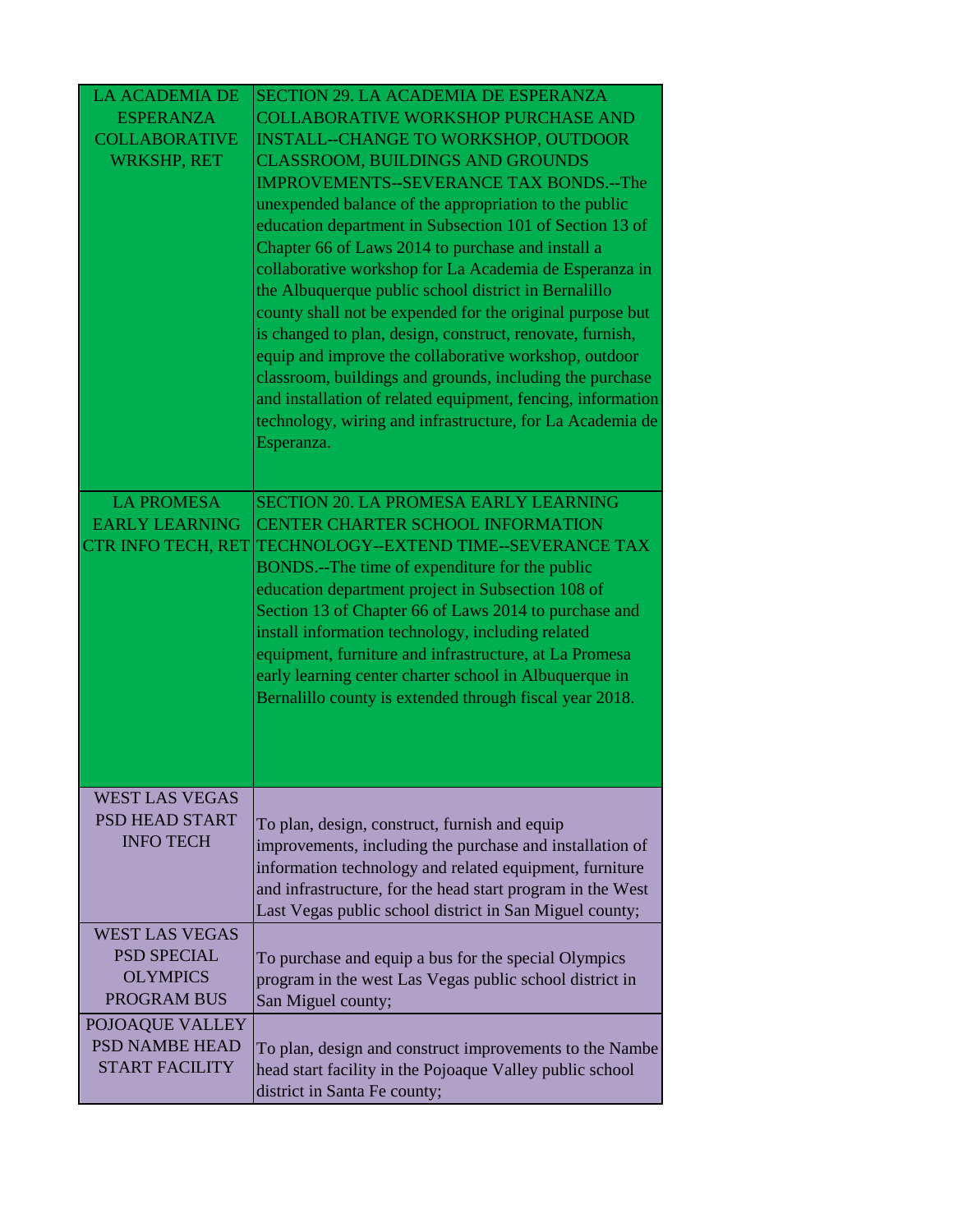| <b>LA ACADEMIA DE</b><br><b>ESPERANZA</b><br><b>COLLABORATIVE</b><br><b>WRKSHP, RET</b> | <b>SECTION 29. LA ACADEMIA DE ESPERANZA</b><br><b>COLLABORATIVE WORKSHOP PURCHASE AND</b><br><b>INSTALL--CHANGE TO WORKSHOP, OUTDOOR</b><br><b>CLASSROOM, BUILDINGS AND GROUNDS</b><br><b>IMPROVEMENTS--SEVERANCE TAX BONDS.--The</b><br>unexpended balance of the appropriation to the public<br>education department in Subsection 101 of Section 13 of<br>Chapter 66 of Laws 2014 to purchase and install a<br>collaborative workshop for La Academia de Esperanza in<br>the Albuquerque public school district in Bernalillo<br>county shall not be expended for the original purpose but<br>is changed to plan, design, construct, renovate, furnish,<br>equip and improve the collaborative workshop, outdoor<br>classroom, buildings and grounds, including the purchase<br>and installation of related equipment, fencing, information<br>technology, wiring and infrastructure, for La Academia de<br>Esperanza. |  |
|-----------------------------------------------------------------------------------------|---------------------------------------------------------------------------------------------------------------------------------------------------------------------------------------------------------------------------------------------------------------------------------------------------------------------------------------------------------------------------------------------------------------------------------------------------------------------------------------------------------------------------------------------------------------------------------------------------------------------------------------------------------------------------------------------------------------------------------------------------------------------------------------------------------------------------------------------------------------------------------------------------------------------------|--|
| <b>LA PROMESA</b><br><b>EARLY LEARNING</b><br><b>CTR INFO TECH, RET</b>                 | <b>SECTION 20. LA PROMESA EARLY LEARNING</b><br>CENTER CHARTER SCHOOL INFORMATION<br>TECHNOLOGY--EXTEND TIME--SEVERANCE TAX<br>BONDS.--The time of expenditure for the public<br>education department project in Subsection 108 of<br>Section 13 of Chapter 66 of Laws 2014 to purchase and<br>install information technology, including related<br>equipment, furniture and infrastructure, at La Promesa                                                                                                                                                                                                                                                                                                                                                                                                                                                                                                                |  |
|                                                                                         | early learning center charter school in Albuquerque in<br>Bernalillo county is extended through fiscal year 2018.                                                                                                                                                                                                                                                                                                                                                                                                                                                                                                                                                                                                                                                                                                                                                                                                         |  |
| <b>WEST LAS VEGAS</b><br>PSD HEAD START<br><b>INFO TECH</b>                             | To plan, design, construct, furnish and equip<br>improvements, including the purchase and installation of<br>information technology and related equipment, furniture<br>and infrastructure, for the head start program in the West<br>Last Vegas public school district in San Miguel county;                                                                                                                                                                                                                                                                                                                                                                                                                                                                                                                                                                                                                             |  |
| <b>WEST LAS VEGAS</b><br><b>PSD SPECIAL</b><br><b>OLYMPICS</b><br>PROGRAM BUS           | To purchase and equip a bus for the special Olympics<br>program in the west Las Vegas public school district in<br>San Miguel county;                                                                                                                                                                                                                                                                                                                                                                                                                                                                                                                                                                                                                                                                                                                                                                                     |  |
| POJOAQUE VALLEY<br><b>PSD NAMBE HEAD</b><br><b>START FACILITY</b>                       | To plan, design and construct improvements to the Nambe<br>head start facility in the Pojoaque Valley public school<br>district in Santa Fe county;                                                                                                                                                                                                                                                                                                                                                                                                                                                                                                                                                                                                                                                                                                                                                                       |  |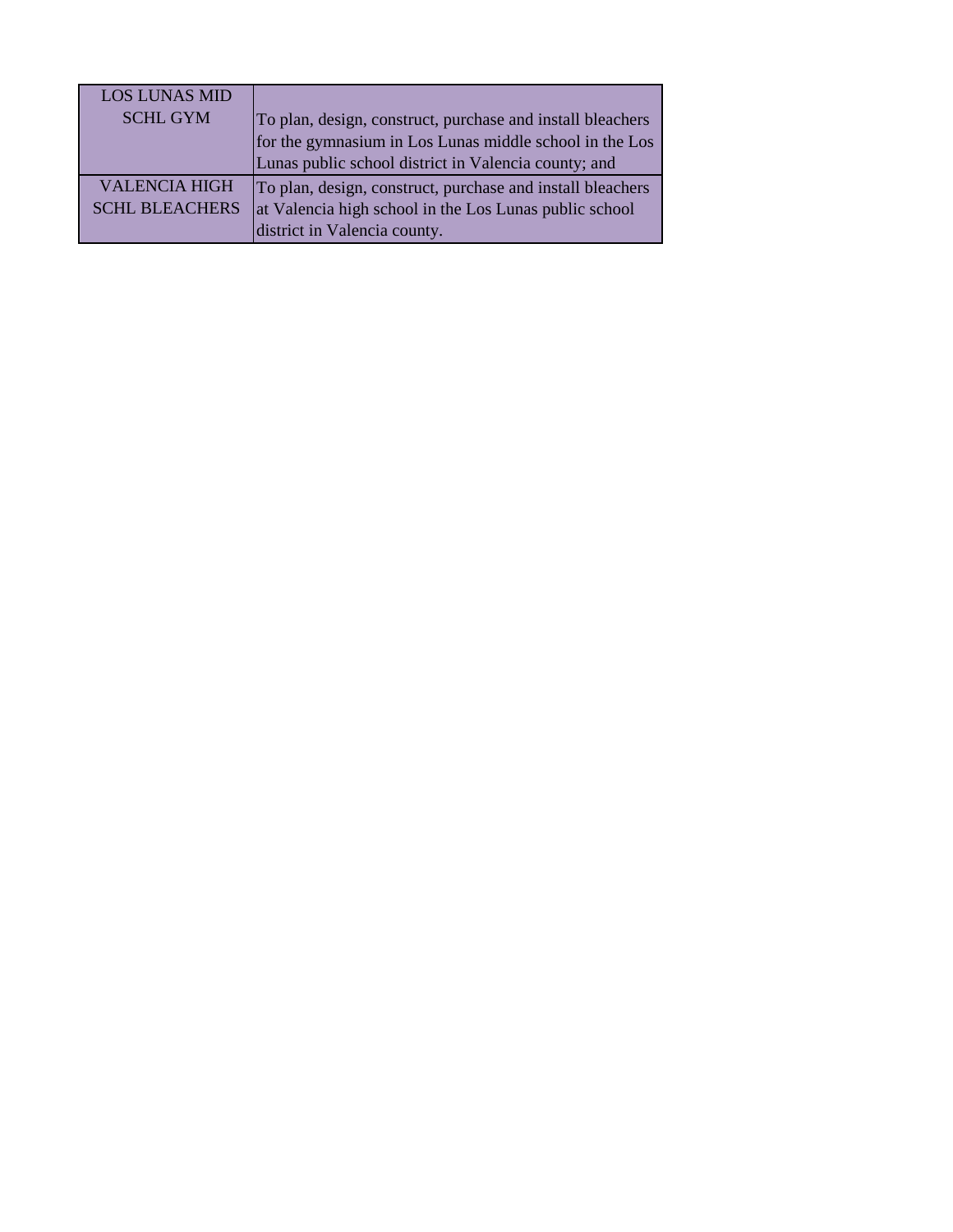| <b>LOS LUNAS MID</b>                          | To plan, design, construct, purchase and install bleachers<br>for the gymnasium in Los Lunas middle school in the Los                                |
|-----------------------------------------------|------------------------------------------------------------------------------------------------------------------------------------------------------|
| <b>SCHL GYM</b>                               | Lunas public school district in Valencia county; and                                                                                                 |
| <b>VALENCIA HIGH</b><br><b>SCHL BLEACHERS</b> | To plan, design, construct, purchase and install bleachers<br>at Valencia high school in the Los Lunas public school<br>district in Valencia county. |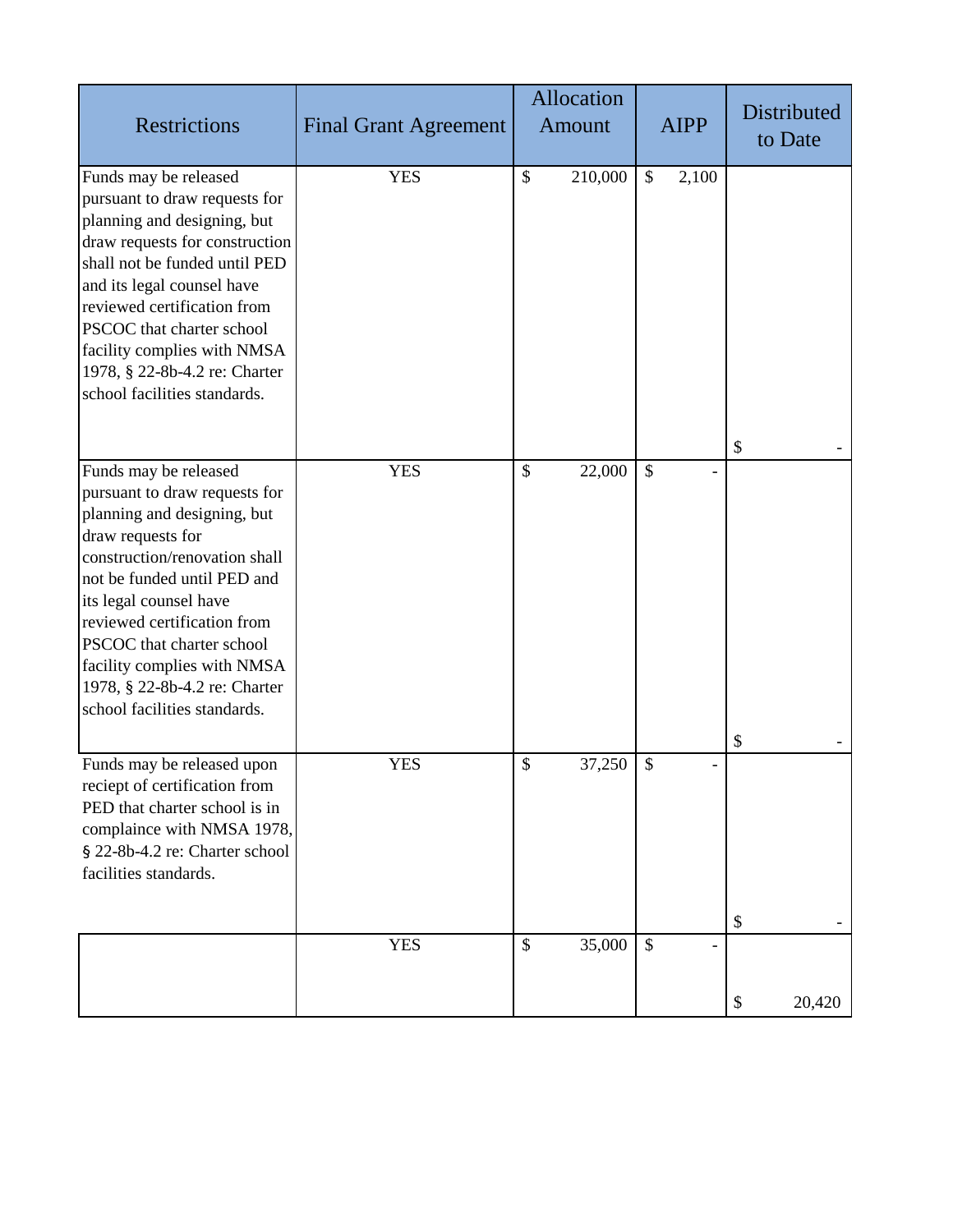| <b>Restrictions</b>                                                                                                                                                                                                                                                                                                                                              | <b>Final Grant Agreement</b> | Allocation<br>Amount   | <b>AIPP</b>   | Distributed<br>to Date |
|------------------------------------------------------------------------------------------------------------------------------------------------------------------------------------------------------------------------------------------------------------------------------------------------------------------------------------------------------------------|------------------------------|------------------------|---------------|------------------------|
| Funds may be released<br>pursuant to draw requests for<br>planning and designing, but<br>draw requests for construction<br>shall not be funded until PED<br>and its legal counsel have<br>reviewed certification from<br>PSCOC that charter school<br>facility complies with NMSA<br>1978, § 22-8b-4.2 re: Charter<br>school facilities standards.               | <b>YES</b>                   | \$<br>210,000          | \$<br>2,100   | \$                     |
| Funds may be released<br>pursuant to draw requests for<br>planning and designing, but<br>draw requests for<br>construction/renovation shall<br>not be funded until PED and<br>its legal counsel have<br>reviewed certification from<br>PSCOC that charter school<br>facility complies with NMSA<br>1978, § 22-8b-4.2 re: Charter<br>school facilities standards. | <b>YES</b>                   | $\mathbb{S}$<br>22,000 | $\mathcal{S}$ | \$                     |
| Funds may be released upon<br>reciept of certification from<br>PED that charter school is in<br>complaince with NMSA 1978,<br>§ 22-8b-4.2 re: Charter school<br>facilities standards.                                                                                                                                                                            | <b>YES</b>                   | \$<br>37,250           | \$            | \$                     |
|                                                                                                                                                                                                                                                                                                                                                                  | <b>YES</b>                   | \$<br>35,000           | $\mathcal{S}$ | \$<br>20,420           |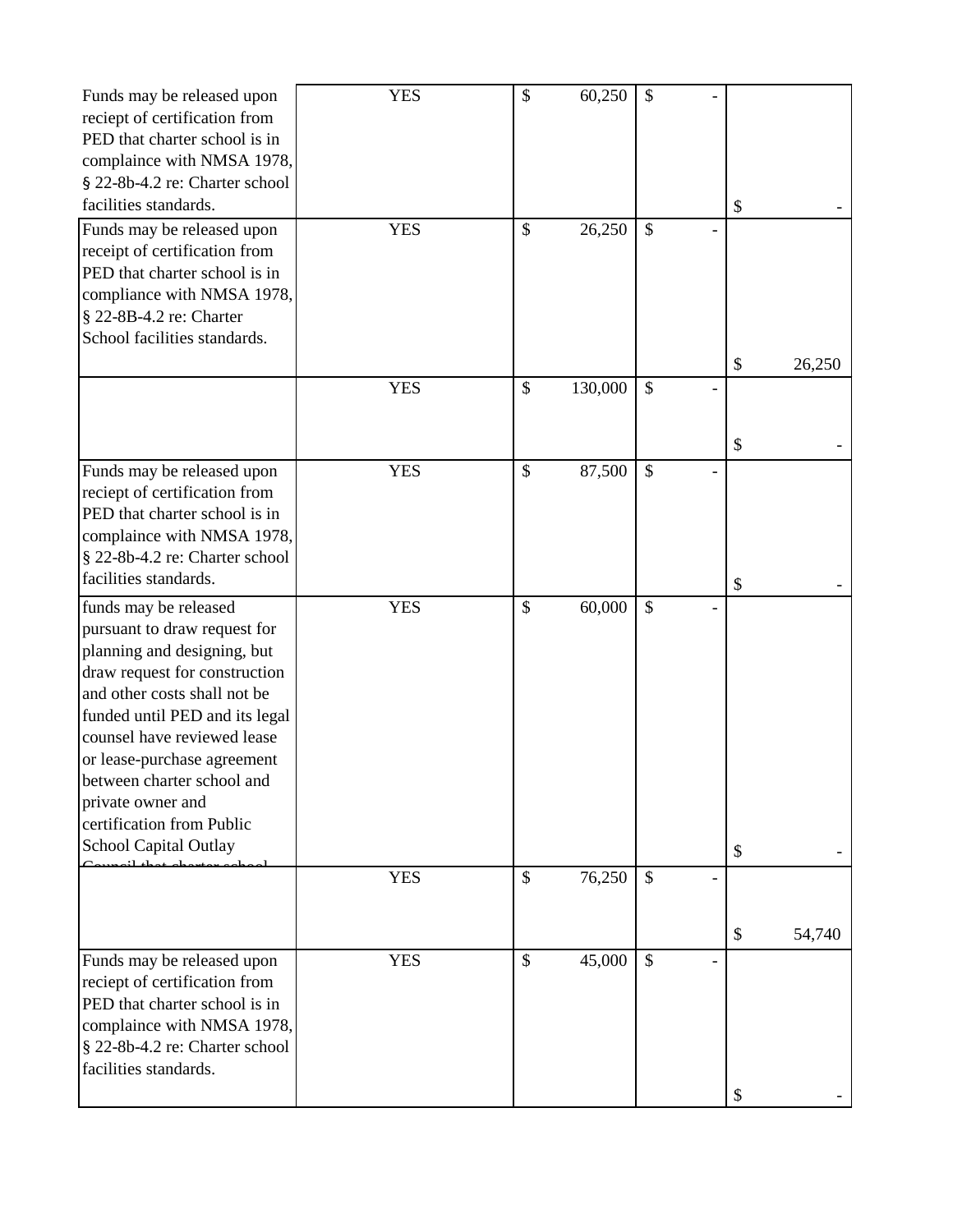| Funds may be released upon<br>reciept of certification from<br>PED that charter school is in<br>complaince with NMSA 1978,<br>§ 22-8b-4.2 re: Charter school                                                                                                                                                                                                          | <b>YES</b> | \$            | 60,250  | $\boldsymbol{\mathsf{S}}$ |    |        |
|-----------------------------------------------------------------------------------------------------------------------------------------------------------------------------------------------------------------------------------------------------------------------------------------------------------------------------------------------------------------------|------------|---------------|---------|---------------------------|----|--------|
| facilities standards.                                                                                                                                                                                                                                                                                                                                                 |            |               |         |                           | \$ |        |
| Funds may be released upon<br>receipt of certification from<br>PED that charter school is in<br>compliance with NMSA 1978,<br>§ 22-8B-4.2 re: Charter<br>School facilities standards.                                                                                                                                                                                 | <b>YES</b> | \$            | 26,250  | $\mathcal{S}$             | \$ |        |
|                                                                                                                                                                                                                                                                                                                                                                       | <b>YES</b> | $\mathcal{S}$ | 130,000 | $\mathcal{S}$             |    | 26,250 |
|                                                                                                                                                                                                                                                                                                                                                                       |            |               |         |                           |    |        |
|                                                                                                                                                                                                                                                                                                                                                                       |            |               |         |                           | \$ |        |
| Funds may be released upon<br>reciept of certification from<br>PED that charter school is in<br>complaince with NMSA 1978,<br>§ 22-8b-4.2 re: Charter school                                                                                                                                                                                                          | <b>YES</b> | $\mathcal{S}$ | 87,500  | $\mathcal{S}$             |    |        |
| facilities standards.                                                                                                                                                                                                                                                                                                                                                 |            |               |         |                           | \$ |        |
| funds may be released<br>pursuant to draw request for<br>planning and designing, but<br>draw request for construction<br>and other costs shall not be<br>funded until PED and its legal<br>counsel have reviewed lease<br>or lease-purchase agreement<br>between charter school and<br>private owner and<br>certification from Public<br><b>School Capital Outlay</b> | <b>YES</b> | \$            | 60,000  | \$                        | \$ |        |
|                                                                                                                                                                                                                                                                                                                                                                       | <b>YES</b> | $\mathcal{S}$ | 76,250  | $\mathcal{S}$             |    |        |
|                                                                                                                                                                                                                                                                                                                                                                       |            |               |         |                           | \$ | 54,740 |
| Funds may be released upon<br>reciept of certification from<br>PED that charter school is in<br>complaince with NMSA 1978,<br>§ 22-8b-4.2 re: Charter school<br>facilities standards.                                                                                                                                                                                 | <b>YES</b> | $\mathcal{S}$ | 45,000  | $\mathcal{S}$             | \$ |        |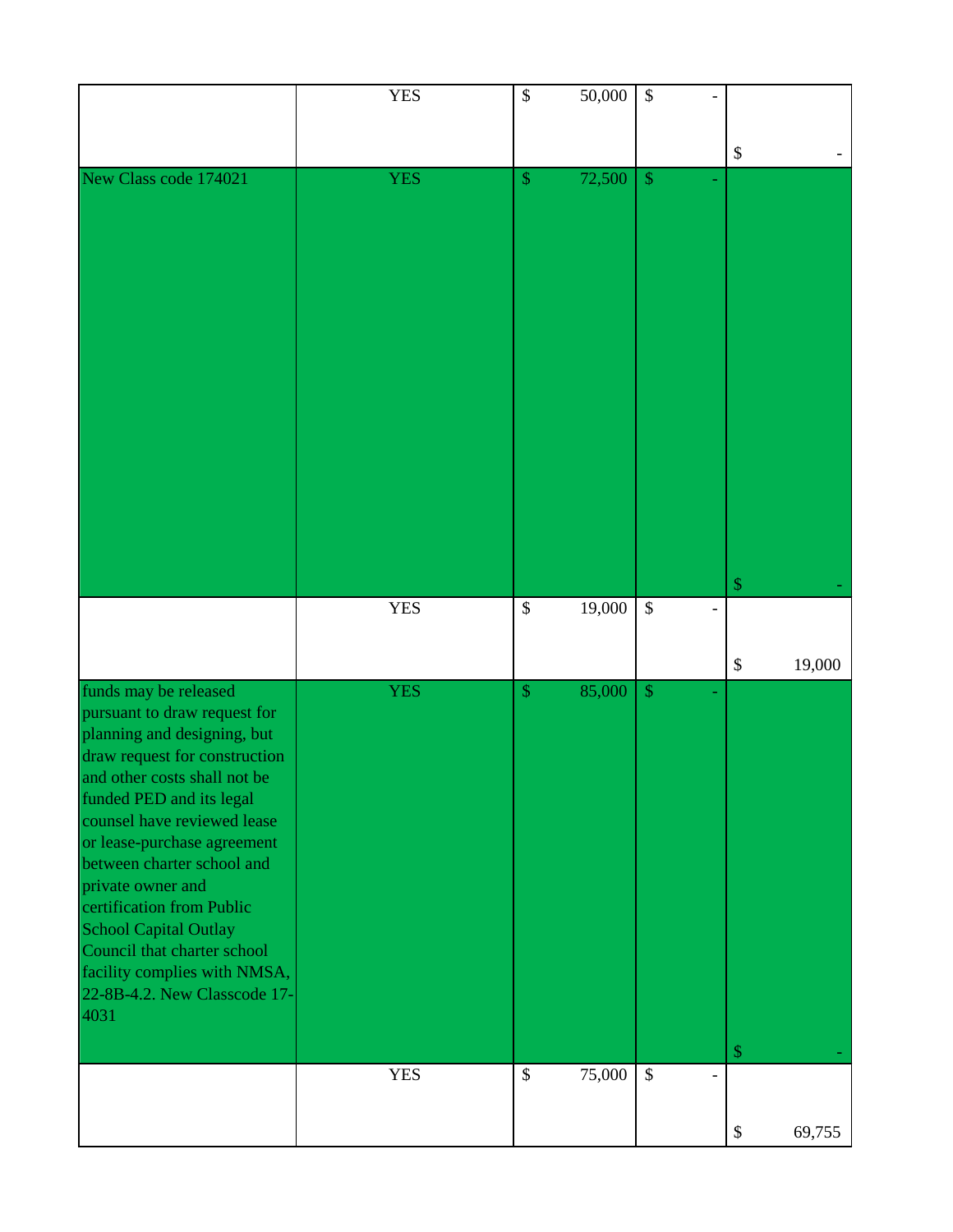|                                                               | <b>YES</b> | $\boldsymbol{\mathsf{S}}$ | 50,000 | \$            |                                     |
|---------------------------------------------------------------|------------|---------------------------|--------|---------------|-------------------------------------|
|                                                               |            |                           |        |               |                                     |
|                                                               |            |                           |        |               |                                     |
|                                                               |            |                           |        |               | $\boldsymbol{\mathsf{S}}$           |
| New Class code 174021                                         | <b>YES</b> | $\frac{1}{2}$             | 72,500 | $\$\$         |                                     |
|                                                               |            |                           |        |               |                                     |
|                                                               |            |                           |        |               |                                     |
|                                                               |            |                           |        |               |                                     |
|                                                               |            |                           |        |               |                                     |
|                                                               |            |                           |        |               |                                     |
|                                                               |            |                           |        |               |                                     |
|                                                               |            |                           |        |               |                                     |
|                                                               |            |                           |        |               |                                     |
|                                                               |            |                           |        |               |                                     |
|                                                               |            |                           |        |               |                                     |
|                                                               |            |                           |        |               |                                     |
|                                                               |            |                           |        |               |                                     |
|                                                               |            |                           |        |               |                                     |
|                                                               |            |                           |        |               |                                     |
|                                                               |            |                           |        |               |                                     |
|                                                               |            |                           |        |               |                                     |
|                                                               |            |                           |        |               |                                     |
|                                                               |            |                           |        |               |                                     |
|                                                               |            |                           |        |               |                                     |
|                                                               |            |                           |        |               |                                     |
|                                                               |            |                           |        |               |                                     |
|                                                               |            |                           |        |               |                                     |
|                                                               |            |                           |        |               |                                     |
|                                                               |            |                           |        |               | $\mathcal{S}$                       |
|                                                               | <b>YES</b> | $\boldsymbol{\mathsf{S}}$ | 19,000 | $\mathcal{S}$ |                                     |
|                                                               |            |                           |        |               |                                     |
|                                                               |            |                           |        |               |                                     |
|                                                               |            |                           |        |               |                                     |
|                                                               |            |                           |        |               | $\boldsymbol{\mathsf{S}}$<br>19,000 |
| funds may be released                                         | <b>YES</b> | $\mathcal{S}$             | 85,000 | $\mathcal{S}$ |                                     |
|                                                               |            |                           |        |               |                                     |
| pursuant to draw request for                                  |            |                           |        |               |                                     |
| planning and designing, but                                   |            |                           |        |               |                                     |
|                                                               |            |                           |        |               |                                     |
| draw request for construction<br>and other costs shall not be |            |                           |        |               |                                     |
|                                                               |            |                           |        |               |                                     |
| funded PED and its legal                                      |            |                           |        |               |                                     |
| counsel have reviewed lease                                   |            |                           |        |               |                                     |
| or lease-purchase agreement                                   |            |                           |        |               |                                     |
| between charter school and                                    |            |                           |        |               |                                     |
|                                                               |            |                           |        |               |                                     |
| private owner and                                             |            |                           |        |               |                                     |
| certification from Public                                     |            |                           |        |               |                                     |
| <b>School Capital Outlay</b>                                  |            |                           |        |               |                                     |
|                                                               |            |                           |        |               |                                     |
| Council that charter school                                   |            |                           |        |               |                                     |
| facility complies with NMSA,                                  |            |                           |        |               |                                     |
| 22-8B-4.2. New Classcode 17-                                  |            |                           |        |               |                                     |
| 4031                                                          |            |                           |        |               |                                     |
|                                                               |            |                           |        |               |                                     |
|                                                               |            |                           |        |               | $\$\$                               |
|                                                               |            |                           |        |               |                                     |
|                                                               | <b>YES</b> | $\boldsymbol{\mathsf{S}}$ | 75,000 | $\$\,$        |                                     |
|                                                               |            |                           |        |               |                                     |
|                                                               |            |                           |        |               |                                     |
|                                                               |            |                           |        |               | $\$\,$<br>69,755                    |
|                                                               |            |                           |        |               |                                     |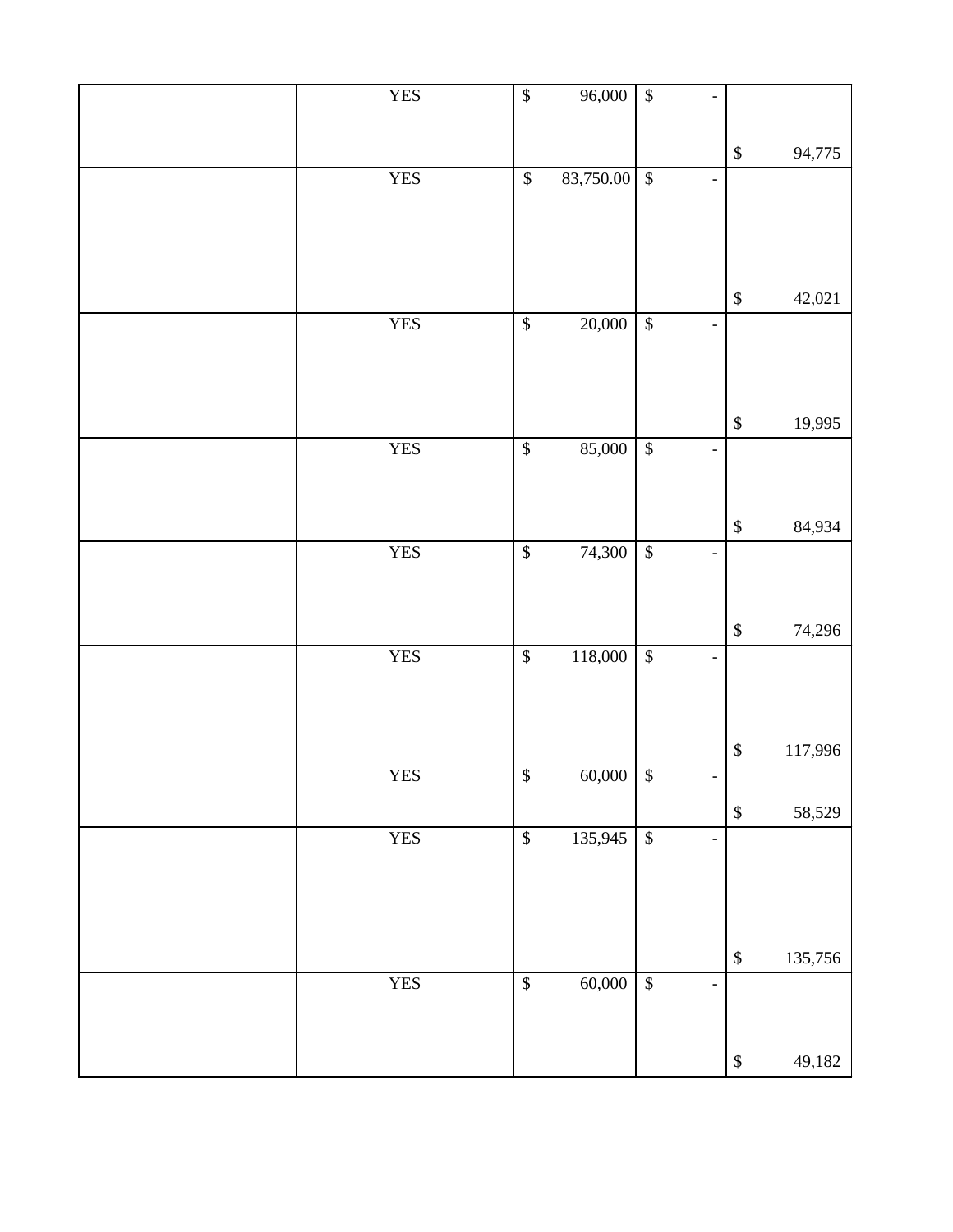| <b>YES</b>     | $\sqrt[6]{\frac{1}{2}}$  | 96,000      | $\sqrt{\frac{2}{5}}$                                 |                   |         |
|----------------|--------------------------|-------------|------------------------------------------------------|-------------------|---------|
|                |                          |             |                                                      |                   |         |
| <b>YES</b>     | $\mathbb{S}$             | 83,750.00   | $\sqrt{3}$<br>$\overline{\phantom{0}}$               | $\mathbb{S}$      | 94,775  |
|                |                          |             |                                                      |                   |         |
|                |                          |             |                                                      |                   |         |
|                |                          |             |                                                      |                   |         |
|                |                          |             |                                                      | $\mathbb{S}$      | 42,021  |
| <b>YES</b>     | $\overline{\$}$          | 20,000      | $\sqrt{3}$<br>$\overline{\phantom{a}}$               |                   |         |
|                |                          |             |                                                      |                   |         |
|                |                          |             |                                                      |                   |         |
|                |                          |             |                                                      | $\mathbb{S}$      | 19,995  |
| <b>YES</b>     | $\overline{\$}$          | 85,000      | $\sqrt{3}$<br>-                                      |                   |         |
|                |                          |             |                                                      |                   |         |
|                |                          |             |                                                      |                   |         |
| <b>YES</b>     | $\overline{\$}$          | 74,300      | $\sqrt{\frac{2}{5}}$                                 | $\mathbb{S}$      | 84,934  |
|                |                          |             | $\overline{\phantom{0}}$                             |                   |         |
|                |                          |             |                                                      |                   |         |
|                |                          |             |                                                      | $\mathbb{S}$      | 74,296  |
| <b>YES</b>     | $\overline{\mathcal{L}}$ | 118,000     | $\overline{\mathcal{S}}$<br>$\overline{\phantom{0}}$ |                   |         |
|                |                          |             |                                                      |                   |         |
|                |                          |             |                                                      |                   |         |
|                |                          |             |                                                      | $\boldsymbol{\$}$ | 117,996 |
| ${\hbox{YES}}$ | $\overline{\$}$          | $60,000$ \$ |                                                      |                   |         |
|                |                          |             |                                                      | $\mathbb{S}$      | 58,529  |
| <b>YES</b>     | $\overline{\mathcal{L}}$ | 135,945     | $\sqrt{3}$<br>$\overline{\phantom{0}}$               |                   |         |
|                |                          |             |                                                      |                   |         |
|                |                          |             |                                                      |                   |         |
|                |                          |             |                                                      |                   |         |
|                |                          |             |                                                      | $\mathbb{S}$      | 135,756 |
| <b>YES</b>     | $\overline{\mathcal{S}}$ | 60,000      | $\sqrt{\frac{2}{3}}$<br>$\overline{\phantom{0}}$     |                   |         |
|                |                          |             |                                                      |                   |         |
|                |                          |             |                                                      | $\mathbb S$       | 49,182  |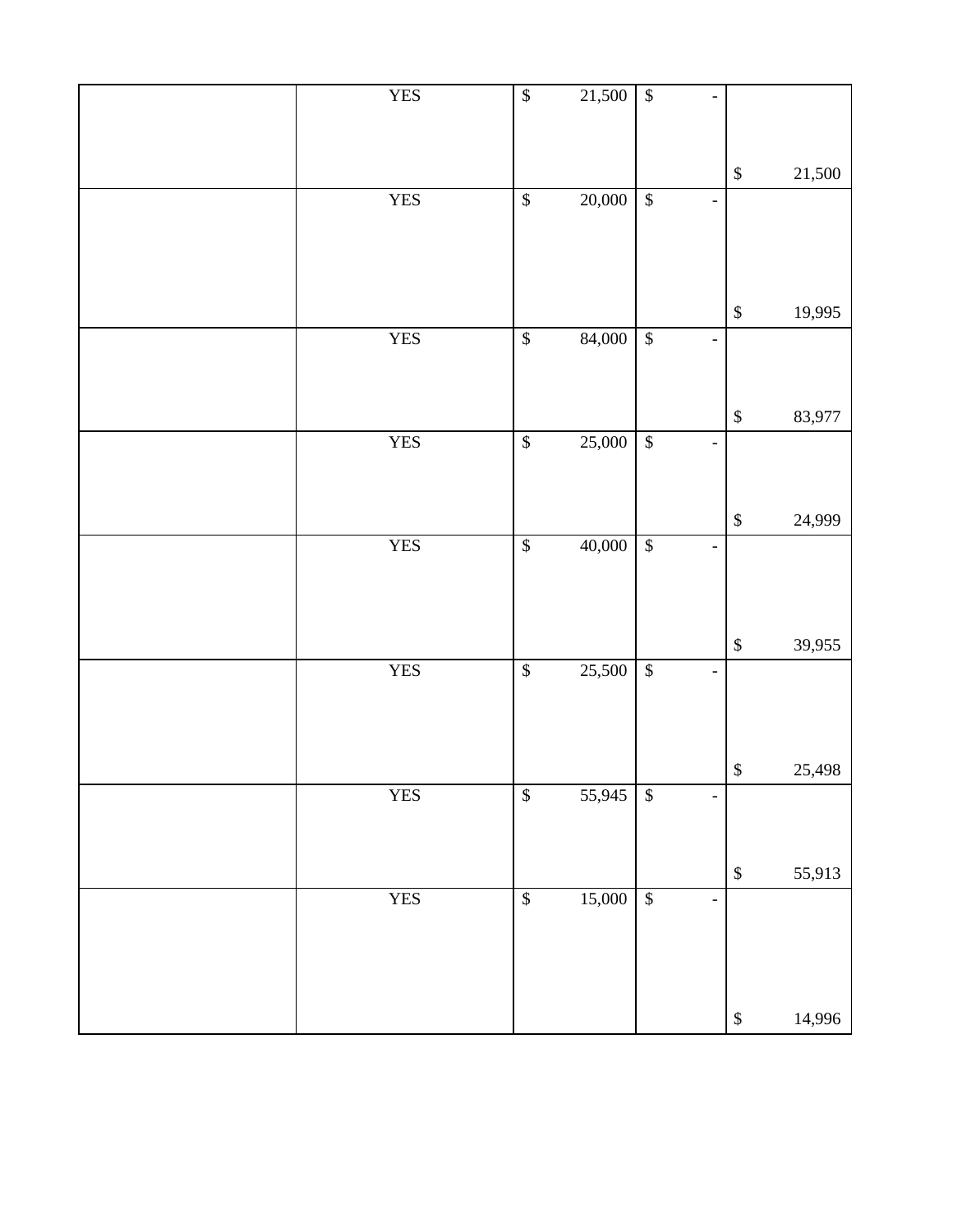| <b>YES</b> | $\sqrt{\frac{2}{n}}$     | 21,500 | $\sqrt{3}$                |                              |                   |        |
|------------|--------------------------|--------|---------------------------|------------------------------|-------------------|--------|
|            |                          |        |                           |                              | $\mathbb{S}$      | 21,500 |
| <b>YES</b> | $\overline{\mathcal{S}}$ | 20,000 | $\sqrt{3}$                | $\overline{a}$               |                   |        |
|            |                          |        |                           |                              |                   |        |
|            |                          |        |                           |                              | $\mathbb{S}$      | 19,995 |
| <b>YES</b> | $\overline{\mathcal{S}}$ | 84,000 | $\sqrt{3}$                | $\qquad \qquad \blacksquare$ |                   |        |
|            |                          |        |                           |                              |                   |        |
|            |                          |        |                           |                              | $\$\,$            | 83,977 |
| <b>YES</b> | $\overline{\mathcal{L}}$ | 25,000 | $\sqrt{3}$                | $\overline{a}$               |                   |        |
|            |                          |        |                           |                              |                   |        |
| <b>YES</b> | $\overline{\mathcal{S}}$ | 40,000 | $\sqrt{3}$                | $\overline{\phantom{0}}$     | $\mathbb{S}$      | 24,999 |
|            |                          |        |                           |                              |                   |        |
|            |                          |        |                           |                              |                   |        |
|            |                          |        |                           |                              | $\mathbb{S}$      | 39,955 |
| <b>YES</b> | $\overline{\$}$          | 25,500 | $\sqrt{3}$                | $\overline{\phantom{0}}$     |                   |        |
|            |                          |        |                           |                              |                   |        |
|            |                          |        |                           |                              | $\boldsymbol{\$}$ | 25,498 |
| <b>YES</b> | $\boldsymbol{\$}$        | 55,945 | $\boldsymbol{\mathsf{S}}$ |                              |                   |        |
|            |                          |        |                           |                              |                   |        |
| <b>YES</b> | $\sqrt{\frac{2}{n}}$     | 15,000 | $\sqrt{3}$                | $\qquad \qquad \blacksquare$ | $\mathbb{S}$      | 55,913 |
|            |                          |        |                           |                              |                   |        |
|            |                          |        |                           |                              |                   |        |
|            |                          |        |                           |                              |                   |        |
|            |                          |        |                           |                              | $\$$              | 14,996 |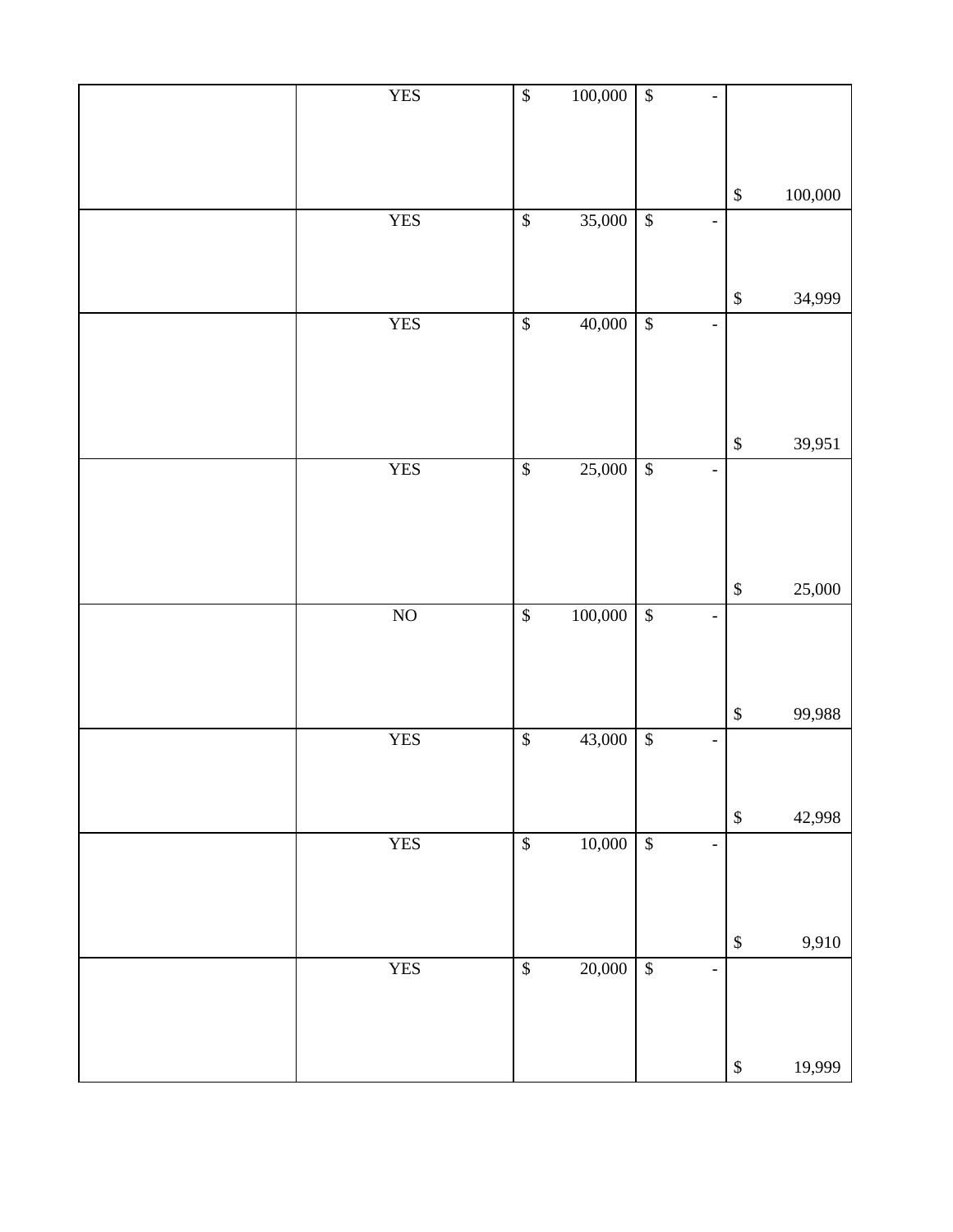| <b>YES</b>     | $\sqrt{\frac{1}{2}}$     | 100,000 | $\sqrt{3}$<br>$\overline{a}$                  |                   |         |
|----------------|--------------------------|---------|-----------------------------------------------|-------------------|---------|
|                |                          |         |                                               |                   |         |
|                |                          |         |                                               |                   |         |
|                |                          |         |                                               |                   |         |
|                |                          |         |                                               |                   |         |
|                |                          |         |                                               | $\boldsymbol{\$}$ | 100,000 |
| <b>YES</b>     | $\overline{\mathcal{S}}$ | 35,000  | $\sqrt{3}$<br>÷,                              |                   |         |
|                |                          |         |                                               |                   |         |
|                |                          |         |                                               |                   |         |
|                |                          |         |                                               |                   |         |
|                |                          |         |                                               | $\boldsymbol{\$}$ | 34,999  |
| <b>YES</b>     | $\sqrt{\frac{2}{n}}$     | 40,000  | $\overline{\mathcal{S}}$                      |                   |         |
|                |                          |         | $\blacksquare$                                |                   |         |
|                |                          |         |                                               |                   |         |
|                |                          |         |                                               |                   |         |
|                |                          |         |                                               |                   |         |
|                |                          |         |                                               |                   |         |
|                |                          |         |                                               | $\mathbb{S}$      | 39,951  |
|                |                          |         |                                               |                   |         |
| <b>YES</b>     | $\overline{\mathcal{L}}$ | 25,000  | $\overline{\$}$<br>$\blacksquare$             |                   |         |
|                |                          |         |                                               |                   |         |
|                |                          |         |                                               |                   |         |
|                |                          |         |                                               |                   |         |
|                |                          |         |                                               |                   |         |
|                |                          |         |                                               | $\mathbb{S}$      | 25,000  |
|                |                          |         |                                               |                   |         |
| N <sub>O</sub> | $\mathbb{S}$             | 100,000 | $\overline{\$}$<br>$\qquad \qquad -$          |                   |         |
|                |                          |         |                                               |                   |         |
|                |                          |         |                                               |                   |         |
|                |                          |         |                                               |                   |         |
|                |                          |         |                                               |                   |         |
|                |                          |         |                                               | $\,$              | 99,988  |
| <b>YES</b>     | $\sqrt{\frac{2}{n}}$     | 43,000  | $\sqrt{3}$<br>$\blacksquare$                  |                   |         |
|                |                          |         |                                               |                   |         |
|                |                          |         |                                               |                   |         |
|                |                          |         |                                               |                   |         |
|                |                          |         |                                               | $\boldsymbol{\$}$ | 42,998  |
| <b>YES</b>     | $\sqrt{\frac{2}{n}}$     | 10,000  | $\overline{\mathcal{S}}$<br>$\blacksquare$    |                   |         |
|                |                          |         |                                               |                   |         |
|                |                          |         |                                               |                   |         |
|                |                          |         |                                               |                   |         |
|                |                          |         |                                               |                   |         |
|                |                          |         |                                               | $\boldsymbol{\$}$ | 9,910   |
| <b>YES</b>     | $\sqrt{\frac{2}{n}}$     | 20,000  | $\overline{\mathcal{S}}$<br>$\qquad \qquad -$ |                   |         |
|                |                          |         |                                               |                   |         |
|                |                          |         |                                               |                   |         |
|                |                          |         |                                               |                   |         |
|                |                          |         |                                               |                   |         |
|                |                          |         |                                               | $\$$              | 19,999  |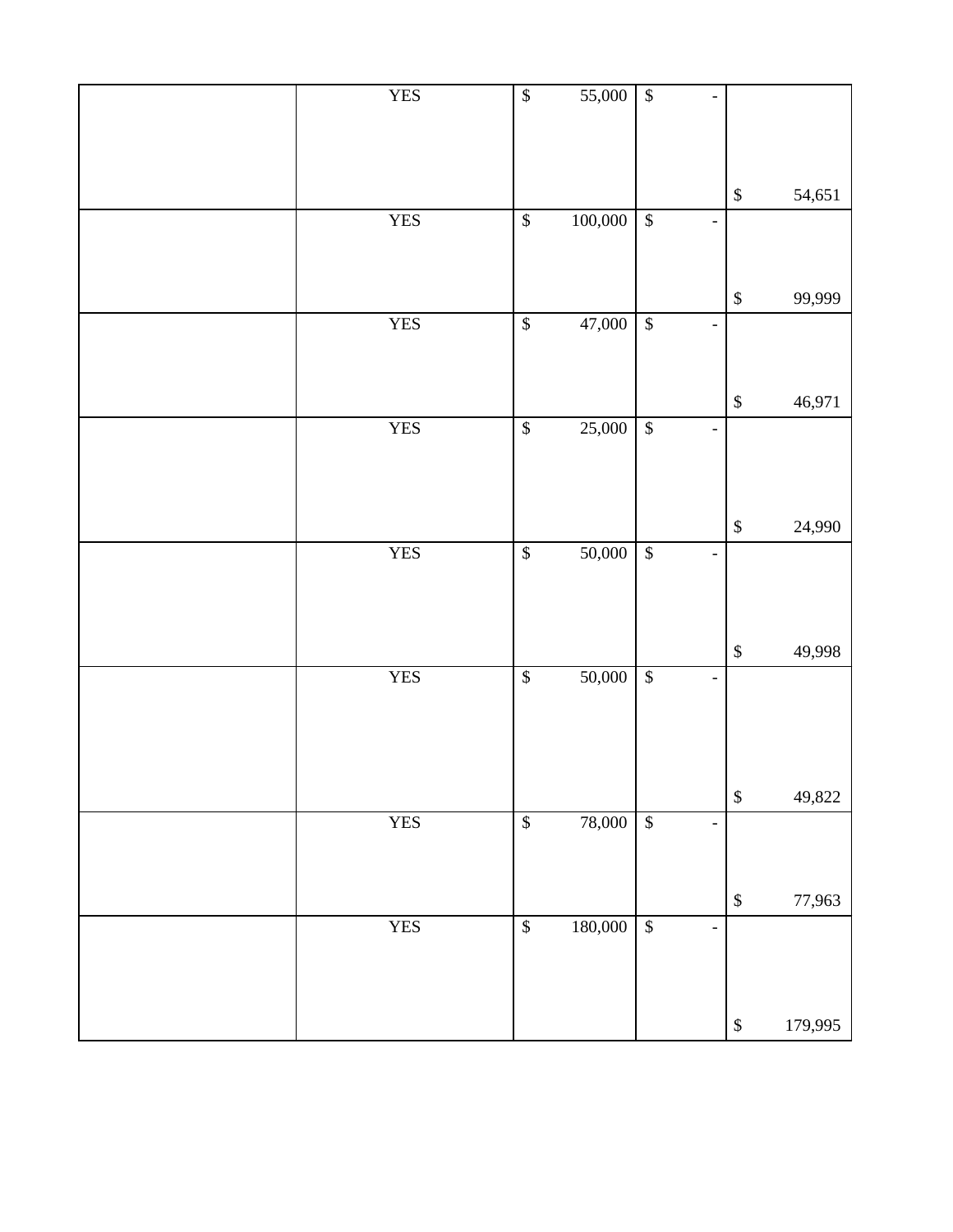| <b>YES</b> | $\sqrt{\frac{2}{n}}$      | 55,000  | $\overline{\mathcal{L}}$  |                |                   |         |
|------------|---------------------------|---------|---------------------------|----------------|-------------------|---------|
|            |                           |         |                           |                | $\mathbb{S}$      | 54,651  |
| <b>YES</b> | $\overline{\mathcal{S}}$  | 100,000 | $\sqrt{2}$                |                |                   |         |
|            |                           |         |                           |                | $\boldsymbol{\$}$ | 99,999  |
| <b>YES</b> | $\boldsymbol{\mathbb{S}}$ | 47,000  | $\sqrt{3}$                | $\overline{a}$ |                   |         |
|            |                           |         |                           |                | $\mathbb{S}$      | 46,971  |
| <b>YES</b> | $\overline{\$}$           | 25,000  | $\overline{\mathcal{L}}$  |                |                   |         |
| <b>YES</b> | $\boldsymbol{\$}$         | 50,000  | $\sqrt{3}$                |                | $\mathbb{S}$      | 24,990  |
|            |                           |         |                           |                | $\mathbb{S}$      | 49,998  |
| <b>YES</b> | $\overline{\mathcal{S}}$  | 50,000  | $\overline{\mathcal{S}}$  |                |                   |         |
| <b>YES</b> | $\mathbb{S}$              | 78,000  | $\mathcal{S}$             |                | $\mathbb{S}$      | 49,822  |
|            |                           |         |                           | $\overline{a}$ |                   |         |
|            |                           |         |                           |                | $\mathbb{S}$      | 77,963  |
| <b>YES</b> | $\boldsymbol{\$}$         | 180,000 | $\boldsymbol{\mathsf{S}}$ | $\overline{a}$ |                   |         |
|            |                           |         |                           |                | $\mathbb{S}$      | 179,995 |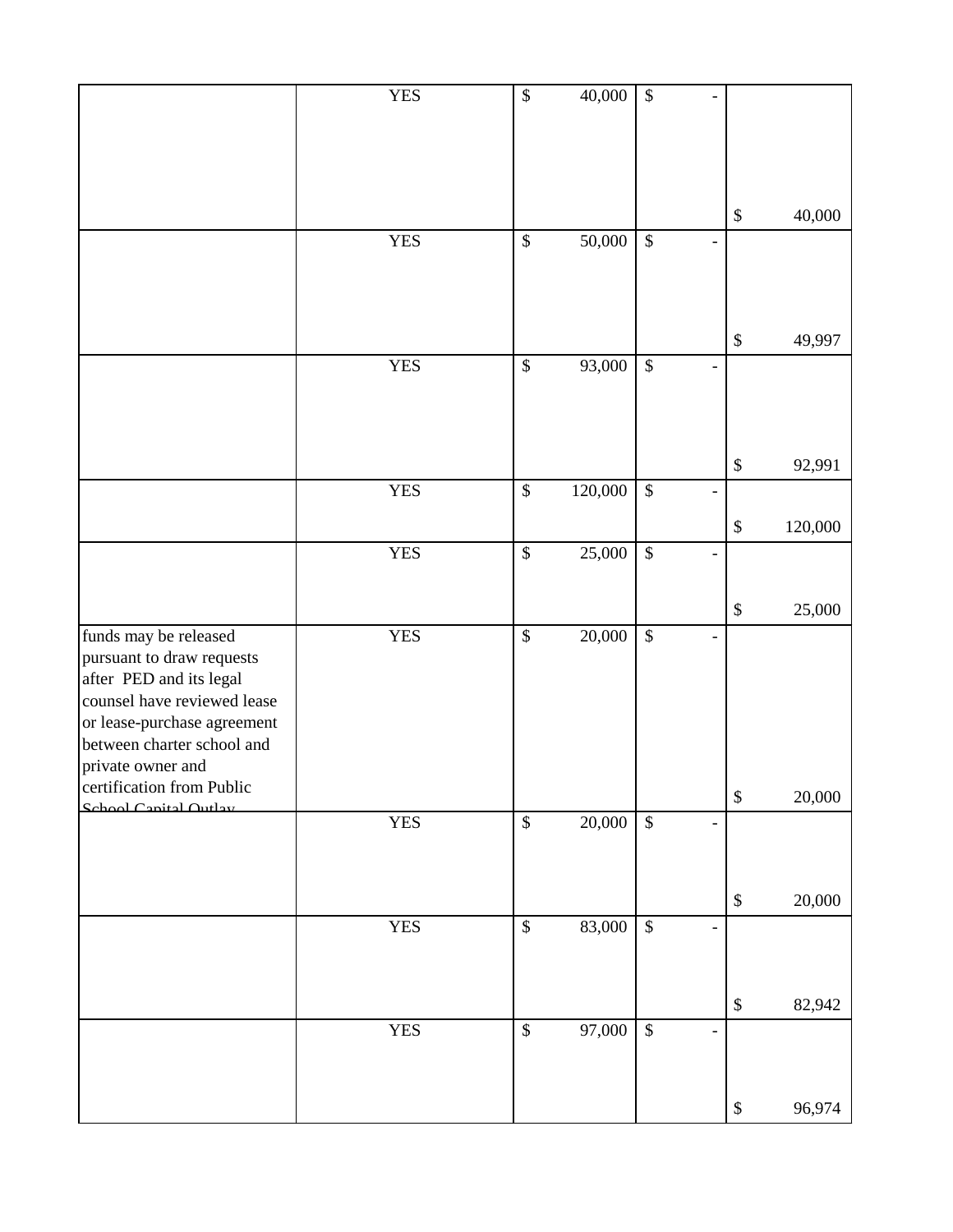|                                                           | <b>YES</b> | $\overline{\$}$           | 40,000  | $\overline{\mathcal{S}}$  |                |                   |         |
|-----------------------------------------------------------|------------|---------------------------|---------|---------------------------|----------------|-------------------|---------|
|                                                           |            |                           |         |                           |                |                   |         |
|                                                           |            |                           |         |                           |                |                   |         |
|                                                           |            |                           |         |                           |                | \$                | 40,000  |
|                                                           | <b>YES</b> | $\boldsymbol{\mathsf{S}}$ | 50,000  | $\boldsymbol{\mathsf{S}}$ | $\overline{a}$ |                   |         |
|                                                           |            |                           |         |                           |                |                   |         |
|                                                           |            |                           |         |                           |                |                   |         |
|                                                           |            |                           |         |                           |                | $\$$              | 49,997  |
|                                                           | <b>YES</b> | $\boldsymbol{\mathsf{S}}$ | 93,000  | $\boldsymbol{\mathsf{S}}$ |                |                   |         |
|                                                           |            |                           |         |                           |                |                   |         |
|                                                           |            |                           |         |                           |                |                   |         |
|                                                           |            |                           |         |                           |                | $\$$              | 92,991  |
|                                                           | <b>YES</b> | $\overline{\$}$           | 120,000 | $\$$                      | -              |                   |         |
|                                                           |            |                           |         |                           |                | $\$$              | 120,000 |
|                                                           | <b>YES</b> | $\mathcal{S}$             | 25,000  | $\boldsymbol{\mathsf{S}}$ | $\overline{a}$ |                   |         |
|                                                           |            |                           |         |                           |                |                   |         |
|                                                           |            |                           |         |                           |                | $\boldsymbol{\$}$ | 25,000  |
| funds may be released<br>pursuant to draw requests        | <b>YES</b> | $\boldsymbol{\mathsf{S}}$ | 20,000  | $\boldsymbol{\mathsf{S}}$ |                |                   |         |
| after PED and its legal                                   |            |                           |         |                           |                |                   |         |
| counsel have reviewed lease                               |            |                           |         |                           |                |                   |         |
| or lease-purchase agreement<br>between charter school and |            |                           |         |                           |                |                   |         |
| private owner and                                         |            |                           |         |                           |                |                   |         |
| certification from Public                                 |            |                           |         |                           |                | $\mathbb{S}$      | 20,000  |
| School Canital Outlay                                     | <b>YES</b> | $\$\,$                    | 20,000  | $\sqrt[6]{\frac{1}{2}}$   |                |                   |         |
|                                                           |            |                           |         |                           |                |                   |         |
|                                                           |            |                           |         |                           |                |                   |         |
|                                                           | <b>YES</b> | $\boldsymbol{\mathsf{S}}$ | 83,000  | $\boldsymbol{\$}$         |                | $\mathbb{S}$      | 20,000  |
|                                                           |            |                           |         |                           |                |                   |         |
|                                                           |            |                           |         |                           |                |                   |         |
|                                                           |            |                           |         |                           |                | $\$\,$            | 82,942  |
|                                                           | <b>YES</b> | $\$\,$                    | 97,000  | $\boldsymbol{\mathsf{S}}$ |                |                   |         |
|                                                           |            |                           |         |                           |                |                   |         |
|                                                           |            |                           |         |                           |                | $\$$              | 96,974  |
|                                                           |            |                           |         |                           |                |                   |         |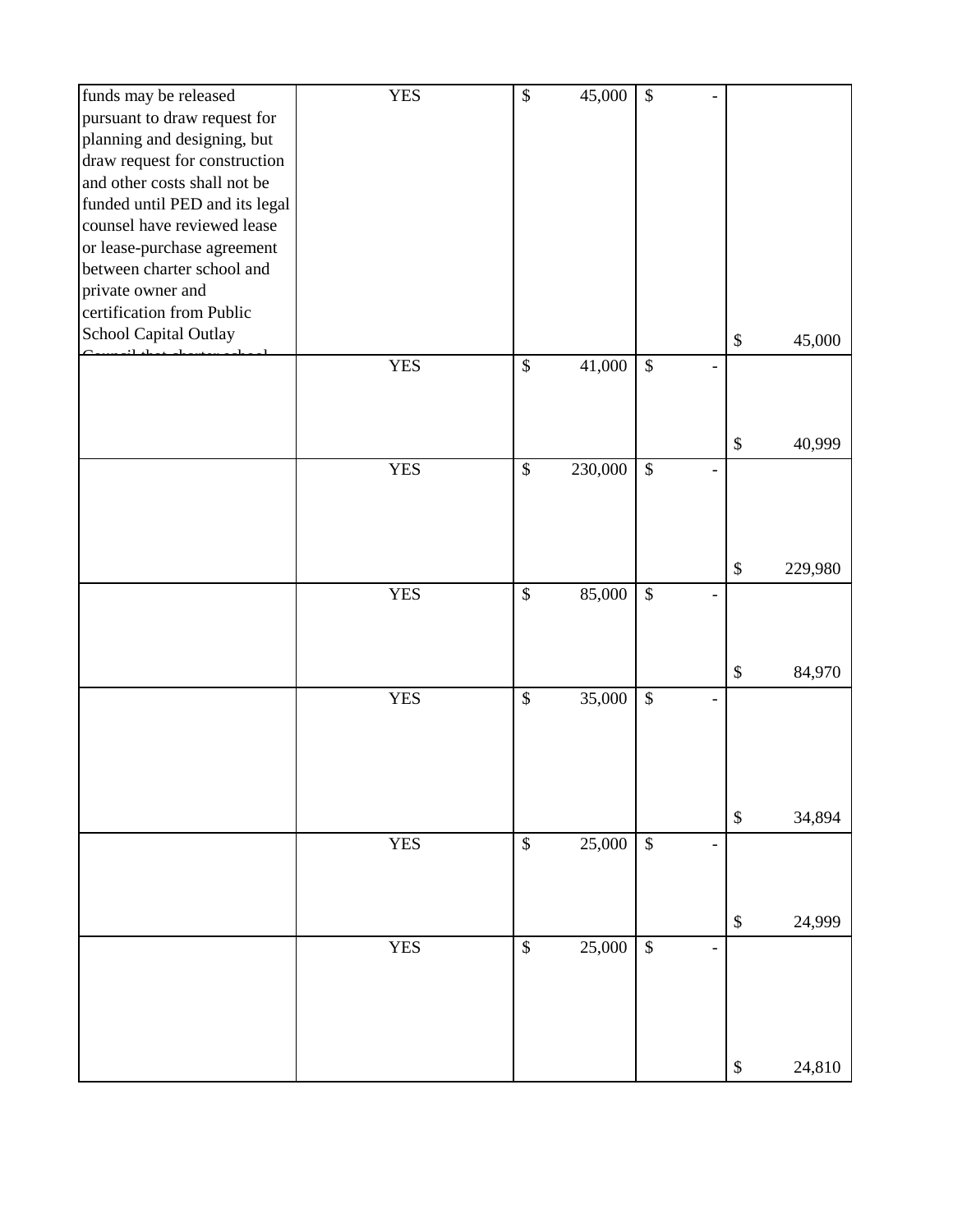| funds may be released          | <b>YES</b> | $\mathbb{S}$              | 45,000  | $\mathcal{S}$                      |                           |         |
|--------------------------------|------------|---------------------------|---------|------------------------------------|---------------------------|---------|
| pursuant to draw request for   |            |                           |         |                                    |                           |         |
| planning and designing, but    |            |                           |         |                                    |                           |         |
| draw request for construction  |            |                           |         |                                    |                           |         |
| and other costs shall not be   |            |                           |         |                                    |                           |         |
| funded until PED and its legal |            |                           |         |                                    |                           |         |
| counsel have reviewed lease    |            |                           |         |                                    |                           |         |
| or lease-purchase agreement    |            |                           |         |                                    |                           |         |
| between charter school and     |            |                           |         |                                    |                           |         |
| private owner and              |            |                           |         |                                    |                           |         |
| certification from Public      |            |                           |         |                                    |                           |         |
| School Capital Outlay          |            |                           |         |                                    | $\$\,$                    | 45,000  |
|                                |            |                           |         |                                    |                           |         |
|                                | <b>YES</b> | $\$\,$                    | 41,000  | $\mathcal{S}$                      |                           |         |
|                                |            |                           |         |                                    |                           |         |
|                                |            |                           |         |                                    |                           |         |
|                                |            |                           |         |                                    | $\$\,$                    | 40,999  |
|                                | <b>YES</b> | \$                        | 230,000 | \$                                 |                           |         |
|                                |            |                           |         |                                    |                           |         |
|                                |            |                           |         |                                    |                           |         |
|                                |            |                           |         |                                    |                           |         |
|                                |            |                           |         |                                    |                           |         |
|                                |            |                           |         |                                    | $\$\,$                    | 229,980 |
|                                | <b>YES</b> | $\boldsymbol{\mathsf{S}}$ | 85,000  | $\$\,$                             |                           |         |
|                                |            |                           |         |                                    |                           |         |
|                                |            |                           |         |                                    |                           |         |
|                                |            |                           |         |                                    |                           |         |
|                                |            |                           |         |                                    | $\boldsymbol{\mathsf{S}}$ | 84,970  |
|                                | <b>YES</b> | \$                        | 35,000  | $\$\,$<br>$\overline{\phantom{a}}$ |                           |         |
|                                |            |                           |         |                                    |                           |         |
|                                |            |                           |         |                                    |                           |         |
|                                |            |                           |         |                                    |                           |         |
|                                |            |                           |         |                                    |                           |         |
|                                |            |                           |         |                                    | $\boldsymbol{\mathsf{S}}$ | 34,894  |
|                                | <b>YES</b> | $\$\,$                    | 25,000  | $\$\,$<br>$\overline{\phantom{m}}$ |                           |         |
|                                |            |                           |         |                                    |                           |         |
|                                |            |                           |         |                                    |                           |         |
|                                |            |                           |         |                                    |                           |         |
|                                |            |                           |         |                                    | $\boldsymbol{\mathsf{S}}$ | 24,999  |
|                                | <b>YES</b> | $\boldsymbol{\mathsf{S}}$ | 25,000  | $\$$<br>$\overline{a}$             |                           |         |
|                                |            |                           |         |                                    |                           |         |
|                                |            |                           |         |                                    |                           |         |
|                                |            |                           |         |                                    |                           |         |
|                                |            |                           |         |                                    |                           |         |
|                                |            |                           |         |                                    |                           |         |
|                                |            |                           |         |                                    | $\$$                      | 24,810  |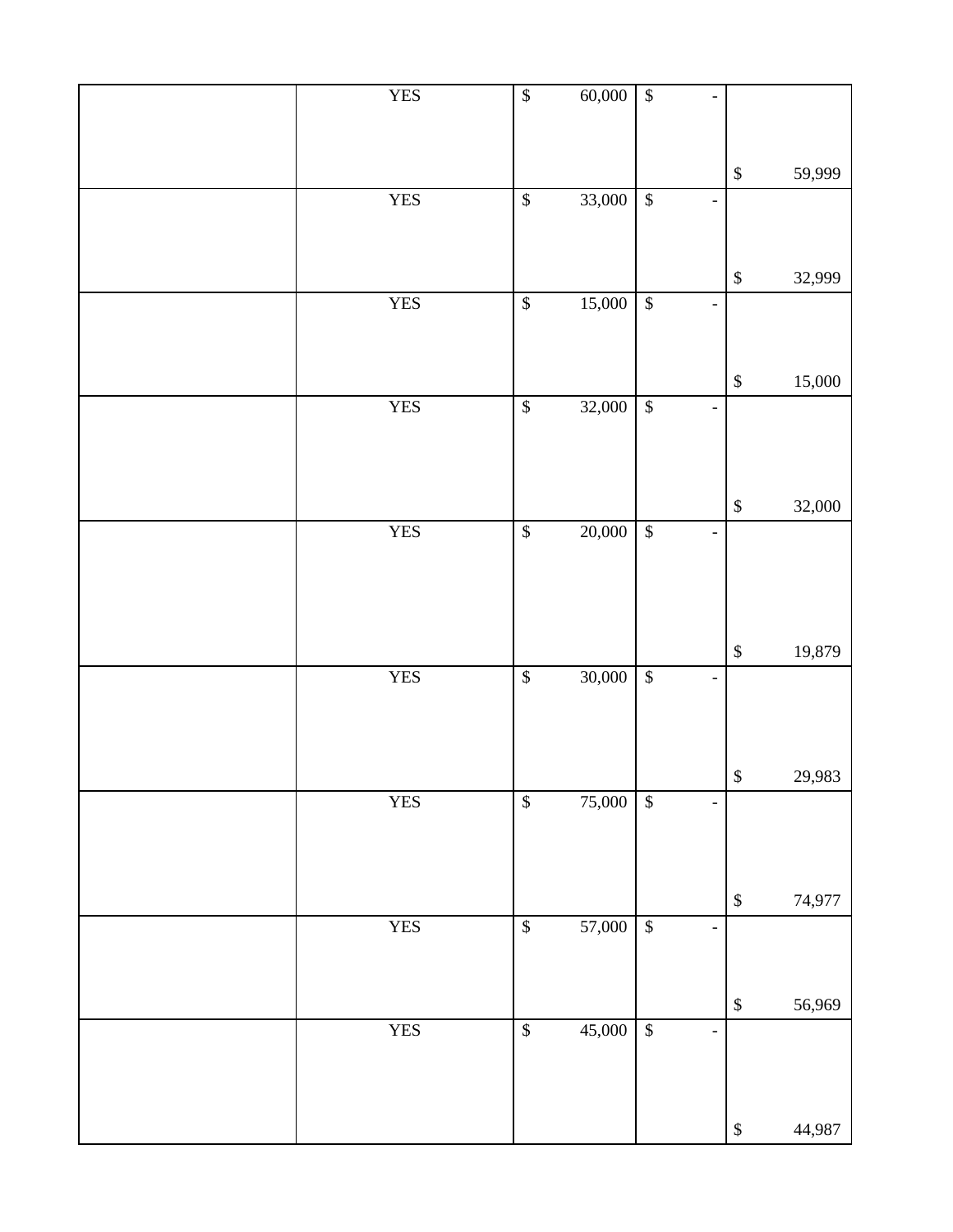| <b>YES</b> | $\sqrt[6]{}$              | 60,000 | $\sqrt{3}$                 | $\overline{\phantom{a}}$     |                   |        |
|------------|---------------------------|--------|----------------------------|------------------------------|-------------------|--------|
|            |                           |        |                            |                              |                   |        |
|            |                           |        |                            |                              |                   |        |
|            |                           |        |                            |                              | $\mathbb{S}$      | 59,999 |
| <b>YES</b> | $\mathbb{S}$              | 33,000 | $\sqrt{3}$                 | $\overline{\phantom{0}}$     |                   |        |
|            |                           |        |                            |                              |                   |        |
|            |                           |        |                            |                              |                   |        |
|            |                           |        |                            |                              | $\mathbb{S}$      | 32,999 |
| <b>YES</b> | $\overline{\mathcal{L}}$  | 15,000 | $\overline{\mathcal{L}}$   | $\qquad \qquad -$            |                   |        |
|            |                           |        |                            |                              |                   |        |
|            |                           |        |                            |                              |                   |        |
|            |                           |        |                            |                              | $\mathbb{S}$      | 15,000 |
| <b>YES</b> | $\overline{\mathcal{S}}$  | 32,000 | $\sqrt{3}$                 | $\overline{a}$               |                   |        |
|            |                           |        |                            |                              |                   |        |
|            |                           |        |                            |                              |                   |        |
|            |                           |        |                            |                              |                   |        |
|            |                           | 20,000 |                            |                              | $\mathbb{S}$      | 32,000 |
| <b>YES</b> | $\boldsymbol{\$}$         |        | $\boldsymbol{\mathcal{S}}$ | $\qquad \qquad \blacksquare$ |                   |        |
|            |                           |        |                            |                              |                   |        |
|            |                           |        |                            |                              |                   |        |
|            |                           |        |                            |                              |                   |        |
|            |                           |        |                            |                              | $\,$              | 19,879 |
| <b>YES</b> | $\overline{\mathcal{S}}$  | 30,000 | $\sqrt{3}$                 | $\qquad \qquad -$            |                   |        |
|            |                           |        |                            |                              |                   |        |
|            |                           |        |                            |                              |                   |        |
|            |                           |        |                            |                              |                   |        |
|            |                           |        |                            |                              | $\boldsymbol{\$}$ | 29,983 |
| <b>YES</b> | $\boldsymbol{\mathbb{S}}$ | 75,000 | $\boldsymbol{\mathsf{S}}$  | $\qquad \qquad -$            |                   |        |
|            |                           |        |                            |                              |                   |        |
|            |                           |        |                            |                              |                   |        |
|            |                           |        |                            |                              | $\mathbb{S}$      | 74,977 |
| <b>YES</b> | $\mathbb{S}$              | 57,000 | $\mathbb{S}$               | $\overline{a}$               |                   |        |
|            |                           |        |                            |                              |                   |        |
|            |                           |        |                            |                              |                   |        |
|            |                           |        |                            |                              | $\,$              | 56,969 |
| <b>YES</b> | $\boldsymbol{\$}$         | 45,000 | $\boldsymbol{\mathsf{\$}}$ | $\overline{a}$               |                   |        |
|            |                           |        |                            |                              |                   |        |
|            |                           |        |                            |                              |                   |        |
|            |                           |        |                            |                              |                   |        |
|            |                           |        |                            |                              | $\boldsymbol{\$}$ | 44,987 |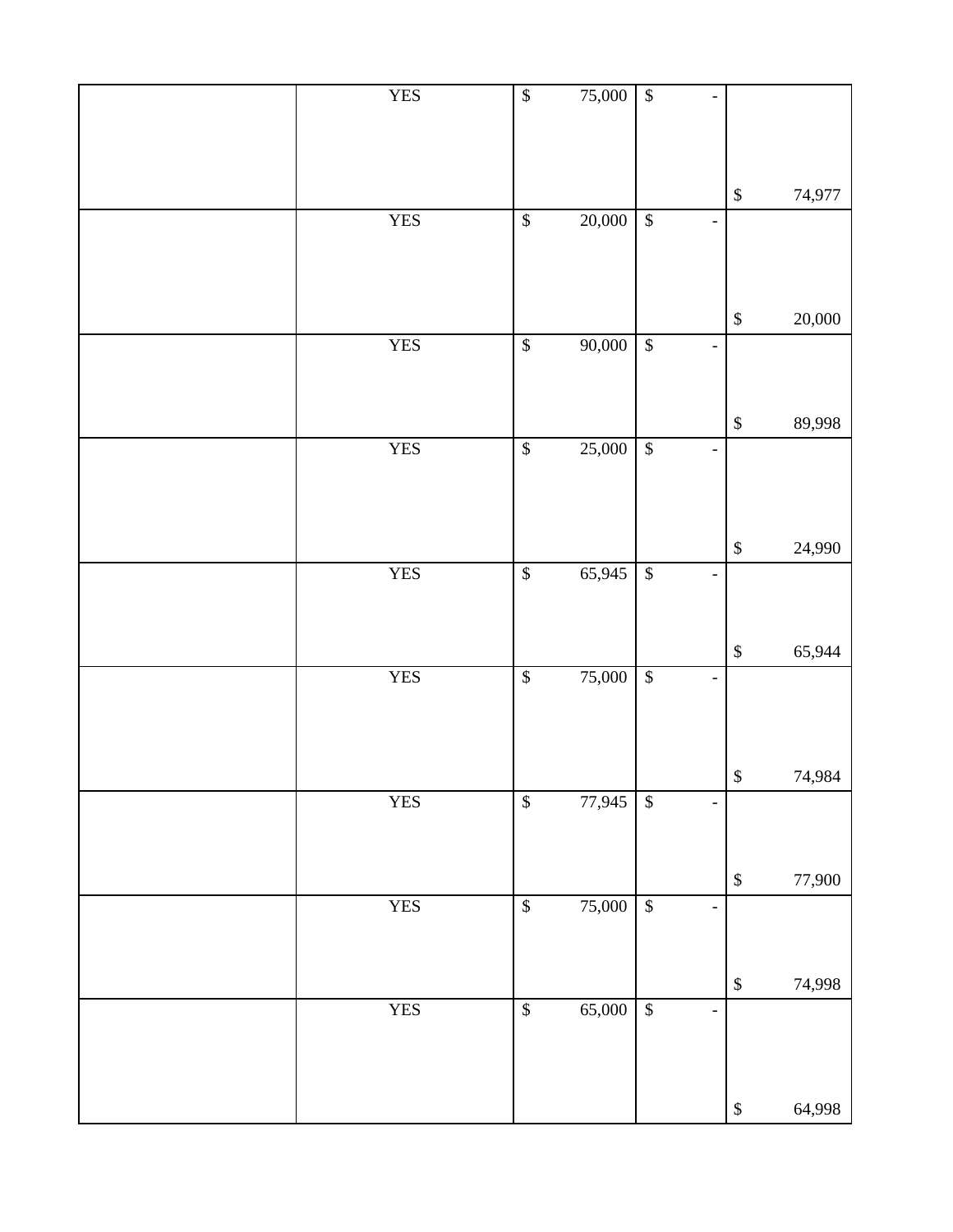| <b>YES</b> | $\overline{\mathcal{L}}$ | 75,000 | $\sqrt{3}$               |                              |                   |        |
|------------|--------------------------|--------|--------------------------|------------------------------|-------------------|--------|
|            |                          |        |                          |                              | $\mathbb{S}$      | 74,977 |
| <b>YES</b> | $\overline{\mathcal{S}}$ | 20,000 | $\sqrt{3}$               | $\qquad \qquad -$            |                   |        |
|            |                          |        |                          |                              | $\mathbb{S}$      | 20,000 |
| <b>YES</b> | $\overline{\mathcal{S}}$ | 90,000 | $\sqrt{\frac{1}{2}}$     | $\qquad \qquad -$            |                   |        |
|            |                          |        |                          |                              | $\mathbb{S}$      | 89,998 |
| <b>YES</b> | $\overline{\mathcal{S}}$ | 25,000 | $\sqrt{3}$               | $\overline{\phantom{0}}$     |                   |        |
|            |                          |        |                          |                              | $\mathbb{S}$      | 24,990 |
| <b>YES</b> | $\sqrt{\frac{2}{5}}$     | 65,945 | $\sqrt[6]{3}$            | $\qquad \qquad -$            |                   |        |
|            |                          |        |                          |                              | $\mathbb{S}$      | 65,944 |
| <b>YES</b> | $\overline{\mathcal{S}}$ | 75,000 | $\sqrt[6]{\frac{1}{2}}$  | $\overline{\phantom{0}}$     |                   |        |
|            |                          |        |                          |                              | $\boldsymbol{\$}$ | 74,984 |
| <b>YES</b> | $\sqrt{3}$               | 77,945 | $\sqrt{s}$               |                              |                   |        |
| <b>YES</b> | $\overline{\mathcal{S}}$ | 75,000 | $\overline{\mathcal{L}}$ | $\overline{\phantom{0}}$     | $\mathbb{S}$      | 77,900 |
|            |                          |        |                          |                              |                   |        |
|            |                          |        |                          |                              | $\,$              | 74,998 |
| <b>YES</b> | $\sqrt{3}$               | 65,000 | $\sqrt[6]{\frac{1}{2}}$  | $\qquad \qquad \blacksquare$ |                   |        |
|            |                          |        |                          |                              | $\mathbb{S}$      | 64,998 |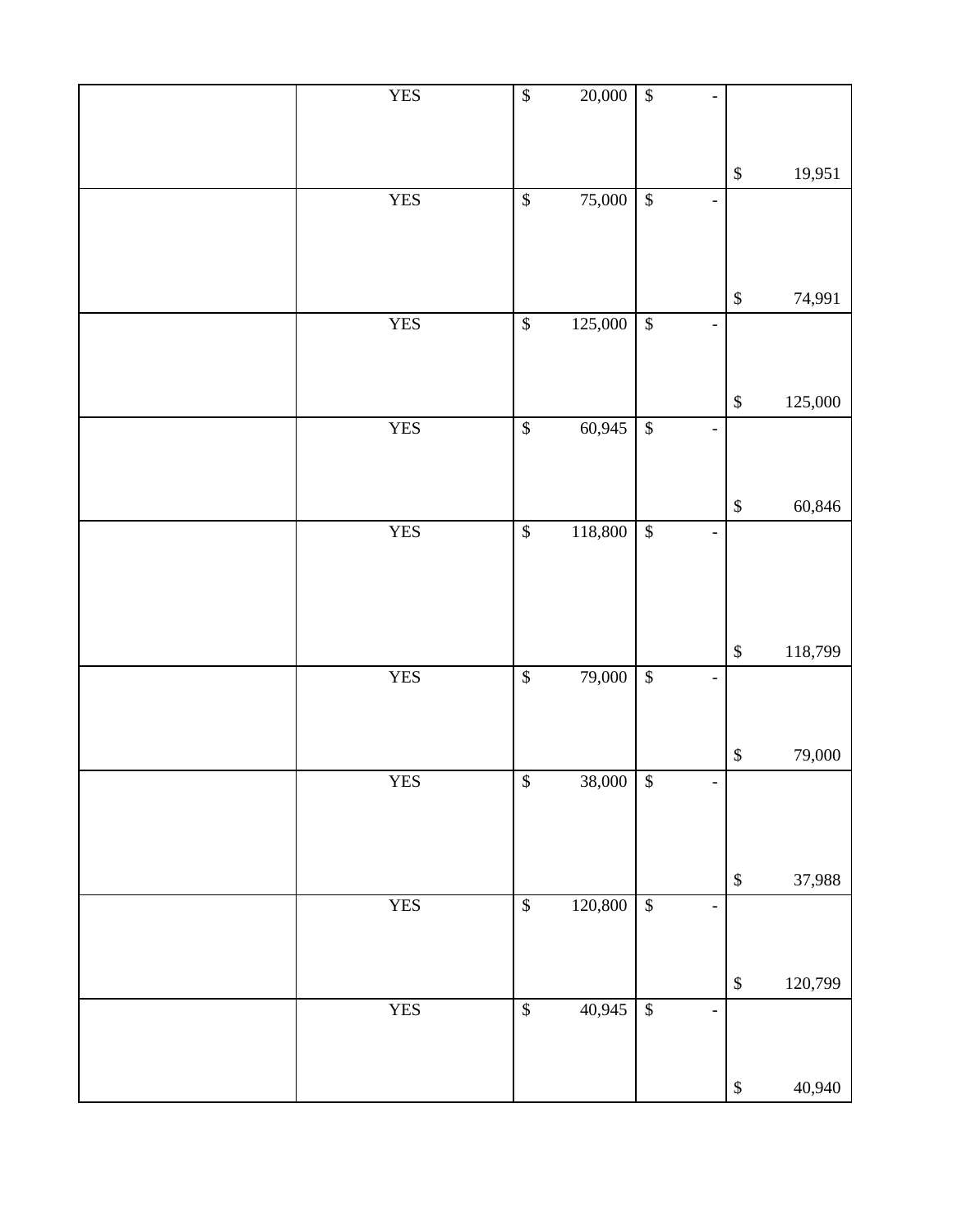| <b>YES</b> | $\sqrt{\frac{2}{n}}$      | 20,000      | $\sqrt{3}$                |                              |                           |         |
|------------|---------------------------|-------------|---------------------------|------------------------------|---------------------------|---------|
|            |                           |             |                           |                              | $\mathbb{S}$              | 19,951  |
| <b>YES</b> | $\sqrt{\frac{2}{n}}$      | 75,000      | $\sqrt{3}$                | $\frac{1}{2}$                |                           |         |
|            |                           |             |                           |                              |                           |         |
|            |                           |             |                           |                              | $\mathbb{S}$              | 74,991  |
| <b>YES</b> | $\boldsymbol{\$}$         | 125,000     | $\boldsymbol{\mathsf{S}}$ | $\overline{\phantom{0}}$     |                           |         |
|            |                           |             |                           |                              | $\mathbb{S}$              | 125,000 |
| <b>YES</b> | $\boldsymbol{\$}$         | 60,945      | $\boldsymbol{\$}$         | $\overline{\phantom{0}}$     |                           |         |
|            |                           |             |                           |                              |                           |         |
|            |                           |             |                           |                              | $\mathbb{S}$              | 60,846  |
| <b>YES</b> | $\boldsymbol{\mathsf{S}}$ | 118,800     | $\boldsymbol{\mathsf{S}}$ | $\overline{\phantom{0}}$     |                           |         |
|            |                           |             |                           |                              |                           |         |
|            |                           |             |                           |                              | $\mathbb{S}$              | 118,799 |
| <b>YES</b> | $\overline{\mathcal{L}}$  | 79,000      | $\sqrt{3}$                | $\overline{\phantom{0}}$     |                           |         |
|            |                           |             |                           |                              |                           |         |
| <b>YES</b> | $\sqrt[6]{}$              | $38,000$ \$ |                           | -                            | $\boldsymbol{\$}$         | 79,000  |
|            |                           |             |                           |                              |                           |         |
|            |                           |             |                           |                              |                           |         |
|            |                           |             |                           |                              | $\boldsymbol{\mathbb{S}}$ | 37,988  |
| <b>YES</b> | $\mathbb{S}$              | 120,800     | $\boldsymbol{\mathsf{S}}$ | $\overline{a}$               |                           |         |
|            |                           |             |                           |                              | $\mathbb{S}$              | 120,799 |
| <b>YES</b> | $\mathbb{S}$              | 40,945      | $\sqrt{3}$                | $\qquad \qquad \blacksquare$ |                           |         |
|            |                           |             |                           |                              |                           |         |
|            |                           |             |                           |                              | $\boldsymbol{\mathbb{S}}$ | 40,940  |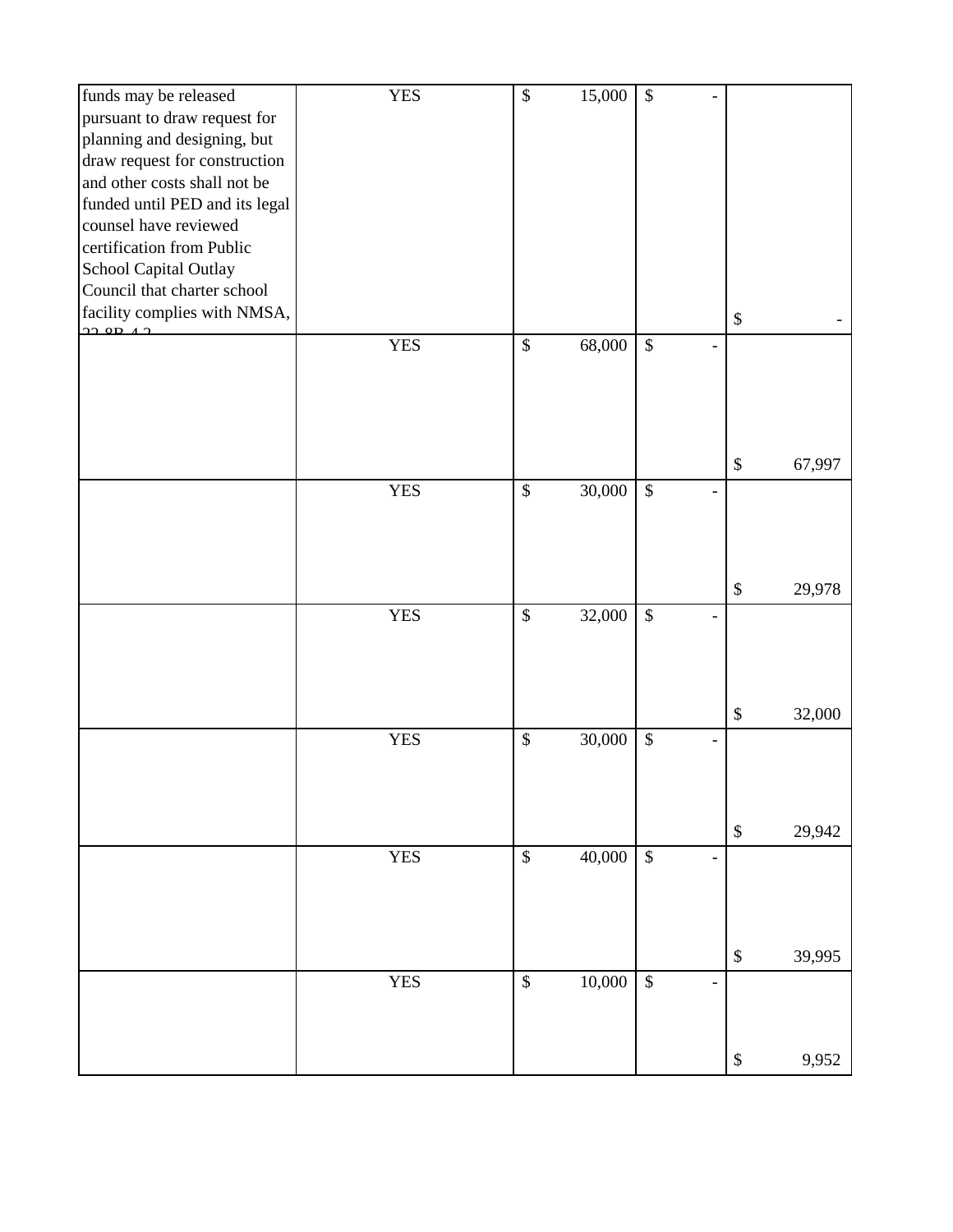| funds may be released                           | <b>YES</b> | $\boldsymbol{\mathsf{S}}$ | 15,000 | $\$\,$                    |                          |                           |        |
|-------------------------------------------------|------------|---------------------------|--------|---------------------------|--------------------------|---------------------------|--------|
| pursuant to draw request for                    |            |                           |        |                           |                          |                           |        |
| planning and designing, but                     |            |                           |        |                           |                          |                           |        |
| draw request for construction                   |            |                           |        |                           |                          |                           |        |
| and other costs shall not be                    |            |                           |        |                           |                          |                           |        |
| funded until PED and its legal                  |            |                           |        |                           |                          |                           |        |
| counsel have reviewed                           |            |                           |        |                           |                          |                           |        |
| certification from Public                       |            |                           |        |                           |                          |                           |        |
| School Capital Outlay                           |            |                           |        |                           |                          |                           |        |
| Council that charter school                     |            |                           |        |                           |                          |                           |        |
|                                                 |            |                           |        |                           |                          |                           |        |
| facility complies with NMSA,<br>$22.90 \pm 4.2$ |            |                           |        |                           |                          | $\boldsymbol{\mathsf{S}}$ |        |
|                                                 | <b>YES</b> | \$                        | 68,000 | $\$$                      |                          |                           |        |
|                                                 |            |                           |        |                           |                          |                           |        |
|                                                 |            |                           |        |                           |                          |                           |        |
|                                                 |            |                           |        |                           |                          |                           |        |
|                                                 |            |                           |        |                           |                          |                           |        |
|                                                 |            |                           |        |                           |                          |                           |        |
|                                                 |            |                           |        |                           |                          | $\$\,$                    | 67,997 |
|                                                 | <b>YES</b> | $\boldsymbol{\mathsf{S}}$ | 30,000 | $\boldsymbol{\mathsf{S}}$ |                          |                           |        |
|                                                 |            |                           |        |                           |                          |                           |        |
|                                                 |            |                           |        |                           |                          |                           |        |
|                                                 |            |                           |        |                           |                          |                           |        |
|                                                 |            |                           |        |                           |                          |                           |        |
|                                                 |            |                           |        |                           |                          | $\$\,$                    | 29,978 |
|                                                 | <b>YES</b> | $\boldsymbol{\mathsf{S}}$ | 32,000 | $\boldsymbol{\mathsf{S}}$ |                          |                           |        |
|                                                 |            |                           |        |                           |                          |                           |        |
|                                                 |            |                           |        |                           |                          |                           |        |
|                                                 |            |                           |        |                           |                          |                           |        |
|                                                 |            |                           |        |                           |                          | $\$\,$                    | 32,000 |
|                                                 |            |                           |        |                           |                          |                           |        |
|                                                 | <b>YES</b> | $\mathcal{S}$             | 30,000 | $\boldsymbol{\mathsf{S}}$ |                          |                           |        |
|                                                 |            |                           |        |                           |                          |                           |        |
|                                                 |            |                           |        |                           |                          |                           |        |
|                                                 |            |                           |        |                           |                          |                           |        |
|                                                 |            |                           |        |                           |                          | $\$\,$                    | 29,942 |
|                                                 | <b>YES</b> | \$                        | 40,000 | \$                        | $\overline{\phantom{a}}$ |                           |        |
|                                                 |            |                           |        |                           |                          |                           |        |
|                                                 |            |                           |        |                           |                          |                           |        |
|                                                 |            |                           |        |                           |                          |                           |        |
|                                                 |            |                           |        |                           |                          |                           |        |
|                                                 |            |                           |        |                           |                          | $\boldsymbol{\$}$         | 39,995 |
|                                                 | <b>YES</b> | \$                        | 10,000 | $\$$                      |                          |                           |        |
|                                                 |            |                           |        |                           |                          |                           |        |
|                                                 |            |                           |        |                           |                          |                           |        |
|                                                 |            |                           |        |                           |                          |                           |        |
|                                                 |            |                           |        |                           |                          | $\boldsymbol{\$}$         | 9,952  |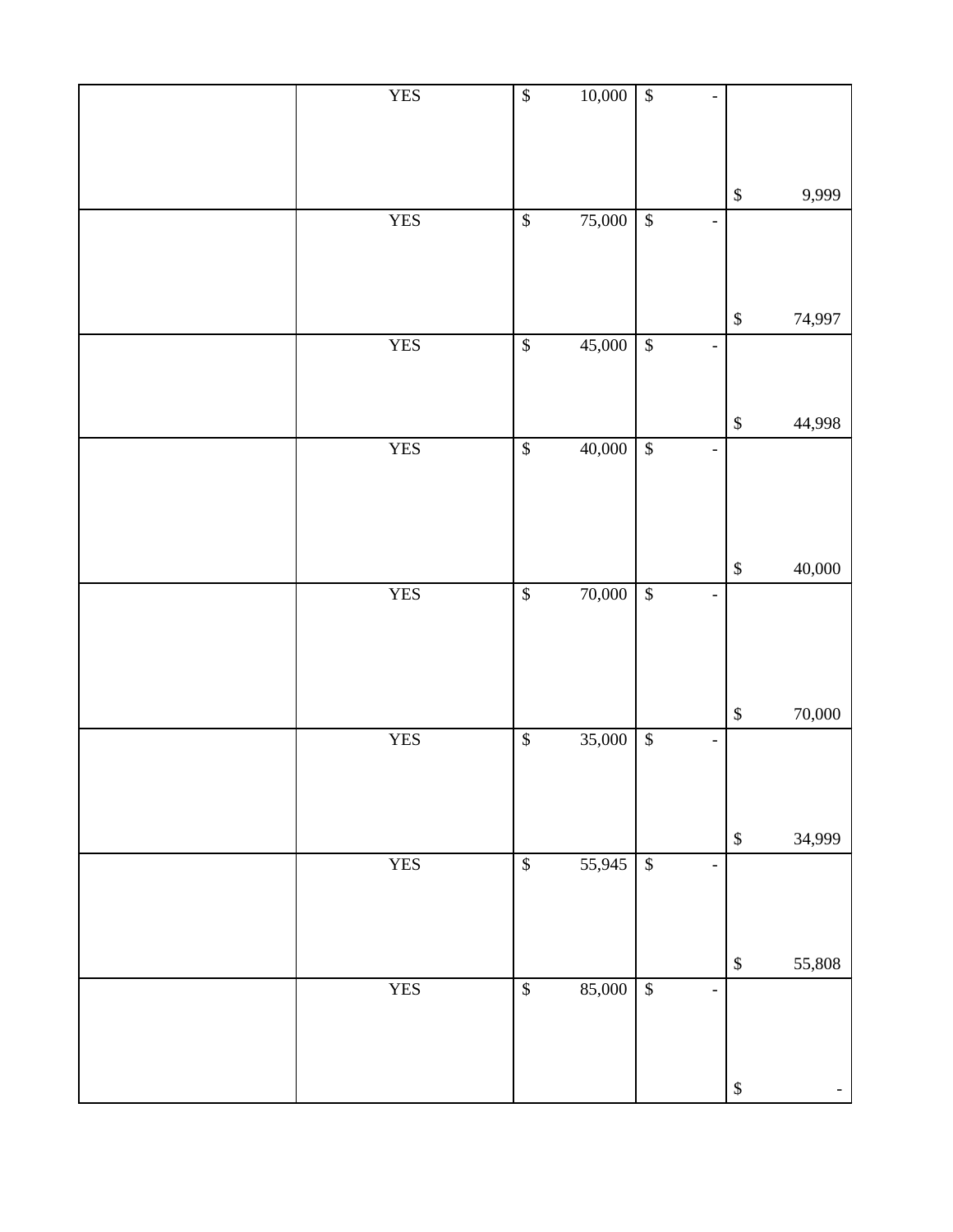| <b>YES</b> | $\sqrt{\frac{1}{2}}$ | 10,000 | $\overline{\$}$           | $\overline{\phantom{0}}$     |                           |        |
|------------|----------------------|--------|---------------------------|------------------------------|---------------------------|--------|
|            |                      |        |                           |                              |                           |        |
|            |                      |        |                           |                              |                           |        |
|            |                      |        |                           |                              | $\mathbb{S}$              | 9,999  |
| <b>YES</b> | $\sqrt{3}$           | 75,000 | $\sqrt{3}$                | $\overline{\phantom{0}}$     |                           |        |
|            |                      |        |                           |                              |                           |        |
|            |                      |        |                           |                              |                           |        |
|            |                      |        |                           |                              | $\mathbb{S}$              | 74,997 |
| <b>YES</b> | $\mathbb{S}$         | 45,000 | $\boldsymbol{\$}$         | $\qquad \qquad -$            |                           |        |
|            |                      |        |                           |                              |                           |        |
|            |                      |        |                           |                              | $\boldsymbol{\mathbb{S}}$ | 44,998 |
| <b>YES</b> | $\overline{\$}$      | 40,000 | $\boldsymbol{\$}$         | $\qquad \qquad \blacksquare$ |                           |        |
|            |                      |        |                           |                              |                           |        |
|            |                      |        |                           |                              |                           |        |
|            |                      |        |                           |                              |                           |        |
| <b>YES</b> | $\sqrt{\frac{1}{2}}$ | 70,000 | $\sqrt{3}$                | $\qquad \qquad -$            | $\mathbb{S}$              | 40,000 |
|            |                      |        |                           |                              |                           |        |
|            |                      |        |                           |                              |                           |        |
|            |                      |        |                           |                              |                           |        |
|            |                      |        |                           |                              | $\boldsymbol{\mathbb{S}}$ | 70,000 |
| <b>YES</b> | $\sqrt{\frac{2}{n}}$ | 35,000 | $\sqrt{\frac{1}{2}}$      | $\qquad \qquad \blacksquare$ |                           |        |
|            |                      |        |                           |                              |                           |        |
|            |                      |        |                           |                              |                           |        |
|            |                      |        |                           |                              | $\mathbb{S}$              | 34,999 |
| <b>YES</b> | $\sqrt{\frac{2}{n}}$ | 55,945 | $\overline{\mathcal{L}}$  | $\overline{\phantom{0}}$     |                           |        |
|            |                      |        |                           |                              |                           |        |
|            |                      |        |                           |                              |                           |        |
|            |                      |        |                           |                              | $\mathbb{S}$              | 55,808 |
| <b>YES</b> | $\sqrt{\frac{2}{n}}$ | 85,000 | $\boldsymbol{\mathsf{S}}$ | $\qquad \qquad \blacksquare$ |                           |        |
|            |                      |        |                           |                              |                           |        |
|            |                      |        |                           |                              |                           |        |
|            |                      |        |                           |                              | $\boldsymbol{\$}$         | $\pm$  |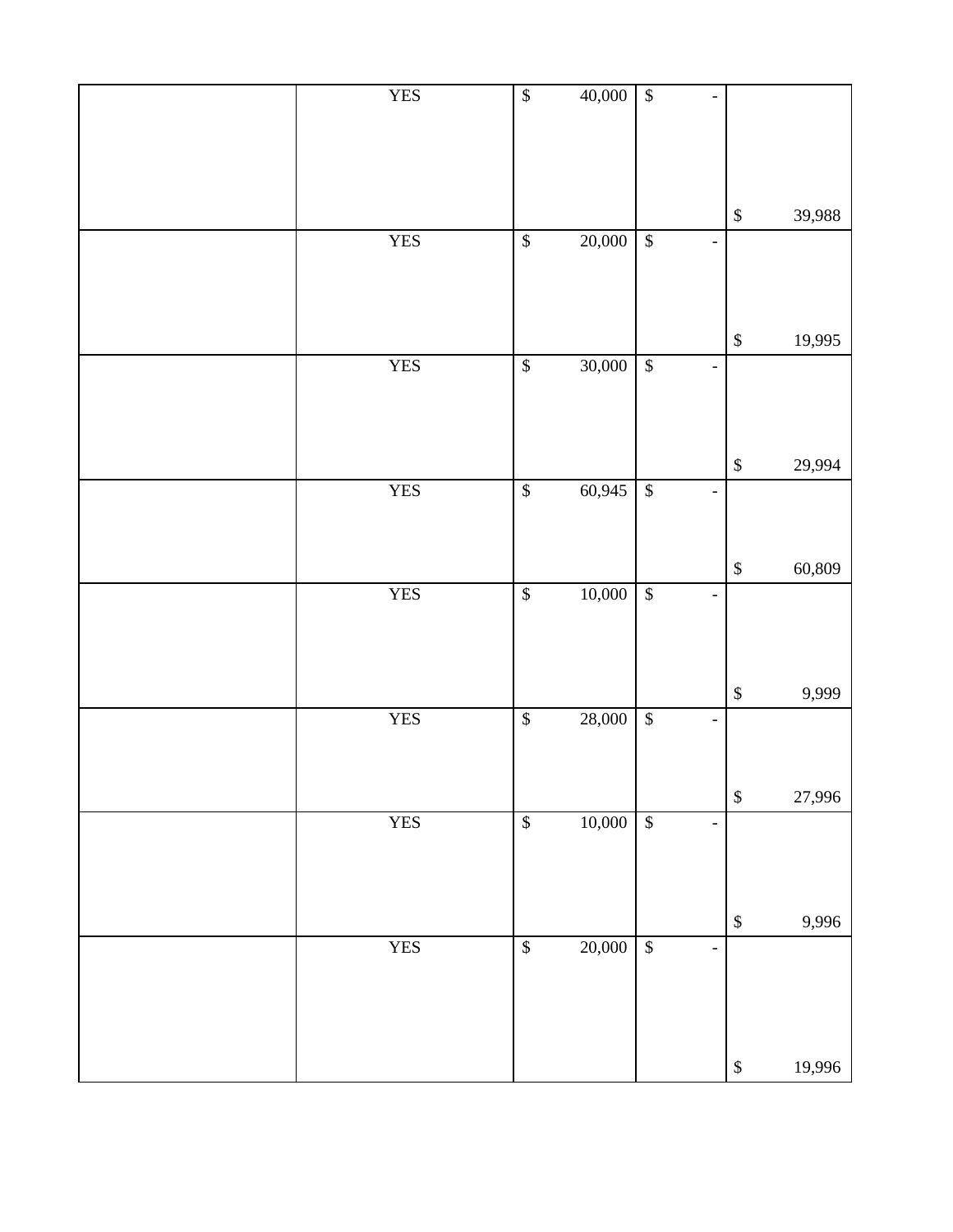| <b>YES</b> | $\boldsymbol{\$}$    | 40,000 | $\overline{\mathcal{L}}$                                 |                           |        |
|------------|----------------------|--------|----------------------------------------------------------|---------------------------|--------|
|            |                      |        |                                                          | $\mathbb{S}$              | 39,988 |
| <b>YES</b> | $\mathbb{S}$         | 20,000 | $\overline{\mathcal{L}}$<br>$\qquad \qquad \blacksquare$ |                           |        |
|            |                      |        |                                                          | $\mathbb{S}$              | 19,995 |
| <b>YES</b> | $\sqrt{\frac{2}{n}}$ | 30,000 | $\sqrt{3}$<br>$\overline{\phantom{0}}$                   |                           |        |
|            |                      |        |                                                          | $\mathbb{S}$              | 29,994 |
| <b>YES</b> | $\sqrt{3}$           | 60,945 | $\overline{\mathcal{L}}$<br>$\qquad \qquad -$            |                           |        |
|            |                      |        |                                                          | $\mathbb{S}$              | 60,809 |
| <b>YES</b> | $\sqrt{\frac{2}{n}}$ | 10,000 | $\sqrt{\frac{2}{n}}$<br>$\overline{\phantom{0}}$         |                           |        |
|            |                      |        |                                                          | $\boldsymbol{\$}$         | 9,999  |
| <b>YES</b> | $\mathbb{S}$         | 28,000 | $\boldsymbol{\$}$<br>$\overline{\phantom{0}}$            |                           |        |
|            |                      |        |                                                          | $\mathbb{S}$              | 27,996 |
| <b>YES</b> | $\sqrt{\frac{2}{n}}$ | 10,000 | $\sqrt{3}$<br>$\frac{1}{2}$                              |                           |        |
|            |                      |        |                                                          | $\boldsymbol{\mathbb{S}}$ | 9,996  |
| <b>YES</b> | $\sqrt{\frac{2}{3}}$ | 20,000 | $\boldsymbol{\$}$<br>$\qquad \qquad -$                   |                           |        |
|            |                      |        |                                                          | $\boldsymbol{\$}$         | 19,996 |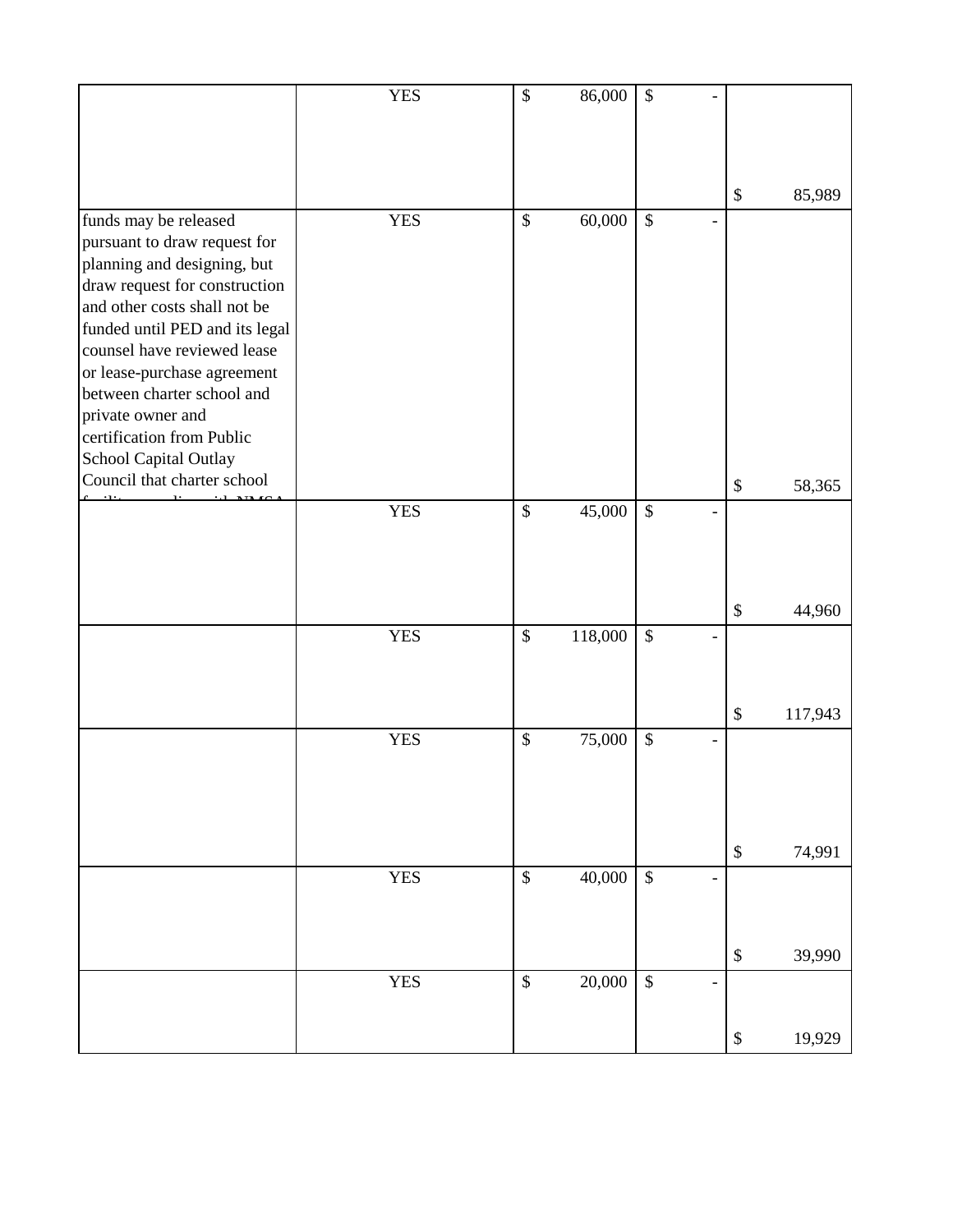|                                                      | <b>YES</b> | \$            | 86,000  | $\mathcal{S}$             |   |                   |         |
|------------------------------------------------------|------------|---------------|---------|---------------------------|---|-------------------|---------|
|                                                      |            |               |         |                           |   |                   |         |
|                                                      |            |               |         |                           |   |                   |         |
|                                                      |            |               |         |                           |   |                   |         |
|                                                      |            |               |         |                           |   | \$                | 85,989  |
|                                                      |            |               |         |                           |   |                   |         |
| funds may be released                                | <b>YES</b> | $\$\,$        | 60,000  | $\mathcal{S}$             |   |                   |         |
| pursuant to draw request for                         |            |               |         |                           |   |                   |         |
| planning and designing, but                          |            |               |         |                           |   |                   |         |
| draw request for construction                        |            |               |         |                           |   |                   |         |
| and other costs shall not be                         |            |               |         |                           |   |                   |         |
| funded until PED and its legal                       |            |               |         |                           |   |                   |         |
| counsel have reviewed lease                          |            |               |         |                           |   |                   |         |
| or lease-purchase agreement                          |            |               |         |                           |   |                   |         |
| between charter school and                           |            |               |         |                           |   |                   |         |
| private owner and<br>certification from Public       |            |               |         |                           |   |                   |         |
|                                                      |            |               |         |                           |   |                   |         |
| School Capital Outlay<br>Council that charter school |            |               |         |                           |   |                   |         |
|                                                      |            |               |         |                           |   | \$                | 58,365  |
|                                                      | <b>YES</b> | $\mathcal{S}$ | 45,000  | $\boldsymbol{\mathsf{S}}$ |   |                   |         |
|                                                      |            |               |         |                           |   |                   |         |
|                                                      |            |               |         |                           |   |                   |         |
|                                                      |            |               |         |                           |   |                   |         |
|                                                      |            |               |         |                           |   | \$                | 44,960  |
|                                                      | <b>YES</b> | $\mathcal{S}$ |         | $\boldsymbol{\mathsf{S}}$ |   |                   |         |
|                                                      |            |               | 118,000 |                           |   |                   |         |
|                                                      |            |               |         |                           |   |                   |         |
|                                                      |            |               |         |                           |   |                   |         |
|                                                      |            |               |         |                           |   | \$                | 117,943 |
|                                                      | <b>YES</b> | $\mathcal{S}$ | 75,000  | $\boldsymbol{\mathsf{S}}$ |   |                   |         |
|                                                      |            |               |         |                           |   |                   |         |
|                                                      |            |               |         |                           |   |                   |         |
|                                                      |            |               |         |                           |   |                   |         |
|                                                      |            |               |         |                           |   |                   |         |
|                                                      |            |               |         |                           |   | \$                | 74,991  |
|                                                      | <b>YES</b> | \$            | 40,000  | $\boldsymbol{\mathsf{S}}$ | - |                   |         |
|                                                      |            |               |         |                           |   |                   |         |
|                                                      |            |               |         |                           |   |                   |         |
|                                                      |            |               |         |                           |   |                   |         |
|                                                      |            |               |         |                           |   | \$                | 39,990  |
|                                                      | <b>YES</b> | \$            | 20,000  | $\boldsymbol{\mathsf{S}}$ | ٠ |                   |         |
|                                                      |            |               |         |                           |   |                   |         |
|                                                      |            |               |         |                           |   |                   |         |
|                                                      |            |               |         |                           |   | $\boldsymbol{\$}$ | 19,929  |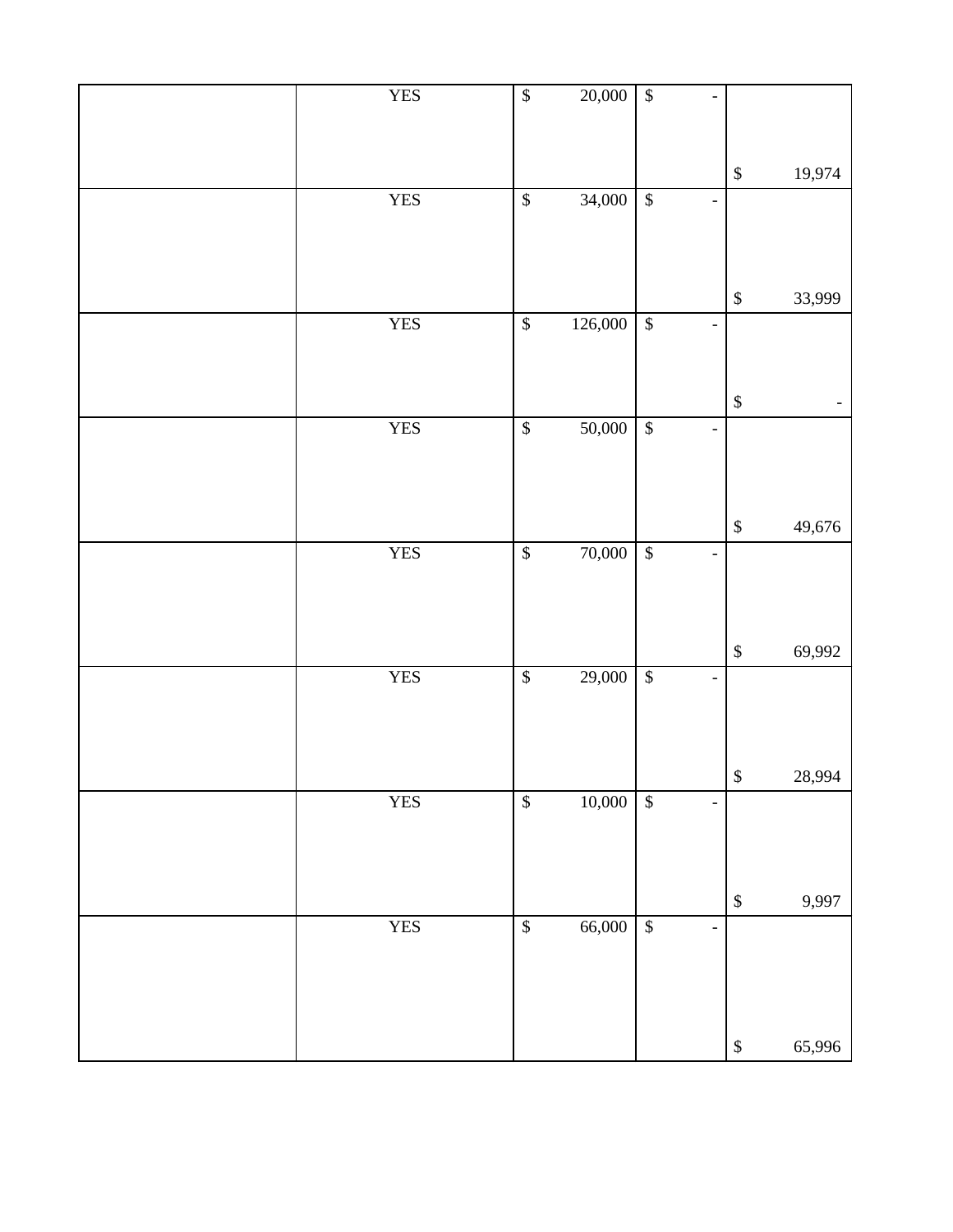| <b>YES</b> | $\sqrt[6]{3}$            | 20,000  | $\sqrt{3}$               |                          |                   |                   |
|------------|--------------------------|---------|--------------------------|--------------------------|-------------------|-------------------|
|            |                          |         |                          |                          |                   |                   |
|            |                          |         |                          |                          | $\$\,$            | 19,974            |
| <b>YES</b> | $\sqrt[6]{3}$            | 34,000  | $\sqrt{3}$               | $\overline{\phantom{0}}$ |                   |                   |
|            |                          |         |                          |                          |                   |                   |
|            |                          |         |                          |                          |                   |                   |
| <b>YES</b> | $\overline{\mathcal{L}}$ | 126,000 | $\overline{\mathcal{L}}$ | $\overline{\phantom{0}}$ | $\mathbb{S}$      | 33,999            |
|            |                          |         |                          |                          |                   |                   |
|            |                          |         |                          |                          |                   |                   |
|            |                          |         |                          |                          | $\mathbb{S}$      | $\qquad \qquad -$ |
| <b>YES</b> | $\overline{\mathcal{L}}$ | 50,000  | $\overline{\mathcal{S}}$ | $\overline{a}$           |                   |                   |
|            |                          |         |                          |                          |                   |                   |
|            |                          |         |                          |                          | $\,$              | 49,676            |
| <b>YES</b> | $\overline{\mathcal{S}}$ | 70,000  | $\sqrt{3}$               | $\overline{a}$           |                   |                   |
|            |                          |         |                          |                          |                   |                   |
|            |                          |         |                          |                          |                   |                   |
|            |                          |         |                          |                          | $\mathbb{S}$      | 69,992            |
| <b>YES</b> | $\sqrt[6]{\frac{1}{2}}$  | 29,000  | $\sqrt{2}$               | $\overline{\phantom{0}}$ |                   |                   |
|            |                          |         |                          |                          |                   |                   |
|            |                          |         |                          |                          |                   |                   |
| <b>YES</b> | $\sqrt{\frac{1}{2}}$     | 10,000  | $\sqrt{3}$               | $\overline{a}$           | $\boldsymbol{\$}$ | 28,994            |
|            |                          |         |                          |                          |                   |                   |
|            |                          |         |                          |                          |                   |                   |
|            |                          |         |                          |                          | $\mathbb{S}$      | 9,997             |
| <b>YES</b> | $\sqrt{\frac{2}{n}}$     | 66,000  | $\overline{\mathcal{L}}$ | $\overline{\phantom{0}}$ |                   |                   |
|            |                          |         |                          |                          |                   |                   |
|            |                          |         |                          |                          |                   |                   |
|            |                          |         |                          |                          | $\mathbb{S}$      | 65,996            |
|            |                          |         |                          |                          |                   |                   |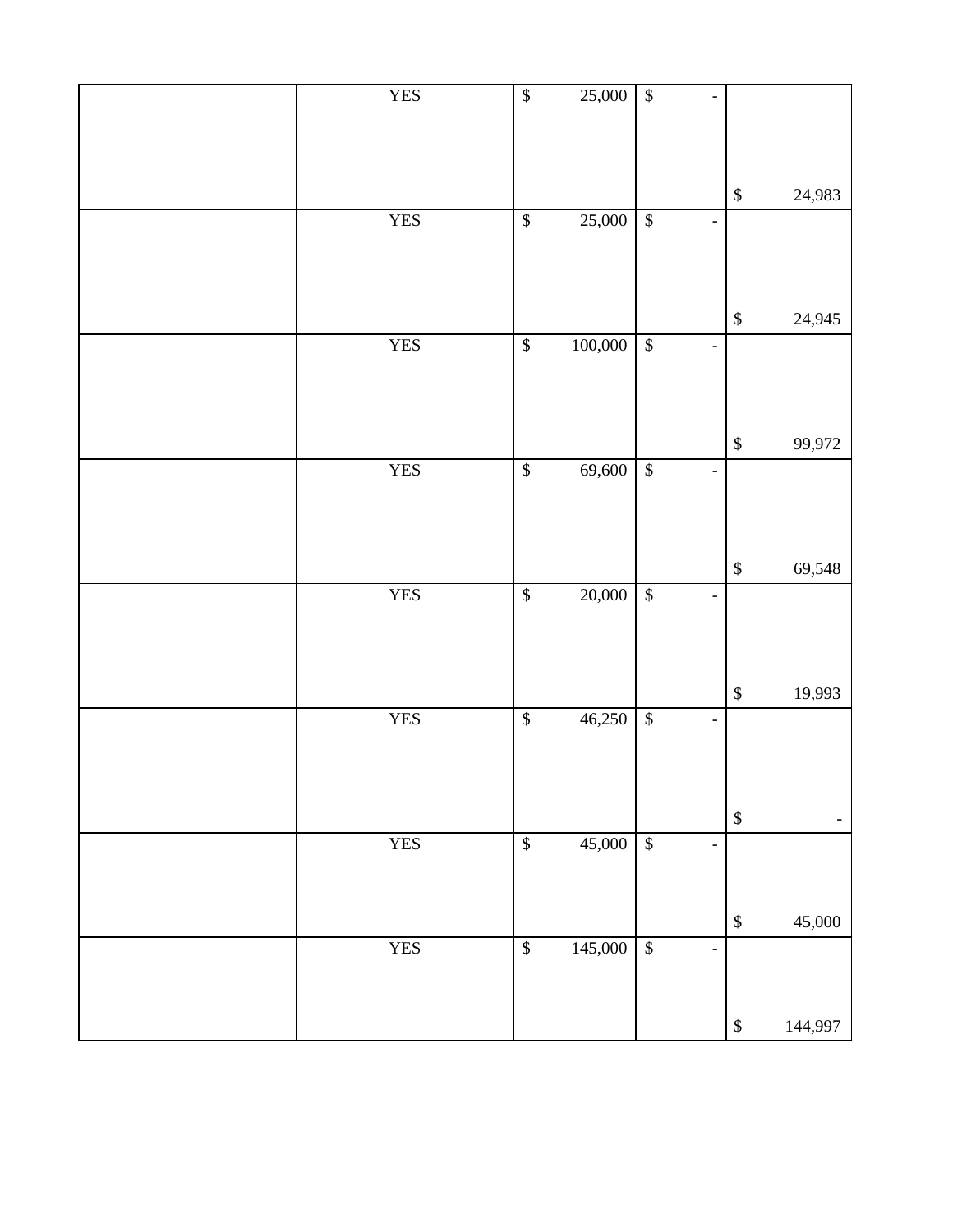| <b>YES</b> | $\sqrt[6]{3}$            | 25,000       | $\overline{\mathcal{L}}$  |                          |              |         |
|------------|--------------------------|--------------|---------------------------|--------------------------|--------------|---------|
|            |                          |              |                           |                          | $\mathbb{S}$ | 24,983  |
| <b>YES</b> | $\sqrt[6]{\frac{1}{2}}$  | 25,000       | $\sqrt{3}$                | $\overline{\phantom{0}}$ |              |         |
|            |                          |              |                           |                          |              |         |
|            |                          |              |                           |                          | $\mathbb{S}$ | 24,945  |
| <b>YES</b> | $\mathbb{S}$             | 100,000      | $\boldsymbol{\mathsf{S}}$ | $\overline{\phantom{0}}$ |              |         |
|            |                          |              |                           |                          |              |         |
|            |                          |              |                           |                          |              |         |
|            |                          |              |                           |                          | $\mathbb{S}$ | 99,972  |
| <b>YES</b> | $\sqrt[6]{\frac{1}{2}}$  | 69,600       | $\overline{\mathcal{L}}$  | $\blacksquare$           |              |         |
|            |                          |              |                           |                          |              |         |
|            |                          |              |                           |                          |              |         |
|            |                          |              |                           |                          | $\mathbb{S}$ | 69,548  |
| <b>YES</b> | $\overline{\mathcal{L}}$ | 20,000       | $\sqrt{3}$                | $\overline{\phantom{0}}$ |              |         |
|            |                          |              |                           |                          |              |         |
|            |                          |              |                           |                          |              |         |
|            |                          |              |                           |                          | $\mathbb{S}$ | 19,993  |
| <b>YES</b> | $\overline{\mathcal{L}}$ | 46,250       | $\overline{\mathcal{L}}$  | $\overline{\phantom{0}}$ |              |         |
|            |                          |              |                           |                          |              |         |
|            |                          |              |                           |                          |              |         |
|            |                          |              |                           |                          | $\mathbb{S}$ | -       |
| <b>YES</b> | $\sqrt{\frac{1}{2}}$     | 45,000       | $\sqrt[3]{\frac{1}{2}}$   | $\overline{\phantom{0}}$ |              |         |
|            |                          |              |                           |                          |              |         |
|            |                          |              |                           |                          | $\mathbb{S}$ | 45,000  |
| <b>YES</b> | $\sqrt[6]{\frac{1}{2}}$  | $145,000$ \$ |                           | $\overline{a}$           |              |         |
|            |                          |              |                           |                          |              |         |
|            |                          |              |                           |                          | $\mathbb{S}$ | 144,997 |
|            |                          |              |                           |                          |              |         |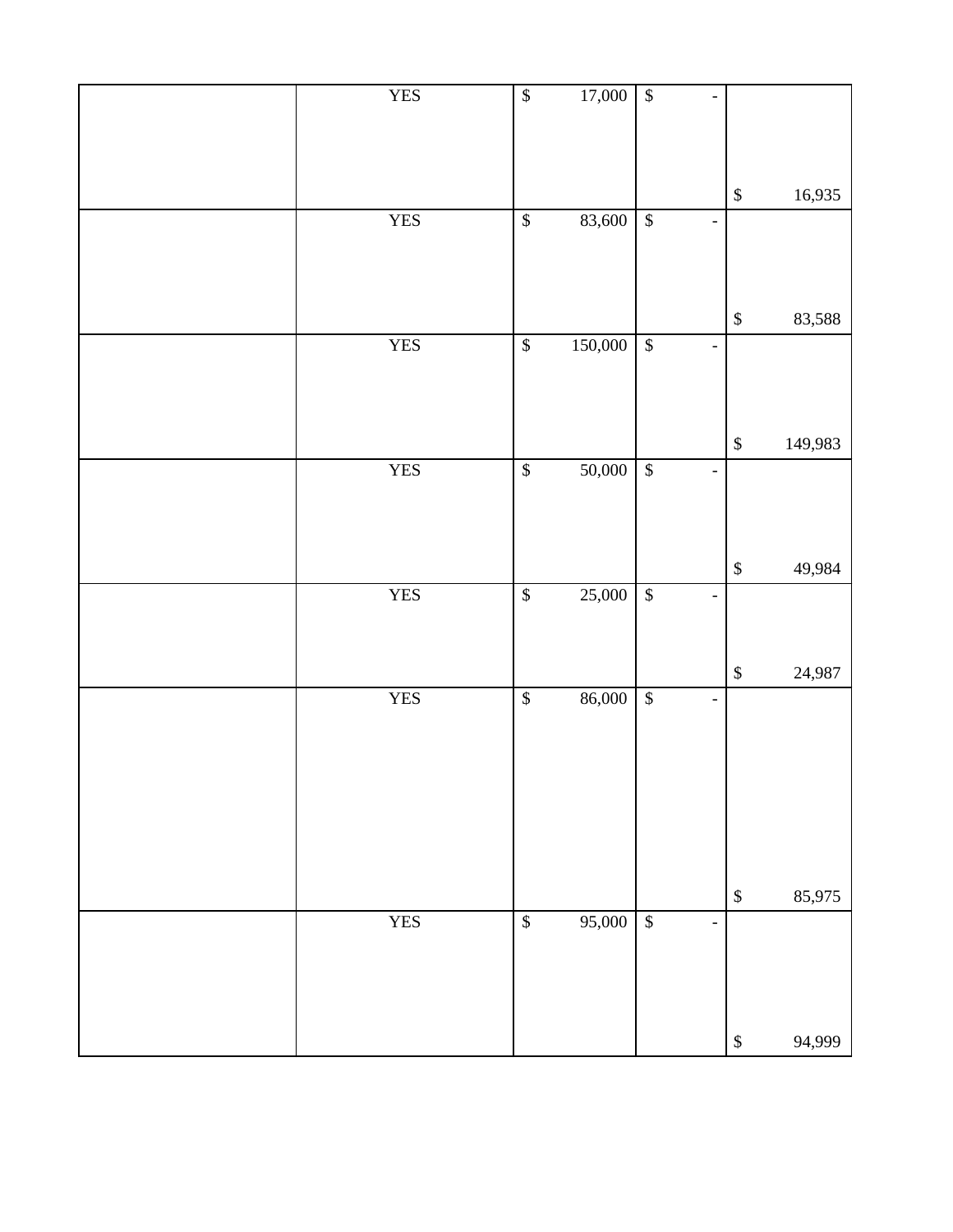| <b>YES</b> | $\sqrt[6]{3}$            | 17,000  | $\overline{\mathcal{L}}$  |                              |              |         |
|------------|--------------------------|---------|---------------------------|------------------------------|--------------|---------|
|            |                          |         |                           |                              | $\mathbb{S}$ | 16,935  |
| <b>YES</b> | $\sqrt[6]{}$             | 83,600  | $\sqrt{3}$                | $\overline{\phantom{0}}$     |              |         |
|            |                          |         |                           |                              |              |         |
|            |                          |         |                           |                              | $\mathbb{S}$ | 83,588  |
| <b>YES</b> | $\mathbb{S}$             | 150,000 | $\boldsymbol{\mathsf{S}}$ | $\qquad \qquad \blacksquare$ |              |         |
|            |                          |         |                           |                              |              |         |
|            |                          |         |                           |                              | $\mathbb{S}$ | 149,983 |
| <b>YES</b> | $\sqrt[6]{}$             | 50,000  | $\overline{\$}$           | $\blacksquare$               |              |         |
|            |                          |         |                           |                              |              |         |
|            |                          |         |                           |                              | $\mathbb{S}$ | 49,984  |
| <b>YES</b> | $\overline{\mathcal{L}}$ | 25,000  | $\sqrt{\frac{1}{2}}$      | $\overline{\phantom{0}}$     |              |         |
|            |                          |         |                           |                              |              |         |
|            |                          |         |                           |                              | $\mathbb{S}$ | 24,987  |
| <b>YES</b> | $\overline{\mathcal{L}}$ | 86,000  | $\sqrt{3}$                | $\overline{\phantom{a}}$     |              |         |
|            |                          |         |                           |                              |              |         |
|            |                          |         |                           |                              |              |         |
|            |                          |         |                           |                              |              |         |
|            |                          |         |                           |                              |              |         |
|            |                          |         |                           |                              | $\$$         | 85,975  |
| <b>YES</b> | $\mathbb{S}$             | 95,000  | $\mathbb{S}$              | $\overline{\phantom{0}}$     |              |         |
|            |                          |         |                           |                              |              |         |
|            |                          |         |                           |                              |              |         |
|            |                          |         |                           |                              | $\$$         | 94,999  |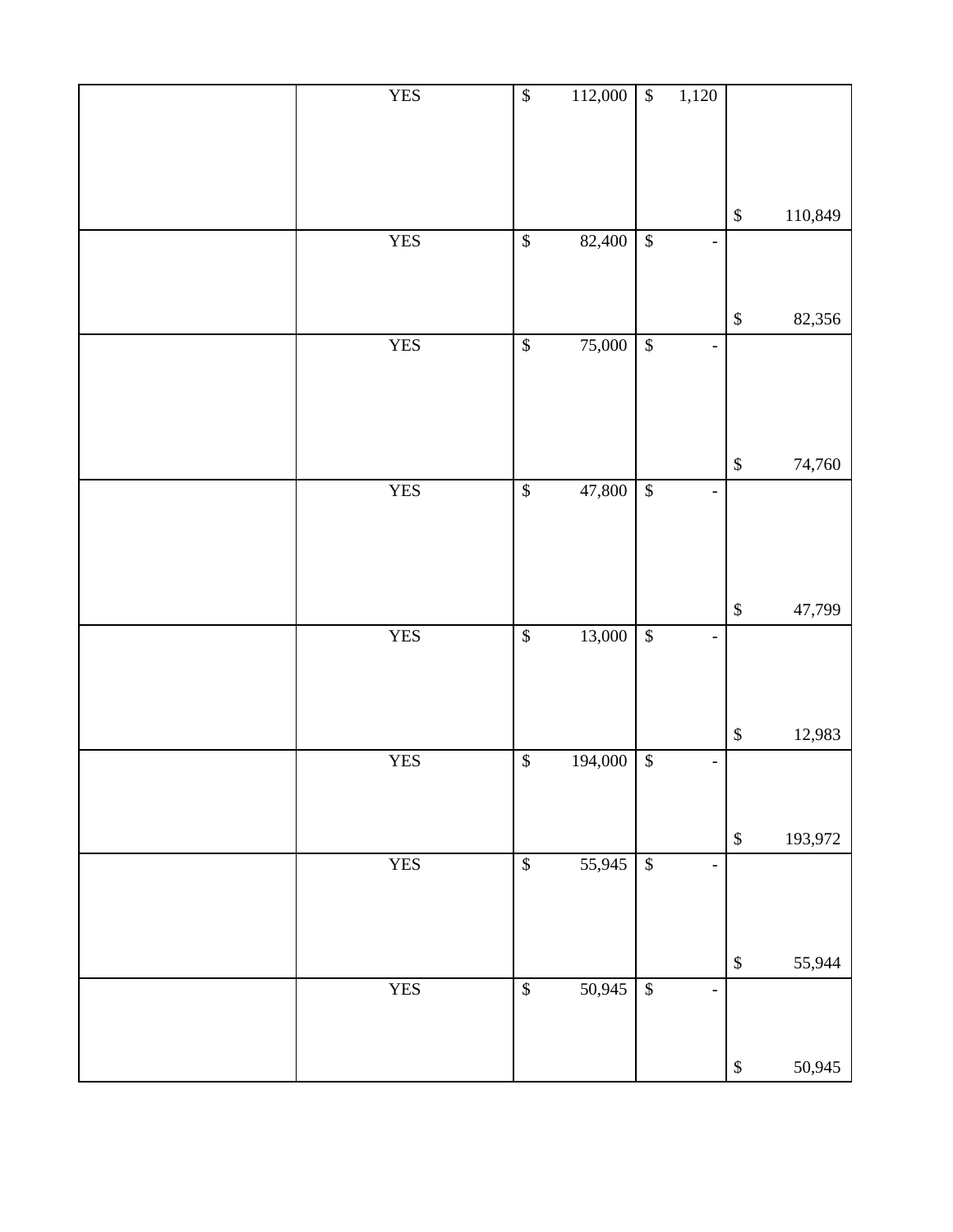| <b>YES</b> |                          |             |                          |                              |                           |         |
|------------|--------------------------|-------------|--------------------------|------------------------------|---------------------------|---------|
|            | $\sqrt{\frac{2}{n}}$     | 112,000     | $\overline{\mathcal{L}}$ | 1,120                        |                           |         |
|            |                          |             |                          |                              |                           |         |
|            |                          |             |                          |                              |                           |         |
|            |                          |             |                          |                              |                           |         |
|            |                          |             |                          |                              |                           |         |
|            |                          |             |                          |                              | $\mathbb{S}$              | 110,849 |
|            |                          |             |                          |                              |                           |         |
| <b>YES</b> | $\overline{\mathcal{L}}$ | 82,400      | $\overline{\mathcal{L}}$ | $\overline{\phantom{0}}$     |                           |         |
|            |                          |             |                          |                              |                           |         |
|            |                          |             |                          |                              |                           |         |
|            |                          |             |                          |                              |                           |         |
|            |                          |             |                          |                              | $\mathbb{S}$              | 82,356  |
| <b>YES</b> | $\overline{\mathcal{L}}$ | 75,000      | $\sqrt{3}$               | $\overline{\phantom{a}}$     |                           |         |
|            |                          |             |                          |                              |                           |         |
|            |                          |             |                          |                              |                           |         |
|            |                          |             |                          |                              |                           |         |
|            |                          |             |                          |                              |                           |         |
|            |                          |             |                          |                              |                           |         |
|            |                          |             |                          |                              | $\mathbb{S}$              | 74,760  |
| <b>YES</b> | $\overline{\mathcal{S}}$ | 47,800      | $\sqrt{3}$               | $\qquad \qquad \blacksquare$ |                           |         |
|            |                          |             |                          |                              |                           |         |
|            |                          |             |                          |                              |                           |         |
|            |                          |             |                          |                              |                           |         |
|            |                          |             |                          |                              |                           |         |
|            |                          |             |                          |                              |                           |         |
|            |                          |             |                          |                              | $\boldsymbol{\mathbb{S}}$ | 47,799  |
| <b>YES</b> | $\sqrt[6]{\frac{1}{2}}$  | 13,000      | $\sqrt{3}$               | $\overline{\phantom{0}}$     |                           |         |
|            |                          |             |                          |                              |                           |         |
|            |                          |             |                          |                              |                           |         |
|            |                          |             |                          |                              |                           |         |
|            |                          |             |                          |                              |                           |         |
|            |                          |             |                          |                              | $\,$                      | 12,983  |
| <b>YES</b> | $\sqrt[6]{\frac{1}{2}}$  | 194,000     | $\sqrt{\ }$              | $\qquad \qquad \blacksquare$ |                           |         |
|            |                          |             |                          |                              |                           |         |
|            |                          |             |                          |                              |                           |         |
|            |                          |             |                          |                              |                           |         |
|            |                          |             |                          |                              | $\mathbb{S}$              | 193,972 |
| <b>YES</b> | $\overline{\mathcal{S}}$ | 55,945      | $\sqrt{\frac{2}{3}}$     |                              |                           |         |
|            |                          |             |                          |                              |                           |         |
|            |                          |             |                          |                              |                           |         |
|            |                          |             |                          |                              |                           |         |
|            |                          |             |                          |                              |                           |         |
|            |                          |             |                          |                              | $\mathbb{S}$              | 55,944  |
|            |                          |             |                          |                              |                           |         |
| <b>YES</b> | $\boldsymbol{\$}$        | $50,945$ \$ |                          | $\overline{\phantom{0}}$     |                           |         |
|            |                          |             |                          |                              |                           |         |
|            |                          |             |                          |                              |                           |         |
|            |                          |             |                          |                              | $\mathbb{S}$              | 50,945  |
|            |                          |             |                          |                              |                           |         |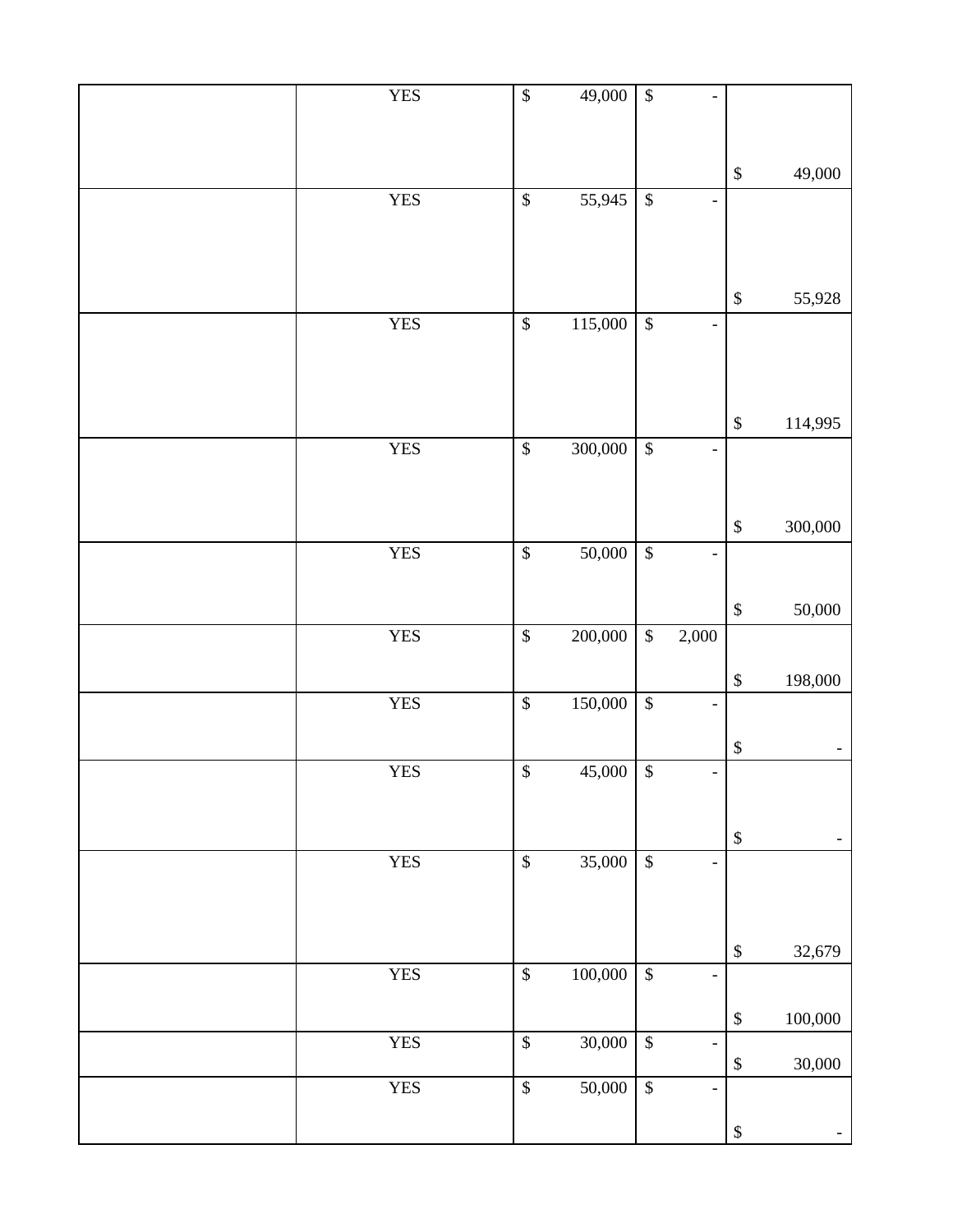| <b>YES</b> | $\overline{\mathcal{L}}$        | 49,000  | $\overline{\$}$           | $\overline{\phantom{0}}$     |                   |                |
|------------|---------------------------------|---------|---------------------------|------------------------------|-------------------|----------------|
|            |                                 |         |                           |                              |                   |                |
|            |                                 |         |                           |                              |                   |                |
|            |                                 |         |                           |                              | $\mathbb{S}$      | 49,000         |
| <b>YES</b> | $\boldsymbol{\$}$               | 55,945  | $\overline{\mathcal{L}}$  | $\overline{\phantom{0}}$     |                   |                |
|            |                                 |         |                           |                              |                   |                |
|            |                                 |         |                           |                              |                   |                |
|            |                                 |         |                           |                              | $\mathbb{S}$      | 55,928         |
| <b>YES</b> | $\overline{\mathcal{S}}$        | 115,000 | $\boldsymbol{\mathsf{S}}$ | $\overline{\phantom{0}}$     |                   |                |
|            |                                 |         |                           |                              |                   |                |
|            |                                 |         |                           |                              |                   |                |
|            |                                 |         |                           |                              | $\mathbb{S}$      | 114,995        |
| <b>YES</b> | $\boldsymbol{\hat{\mathsf{S}}}$ | 300,000 | $\boldsymbol{\mathsf{S}}$ | $\overline{a}$               |                   |                |
|            |                                 |         |                           |                              |                   |                |
|            |                                 |         |                           |                              |                   |                |
|            |                                 |         |                           |                              | $\mathbb{S}$      | 300,000        |
| <b>YES</b> | $\boldsymbol{\$}$               | 50,000  | $\boldsymbol{\mathsf{S}}$ | ÷,                           |                   |                |
|            |                                 |         |                           |                              |                   |                |
|            |                                 |         |                           |                              | $\boldsymbol{\$}$ | 50,000         |
| <b>YES</b> | $\boldsymbol{\hat{\mathsf{S}}}$ | 200,000 | $\mathbb{S}$              | 2,000                        |                   |                |
|            |                                 |         |                           |                              | $\mathbb{S}$      | 198,000        |
| <b>YES</b> | $\boldsymbol{\$}$               | 150,000 | $\overline{\mathcal{L}}$  | $\overline{\phantom{0}}$     |                   |                |
|            |                                 |         |                           |                              |                   |                |
|            |                                 |         |                           |                              | $\boldsymbol{\$}$ | $\pm$          |
| <b>YES</b> | $\overline{\$}$                 | 45,000  | $\overline{\mathcal{S}}$  | $\qquad \qquad -$            |                   |                |
|            |                                 |         |                           |                              |                   |                |
|            |                                 |         |                           |                              | $\boldsymbol{\$}$ | $\blacksquare$ |
| <b>YES</b> | $\boldsymbol{\$}$               | 35,000  | $\sqrt{3}$                | $\qquad \qquad \blacksquare$ |                   |                |
|            |                                 |         |                           |                              |                   |                |
|            |                                 |         |                           |                              |                   |                |
|            |                                 |         |                           |                              | $\$\,$            | 32,679         |
| <b>YES</b> | $\boldsymbol{\$}$               | 100,000 | $\boldsymbol{\$}$         | $\overline{\phantom{0}}$     |                   |                |
|            |                                 |         |                           |                              | $\$$              | 100,000        |
| <b>YES</b> | $\boldsymbol{\$}$               | 30,000  | $\boldsymbol{\$}$         | $\overline{\phantom{0}}$     |                   |                |
|            |                                 |         |                           |                              | $\$$              | 30,000         |
| <b>YES</b> | $\overline{\mathcal{L}}$        | 50,000  | $\overline{\mathcal{L}}$  | $\overline{\phantom{0}}$     |                   |                |
|            |                                 |         |                           |                              | $\boldsymbol{\$}$ |                |
|            |                                 |         |                           |                              |                   |                |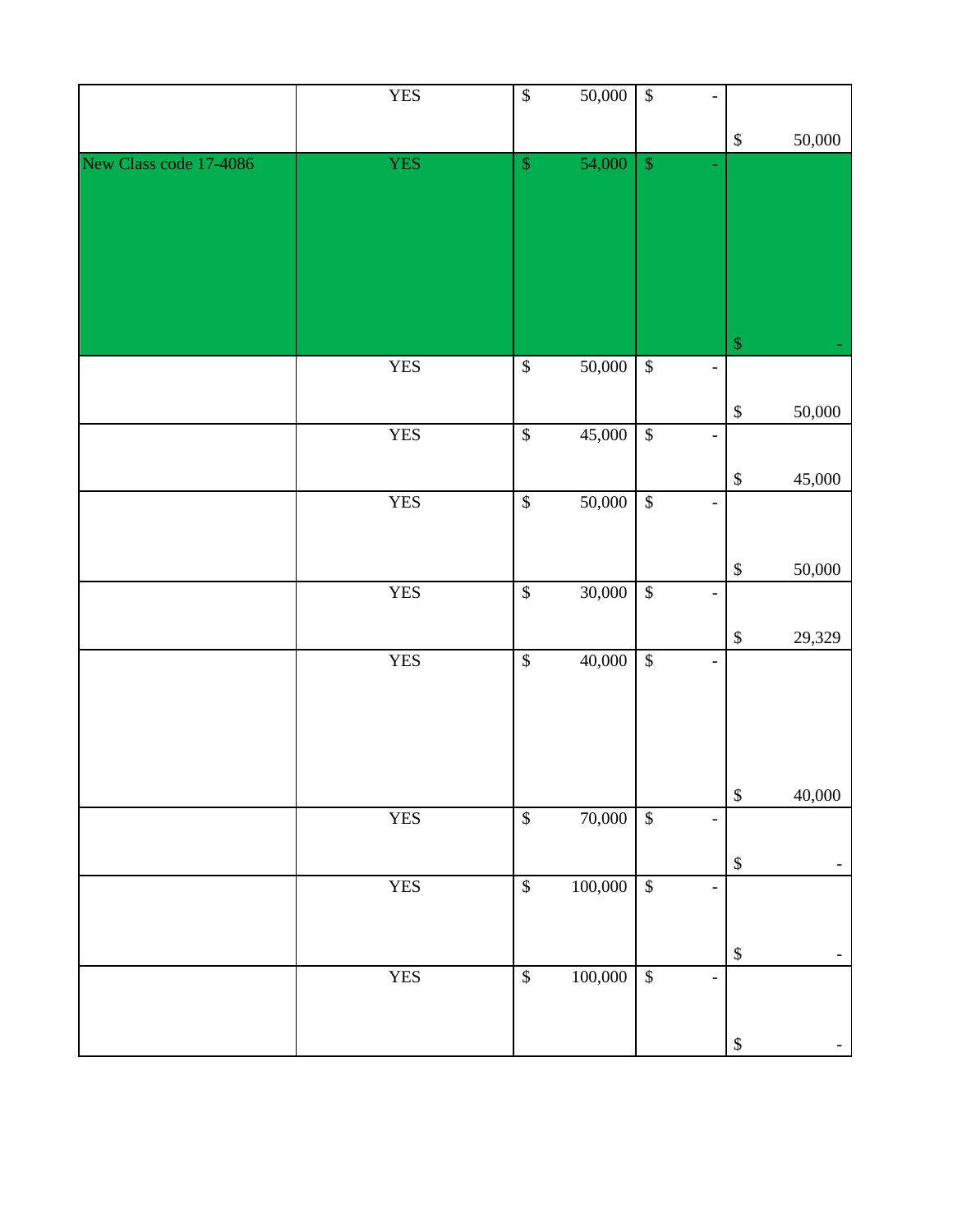|                        | <b>YES</b> | $\overline{\mathcal{L}}$  | 50,000  | $\sqrt{3}$               | $\overline{a}$               |                           |                          |
|------------------------|------------|---------------------------|---------|--------------------------|------------------------------|---------------------------|--------------------------|
|                        |            |                           |         |                          |                              | $\boldsymbol{\$}$         | 50,000                   |
| New Class code 17-4086 | <b>YES</b> | $\mathbb{S}$              | 54,000  | $\mathbb{S}$             |                              |                           |                          |
|                        |            |                           |         |                          |                              |                           |                          |
|                        | <b>YES</b> | $\boldsymbol{\mathsf{S}}$ | 50,000  | $\overline{\mathcal{S}}$ | $\overline{\phantom{a}}$     | $\boldsymbol{\mathsf{S}}$ |                          |
|                        | <b>YES</b> | $\overline{\mathcal{L}}$  | 45,000  | $\sqrt{3}$               | $\overline{\phantom{a}}$     | $\$\,$                    | 50,000                   |
|                        |            |                           |         |                          |                              | $\boldsymbol{\$}$         | 45,000                   |
|                        | <b>YES</b> | $\sqrt{3}$                | 50,000  | $\sqrt{\frac{1}{2}}$     | $\overline{\phantom{a}}$     |                           |                          |
|                        | <b>YES</b> | $\overline{\mathcal{L}}$  | 30,000  | $\sqrt[6]{3}$            | $\frac{1}{2}$                | $\boldsymbol{\$}$         | 50,000                   |
|                        |            |                           |         |                          |                              | $\boldsymbol{\$}$         | 29,329                   |
|                        | <b>YES</b> | $\overline{\mathcal{S}}$  | 40,000  | $\sqrt{3}$               | $\blacksquare$               |                           |                          |
|                        |            |                           |         |                          |                              | $\boldsymbol{\$}$         | 40,000                   |
|                        | <b>YES</b> | $\sqrt{\frac{2}{5}}$      | 70,000  | $\sqrt{3}$               | $\qquad \qquad \blacksquare$ | $\boldsymbol{\$}$         |                          |
|                        | <b>YES</b> | $\boldsymbol{\mathbb{S}}$ | 100,000 | $\overline{\$}$          | $\qquad \qquad \blacksquare$ |                           |                          |
|                        | <b>YES</b> | $\overline{\mathcal{L}}$  | 100,000 | $\sqrt{3}$               | $\frac{1}{2}$                | $\boldsymbol{\mathsf{S}}$ |                          |
|                        |            |                           |         |                          |                              | $\boldsymbol{\$}$         | $\overline{\phantom{a}}$ |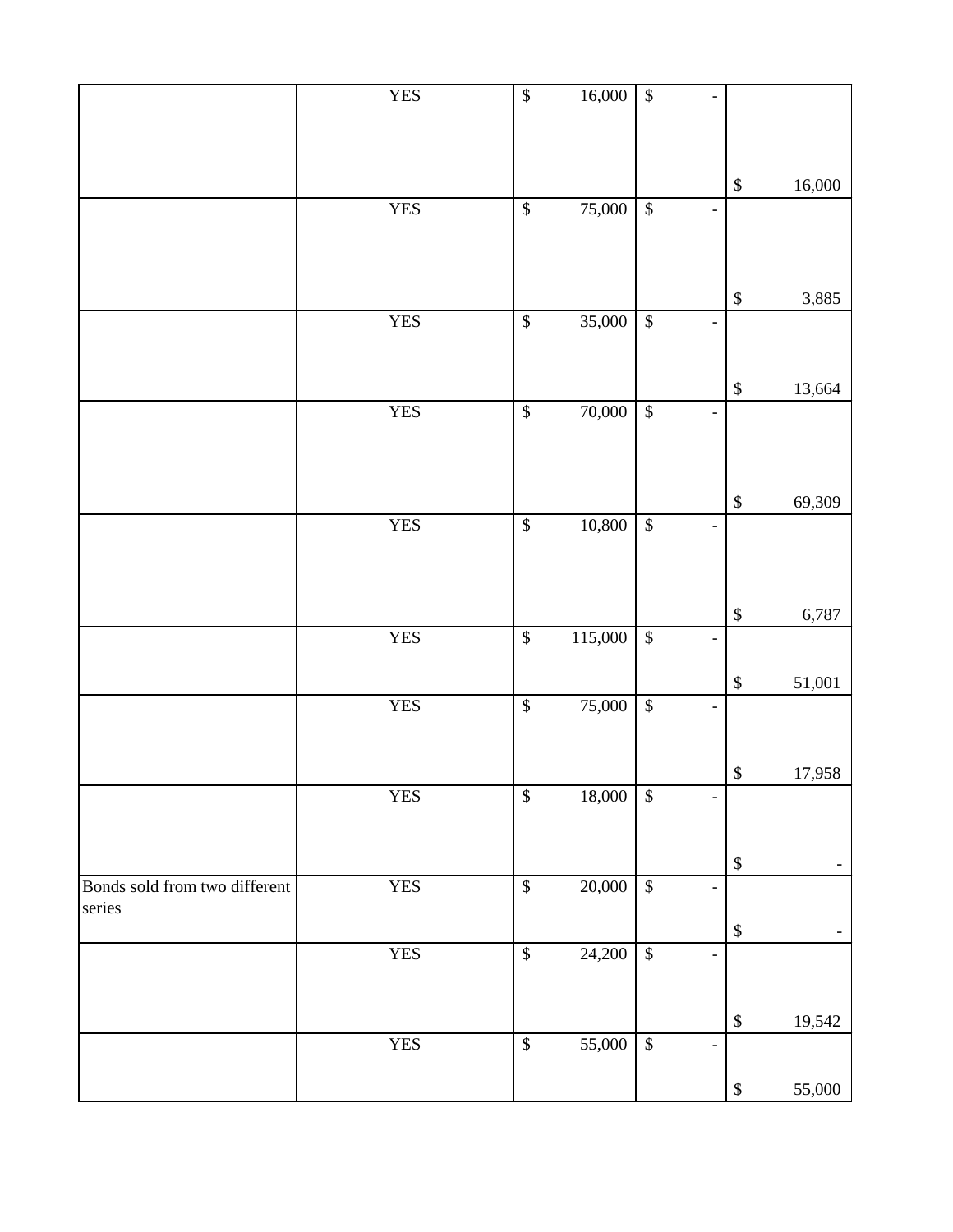|                                         | <b>YES</b> | $\overline{\mathcal{L}}$ | 16,000  | $\sqrt{\frac{1}{2}}$     | $\overline{a}$               |                           |        |
|-----------------------------------------|------------|--------------------------|---------|--------------------------|------------------------------|---------------------------|--------|
|                                         |            |                          |         |                          |                              | $\$\,$                    | 16,000 |
|                                         | <b>YES</b> | $\mathbb{S}$             | 75,000  | $\mathbb{S}$             | $\overline{\phantom{0}}$     |                           |        |
|                                         |            |                          |         |                          |                              | $\boldsymbol{\mathsf{S}}$ | 3,885  |
|                                         | <b>YES</b> | $\mathbb{S}$             | 35,000  | $\overline{\mathcal{S}}$ | $\overline{\phantom{0}}$     |                           |        |
|                                         |            |                          |         |                          |                              | $\boldsymbol{\$}$         | 13,664 |
|                                         | <b>YES</b> | $\$\,$                   | 70,000  | $\overline{\mathcal{S}}$ | $\qquad \qquad \blacksquare$ |                           |        |
|                                         |            |                          |         |                          |                              | $\$\,$                    | 69,309 |
|                                         | <b>YES</b> | $\mathbb{S}$             | 10,800  | $\overline{\mathcal{S}}$ | ÷,                           |                           |        |
|                                         |            |                          |         |                          |                              | $\boldsymbol{\mathsf{S}}$ | 6,787  |
|                                         | <b>YES</b> | $\overline{\mathcal{S}}$ | 115,000 | $\overline{\mathcal{S}}$ | $\overline{\phantom{0}}$     | $\boldsymbol{\$}$         | 51,001 |
|                                         | <b>YES</b> | $\overline{\mathcal{S}}$ | 75,000  | $\sqrt{3}$               |                              |                           |        |
|                                         |            |                          |         |                          |                              | $\boldsymbol{\mathsf{S}}$ | 17,958 |
|                                         | <b>YES</b> | $\mathbb S$              | 18,000  | $\$\,$                   |                              |                           |        |
|                                         |            |                          |         |                          |                              | $\$\,$                    |        |
| Bonds sold from two different<br>series | <b>YES</b> | $\mathbb{S}$             | 20,000  | $\$$                     | $\overline{\phantom{0}}$     |                           |        |
|                                         | <b>YES</b> | $\$$                     | 24,200  | $\$\,$                   |                              | $\boldsymbol{\$}$         | -      |
|                                         |            |                          |         |                          |                              |                           |        |
|                                         |            |                          |         |                          |                              | $\boldsymbol{\$}$         | 19,542 |
|                                         | <b>YES</b> | $\mathbb{S}$             | 55,000  | $\$\,$                   | $\overline{a}$               | $\mathbb{S}$              | 55,000 |
|                                         |            |                          |         |                          |                              |                           |        |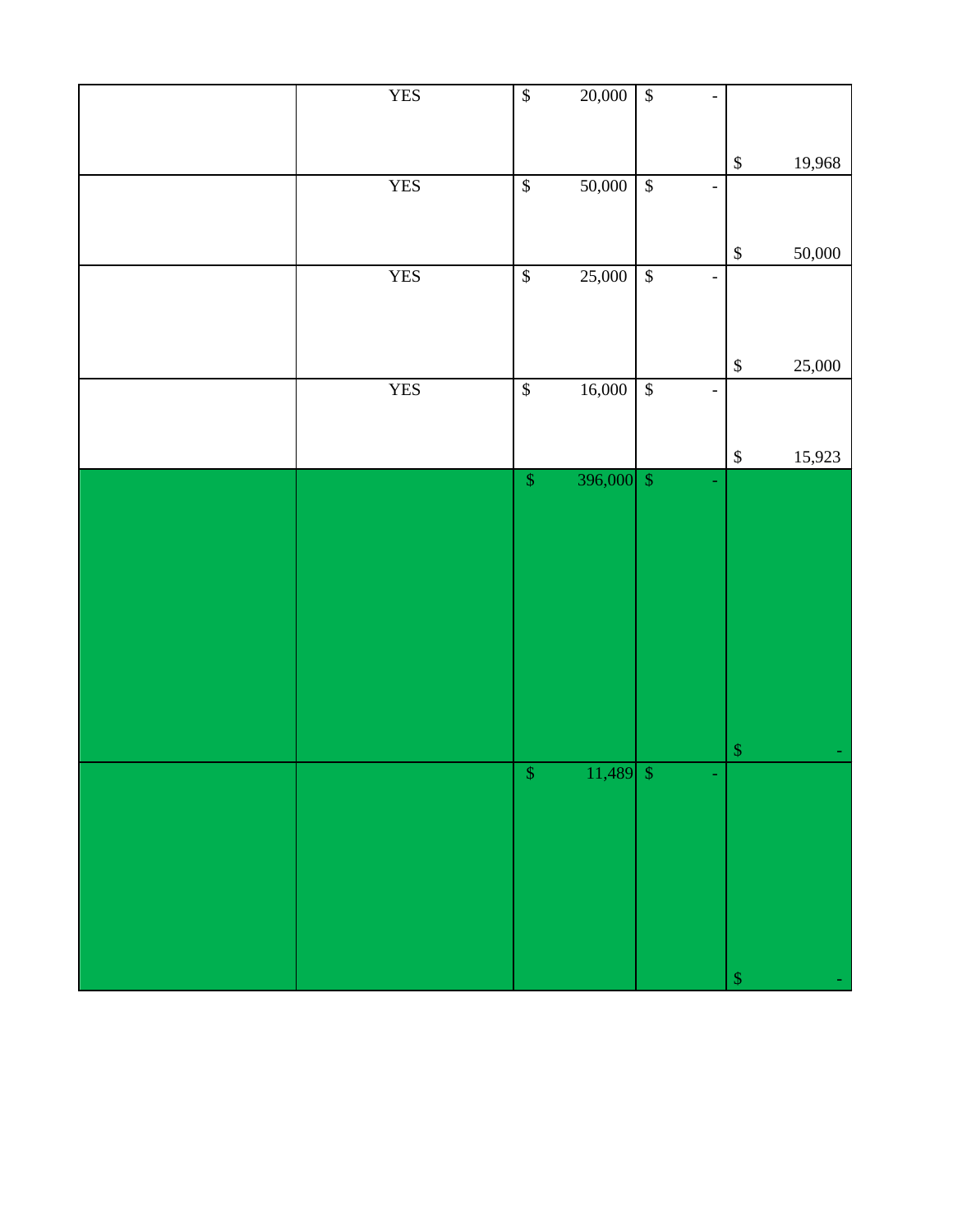| <b>YES</b> | $\sqrt{\frac{1}{2}}$ | 20,000      | $\sqrt{\ }$<br>Ĭ.                                    |              |        |
|------------|----------------------|-------------|------------------------------------------------------|--------------|--------|
|            |                      |             |                                                      | $\mathbb{S}$ | 19,968 |
| <b>YES</b> | $\sqrt{s}$           | 50,000      | $\sqrt{\frac{2}{3}}$<br>$\blacksquare$               |              |        |
|            |                      |             |                                                      |              |        |
|            |                      |             |                                                      | $\mathbb{S}$ | 50,000 |
| <b>YES</b> | $\sqrt{2}$           | 25,000      | $\sqrt{3}$<br>$\qquad \qquad -$                      |              |        |
|            |                      |             |                                                      |              |        |
|            |                      |             |                                                      | $\mathbb{S}$ | 25,000 |
| <b>YES</b> | $\sqrt{3}$           | 16,000      | $\sqrt{\frac{1}{2}}$<br>$\qquad \qquad \blacksquare$ |              |        |
|            |                      |             |                                                      |              |        |
|            |                      |             |                                                      | $\mathbb{S}$ | 15,923 |
|            | $\sqrt{\ }$          | 396,000 $$$ |                                                      |              |        |
|            |                      |             |                                                      |              |        |
|            |                      |             |                                                      |              |        |
|            |                      |             |                                                      |              |        |
|            |                      |             |                                                      |              |        |
|            |                      |             |                                                      |              |        |
|            |                      |             |                                                      |              |        |
|            |                      |             |                                                      |              |        |
|            |                      |             |                                                      | $\mathbb{S}$ |        |
|            | $\sqrt{S}$           | $11,489$ \$ |                                                      |              |        |
|            |                      |             |                                                      |              |        |
|            |                      |             |                                                      |              |        |
|            |                      |             |                                                      |              |        |
|            |                      |             |                                                      |              |        |
|            |                      |             |                                                      |              |        |
|            |                      |             |                                                      | $\$\,$       |        |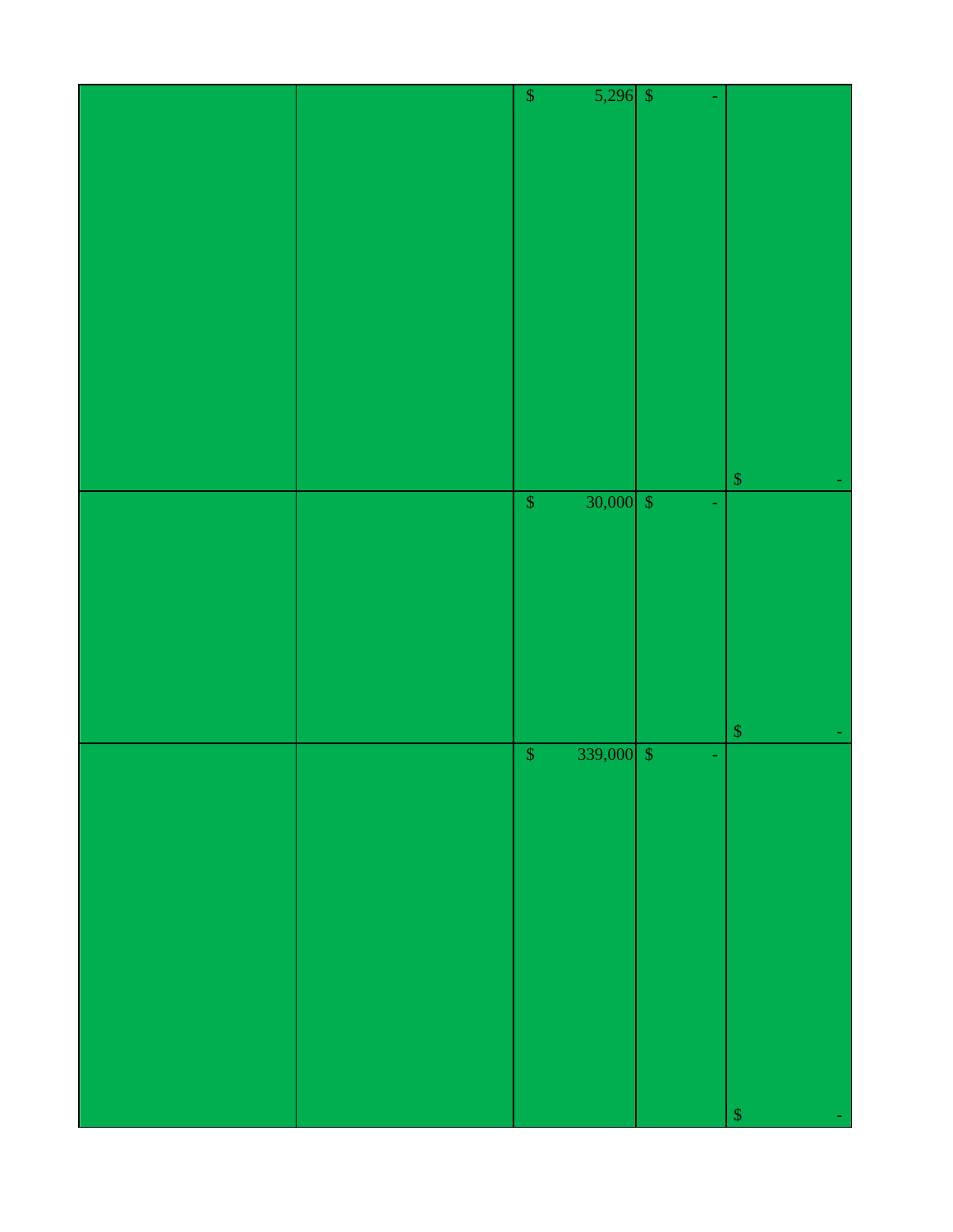|  | $\pmb{\mathcal{S}}$ | $5,296$ \$  |   |              |  |
|--|---------------------|-------------|---|--------------|--|
|  |                     |             |   |              |  |
|  |                     |             |   |              |  |
|  |                     |             |   |              |  |
|  |                     |             |   |              |  |
|  |                     |             |   |              |  |
|  |                     |             |   |              |  |
|  |                     |             |   |              |  |
|  |                     |             |   |              |  |
|  |                     |             |   |              |  |
|  |                     |             |   |              |  |
|  |                     |             |   |              |  |
|  |                     |             |   |              |  |
|  |                     |             |   |              |  |
|  |                     |             |   |              |  |
|  |                     |             |   |              |  |
|  |                     |             |   |              |  |
|  |                     |             |   |              |  |
|  |                     |             |   |              |  |
|  |                     |             |   |              |  |
|  |                     |             |   |              |  |
|  |                     |             |   |              |  |
|  |                     |             |   |              |  |
|  |                     |             |   |              |  |
|  |                     |             |   |              |  |
|  |                     |             |   |              |  |
|  |                     |             |   |              |  |
|  |                     |             |   |              |  |
|  |                     |             |   |              |  |
|  |                     |             |   | $\sqrt{\ }$  |  |
|  |                     |             |   |              |  |
|  | $\sqrt{\ }$         | $30,000$ \$ |   |              |  |
|  |                     |             |   |              |  |
|  |                     |             |   |              |  |
|  |                     |             |   |              |  |
|  |                     |             |   |              |  |
|  |                     |             |   |              |  |
|  |                     |             |   |              |  |
|  |                     |             |   |              |  |
|  |                     |             |   |              |  |
|  |                     |             |   |              |  |
|  |                     |             |   |              |  |
|  |                     |             |   |              |  |
|  |                     |             |   |              |  |
|  |                     |             |   |              |  |
|  |                     |             |   |              |  |
|  |                     |             |   |              |  |
|  |                     |             |   |              |  |
|  |                     |             |   | $\mathbb{S}$ |  |
|  |                     |             |   |              |  |
|  | $\boldsymbol{\$}$   | 339,000 $$$ | ÷ |              |  |
|  |                     |             |   |              |  |
|  |                     |             |   |              |  |
|  |                     |             |   |              |  |
|  |                     |             |   |              |  |
|  |                     |             |   |              |  |
|  |                     |             |   |              |  |
|  |                     |             |   |              |  |
|  |                     |             |   |              |  |
|  |                     |             |   |              |  |
|  |                     |             |   |              |  |
|  |                     |             |   |              |  |
|  |                     |             |   |              |  |
|  |                     |             |   |              |  |
|  |                     |             |   |              |  |
|  |                     |             |   |              |  |
|  |                     |             |   |              |  |
|  |                     |             |   |              |  |
|  |                     |             |   |              |  |
|  |                     |             |   |              |  |
|  |                     |             |   |              |  |
|  |                     |             |   |              |  |
|  |                     |             |   |              |  |
|  |                     |             |   |              |  |
|  |                     |             |   |              |  |
|  |                     |             |   |              |  |
|  |                     |             |   |              |  |
|  |                     |             |   |              |  |
|  |                     |             |   | \$           |  |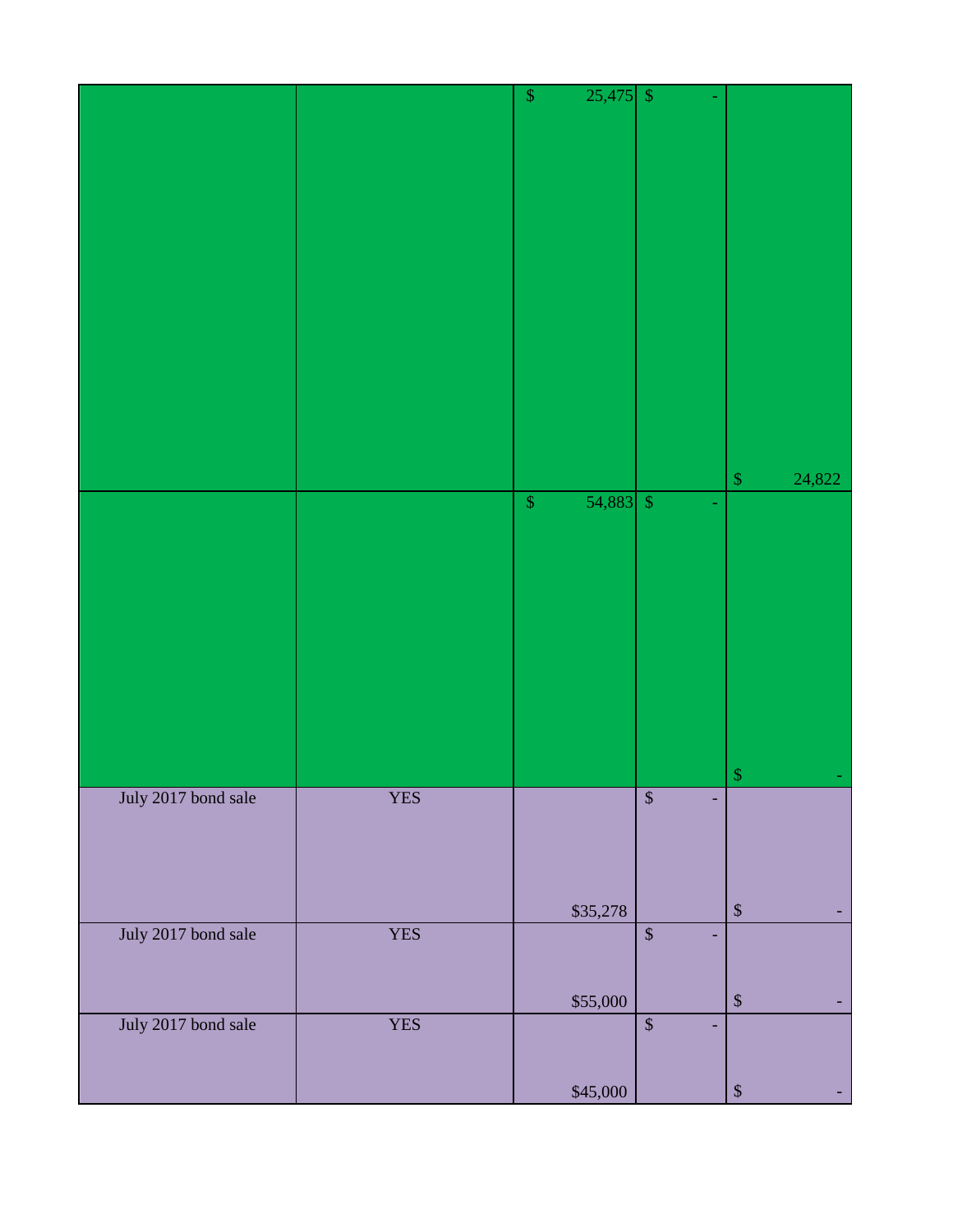|                     |            | $25,475$ \$<br>$\mathbb{S}$ |                   |                        |
|---------------------|------------|-----------------------------|-------------------|------------------------|
|                     |            |                             |                   |                        |
|                     |            |                             |                   |                        |
|                     |            |                             |                   |                        |
|                     |            |                             |                   |                        |
|                     |            |                             |                   |                        |
|                     |            |                             |                   |                        |
|                     |            |                             |                   |                        |
|                     |            |                             |                   |                        |
|                     |            |                             |                   |                        |
|                     |            |                             |                   |                        |
|                     |            |                             |                   |                        |
|                     |            |                             |                   |                        |
|                     |            |                             |                   |                        |
|                     |            |                             |                   |                        |
|                     |            |                             |                   |                        |
|                     |            |                             |                   |                        |
|                     |            |                             |                   |                        |
|                     |            |                             |                   |                        |
|                     |            |                             |                   |                        |
|                     |            |                             |                   |                        |
|                     |            |                             |                   |                        |
|                     |            |                             |                   |                        |
|                     |            |                             |                   | 24,822<br>$\mathbb{S}$ |
|                     |            | $54,883$ \$<br>$\mathbb{S}$ |                   |                        |
|                     |            |                             |                   |                        |
|                     |            |                             |                   |                        |
|                     |            |                             |                   |                        |
|                     |            |                             |                   |                        |
|                     |            |                             |                   |                        |
|                     |            |                             |                   |                        |
|                     |            |                             |                   |                        |
|                     |            |                             |                   |                        |
|                     |            |                             |                   |                        |
|                     |            |                             |                   |                        |
|                     |            |                             |                   |                        |
|                     |            |                             |                   |                        |
|                     |            |                             |                   |                        |
|                     |            |                             |                   |                        |
|                     |            |                             |                   |                        |
|                     |            |                             |                   |                        |
|                     |            |                             |                   | $\hat{\mathbf{S}}$     |
| July 2017 bond sale | <b>YES</b> |                             | $\overline{\$}$   |                        |
|                     |            |                             |                   |                        |
|                     |            |                             |                   |                        |
|                     |            |                             |                   |                        |
|                     |            |                             |                   |                        |
|                     |            |                             |                   |                        |
|                     |            |                             |                   |                        |
|                     |            | \$35,278                    |                   | $\mathbb{S}$           |
| July 2017 bond sale | <b>YES</b> |                             | $\mathbb{S}$      |                        |
|                     |            |                             |                   |                        |
|                     |            |                             |                   |                        |
|                     |            |                             |                   |                        |
|                     |            | \$55,000                    |                   | $\boldsymbol{\$}$      |
|                     |            |                             |                   |                        |
| July 2017 bond sale | <b>YES</b> |                             | $\mathbb S$<br>÷. |                        |
|                     |            |                             |                   |                        |
|                     |            |                             |                   |                        |
|                     |            |                             |                   |                        |
|                     |            | \$45,000                    |                   | $\mathbb{S}$           |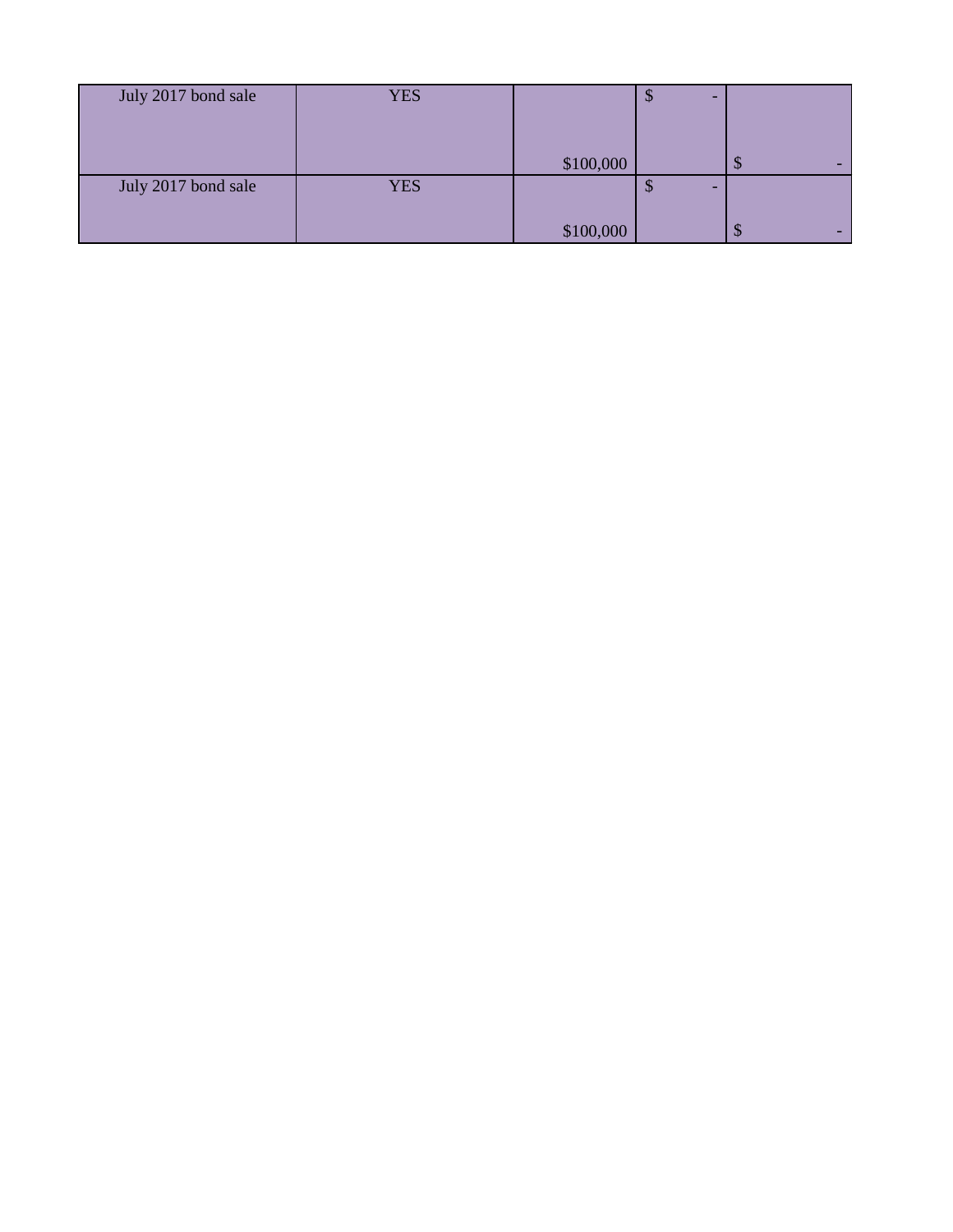| July 2017 bond sale | <b>YES</b> |           | -<br>Ψ |        |
|---------------------|------------|-----------|--------|--------|
|                     |            |           |        |        |
|                     |            | \$100,000 |        | -      |
|                     |            |           |        | ND     |
| July 2017 bond sale | <b>YES</b> |           | -<br>Ψ |        |
|                     |            |           |        |        |
|                     |            | \$100,000 |        | -<br>ψ |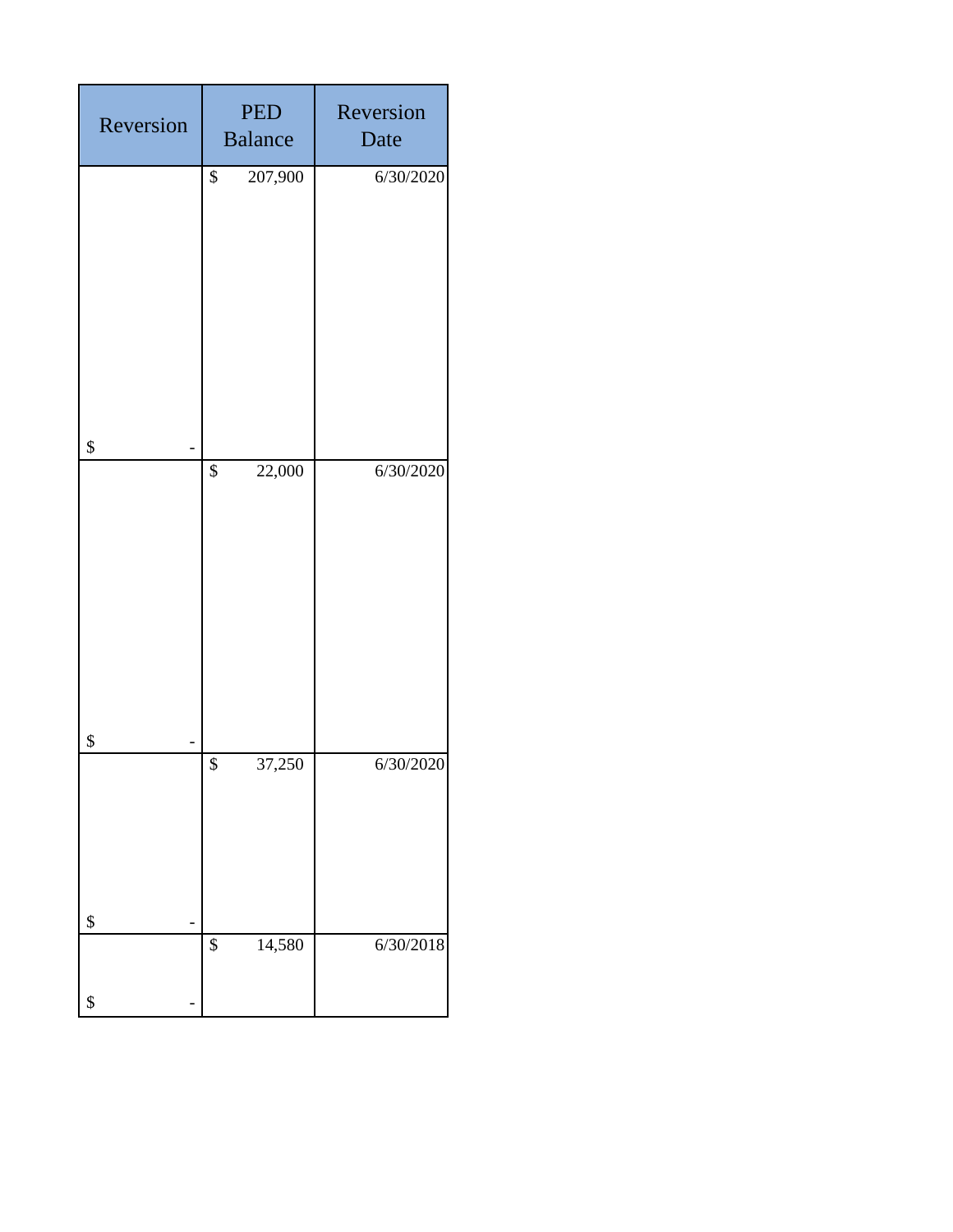| Reversion | <b>PED</b><br><b>Balance</b> | Reversion<br>Date |
|-----------|------------------------------|-------------------|
|           | \$<br>207,900                | 6/30/2020         |
| \$<br>\$  | \$<br>22,000                 | 6/30/2020         |
| \$        | $\overline{\$}$<br>37,250    | 6/30/2020         |
| \$        | \$<br>14,580                 | 6/30/2018         |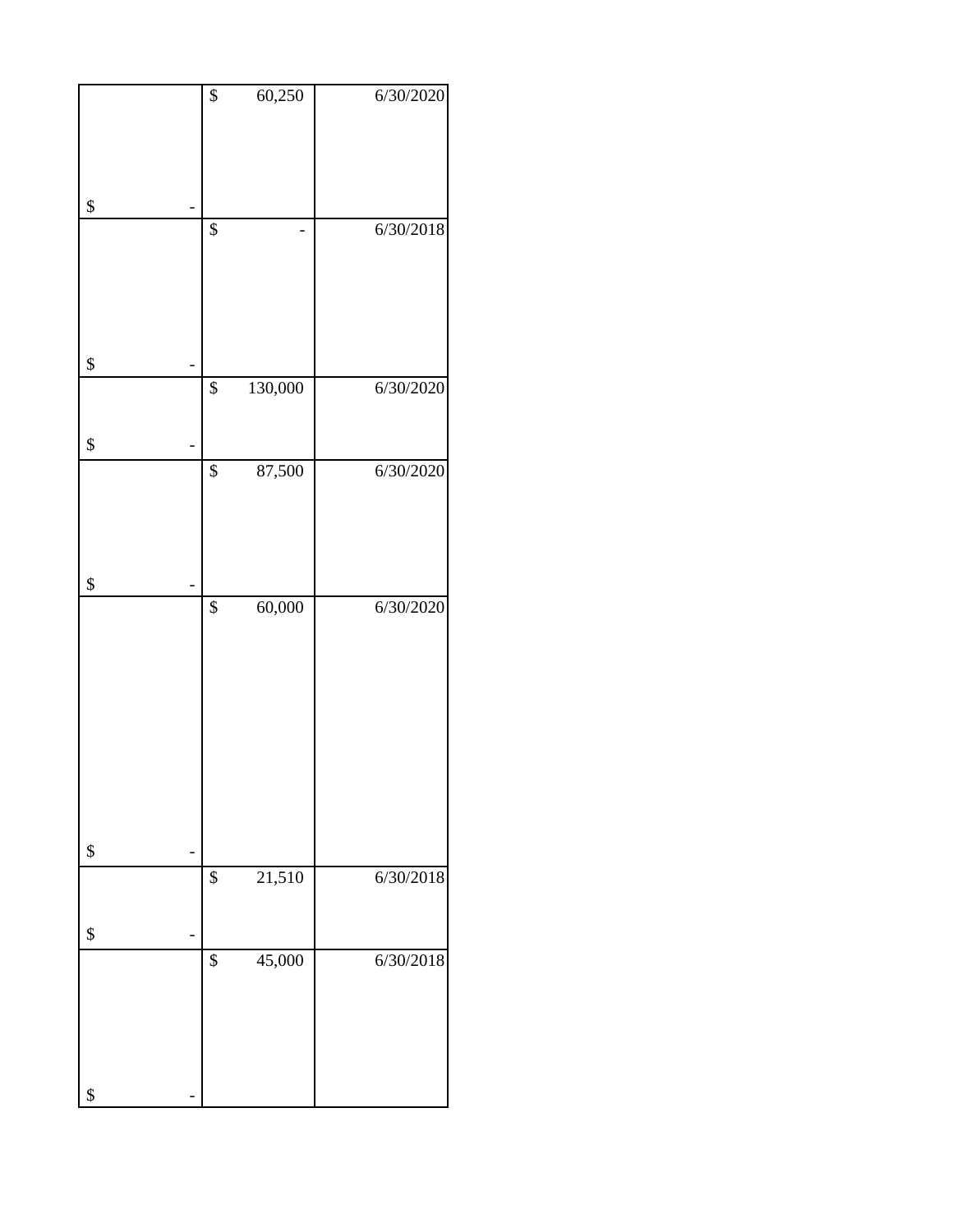| $\boldsymbol{\$}$     | 60,250  | 6/30/2020 |
|-----------------------|---------|-----------|
| \$                    |         |           |
| \$                    |         | 6/30/2018 |
| \$                    |         |           |
| $\overline{\$}$       | 130,000 | 6/30/2020 |
| \$                    |         |           |
| $\overline{\$}$       | 87,500  | 6/30/2020 |
| \$                    |         |           |
| \$<br>$\overline{\$}$ | 60,000  | 6/30/2020 |
|                       | 21,510  | 6/30/2018 |
| \$<br>\$              |         |           |
| \$                    | 45,000  | 6/30/2018 |
| \$                    |         |           |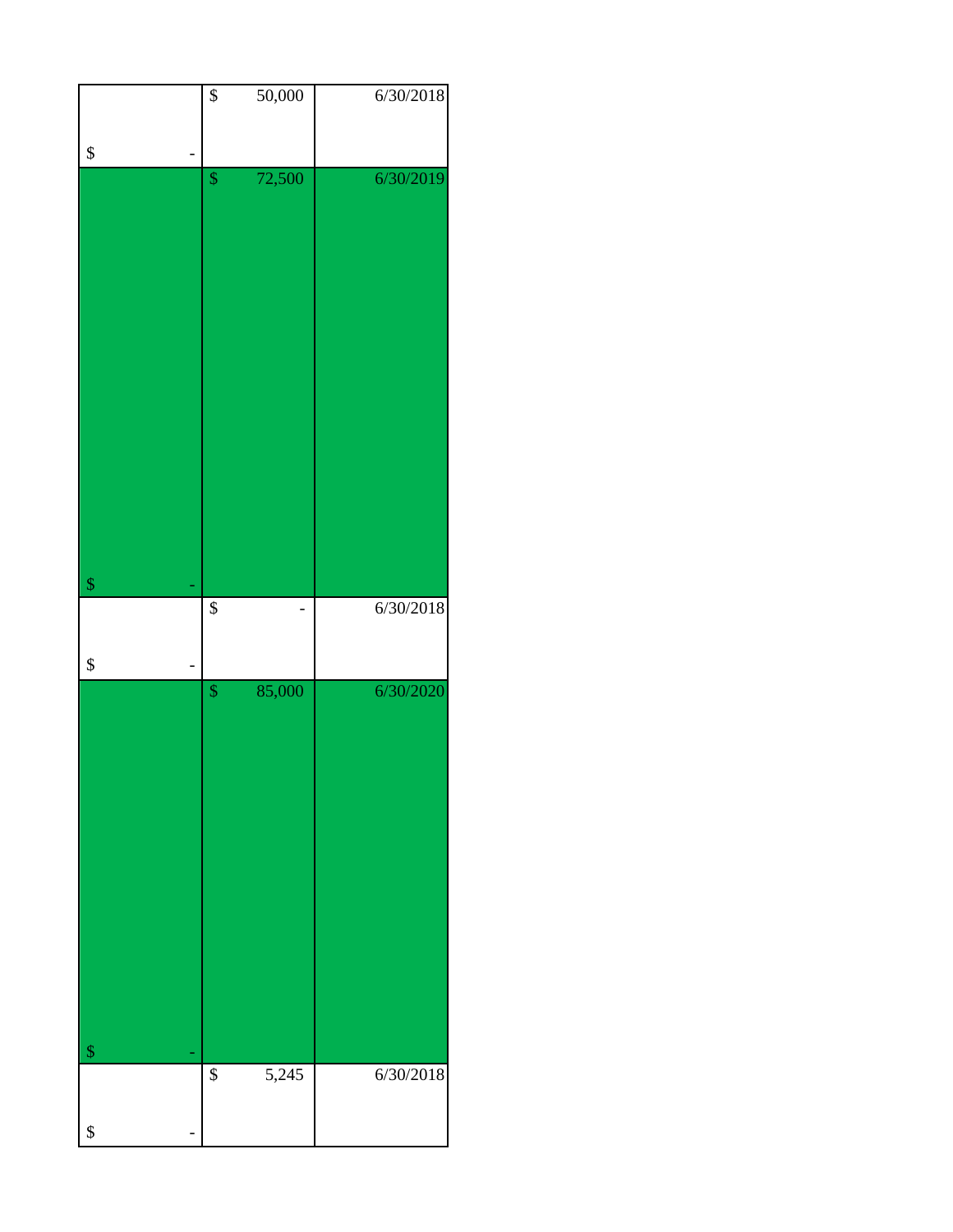|                            | $\overline{\$}$      | 50,000 | 6/30/2018 |
|----------------------------|----------------------|--------|-----------|
|                            |                      |        |           |
| \$                         |                      |        |           |
|                            | $\sqrt{\frac{2}{2}}$ | 72,500 | 6/30/2019 |
|                            |                      |        |           |
|                            |                      |        |           |
|                            |                      |        |           |
|                            |                      |        |           |
|                            |                      |        |           |
|                            |                      |        |           |
|                            |                      |        |           |
|                            |                      |        |           |
|                            |                      |        |           |
|                            |                      |        |           |
|                            |                      |        |           |
|                            |                      |        |           |
| $\boldsymbol{\mathsf{\$}}$ | $\overline{\$}$      |        | 6/30/2018 |
|                            |                      |        |           |
|                            |                      |        |           |
| \$                         |                      |        |           |
|                            | $\pmb{\mathcal{S}}$  | 85,000 | 6/30/2020 |
|                            |                      |        |           |
|                            |                      |        |           |
|                            |                      |        |           |
|                            |                      |        |           |
|                            |                      |        |           |
|                            |                      |        |           |
|                            |                      |        |           |
|                            |                      |        |           |
|                            |                      |        |           |
|                            |                      |        |           |
|                            |                      |        |           |
| $\sqrt[6]{\frac{1}{2}}$    |                      |        |           |
|                            | $\overline{\$}$      | 5,245  | 6/30/2018 |
| \$                         |                      |        |           |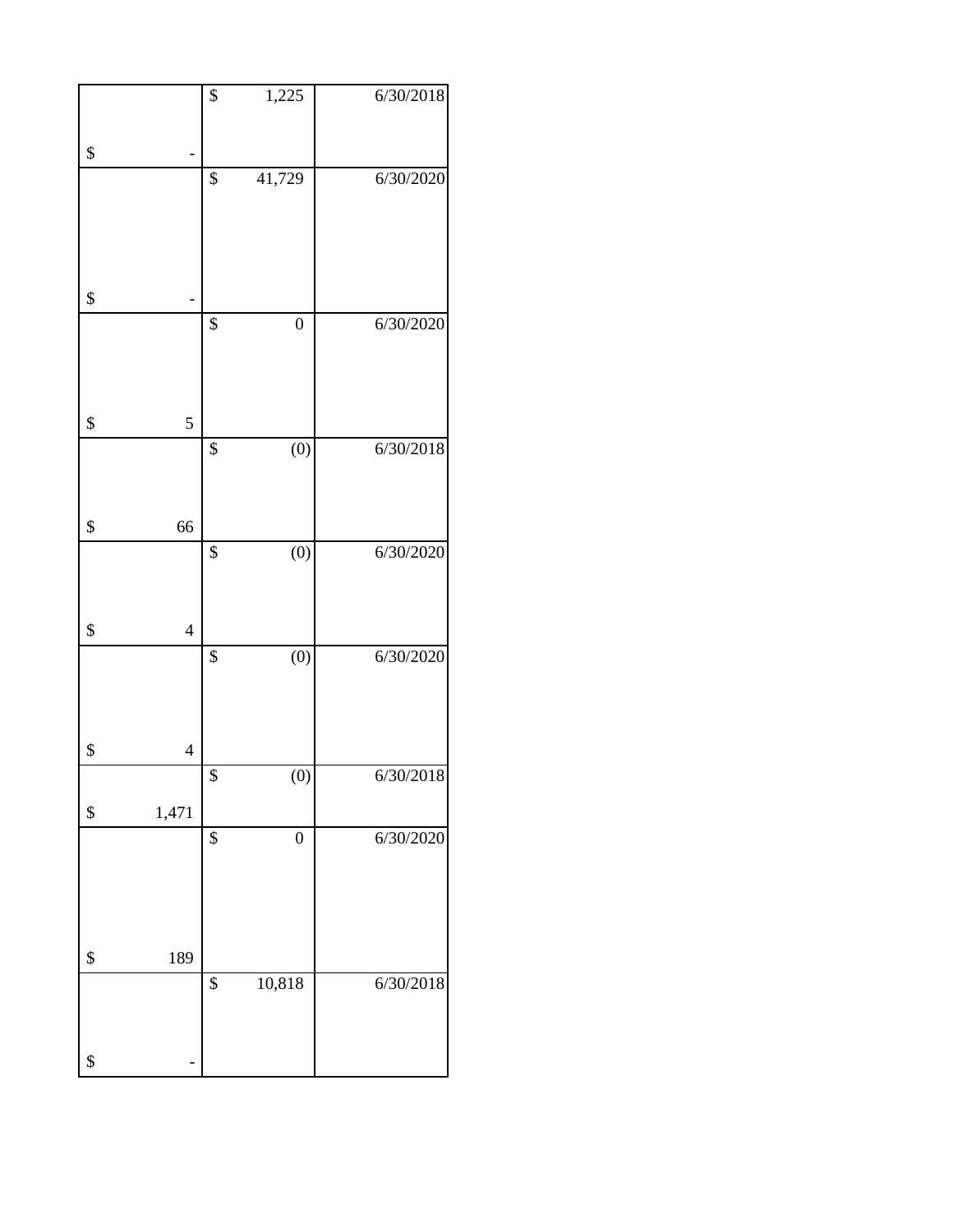|                      | \$              | 1,225            | 6/30/2018 |
|----------------------|-----------------|------------------|-----------|
|                      |                 |                  |           |
| \$                   |                 |                  |           |
|                      | \$              | 41,729           | 6/30/2020 |
|                      |                 |                  |           |
|                      |                 |                  |           |
|                      |                 |                  |           |
| \$                   |                 |                  |           |
|                      | $\overline{\$}$ | $\boldsymbol{0}$ | 6/30/2020 |
|                      |                 |                  |           |
|                      |                 |                  |           |
| \$<br>5              |                 |                  |           |
|                      | \$              | $\overline{(0)}$ | 6/30/2018 |
|                      |                 |                  |           |
|                      |                 |                  |           |
| \$<br>66             |                 |                  |           |
|                      | $\overline{\$}$ | (0)              | 6/30/2020 |
|                      |                 |                  |           |
|                      |                 |                  |           |
| \$<br>$\overline{4}$ |                 |                  |           |
|                      | $\overline{\$}$ | $\overline{(0)}$ | 6/30/2020 |
|                      |                 |                  |           |
|                      |                 |                  |           |
| \$<br>$\overline{4}$ |                 |                  |           |
|                      | \$              | (0)              | 6/30/2018 |
| \$<br>1,471          |                 |                  |           |
|                      | $\overline{\$}$ | $\boldsymbol{0}$ | 6/30/2020 |
|                      |                 |                  |           |
|                      |                 |                  |           |
|                      |                 |                  |           |
| \$<br>189            |                 |                  |           |
|                      | \$              | 10,818           | 6/30/2018 |
|                      |                 |                  |           |
|                      |                 |                  |           |
| \$                   |                 |                  |           |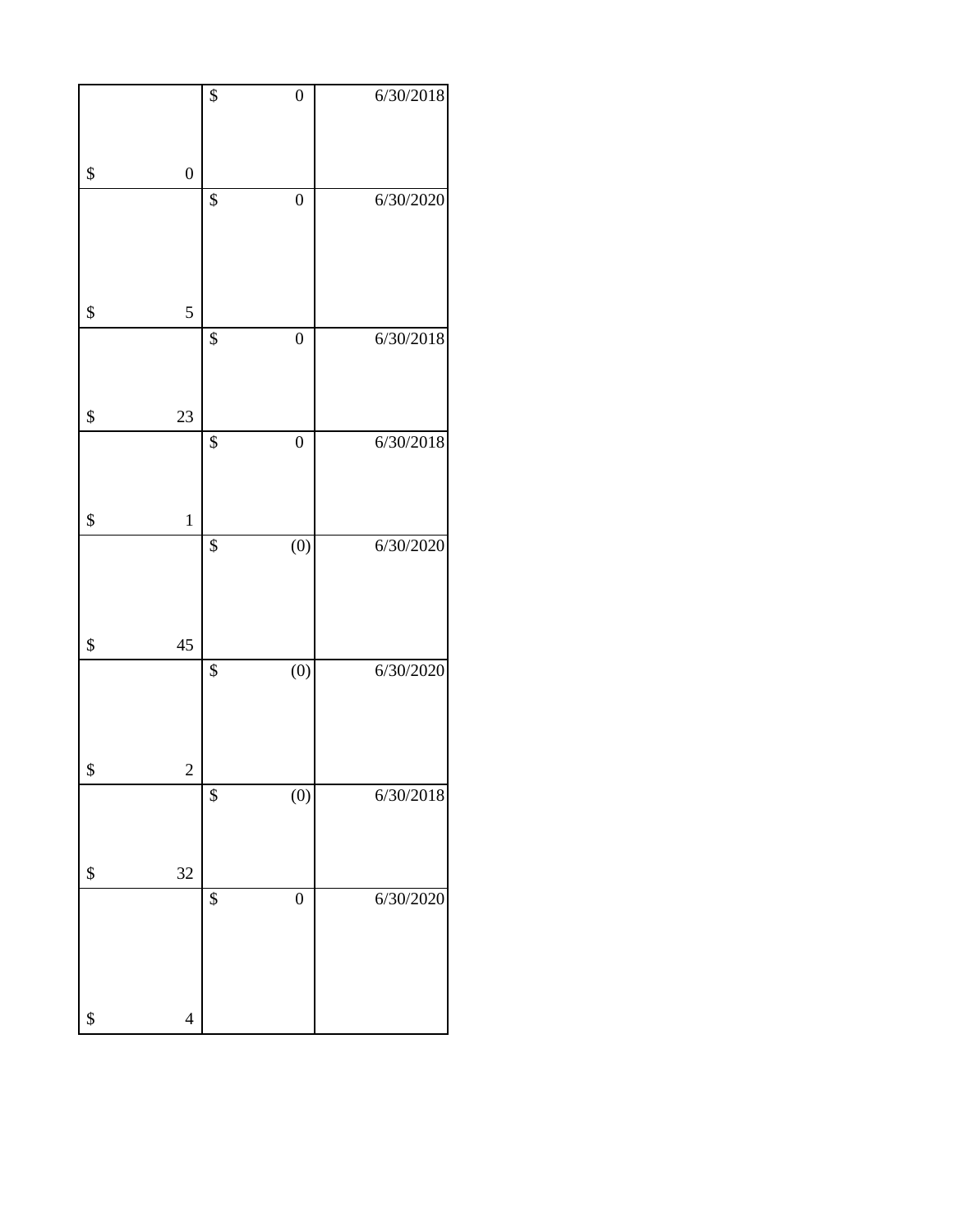|                               | \$              | $\boldsymbol{0}$ | 6/30/2018 |
|-------------------------------|-----------------|------------------|-----------|
| \$<br>$\overline{0}$          |                 |                  |           |
|                               | \$              | $\boldsymbol{0}$ | 6/30/2020 |
|                               |                 |                  |           |
| \$<br>5                       |                 |                  |           |
|                               | \$              | $\boldsymbol{0}$ | 6/30/2018 |
|                               |                 |                  |           |
| \$<br>23                      |                 |                  |           |
|                               | \$              | $\boldsymbol{0}$ | 6/30/2018 |
|                               |                 |                  |           |
| \$<br>$\mathbf 1$             |                 |                  |           |
|                               | $\overline{\$}$ | $\overline{(0)}$ | 6/30/2020 |
|                               |                 |                  |           |
| \$<br>45                      |                 |                  |           |
|                               | \$              | $\overline{(0)}$ | 6/30/2020 |
|                               |                 |                  |           |
|                               |                 |                  |           |
| \$<br>$\overline{\mathbf{c}}$ | \$              | (0)              | 6/30/2018 |
|                               |                 |                  |           |
| \$<br>32                      |                 |                  |           |
|                               | \$              | $\boldsymbol{0}$ | 6/30/2020 |
|                               |                 |                  |           |
|                               |                 |                  |           |
| \$<br>$\overline{4}$          |                 |                  |           |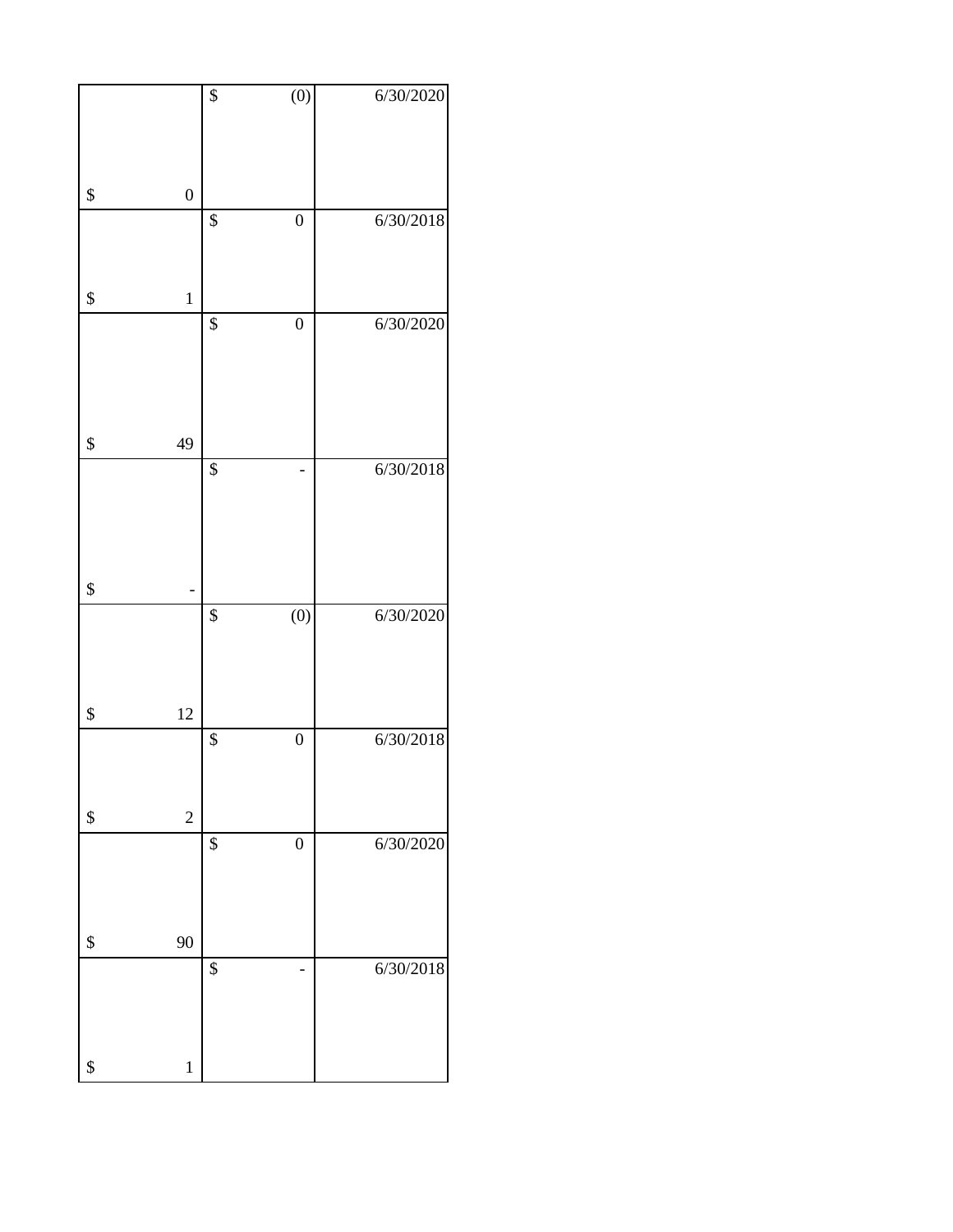|                        | $\overline{\$}$ | $\overline{(0)}$ | 6/30/2020 |
|------------------------|-----------------|------------------|-----------|
|                        |                 |                  |           |
|                        |                 |                  |           |
|                        |                 |                  |           |
| \$<br>$\boldsymbol{0}$ |                 |                  |           |
|                        | $\overline{\$}$ | $\boldsymbol{0}$ | 6/30/2018 |
|                        |                 |                  |           |
|                        |                 |                  |           |
| \$<br>$\mathbf 1$      |                 |                  |           |
|                        | \$              | $\boldsymbol{0}$ | 6/30/2020 |
|                        |                 |                  |           |
|                        |                 |                  |           |
|                        |                 |                  |           |
| \$<br>49               |                 |                  |           |
|                        | $\overline{\$}$ |                  | 6/30/2018 |
|                        |                 |                  |           |
|                        |                 |                  |           |
|                        |                 |                  |           |
|                        |                 |                  |           |
| \$                     |                 |                  |           |
|                        | \$              | $\overline{(0)}$ | 6/30/2020 |
|                        |                 |                  |           |
|                        |                 |                  |           |
|                        |                 |                  |           |
| \$<br>12               |                 |                  |           |
|                        | \$              | $\boldsymbol{0}$ | 6/30/2018 |
|                        |                 |                  |           |
| \$<br>$\overline{c}$   |                 |                  |           |
|                        | \$              | $\overline{0}$   | 6/30/2020 |
|                        |                 |                  |           |
|                        |                 |                  |           |
|                        |                 |                  |           |
| \$<br>90               |                 |                  |           |
|                        | \$              |                  | 6/30/2018 |
|                        |                 |                  |           |
|                        |                 |                  |           |
|                        |                 |                  |           |
| \$<br>$\,1$            |                 |                  |           |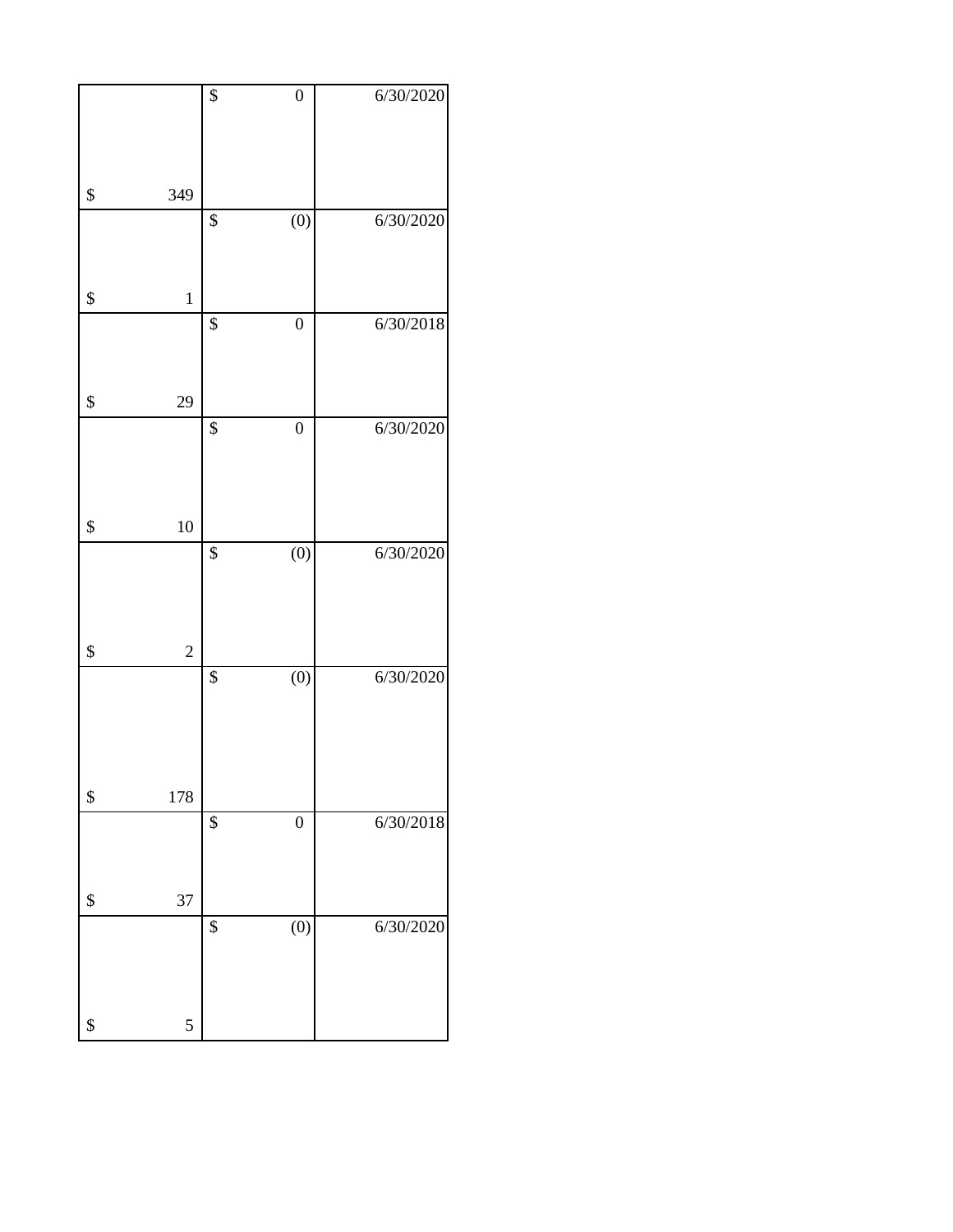|                      | $\overline{\$}$ | $\overline{0}$   | 6/30/2020 |
|----------------------|-----------------|------------------|-----------|
|                      |                 |                  |           |
| \$<br>349            |                 |                  |           |
|                      | $\overline{\$}$ | $\overline{(0)}$ | 6/30/2020 |
|                      |                 |                  |           |
| \$<br>$\mathbf 1$    |                 |                  |           |
|                      | \$              | $\overline{0}$   | 6/30/2018 |
|                      |                 |                  |           |
| \$<br>29             |                 |                  |           |
|                      | \$              | $\boldsymbol{0}$ | 6/30/2020 |
|                      |                 |                  |           |
| \$<br>10             |                 |                  |           |
|                      | \$              | $\overline{(0)}$ | 6/30/2020 |
|                      |                 |                  |           |
| \$<br>$\overline{c}$ |                 |                  |           |
|                      | $\overline{\$}$ | $\overline{(0)}$ | 6/30/2020 |
|                      |                 |                  |           |
|                      |                 |                  |           |
| \$<br>178            |                 |                  |           |
|                      | \$              | $\boldsymbol{0}$ | 6/30/2018 |
|                      |                 |                  |           |
| \$<br>37             |                 |                  |           |
|                      | \$              | (0)              | 6/30/2020 |
|                      |                 |                  |           |
| \$<br>5              |                 |                  |           |
|                      |                 |                  |           |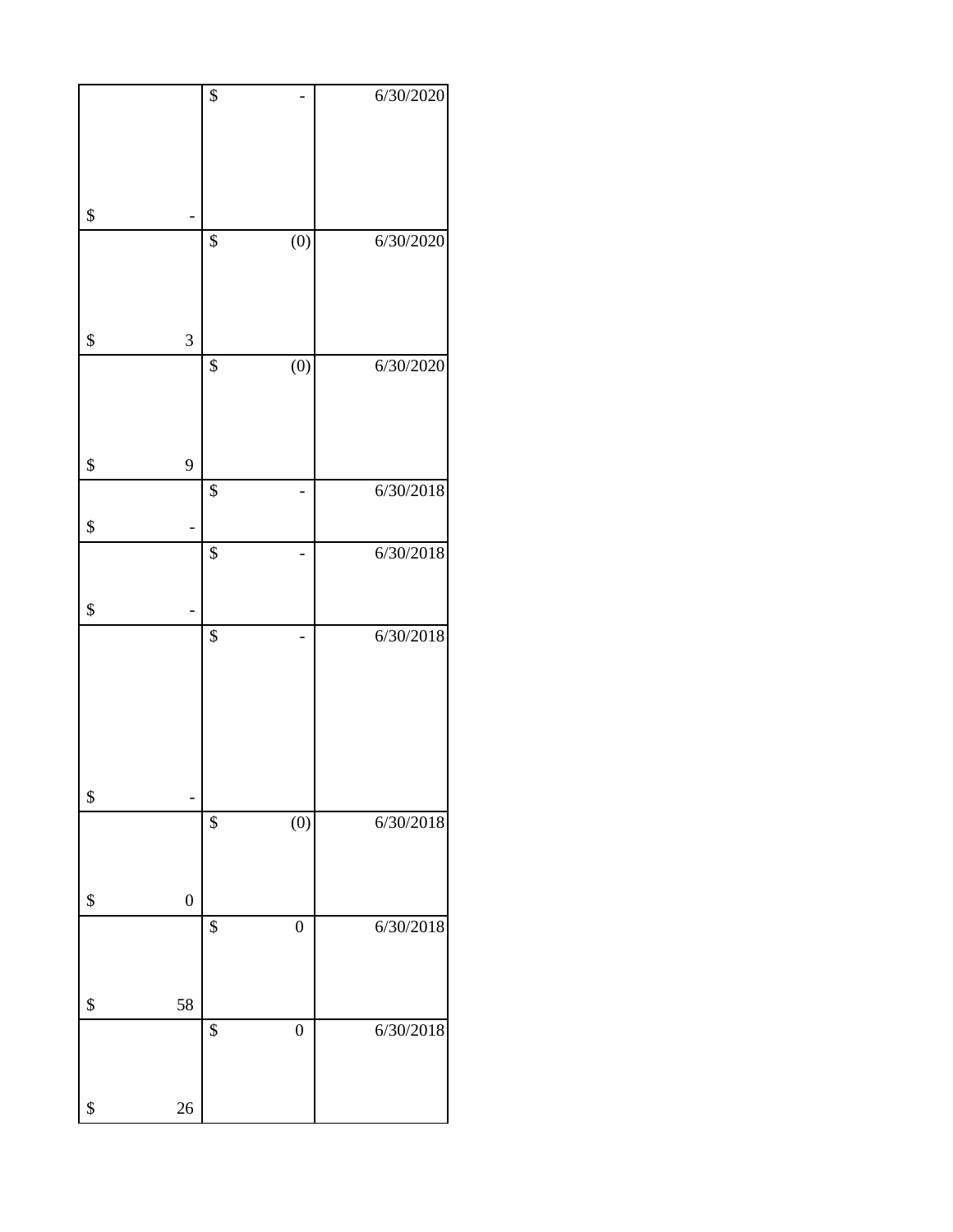|                        | $\overline{\$}$        | 6/30/2020 |
|------------------------|------------------------|-----------|
|                        |                        |           |
| \$                     |                        |           |
|                        | $\overline{(0)}$<br>\$ | 6/30/2020 |
|                        |                        |           |
| 3<br>\$                |                        |           |
|                        | $\overline{(0)}$<br>\$ | 6/30/2020 |
|                        |                        |           |
| 9<br>\$                |                        |           |
| \$                     | \$                     | 6/30/2018 |
|                        | $\overline{\$}$        | 6/30/2018 |
| \$                     |                        |           |
|                        | $\overline{\$}$        | 6/30/2018 |
|                        |                        |           |
|                        |                        |           |
|                        |                        |           |
| \$                     | $\overline{(0)}$<br>\$ | 6/30/2018 |
|                        |                        |           |
| \$<br>$\boldsymbol{0}$ |                        |           |
|                        | \$<br>$\boldsymbol{0}$ | 6/30/2018 |
|                        |                        |           |
| 58<br>\$               | $\overline{0}$<br>\$   | 6/30/2018 |
|                        |                        |           |
| 26<br>\$               |                        |           |
|                        |                        |           |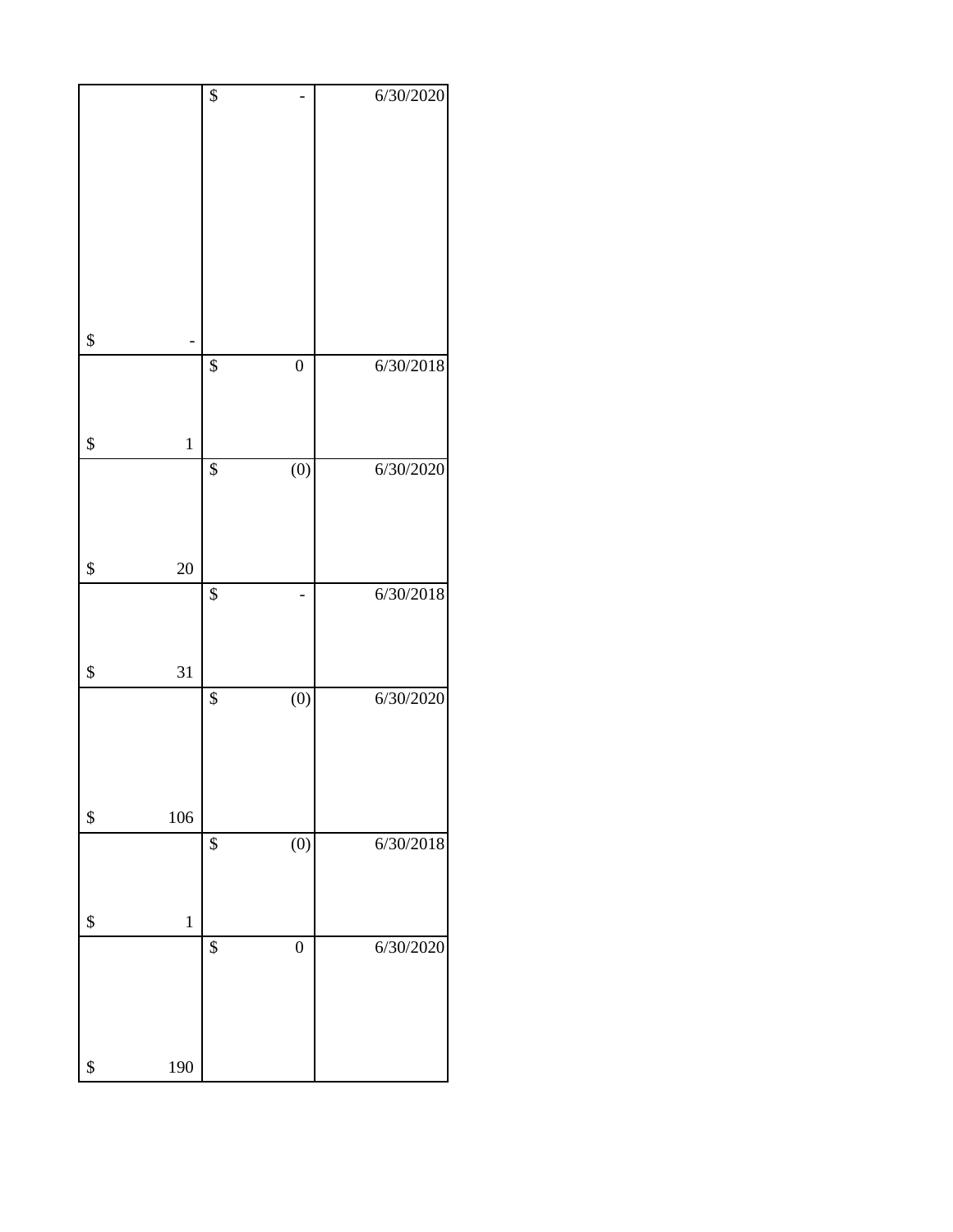|                   | \$              |                  | 6/30/2020 |
|-------------------|-----------------|------------------|-----------|
|                   |                 |                  |           |
|                   |                 |                  |           |
|                   |                 |                  |           |
|                   |                 |                  |           |
|                   |                 |                  |           |
|                   |                 |                  |           |
|                   |                 |                  |           |
|                   |                 |                  |           |
|                   |                 |                  |           |
|                   |                 |                  |           |
| \$                |                 |                  |           |
|                   | $\overline{\$}$ | $\boldsymbol{0}$ | 6/30/2018 |
|                   |                 |                  |           |
|                   |                 |                  |           |
|                   |                 |                  |           |
| \$<br>$\mathbf 1$ |                 |                  |           |
|                   | $\overline{\$}$ | $\overline{(0)}$ | 6/30/2020 |
|                   |                 |                  |           |
|                   |                 |                  |           |
|                   |                 |                  |           |
|                   |                 |                  |           |
| \$<br>20          |                 |                  |           |
|                   | \$              |                  | 6/30/2018 |
|                   |                 |                  |           |
|                   |                 |                  |           |
| \$<br>31          |                 |                  |           |
|                   |                 |                  |           |
|                   | $\overline{\$}$ | $\overline{(0)}$ | 6/30/2020 |
|                   |                 |                  |           |
|                   |                 |                  |           |
|                   |                 |                  |           |
|                   |                 |                  |           |
| \$<br>106         |                 |                  |           |
|                   | \$              | $\overline{(0)}$ | 6/30/2018 |
|                   |                 |                  |           |
|                   |                 |                  |           |
|                   |                 |                  |           |
| \$<br>$\mathbf 1$ |                 |                  |           |
|                   | $\overline{\$}$ | $\boldsymbol{0}$ | 6/30/2020 |
|                   |                 |                  |           |
|                   |                 |                  |           |
|                   |                 |                  |           |
|                   |                 |                  |           |
|                   |                 |                  |           |
| \$<br>190         |                 |                  |           |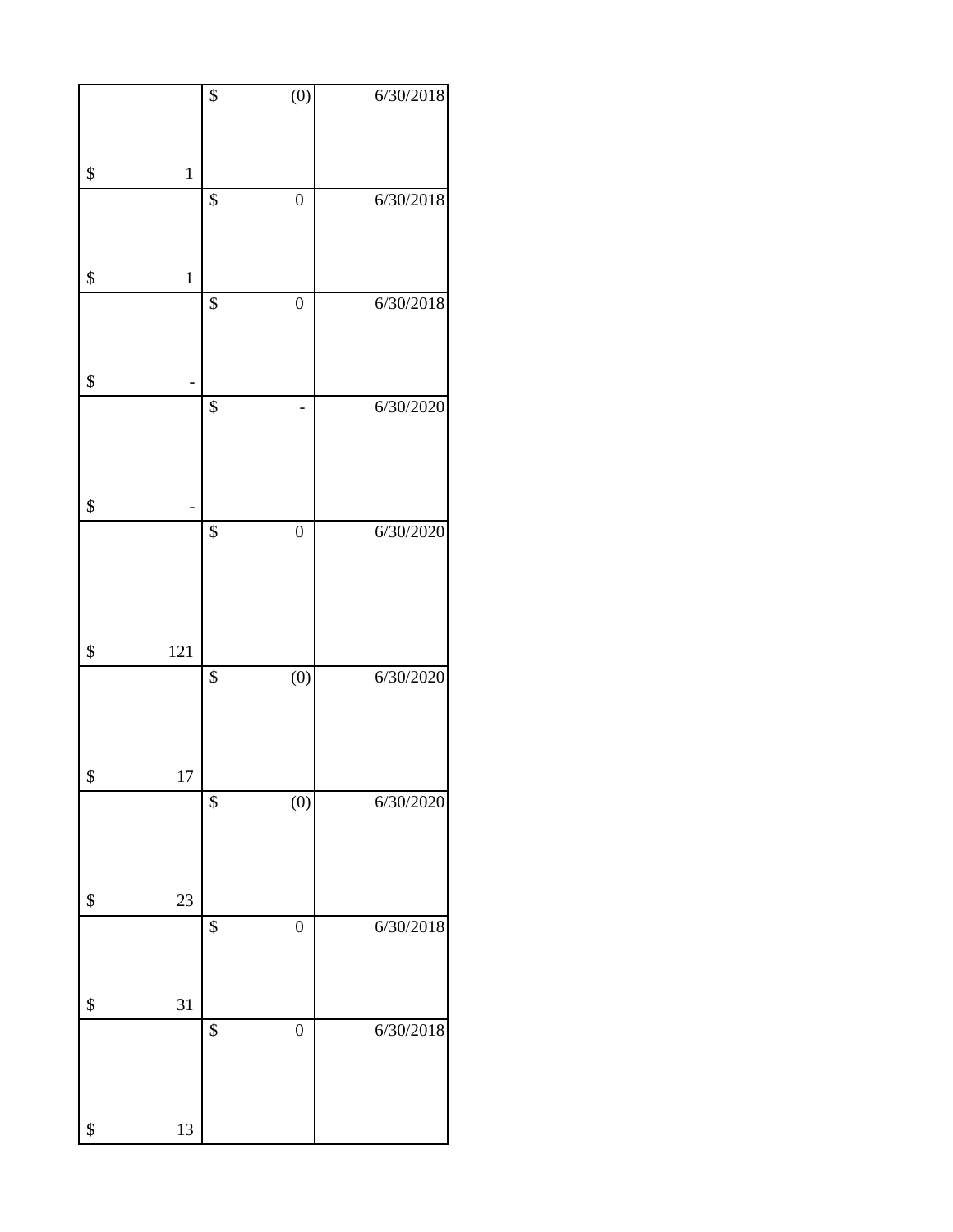|               | \$              | $\overline{(0)}$ | 6/30/2018 |
|---------------|-----------------|------------------|-----------|
|               |                 |                  |           |
|               |                 |                  |           |
|               |                 |                  |           |
| \$<br>$\,1\,$ |                 |                  |           |
|               | $\overline{\$}$ | $\overline{0}$   | 6/30/2018 |
|               |                 |                  |           |
|               |                 |                  |           |
| \$<br>$\,1\,$ |                 |                  |           |
|               |                 |                  |           |
|               | $\overline{\$}$ | $\boldsymbol{0}$ | 6/30/2018 |
|               |                 |                  |           |
|               |                 |                  |           |
| \$            |                 |                  |           |
|               | $\overline{\$}$ |                  |           |
|               |                 |                  | 6/30/2020 |
|               |                 |                  |           |
|               |                 |                  |           |
|               |                 |                  |           |
| \$            |                 |                  |           |
|               | \$              | $\boldsymbol{0}$ | 6/30/2020 |
|               |                 |                  |           |
|               |                 |                  |           |
|               |                 |                  |           |
|               |                 |                  |           |
|               |                 |                  |           |
| \$<br>121     |                 |                  |           |
|               | $\overline{\$}$ | $\overline{(0)}$ | 6/30/2020 |
|               |                 |                  |           |
|               |                 |                  |           |
|               |                 |                  |           |
|               |                 |                  |           |
| \$<br>17      |                 |                  |           |
|               | \$              | $\overline{(0)}$ | 6/30/2020 |
|               |                 |                  |           |
|               |                 |                  |           |
|               |                 |                  |           |
| \$<br>23      |                 |                  |           |
|               |                 |                  |           |
|               | \$              | $\overline{0}$   | 6/30/2018 |
|               |                 |                  |           |
|               |                 |                  |           |
| \$<br>31      |                 |                  |           |
|               | \$              | $\overline{0}$   |           |
|               |                 |                  | 6/30/2018 |
|               |                 |                  |           |
|               |                 |                  |           |
|               |                 |                  |           |
| \$<br>13      |                 |                  |           |
|               |                 |                  |           |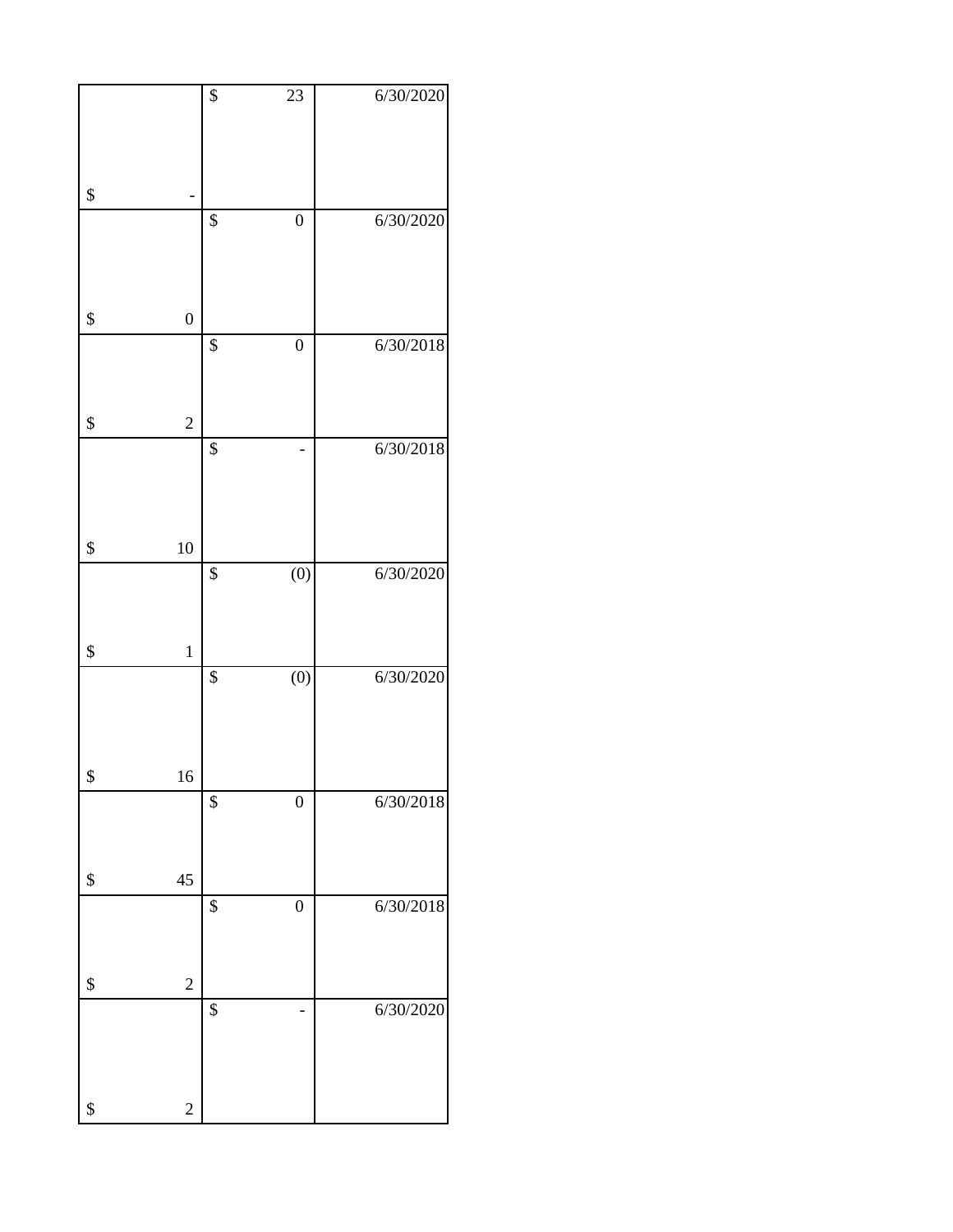|                        | \$              | $\overline{23}$  | 6/30/2020 |
|------------------------|-----------------|------------------|-----------|
|                        |                 |                  |           |
|                        |                 |                  |           |
|                        |                 |                  |           |
| \$                     |                 |                  |           |
|                        |                 |                  |           |
|                        | $\overline{\$}$ | $\boldsymbol{0}$ | 6/30/2020 |
|                        |                 |                  |           |
|                        |                 |                  |           |
|                        |                 |                  |           |
| \$<br>$\boldsymbol{0}$ |                 |                  |           |
|                        | \$              | $\boldsymbol{0}$ | 6/30/2018 |
|                        |                 |                  |           |
|                        |                 |                  |           |
|                        |                 |                  |           |
| \$<br>$\overline{c}$   |                 |                  |           |
|                        | \$              |                  | 6/30/2018 |
|                        |                 |                  |           |
|                        |                 |                  |           |
|                        |                 |                  |           |
|                        |                 |                  |           |
| \$<br>10               |                 |                  |           |
|                        | $\overline{\$}$ | $\overline{(0)}$ | 6/30/2020 |
|                        |                 |                  |           |
|                        |                 |                  |           |
| \$<br>$\mathbf 1$      |                 |                  |           |
|                        |                 |                  |           |
|                        | $\overline{\$}$ | $\overline{(0)}$ | 6/30/2020 |
|                        |                 |                  |           |
|                        |                 |                  |           |
|                        |                 |                  |           |
| \$<br>16               |                 |                  |           |
|                        | \$              | $\boldsymbol{0}$ | 6/30/2018 |
|                        |                 |                  |           |
|                        |                 |                  |           |
|                        |                 |                  |           |
| \$<br>45               |                 |                  |           |
|                        | \$              | $\boldsymbol{0}$ | 6/30/2018 |
|                        |                 |                  |           |
|                        |                 |                  |           |
|                        |                 |                  |           |
| \$<br>$\overline{c}$   |                 |                  |           |
|                        | \$              |                  | 6/30/2020 |
|                        |                 |                  |           |
|                        |                 |                  |           |
|                        |                 |                  |           |
| \$<br>$\overline{c}$   |                 |                  |           |
|                        |                 |                  |           |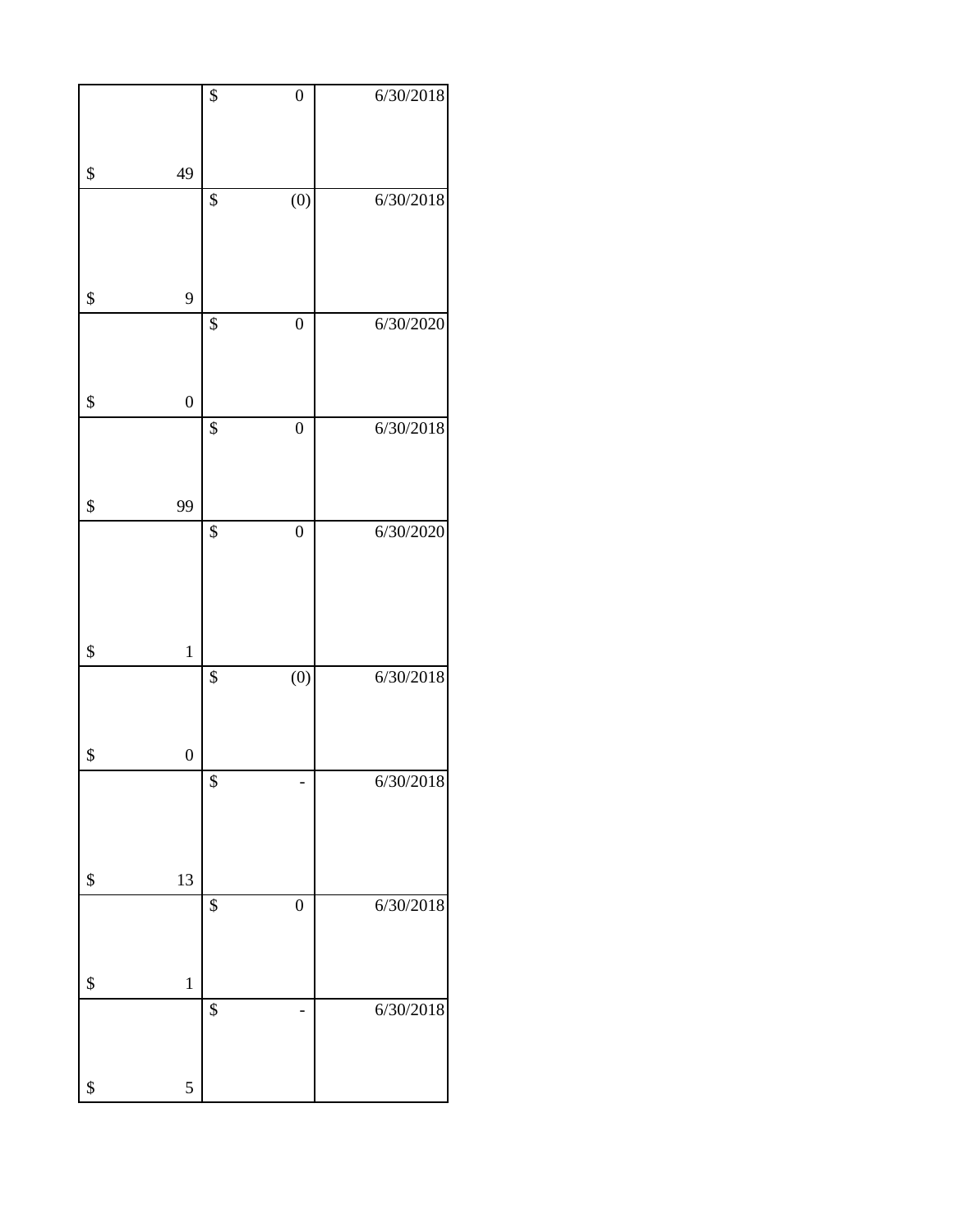|                   |                  | $\overline{\$}$   | $\boldsymbol{0}$ | 6/30/2018 |
|-------------------|------------------|-------------------|------------------|-----------|
|                   |                  |                   |                  |           |
| \$                | 49               |                   |                  |           |
|                   |                  | $\overline{\$}$   | $\overline{(0)}$ | 6/30/2018 |
|                   |                  |                   |                  |           |
|                   |                  |                   |                  |           |
| \$                | 9                |                   |                  |           |
|                   |                  | \$                | $\boldsymbol{0}$ | 6/30/2020 |
|                   |                  |                   |                  |           |
| \$                | $\boldsymbol{0}$ |                   |                  |           |
|                   |                  | \$                | $\boldsymbol{0}$ | 6/30/2018 |
|                   |                  |                   |                  |           |
| \$                | 99               |                   |                  |           |
|                   |                  | \$                | $\boldsymbol{0}$ | 6/30/2020 |
|                   |                  |                   |                  |           |
|                   |                  |                   |                  |           |
| \$                | $\mathbf 1$      |                   |                  |           |
|                   |                  | $\overline{\$}$   | $\overline{(0)}$ | 6/30/2018 |
|                   |                  |                   |                  |           |
| \$                | $\boldsymbol{0}$ |                   |                  |           |
|                   |                  | $\boldsymbol{\$}$ |                  | 6/30/2018 |
|                   |                  |                   |                  |           |
|                   |                  |                   |                  |           |
| \$                | 13               |                   |                  |           |
|                   |                  | \$                | $\boldsymbol{0}$ | 6/30/2018 |
|                   |                  |                   |                  |           |
| \$                | $\mathbf 1$      |                   |                  |           |
|                   |                  | \$                |                  | 6/30/2018 |
|                   |                  |                   |                  |           |
| $\boldsymbol{\$}$ | 5                |                   |                  |           |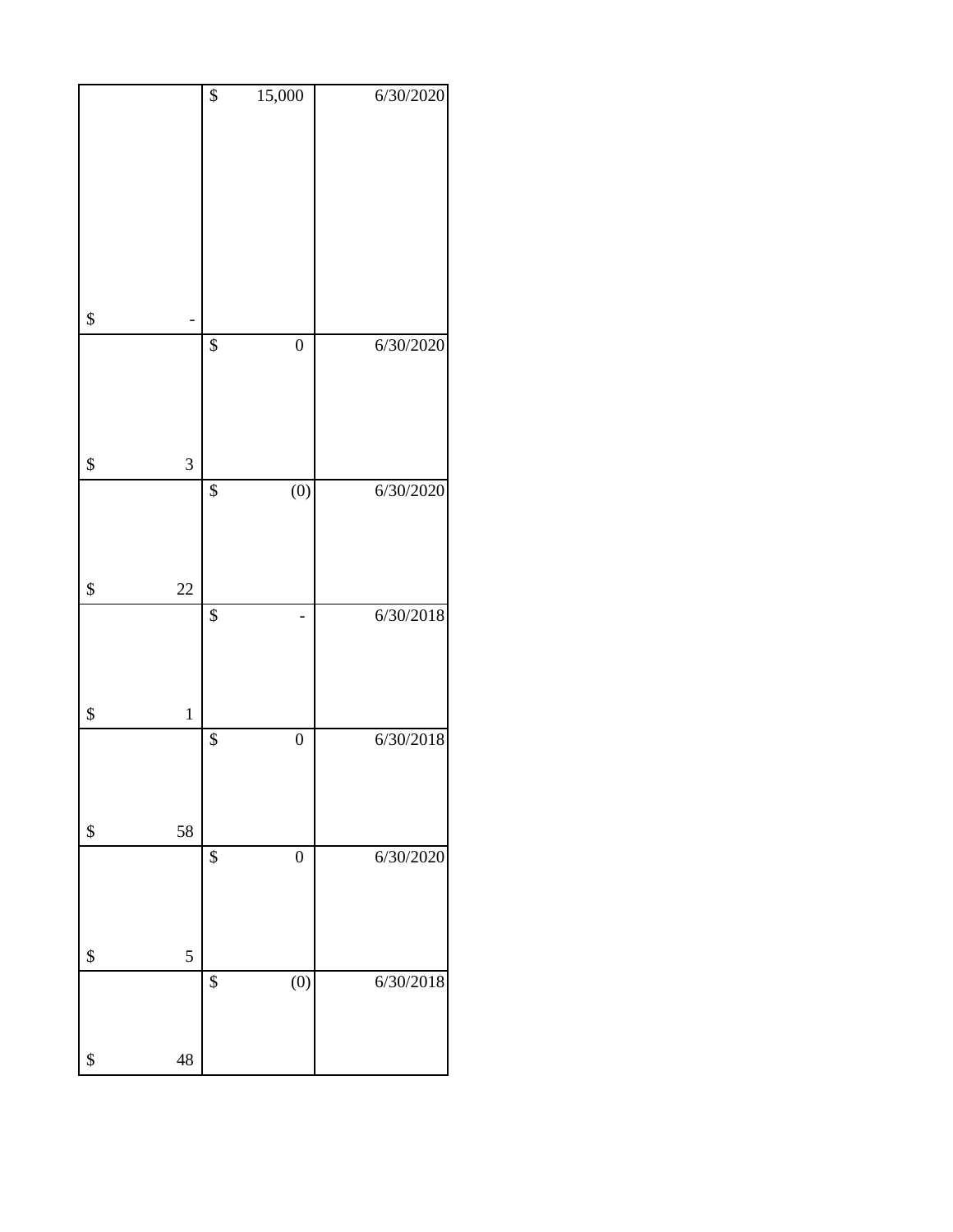|                    | $\boldsymbol{\$}$ | 15,000           | 6/30/2020 |
|--------------------|-------------------|------------------|-----------|
|                    |                   |                  |           |
|                    |                   |                  |           |
|                    |                   |                  |           |
|                    |                   |                  |           |
|                    |                   |                  |           |
|                    |                   |                  |           |
|                    |                   |                  |           |
|                    |                   |                  |           |
|                    |                   |                  |           |
|                    |                   |                  |           |
|                    |                   |                  |           |
| \$                 |                   |                  |           |
|                    | $\overline{\$}$   | $\boldsymbol{0}$ | 6/30/2020 |
|                    |                   |                  |           |
|                    |                   |                  |           |
|                    |                   |                  |           |
|                    |                   |                  |           |
|                    |                   |                  |           |
|                    |                   |                  |           |
| \$<br>3            |                   |                  |           |
|                    | \$                | $\overline{(0)}$ | 6/30/2020 |
|                    |                   |                  |           |
|                    |                   |                  |           |
|                    |                   |                  |           |
|                    |                   |                  |           |
| \$<br>22           |                   |                  |           |
|                    |                   |                  |           |
|                    | $\overline{\$}$   |                  | 6/30/2018 |
|                    |                   |                  |           |
|                    |                   |                  |           |
|                    |                   |                  |           |
|                    |                   |                  |           |
| \$<br>$\mathbf{1}$ |                   |                  |           |
|                    | $\overline{\$}$   | $\overline{0}$   | 6/30/2018 |
|                    |                   |                  |           |
|                    |                   |                  |           |
|                    |                   |                  |           |
|                    |                   |                  |           |
| 58<br>\$           |                   |                  |           |
|                    |                   |                  |           |
|                    | \$                | $\boldsymbol{0}$ | 6/30/2020 |
|                    |                   |                  |           |
|                    |                   |                  |           |
|                    |                   |                  |           |
|                    |                   |                  |           |
| \$<br>5            |                   |                  |           |
|                    | $\overline{\$}$   |                  | 6/30/2018 |
|                    |                   | (0)              |           |
|                    |                   |                  |           |
|                    |                   |                  |           |
|                    |                   |                  |           |
| 48<br>\$           |                   |                  |           |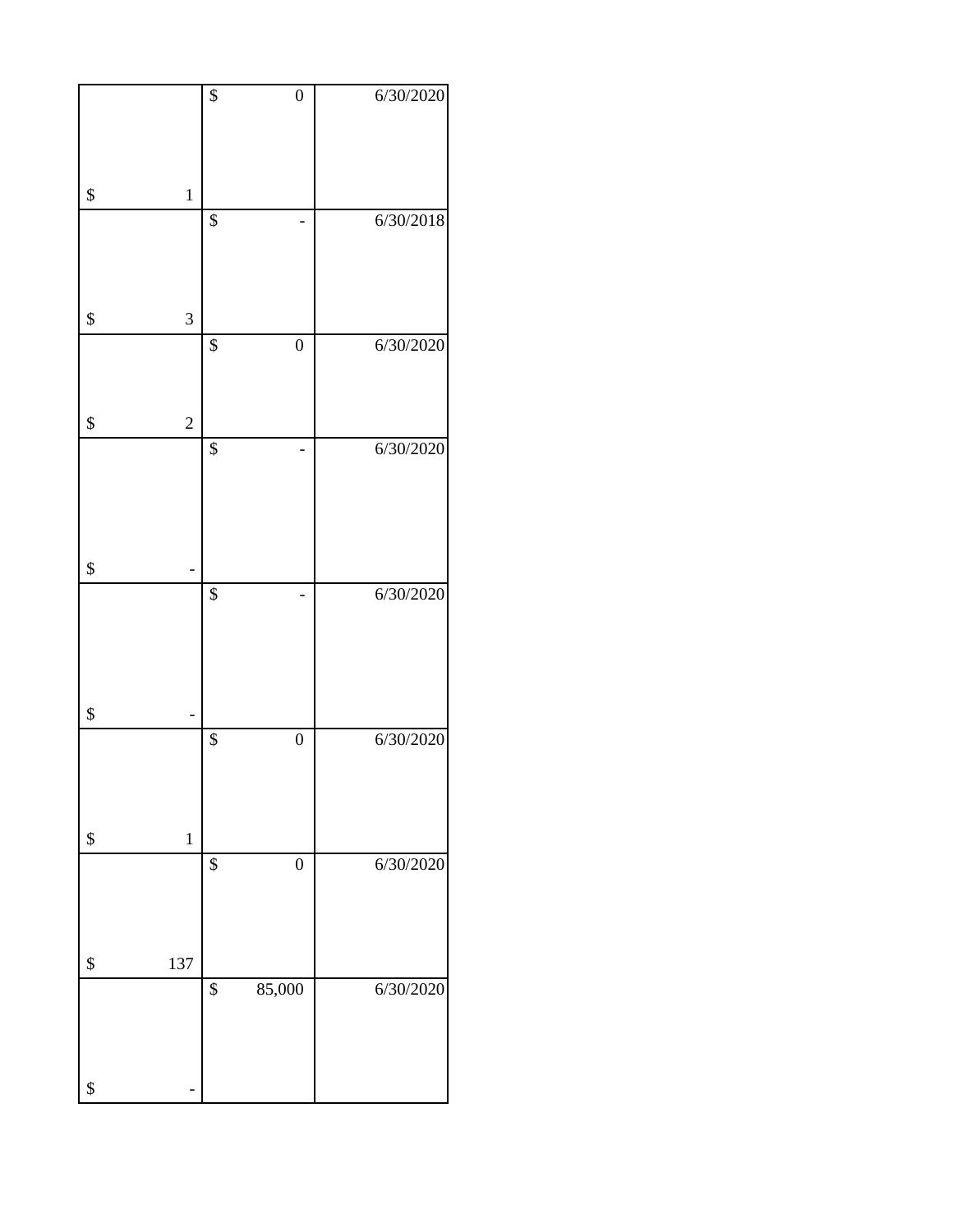|                      | $\overline{\$}$ | $\boldsymbol{0}$ | 6/30/2020 |
|----------------------|-----------------|------------------|-----------|
|                      |                 |                  |           |
|                      |                 |                  |           |
|                      |                 |                  |           |
| \$<br>$\mathbf 1$    |                 |                  |           |
|                      | \$              |                  | 6/30/2018 |
|                      |                 |                  |           |
|                      |                 |                  |           |
|                      |                 |                  |           |
| \$<br>3              |                 |                  |           |
|                      | \$              | $\boldsymbol{0}$ | 6/30/2020 |
|                      |                 |                  |           |
|                      |                 |                  |           |
| \$<br>$\overline{c}$ |                 |                  |           |
|                      | \$              |                  | 6/30/2020 |
|                      |                 |                  |           |
|                      |                 |                  |           |
|                      |                 |                  |           |
|                      |                 |                  |           |
| \$                   |                 |                  |           |
|                      | $\overline{\$}$ |                  | 6/30/2020 |
|                      |                 |                  |           |
|                      |                 |                  |           |
|                      |                 |                  |           |
| \$                   |                 |                  |           |
|                      | \$              | $\boldsymbol{0}$ | 6/30/2020 |
|                      |                 |                  |           |
|                      |                 |                  |           |
|                      |                 |                  |           |
| \$<br>$\,1\,$        |                 |                  |           |
|                      | \$              | $\overline{0}$   | 6/30/2020 |
|                      |                 |                  |           |
|                      |                 |                  |           |
|                      |                 |                  |           |
| 137<br>\$            |                 |                  |           |
|                      | \$              | 85,000           | 6/30/2020 |
|                      |                 |                  |           |
|                      |                 |                  |           |
|                      |                 |                  |           |
| \$                   |                 |                  |           |
|                      |                 |                  |           |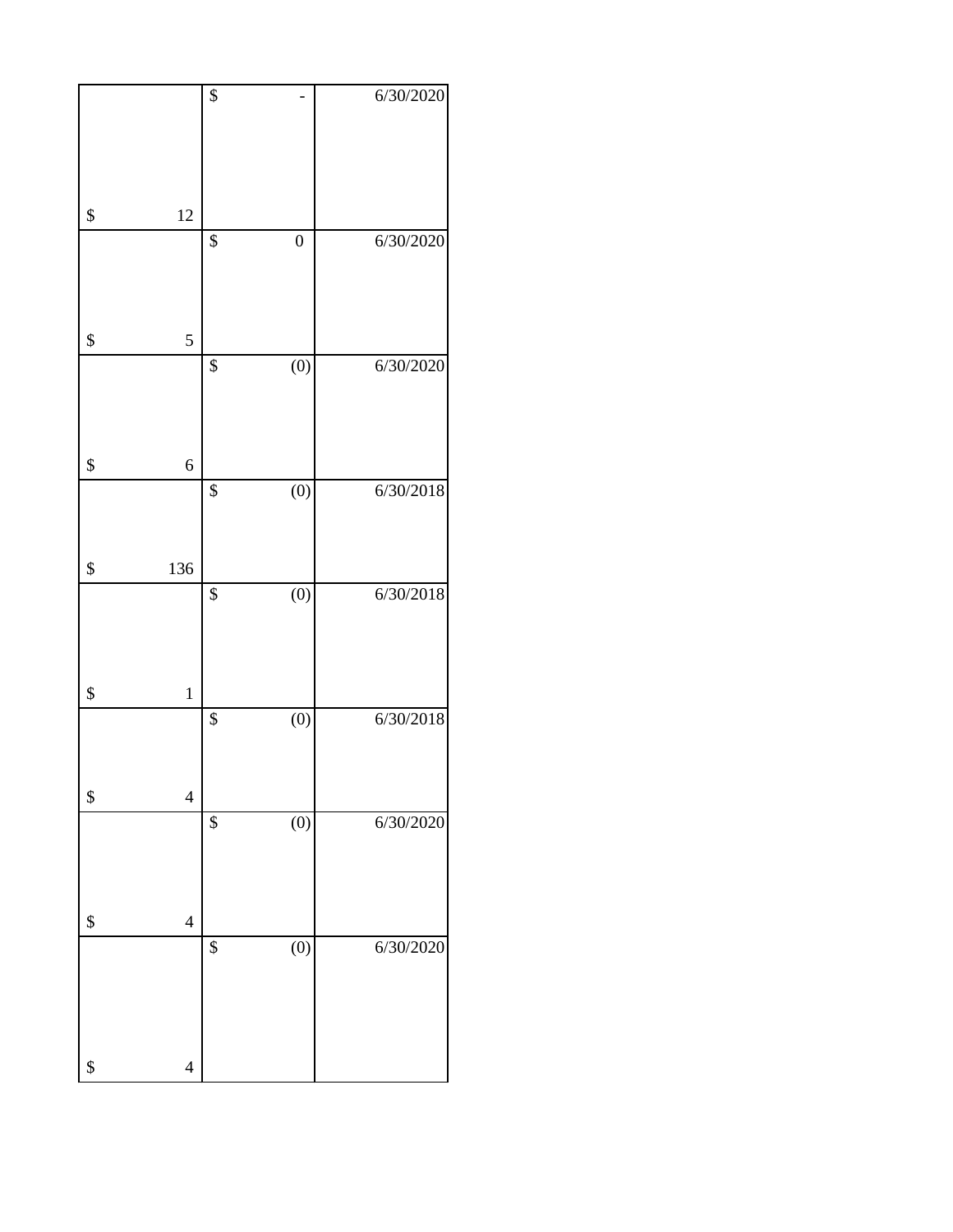|                                | $\overline{\$}$ |                  | 6/30/2020 |
|--------------------------------|-----------------|------------------|-----------|
|                                |                 |                  |           |
| \$<br>12                       |                 |                  |           |
|                                | \$              | $\boldsymbol{0}$ | 6/30/2020 |
| \$<br>5                        |                 |                  |           |
|                                | \$              | $\overline{(0)}$ | 6/30/2020 |
| \$<br>6                        |                 |                  |           |
|                                | \$              | $\overline{(0)}$ | 6/30/2018 |
| \$<br>136                      |                 |                  |           |
|                                | $\overline{\$}$ | $\overline{(0)}$ | 6/30/2018 |
| \$<br>$\mathbf 1$              |                 |                  |           |
|                                | \$              | (0)              | 6/30/2018 |
| \$<br>$\overline{4}$           |                 |                  |           |
|                                | \$              | (0)              | 6/30/2020 |
| \$<br>$\overline{4}$           |                 |                  |           |
|                                | \$              | (0)              | 6/30/2020 |
| \$<br>$\overline{\mathcal{L}}$ |                 |                  |           |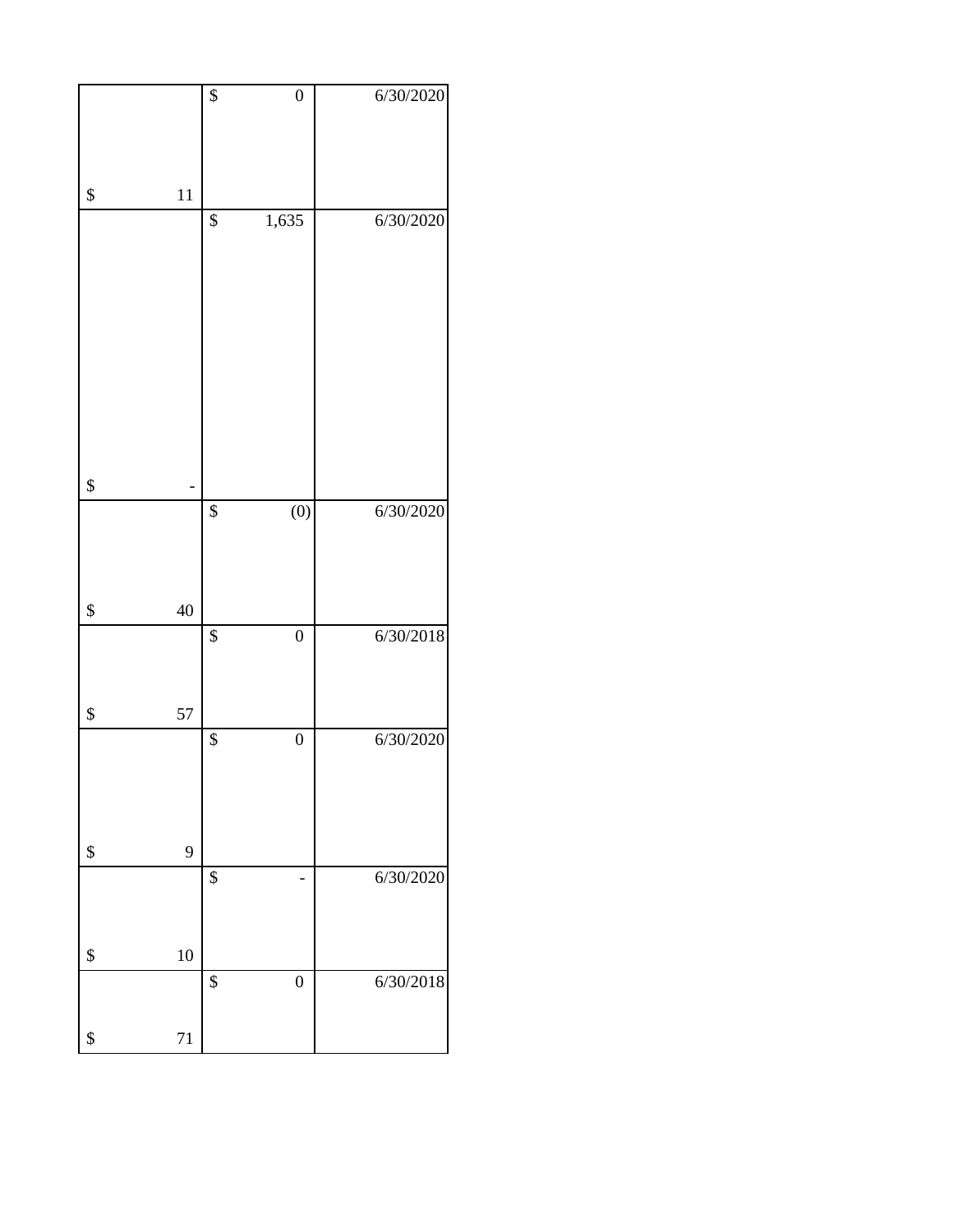|          | $\overline{\$}$ | $\overline{0}$   | 6/30/2020 |
|----------|-----------------|------------------|-----------|
|          |                 |                  |           |
|          |                 |                  |           |
|          |                 |                  |           |
|          |                 |                  |           |
| \$<br>11 |                 |                  |           |
|          | \$              | 1,635            | 6/30/2020 |
|          |                 |                  |           |
|          |                 |                  |           |
|          |                 |                  |           |
|          |                 |                  |           |
|          |                 |                  |           |
|          |                 |                  |           |
|          |                 |                  |           |
|          |                 |                  |           |
|          |                 |                  |           |
|          |                 |                  |           |
|          |                 |                  |           |
|          |                 |                  |           |
|          |                 |                  |           |
|          |                 |                  |           |
| \$       |                 |                  |           |
|          | \$              | (0)              | 6/30/2020 |
|          |                 |                  |           |
|          |                 |                  |           |
|          |                 |                  |           |
|          |                 |                  |           |
| \$<br>40 |                 |                  |           |
|          |                 |                  |           |
|          | $\overline{\$}$ | $\boldsymbol{0}$ | 6/30/2018 |
|          |                 |                  |           |
|          |                 |                  |           |
|          |                 |                  |           |
| 57<br>\$ |                 |                  |           |
|          | \$              | $\overline{0}$   | 6/30/2020 |
|          |                 |                  |           |
|          |                 |                  |           |
|          |                 |                  |           |
|          |                 |                  |           |
|          |                 |                  |           |
| 9<br>\$  |                 |                  |           |
|          |                 |                  |           |
|          | \$              |                  | 6/30/2020 |
|          |                 |                  |           |
|          |                 |                  |           |
|          |                 |                  |           |
| 10<br>\$ |                 |                  |           |
|          | \$              | $\boldsymbol{0}$ | 6/30/2018 |
|          |                 |                  |           |
|          |                 |                  |           |
| 71<br>\$ |                 |                  |           |
|          |                 |                  |           |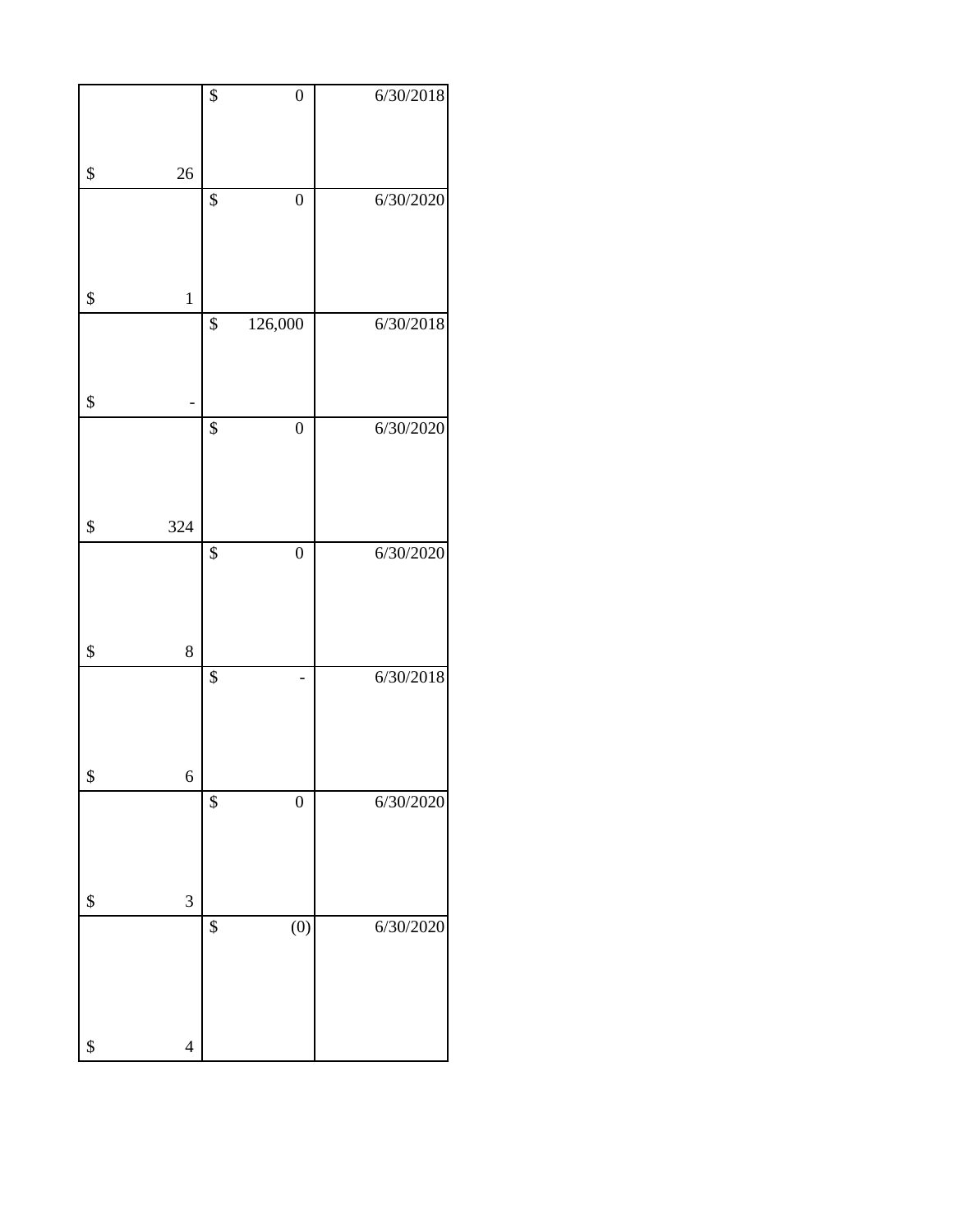|                                | \$              | $\boldsymbol{0}$ | 6/30/2018 |
|--------------------------------|-----------------|------------------|-----------|
| \$<br>26                       |                 |                  |           |
|                                | $\overline{\$}$ | $\overline{0}$   | 6/30/2020 |
|                                |                 |                  |           |
| \$<br>$\mathbf 1$              |                 |                  |           |
|                                | $\overline{\$}$ | 126,000          | 6/30/2018 |
| \$                             |                 |                  |           |
|                                | $\overline{\$}$ | $\boldsymbol{0}$ | 6/30/2020 |
| \$<br>324                      |                 |                  |           |
|                                | \$              | $\boldsymbol{0}$ | 6/30/2020 |
| \$<br>8                        |                 |                  |           |
| \$<br>6                        | $\overline{\$}$ |                  | 6/30/2018 |
|                                | \$              | $\boldsymbol{0}$ | 6/30/2020 |
| \$<br>3                        |                 |                  |           |
|                                | $\overline{\$}$ | $\overline{(0)}$ | 6/30/2020 |
| \$<br>$\overline{\mathcal{L}}$ |                 |                  |           |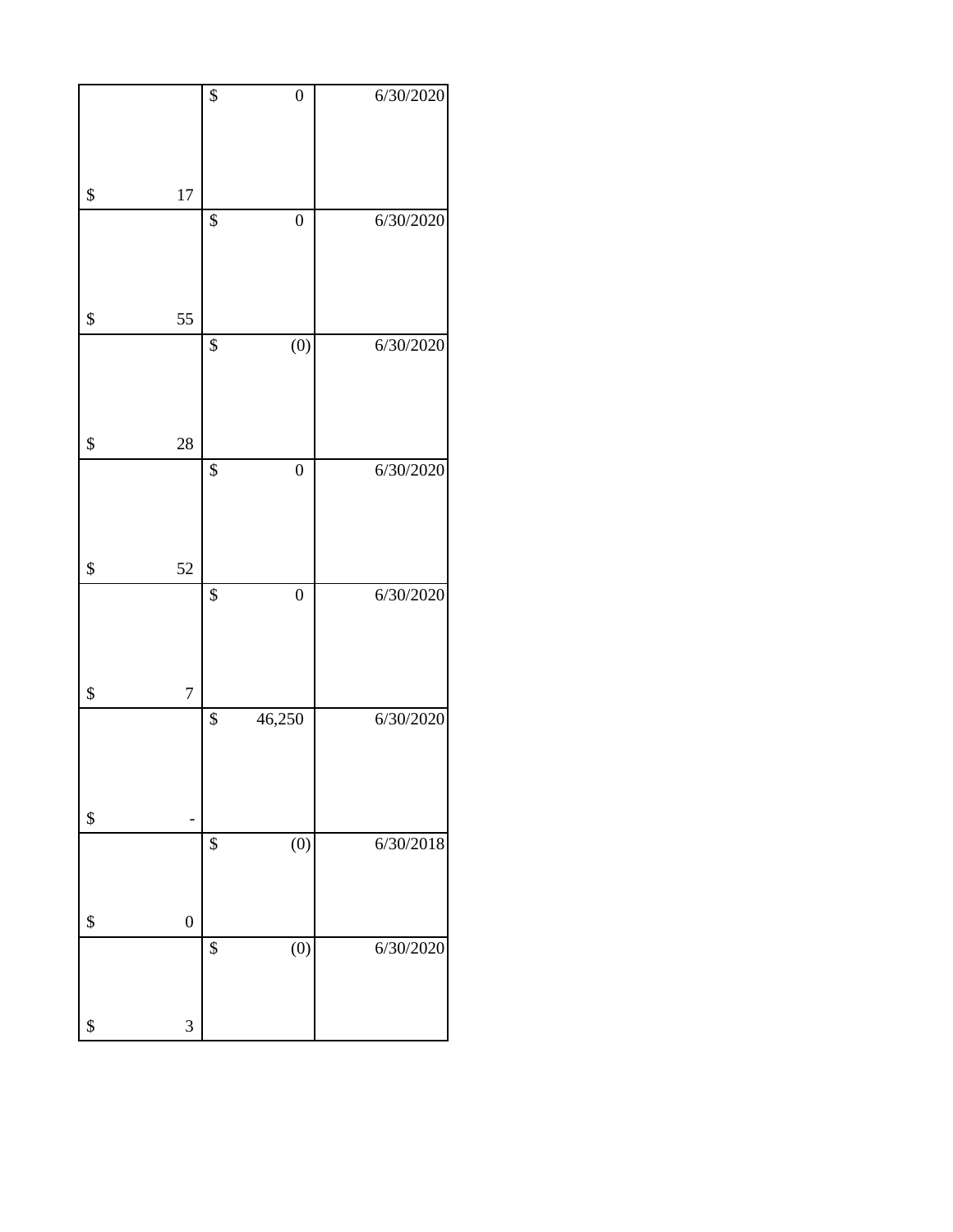|                        | \$              | $\overline{0}$   | 6/30/2020 |
|------------------------|-----------------|------------------|-----------|
| \$<br>17               |                 |                  |           |
|                        | \$              | $\boldsymbol{0}$ | 6/30/2020 |
| \$<br>55               |                 |                  |           |
|                        | \$              | (0)              | 6/30/2020 |
| \$<br>28               |                 |                  |           |
| \$<br>52               | $\overline{\$}$ | $\overline{0}$   | 6/30/2020 |
|                        | $\overline{\$}$ | $\overline{0}$   | 6/30/2020 |
| \$<br>$\overline{7}$   |                 |                  |           |
| \$                     | \$              | 46,250           | 6/30/2020 |
|                        | $\overline{\$}$ | $\overline{(0)}$ | 6/30/2018 |
| \$<br>$\boldsymbol{0}$ |                 |                  |           |
| \$<br>3                | \$              | (0)              | 6/30/2020 |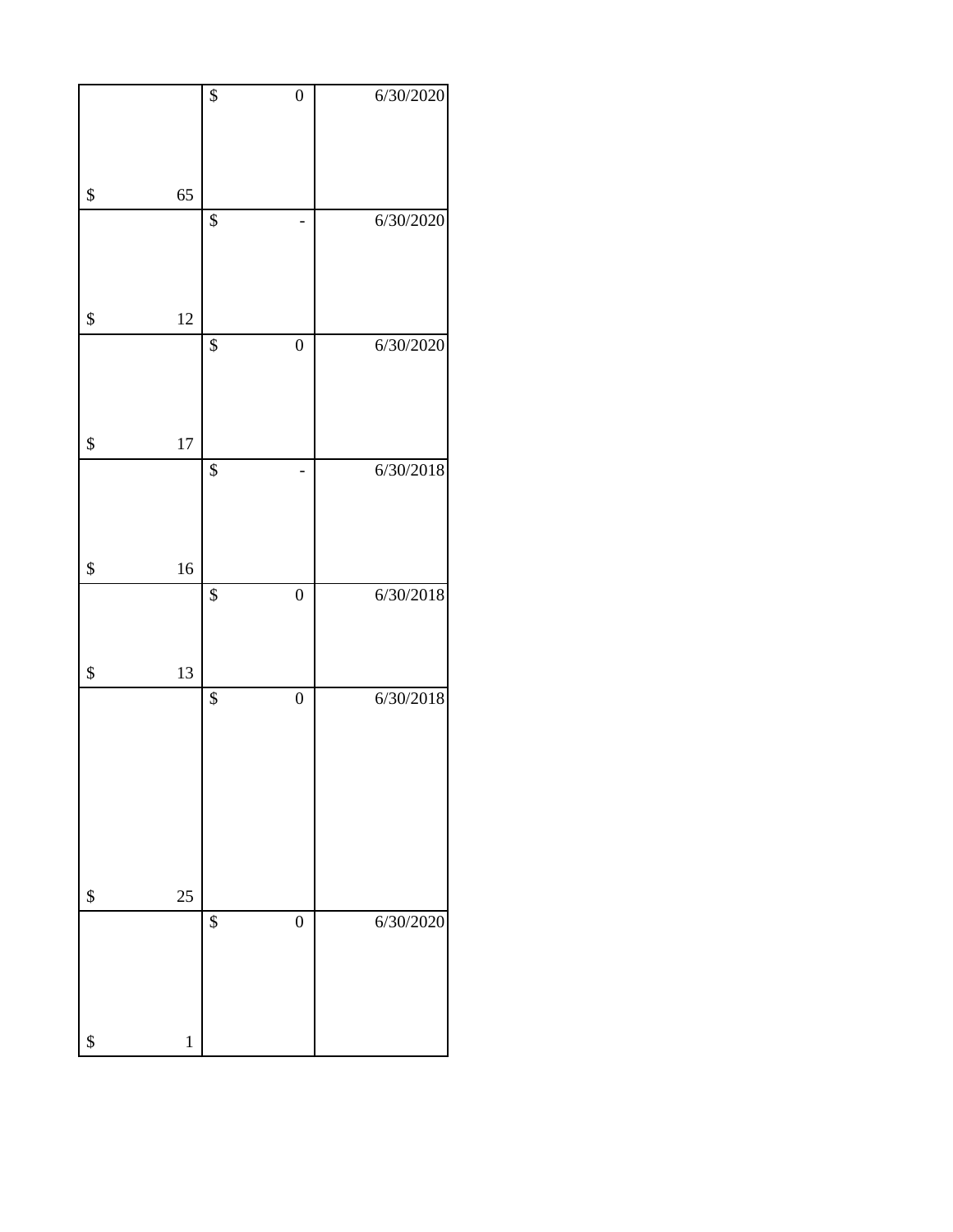|                   | $\overline{\$}$ | $\boldsymbol{0}$ | 6/30/2020 |
|-------------------|-----------------|------------------|-----------|
| \$<br>65          |                 |                  |           |
|                   | \$              |                  | 6/30/2020 |
| \$<br>12          |                 |                  |           |
|                   | \$              | $\boldsymbol{0}$ | 6/30/2020 |
| \$<br>17          |                 |                  |           |
|                   | $\overline{\$}$ |                  | 6/30/2018 |
| \$<br>16          | $\overline{\$}$ | $\boldsymbol{0}$ | 6/30/2018 |
| \$<br>13          |                 |                  |           |
| \$<br>25          | $\overline{\$}$ | $\boldsymbol{0}$ | 6/30/2018 |
|                   | \$              | $\boldsymbol{0}$ | 6/30/2020 |
| \$<br>$\mathbf 1$ |                 |                  |           |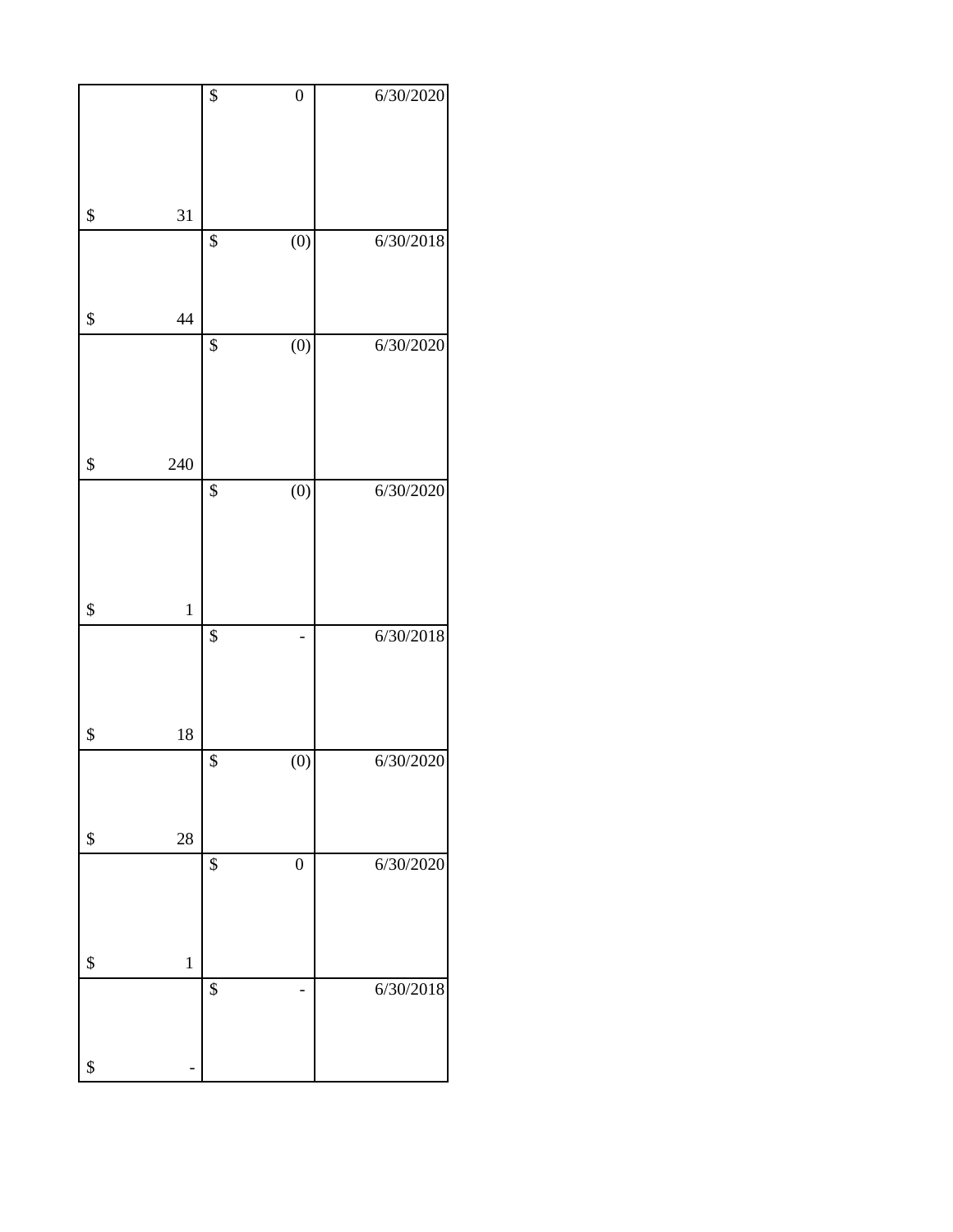|                   | $\overline{\$}$ | $\boldsymbol{0}$ | 6/30/2020 |
|-------------------|-----------------|------------------|-----------|
|                   |                 |                  |           |
|                   |                 |                  |           |
|                   |                 |                  |           |
| \$<br>31          |                 |                  |           |
|                   | \$              | $\overline{(0)}$ | 6/30/2018 |
|                   |                 |                  |           |
|                   |                 |                  |           |
| \$<br>44          |                 |                  |           |
|                   | \$              | (0)              | 6/30/2020 |
|                   |                 |                  |           |
|                   |                 |                  |           |
|                   |                 |                  |           |
|                   |                 |                  |           |
| \$<br>240         |                 |                  |           |
|                   | \$              | (0)              | 6/30/2020 |
|                   |                 |                  |           |
|                   |                 |                  |           |
|                   |                 |                  |           |
| \$<br>$\mathbf 1$ |                 |                  |           |
|                   | $\overline{\$}$ |                  | 6/30/2018 |
|                   |                 |                  |           |
|                   |                 |                  |           |
|                   |                 |                  |           |
| \$<br>18          |                 |                  |           |
|                   | \$              | (0)              | 6/30/2020 |
|                   |                 |                  |           |
|                   |                 |                  |           |
| \$<br>28          |                 |                  |           |
|                   | \$              | $\boldsymbol{0}$ | 6/30/2020 |
|                   |                 |                  |           |
|                   |                 |                  |           |
| \$<br>$\,1$       |                 |                  |           |
|                   | \$              |                  | 6/30/2018 |
|                   |                 |                  |           |
|                   |                 |                  |           |
| \$                |                 |                  |           |
|                   |                 |                  |           |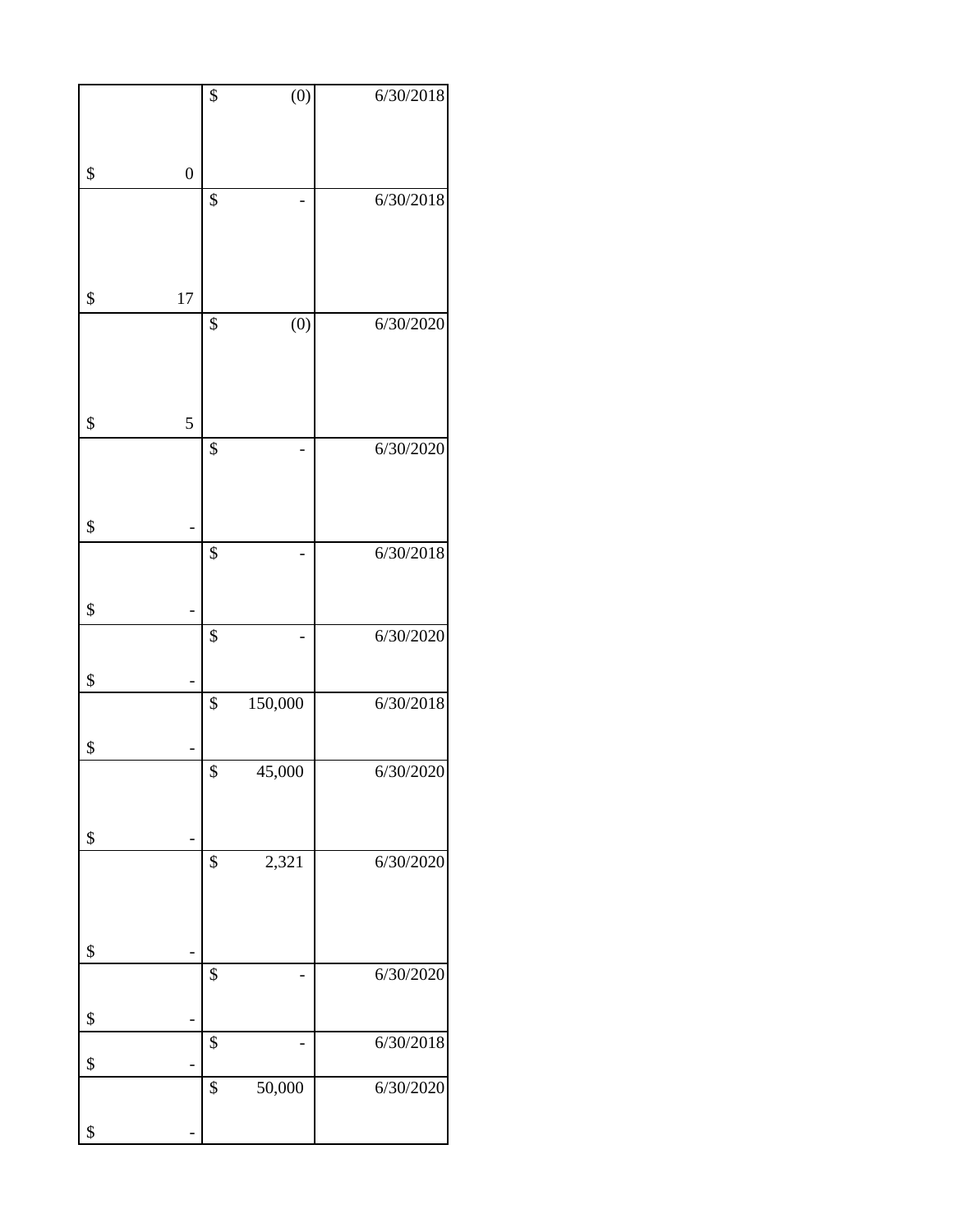|                        | $\overline{\$}$   | $\overline{(0)}$ | 6/30/2018 |
|------------------------|-------------------|------------------|-----------|
|                        |                   |                  |           |
|                        |                   |                  |           |
| $\boldsymbol{0}$<br>\$ |                   |                  |           |
|                        | \$                |                  | 6/30/2018 |
|                        |                   |                  |           |
|                        |                   |                  |           |
|                        |                   |                  |           |
| \$<br>17               |                   |                  |           |
|                        | \$                | (0)              | 6/30/2020 |
|                        |                   |                  |           |
|                        |                   |                  |           |
|                        |                   |                  |           |
| \$<br>5                |                   |                  |           |
|                        | \$                |                  | 6/30/2020 |
|                        |                   |                  |           |
|                        |                   |                  |           |
| \$                     |                   |                  |           |
|                        | \$                |                  | 6/30/2018 |
|                        |                   |                  |           |
|                        |                   |                  |           |
| \$                     |                   |                  |           |
|                        | \$                |                  | 6/30/2020 |
|                        |                   |                  |           |
| \$<br>-                |                   |                  |           |
|                        | \$                | 150,000          | 6/30/2018 |
| \$                     |                   |                  |           |
|                        | $\boldsymbol{\$}$ | 45,000           | 6/30/2020 |
|                        |                   |                  |           |
|                        |                   |                  |           |
| \$                     |                   |                  |           |
|                        | \$                | 2,321            | 6/30/2020 |
|                        |                   |                  |           |
|                        |                   |                  |           |
| \$                     |                   |                  |           |
|                        | \$                |                  | 6/30/2020 |
|                        |                   |                  |           |
| \$                     |                   |                  |           |
|                        | \$                |                  | 6/30/2018 |
| \$                     |                   |                  |           |
|                        | \$                | 50,000           | 6/30/2020 |
|                        |                   |                  |           |
| \$                     |                   |                  |           |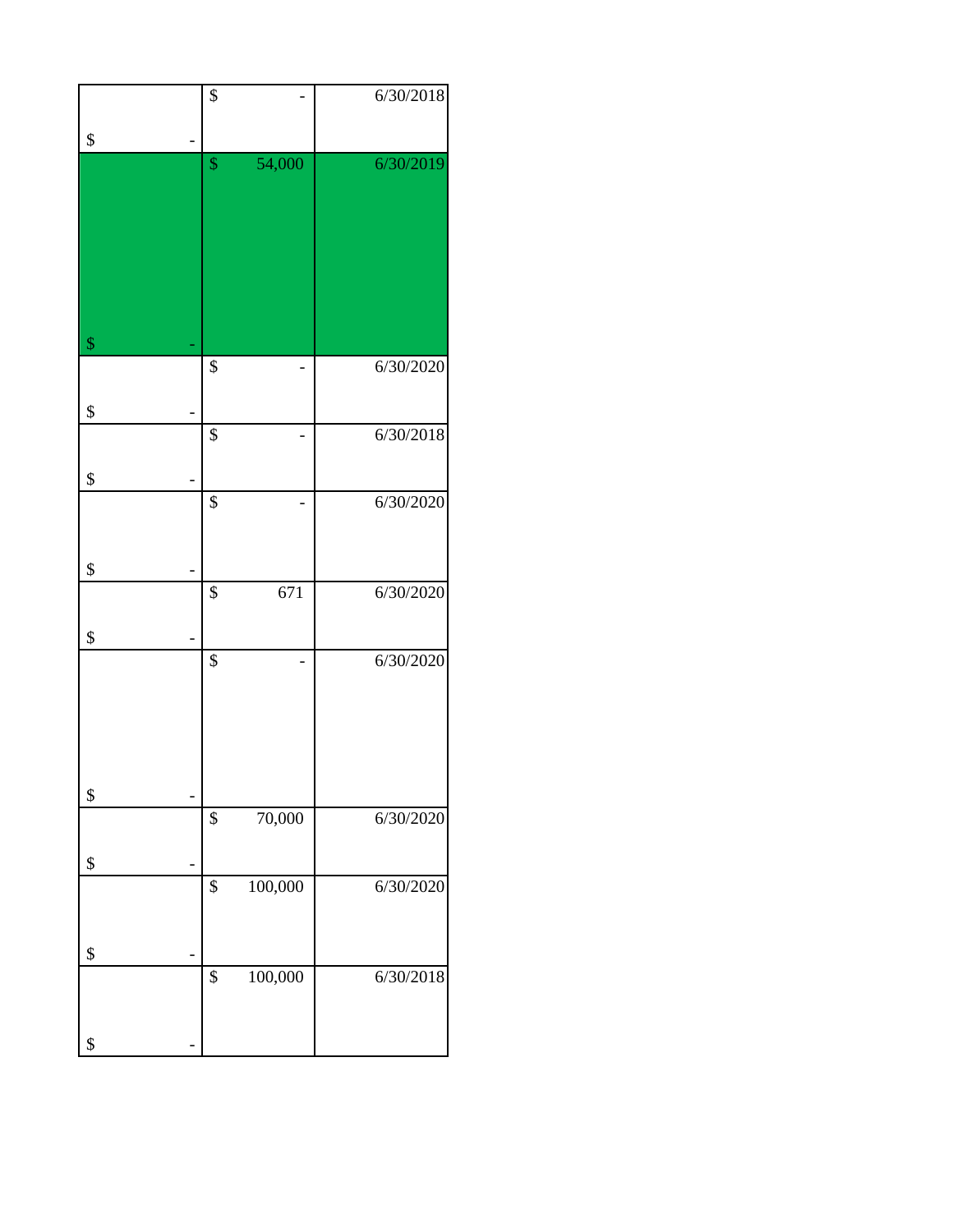|                   | \$            | 6/30/2018 |
|-------------------|---------------|-----------|
|                   |               |           |
| \$                | \$<br>54,000  | 6/30/2019 |
|                   |               |           |
|                   |               |           |
|                   |               |           |
|                   |               |           |
|                   |               |           |
|                   |               |           |
| $\boldsymbol{\$}$ | \$            | 6/30/2020 |
|                   |               |           |
| \$                |               |           |
|                   | \$            | 6/30/2018 |
| \$                |               |           |
|                   | \$            | 6/30/2020 |
|                   |               |           |
| \$                |               |           |
|                   | \$<br>671     | 6/30/2020 |
|                   |               |           |
| \$                |               |           |
|                   | \$            | 6/30/2020 |
|                   |               |           |
|                   |               |           |
|                   |               |           |
| \$                |               |           |
|                   | \$<br>70,000  | 6/30/2020 |
|                   |               |           |
| \$                | \$<br>100,000 | 6/30/2020 |
|                   |               |           |
|                   |               |           |
| \$                | \$<br>100,000 |           |
|                   |               | 6/30/2018 |
|                   |               |           |
| \$                |               |           |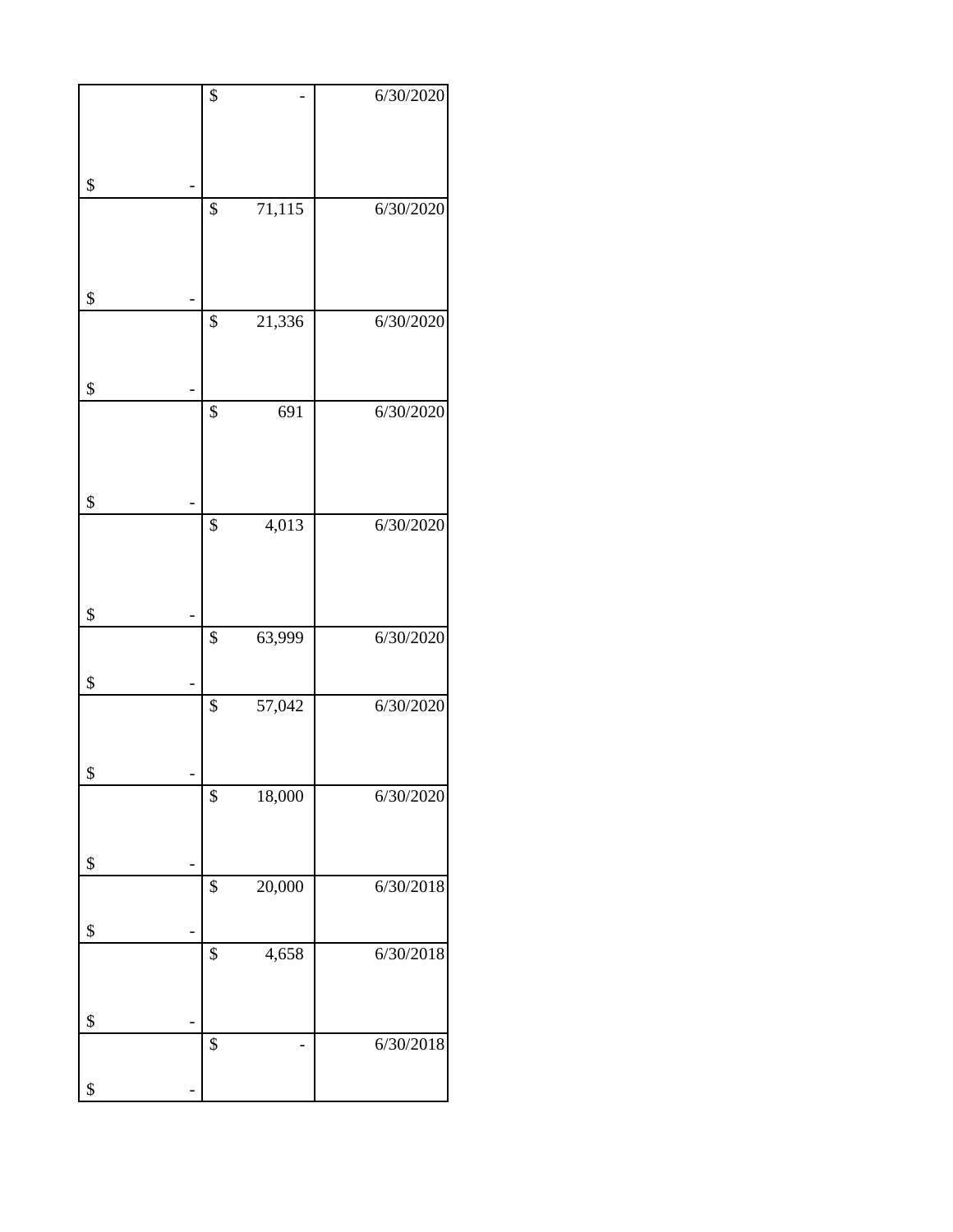| $\overline{\$}$ |                   | 6/30/2020 |
|-----------------|-------------------|-----------|
|                 |                   |           |
|                 |                   |           |
| \$              |                   |           |
| \$              | 71,115            | 6/30/2020 |
|                 |                   |           |
|                 |                   |           |
| \$              |                   |           |
| \$              | 21,336            | 6/30/2020 |
|                 |                   |           |
| \$              |                   |           |
| $\overline{\$}$ | 691               | 6/30/2020 |
|                 |                   |           |
|                 |                   |           |
| \$              |                   |           |
| $\overline{\$}$ | $\frac{4,013}{ }$ | 6/30/2020 |
|                 |                   |           |
|                 |                   |           |
| \$<br>\$        | 63,999            | 6/30/2020 |
|                 |                   |           |
| \$              |                   |           |
| \$              | 57,042            | 6/30/2020 |
|                 |                   |           |
| \$              |                   |           |
| \$              | 18,000            | 6/30/2020 |
|                 |                   |           |
| \$              |                   |           |
| \$              | 20,000            | 6/30/2018 |
| \$              |                   |           |
| \$              | 4,658             | 6/30/2018 |
|                 |                   |           |
|                 |                   |           |
| \$<br>\$        |                   | 6/30/2018 |
|                 |                   |           |
| \$              |                   |           |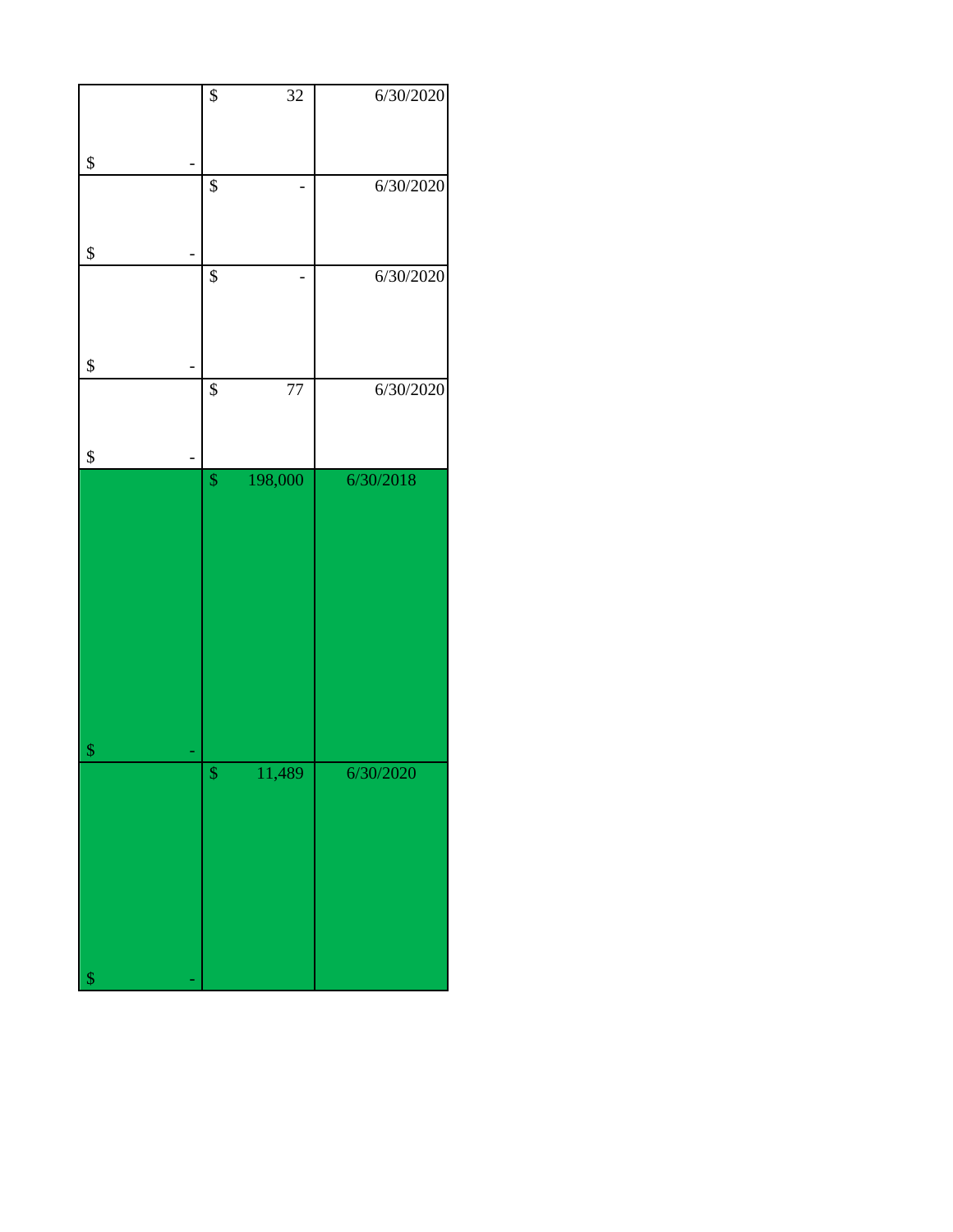|                   | $\boldsymbol{\$}$ | 32      | 6/30/2020 |
|-------------------|-------------------|---------|-----------|
| \$                |                   |         |           |
|                   | $\overline{\$}$   |         | 6/30/2020 |
|                   |                   |         |           |
| \$                |                   |         |           |
|                   | $\overline{\$}$   |         | 6/30/2020 |
|                   |                   |         |           |
| \$                |                   |         |           |
|                   | $\overline{\$}$   | 77      | 6/30/2020 |
|                   |                   |         |           |
| \$                |                   |         | 6/30/2018 |
|                   | $\sqrt{\ }$       | 198,000 |           |
|                   |                   |         |           |
|                   |                   |         |           |
|                   |                   |         |           |
|                   |                   |         |           |
|                   |                   |         |           |
|                   |                   |         |           |
|                   |                   |         |           |
|                   |                   |         |           |
| $\boldsymbol{\$}$ | $\mathbb{S}$      | 11,489  | 6/30/2020 |
|                   |                   |         |           |
|                   |                   |         |           |
|                   |                   |         |           |
|                   |                   |         |           |
|                   |                   |         |           |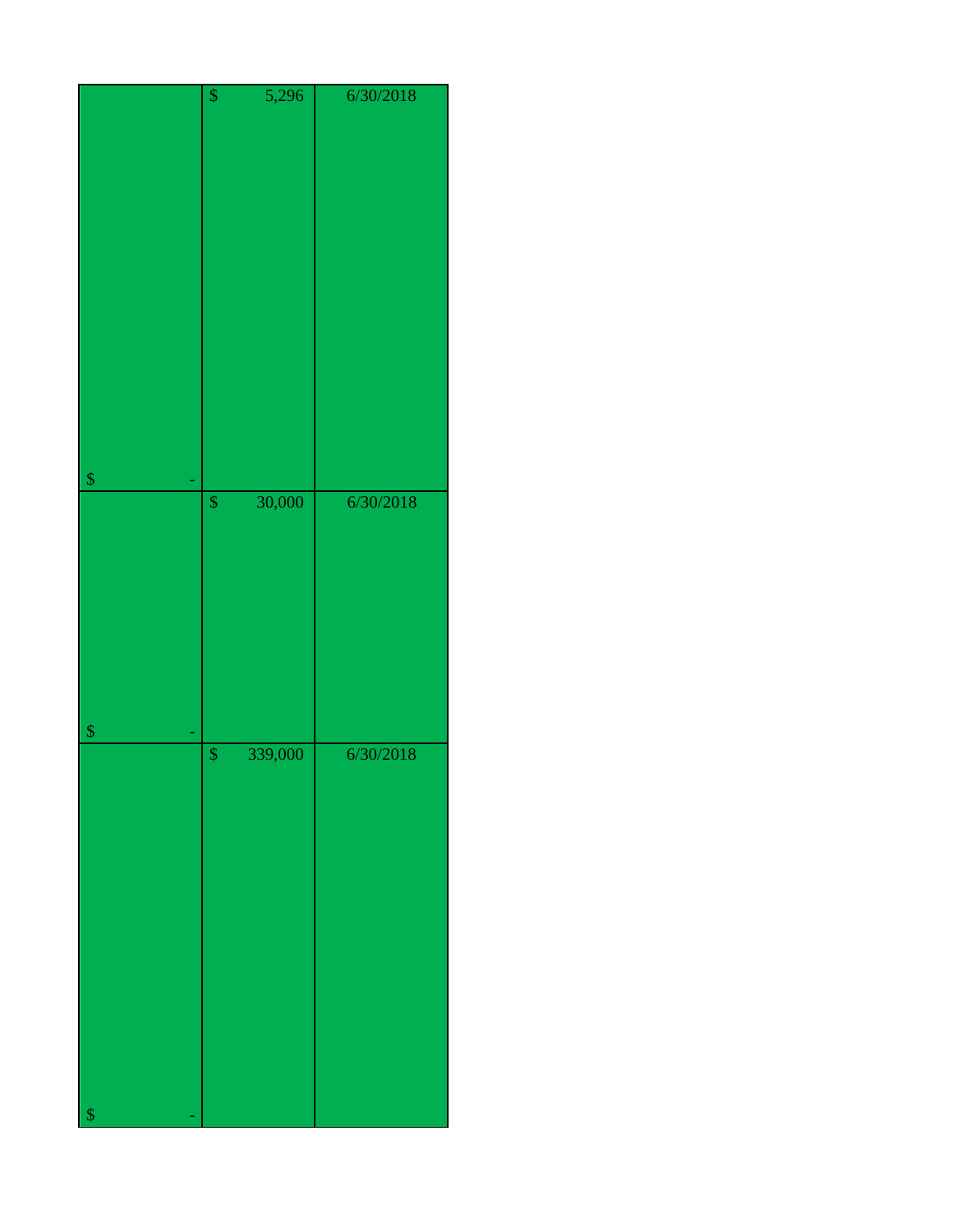|                                              | $\overline{\$}$   | 5,296   | 6/30/2018 |
|----------------------------------------------|-------------------|---------|-----------|
|                                              |                   |         |           |
|                                              |                   |         |           |
|                                              |                   |         |           |
|                                              |                   |         |           |
|                                              |                   |         |           |
|                                              |                   |         |           |
|                                              |                   |         |           |
|                                              |                   |         |           |
|                                              |                   |         |           |
|                                              |                   |         |           |
|                                              |                   |         |           |
|                                              |                   |         |           |
|                                              |                   |         |           |
|                                              |                   |         |           |
|                                              |                   |         |           |
|                                              |                   |         |           |
| $\boldsymbol{\$}$                            |                   |         |           |
|                                              | $\pmb{\$}$        | 30,000  | 6/30/2018 |
|                                              |                   |         |           |
|                                              |                   |         |           |
|                                              |                   |         |           |
|                                              |                   |         |           |
|                                              |                   |         |           |
|                                              |                   |         |           |
|                                              |                   |         |           |
|                                              |                   |         |           |
|                                              |                   |         |           |
| $\, \, \raisebox{12pt}{$\scriptstyle\circ$}$ |                   |         |           |
|                                              | $\boldsymbol{\$}$ | 339,000 | 6/30/2018 |
|                                              |                   |         |           |
|                                              |                   |         |           |
|                                              |                   |         |           |
|                                              |                   |         |           |
|                                              |                   |         |           |
|                                              |                   |         |           |
|                                              |                   |         |           |
|                                              |                   |         |           |
|                                              |                   |         |           |
|                                              |                   |         |           |
|                                              |                   |         |           |
|                                              |                   |         |           |
|                                              |                   |         |           |
|                                              |                   |         |           |
|                                              |                   |         |           |
| $\sqrt[6]{3}$                                |                   |         |           |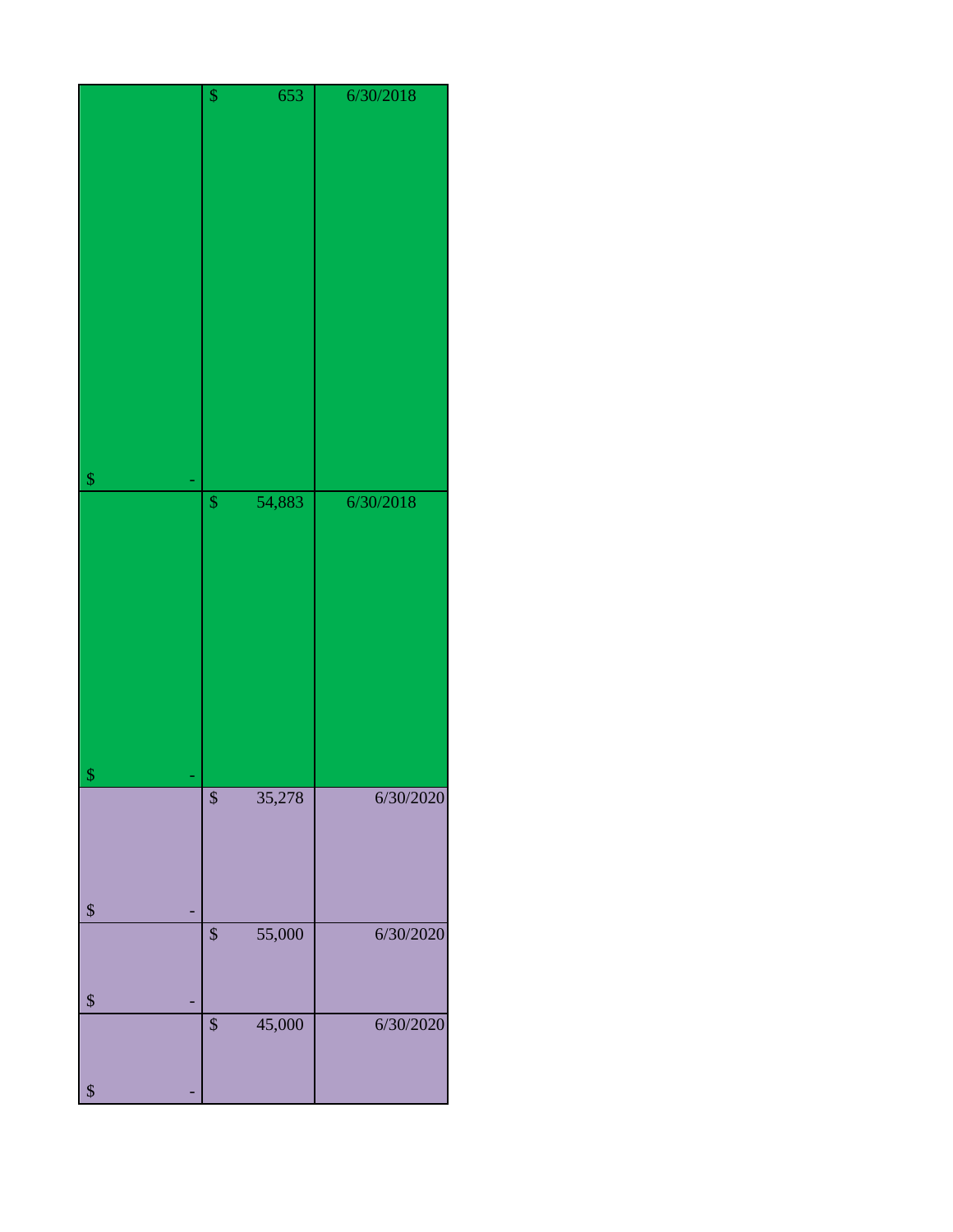|                   | \$              | 653    | 6/30/2018 |
|-------------------|-----------------|--------|-----------|
|                   |                 |        |           |
|                   |                 |        |           |
|                   |                 |        |           |
|                   |                 |        |           |
|                   |                 |        |           |
|                   |                 |        |           |
|                   |                 |        |           |
|                   |                 |        |           |
|                   |                 |        |           |
|                   |                 |        |           |
|                   |                 |        |           |
|                   |                 |        |           |
|                   |                 |        |           |
|                   |                 |        |           |
| $\boldsymbol{\$}$ |                 |        |           |
|                   | $\pmb{\$}$      | 54,883 | 6/30/2018 |
|                   |                 |        |           |
|                   |                 |        |           |
|                   |                 |        |           |
|                   |                 |        |           |
|                   |                 |        |           |
|                   |                 |        |           |
|                   |                 |        |           |
|                   |                 |        |           |
|                   |                 |        |           |
|                   |                 |        |           |
|                   |                 |        |           |
| \$                | $\overline{\$}$ | 35,278 | 6/30/2020 |
|                   |                 |        |           |
|                   |                 |        |           |
|                   |                 |        |           |
|                   |                 |        |           |
| $\boldsymbol{\$}$ |                 |        |           |
|                   | \$              | 55,000 | 6/30/2020 |
|                   |                 |        |           |
|                   |                 |        |           |
| \$                |                 |        |           |
|                   | \$              | 45,000 | 6/30/2020 |
|                   |                 |        |           |
|                   |                 |        |           |
| $\boldsymbol{\$}$ |                 |        |           |